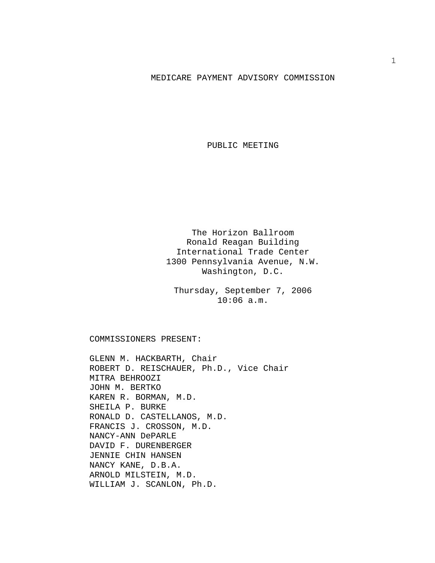## MEDICARE PAYMENT ADVISORY COMMISSION

PUBLIC MEETING

The Horizon Ballroom Ronald Reagan Building International Trade Center 1300 Pennsylvania Avenue, N.W. Washington, D.C.

Thursday, September 7, 2006 10:06 a.m.

COMMISSIONERS PRESENT:

GLENN M. HACKBARTH, Chair ROBERT D. REISCHAUER, Ph.D., Vice Chair MITRA BEHROOZI JOHN M. BERTKO KAREN R. BORMAN, M.D. SHEILA P. BURKE RONALD D. CASTELLANOS, M.D. FRANCIS J. CROSSON, M.D. NANCY-ANN DePARLE DAVID F. DURENBERGER JENNIE CHIN HANSEN NANCY KANE, D.B.A. ARNOLD MILSTEIN, M.D. WILLIAM J. SCANLON, Ph.D.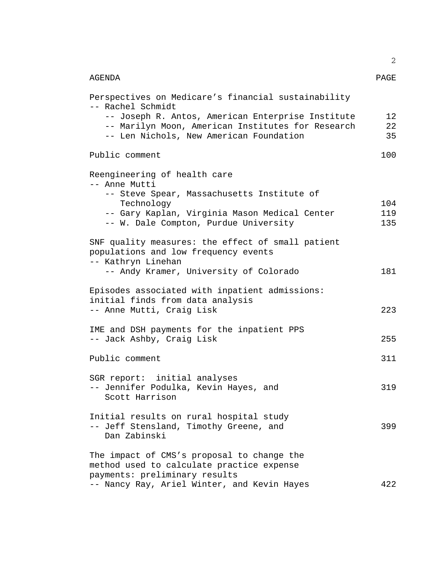|                                                                                                                                                   | 2              |
|---------------------------------------------------------------------------------------------------------------------------------------------------|----------------|
| AGENDA                                                                                                                                            | PAGE           |
| Perspectives on Medicare's financial sustainability<br>-- Rachel Schmidt                                                                          |                |
| -- Joseph R. Antos, American Enterprise Institute<br>-- Marilyn Moon, American Institutes for Research<br>-- Len Nichols, New American Foundation | 12<br>22<br>35 |
| Public comment                                                                                                                                    | 100            |
| Reengineering of health care<br>-- Anne Mutti<br>-- Steve Spear, Massachusetts Institute of                                                       |                |
| Technology                                                                                                                                        | 104            |
| -- Gary Kaplan, Virginia Mason Medical Center                                                                                                     | 119            |
| -- W. Dale Compton, Purdue University                                                                                                             | 135            |
| SNF quality measures: the effect of small patient<br>populations and low frequency events<br>-- Kathryn Linehan                                   |                |
| -- Andy Kramer, University of Colorado                                                                                                            | 181            |
| Episodes associated with inpatient admissions:<br>initial finds from data analysis                                                                |                |
| -- Anne Mutti, Craig Lisk                                                                                                                         | 223            |
| IME and DSH payments for the inpatient PPS<br>-- Jack Ashby, Craig Lisk                                                                           | 255            |
| Public comment                                                                                                                                    | 311            |
| SGR report: initial analyses                                                                                                                      |                |
| -- Jennifer Podulka, Kevin Hayes, and<br>Scott Harrison                                                                                           | 319            |
| Initial results on rural hospital study<br>-- Jeff Stensland, Timothy Greene, and<br>Dan Zabinski                                                 | 399            |
| The impact of CMS's proposal to change the<br>method used to calculate practice expense<br>payments: preliminary results                          |                |
| -- Nancy Ray, Ariel Winter, and Kevin Hayes                                                                                                       | 422            |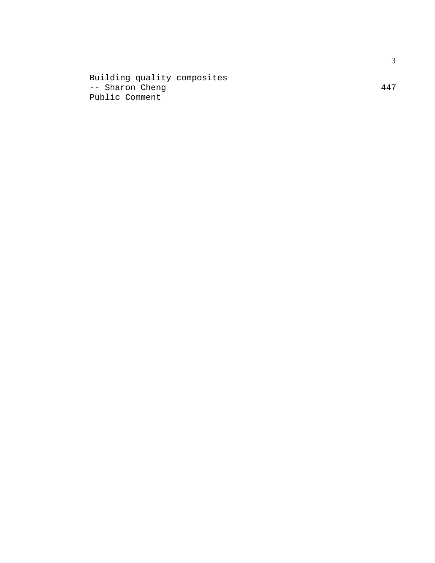Building quality composites -- Sharon Cheng 447 Public Comment

3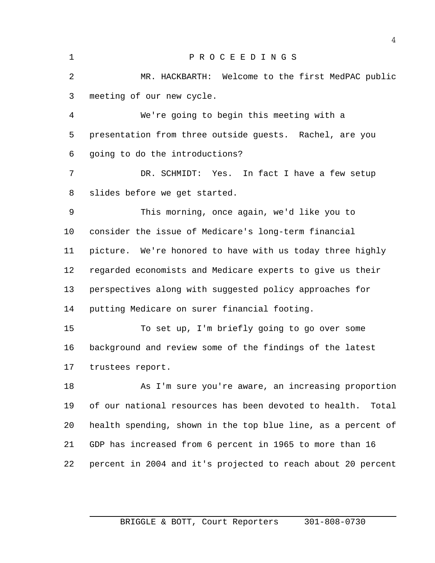P R O C E E D I N G S MR. HACKBARTH: Welcome to the first MedPAC public meeting of our new cycle.

 We're going to begin this meeting with a presentation from three outside guests. Rachel, are you going to do the introductions?

 DR. SCHMIDT: Yes. In fact I have a few setup slides before we get started.

 This morning, once again, we'd like you to consider the issue of Medicare's long-term financial picture. We're honored to have with us today three highly regarded economists and Medicare experts to give us their perspectives along with suggested policy approaches for putting Medicare on surer financial footing.

 To set up, I'm briefly going to go over some background and review some of the findings of the latest trustees report.

 As I'm sure you're aware, an increasing proportion of our national resources has been devoted to health. Total health spending, shown in the top blue line, as a percent of GDP has increased from 6 percent in 1965 to more than 16 percent in 2004 and it's projected to reach about 20 percent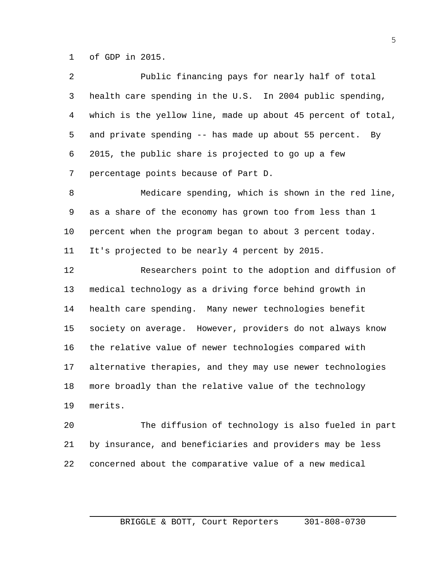of GDP in 2015.

| $\overline{a}$ | Public financing pays for nearly half of total               |
|----------------|--------------------------------------------------------------|
| 3              | health care spending in the U.S. In 2004 public spending,    |
| 4              | which is the yellow line, made up about 45 percent of total, |
| 5              | and private spending -- has made up about 55 percent.<br>By  |
| 6              | 2015, the public share is projected to go up a few           |
| 7              | percentage points because of Part D.                         |
| 8              | Medicare spending, which is shown in the red line,           |
| 9              | as a share of the economy has grown too from less than 1     |
| 10             | percent when the program began to about 3 percent today.     |
| 11             | It's projected to be nearly 4 percent by 2015.               |
| 12             | Researchers point to the adoption and diffusion of           |
| 13             | medical technology as a driving force behind growth in       |
| 14             | health care spending. Many newer technologies benefit        |
| 15             | society on average. However, providers do not always know    |
| 16             | the relative value of newer technologies compared with       |
| 17             | alternative therapies, and they may use newer technologies   |
| 18             | more broadly than the relative value of the technology       |
| 19             | merits.                                                      |
| 20             | The diffusion of technology is also fueled in part           |

 by insurance, and beneficiaries and providers may be less concerned about the comparative value of a new medical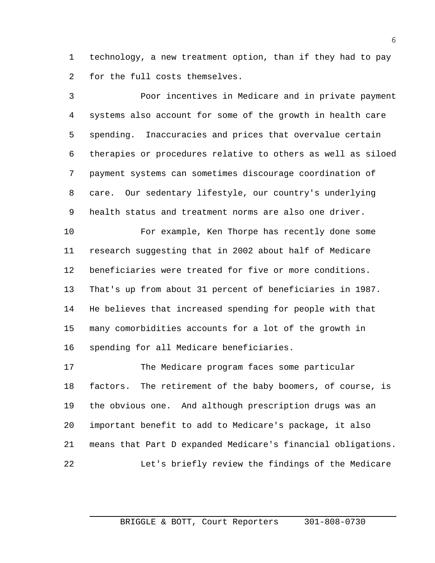technology, a new treatment option, than if they had to pay for the full costs themselves.

 Poor incentives in Medicare and in private payment systems also account for some of the growth in health care spending. Inaccuracies and prices that overvalue certain therapies or procedures relative to others as well as siloed payment systems can sometimes discourage coordination of care. Our sedentary lifestyle, our country's underlying health status and treatment norms are also one driver.

 For example, Ken Thorpe has recently done some research suggesting that in 2002 about half of Medicare beneficiaries were treated for five or more conditions. That's up from about 31 percent of beneficiaries in 1987. He believes that increased spending for people with that many comorbidities accounts for a lot of the growth in spending for all Medicare beneficiaries.

 The Medicare program faces some particular factors. The retirement of the baby boomers, of course, is the obvious one. And although prescription drugs was an important benefit to add to Medicare's package, it also means that Part D expanded Medicare's financial obligations. Let's briefly review the findings of the Medicare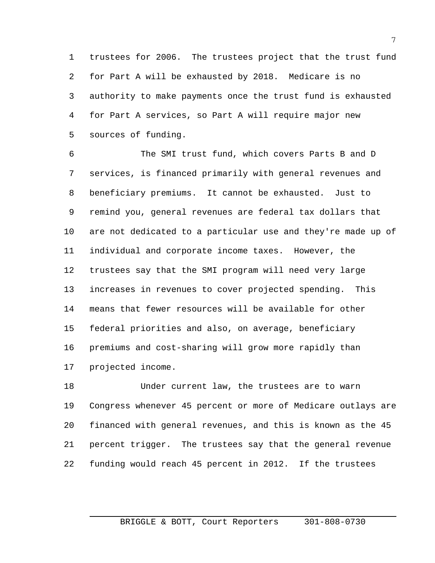trustees for 2006. The trustees project that the trust fund for Part A will be exhausted by 2018. Medicare is no authority to make payments once the trust fund is exhausted for Part A services, so Part A will require major new sources of funding.

 The SMI trust fund, which covers Parts B and D services, is financed primarily with general revenues and beneficiary premiums. It cannot be exhausted. Just to remind you, general revenues are federal tax dollars that are not dedicated to a particular use and they're made up of individual and corporate income taxes. However, the trustees say that the SMI program will need very large increases in revenues to cover projected spending. This means that fewer resources will be available for other federal priorities and also, on average, beneficiary premiums and cost-sharing will grow more rapidly than projected income.

 Under current law, the trustees are to warn Congress whenever 45 percent or more of Medicare outlays are financed with general revenues, and this is known as the 45 percent trigger. The trustees say that the general revenue funding would reach 45 percent in 2012. If the trustees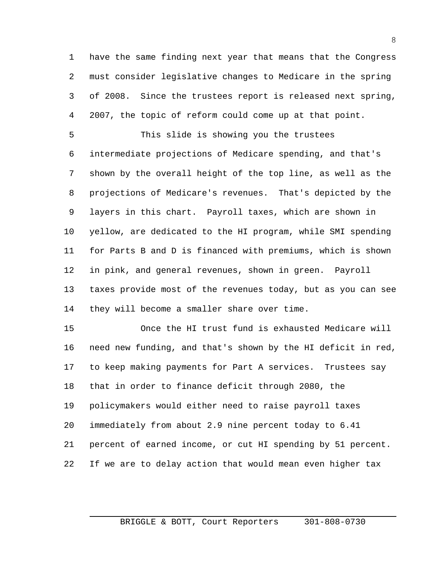have the same finding next year that means that the Congress must consider legislative changes to Medicare in the spring of 2008. Since the trustees report is released next spring, 2007, the topic of reform could come up at that point.

 This slide is showing you the trustees intermediate projections of Medicare spending, and that's shown by the overall height of the top line, as well as the projections of Medicare's revenues. That's depicted by the layers in this chart. Payroll taxes, which are shown in yellow, are dedicated to the HI program, while SMI spending for Parts B and D is financed with premiums, which is shown in pink, and general revenues, shown in green. Payroll taxes provide most of the revenues today, but as you can see they will become a smaller share over time.

 Once the HI trust fund is exhausted Medicare will need new funding, and that's shown by the HI deficit in red, to keep making payments for Part A services. Trustees say that in order to finance deficit through 2080, the policymakers would either need to raise payroll taxes immediately from about 2.9 nine percent today to 6.41 percent of earned income, or cut HI spending by 51 percent. If we are to delay action that would mean even higher tax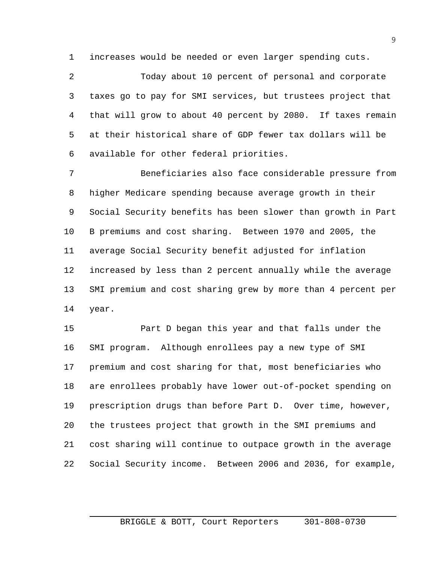increases would be needed or even larger spending cuts.

 Today about 10 percent of personal and corporate taxes go to pay for SMI services, but trustees project that that will grow to about 40 percent by 2080. If taxes remain at their historical share of GDP fewer tax dollars will be available for other federal priorities.

 Beneficiaries also face considerable pressure from higher Medicare spending because average growth in their Social Security benefits has been slower than growth in Part B premiums and cost sharing. Between 1970 and 2005, the average Social Security benefit adjusted for inflation increased by less than 2 percent annually while the average SMI premium and cost sharing grew by more than 4 percent per year.

 Part D began this year and that falls under the SMI program. Although enrollees pay a new type of SMI premium and cost sharing for that, most beneficiaries who are enrollees probably have lower out-of-pocket spending on prescription drugs than before Part D. Over time, however, the trustees project that growth in the SMI premiums and cost sharing will continue to outpace growth in the average Social Security income. Between 2006 and 2036, for example,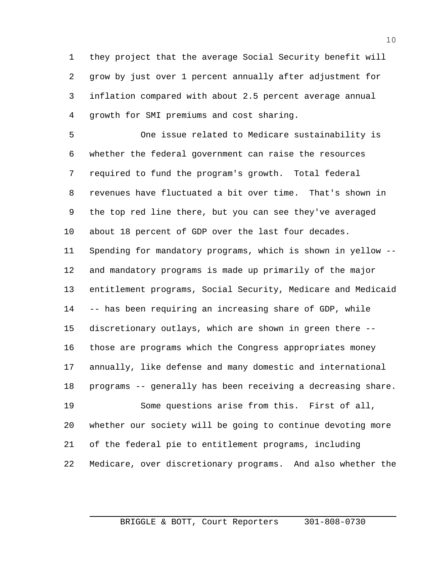they project that the average Social Security benefit will grow by just over 1 percent annually after adjustment for inflation compared with about 2.5 percent average annual growth for SMI premiums and cost sharing.

 One issue related to Medicare sustainability is whether the federal government can raise the resources required to fund the program's growth. Total federal revenues have fluctuated a bit over time. That's shown in the top red line there, but you can see they've averaged about 18 percent of GDP over the last four decades. Spending for mandatory programs, which is shown in yellow -- and mandatory programs is made up primarily of the major entitlement programs, Social Security, Medicare and Medicaid -- has been requiring an increasing share of GDP, while discretionary outlays, which are shown in green there -- those are programs which the Congress appropriates money annually, like defense and many domestic and international programs -- generally has been receiving a decreasing share. Some questions arise from this. First of all, whether our society will be going to continue devoting more of the federal pie to entitlement programs, including

Medicare, over discretionary programs. And also whether the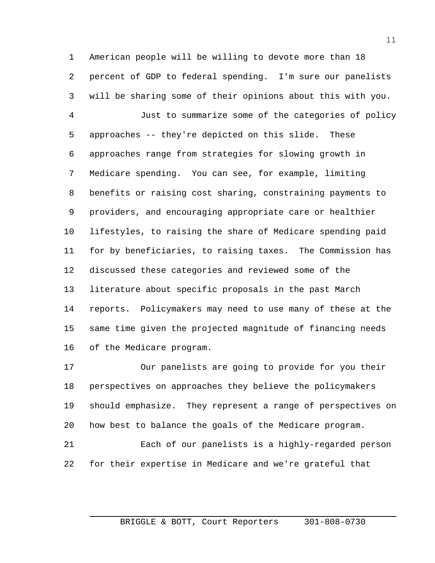American people will be willing to devote more than 18 percent of GDP to federal spending. I'm sure our panelists will be sharing some of their opinions about this with you.

 Just to summarize some of the categories of policy approaches -- they're depicted on this slide. These approaches range from strategies for slowing growth in Medicare spending. You can see, for example, limiting benefits or raising cost sharing, constraining payments to providers, and encouraging appropriate care or healthier lifestyles, to raising the share of Medicare spending paid for by beneficiaries, to raising taxes. The Commission has discussed these categories and reviewed some of the literature about specific proposals in the past March reports. Policymakers may need to use many of these at the same time given the projected magnitude of financing needs of the Medicare program.

 Our panelists are going to provide for you their perspectives on approaches they believe the policymakers should emphasize. They represent a range of perspectives on how best to balance the goals of the Medicare program. Each of our panelists is a highly-regarded person for their expertise in Medicare and we're grateful that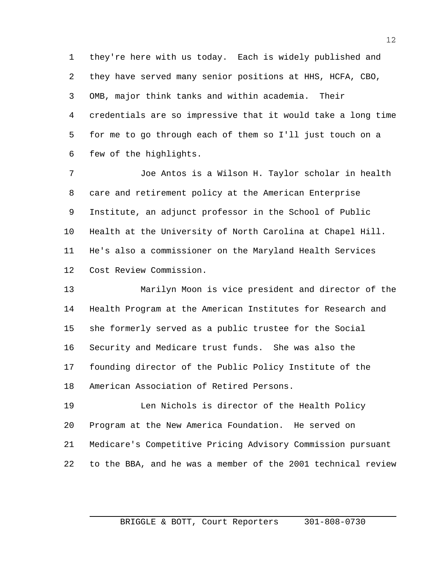they're here with us today. Each is widely published and they have served many senior positions at HHS, HCFA, CBO, OMB, major think tanks and within academia. Their credentials are so impressive that it would take a long time for me to go through each of them so I'll just touch on a few of the highlights.

 Joe Antos is a Wilson H. Taylor scholar in health care and retirement policy at the American Enterprise Institute, an adjunct professor in the School of Public Health at the University of North Carolina at Chapel Hill. He's also a commissioner on the Maryland Health Services Cost Review Commission.

 Marilyn Moon is vice president and director of the Health Program at the American Institutes for Research and she formerly served as a public trustee for the Social Security and Medicare trust funds. She was also the founding director of the Public Policy Institute of the American Association of Retired Persons.

 Len Nichols is director of the Health Policy Program at the New America Foundation. He served on Medicare's Competitive Pricing Advisory Commission pursuant to the BBA, and he was a member of the 2001 technical review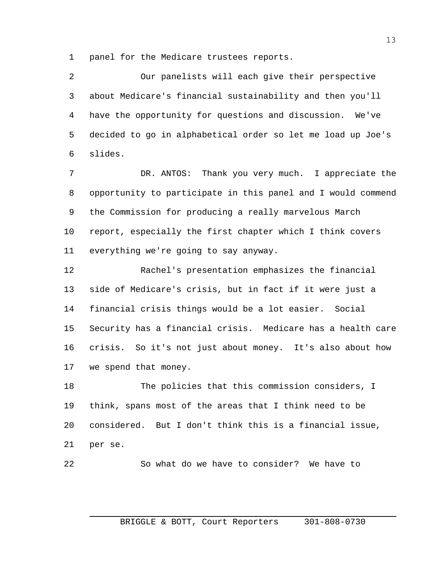panel for the Medicare trustees reports.

 Our panelists will each give their perspective about Medicare's financial sustainability and then you'll have the opportunity for questions and discussion. We've decided to go in alphabetical order so let me load up Joe's slides.

 DR. ANTOS: Thank you very much. I appreciate the opportunity to participate in this panel and I would commend the Commission for producing a really marvelous March report, especially the first chapter which I think covers everything we're going to say anyway.

 Rachel's presentation emphasizes the financial side of Medicare's crisis, but in fact if it were just a financial crisis things would be a lot easier. Social Security has a financial crisis. Medicare has a health care crisis. So it's not just about money. It's also about how we spend that money.

 The policies that this commission considers, I think, spans most of the areas that I think need to be considered. But I don't think this is a financial issue, per se.

So what do we have to consider? We have to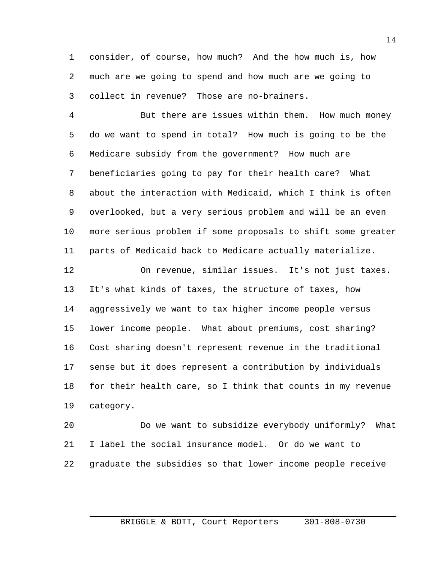consider, of course, how much? And the how much is, how much are we going to spend and how much are we going to collect in revenue? Those are no-brainers.

 But there are issues within them. How much money do we want to spend in total? How much is going to be the Medicare subsidy from the government? How much are beneficiaries going to pay for their health care? What about the interaction with Medicaid, which I think is often overlooked, but a very serious problem and will be an even more serious problem if some proposals to shift some greater parts of Medicaid back to Medicare actually materialize.

 On revenue, similar issues. It's not just taxes. It's what kinds of taxes, the structure of taxes, how aggressively we want to tax higher income people versus lower income people. What about premiums, cost sharing? Cost sharing doesn't represent revenue in the traditional sense but it does represent a contribution by individuals for their health care, so I think that counts in my revenue category.

 Do we want to subsidize everybody uniformly? What I label the social insurance model. Or do we want to graduate the subsidies so that lower income people receive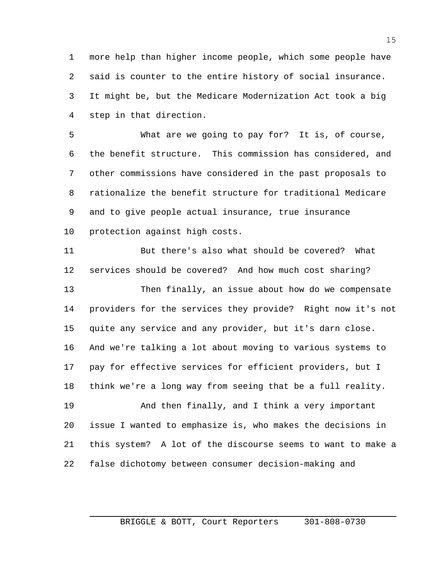more help than higher income people, which some people have said is counter to the entire history of social insurance. It might be, but the Medicare Modernization Act took a big step in that direction.

 What are we going to pay for? It is, of course, the benefit structure. This commission has considered, and other commissions have considered in the past proposals to rationalize the benefit structure for traditional Medicare and to give people actual insurance, true insurance protection against high costs.

 But there's also what should be covered? What services should be covered? And how much cost sharing?

 Then finally, an issue about how do we compensate providers for the services they provide? Right now it's not quite any service and any provider, but it's darn close. And we're talking a lot about moving to various systems to pay for effective services for efficient providers, but I think we're a long way from seeing that be a full reality.

 And then finally, and I think a very important issue I wanted to emphasize is, who makes the decisions in this system? A lot of the discourse seems to want to make a false dichotomy between consumer decision-making and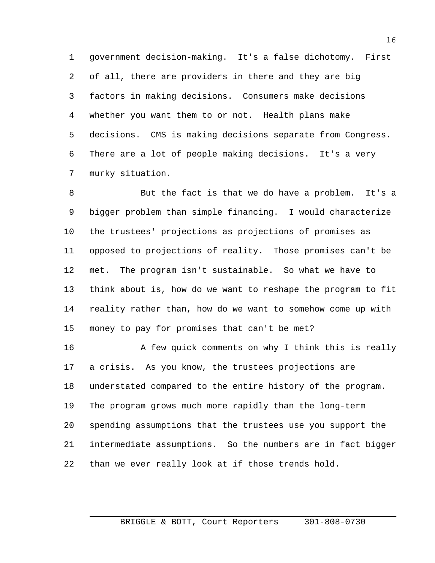government decision-making. It's a false dichotomy. First of all, there are providers in there and they are big factors in making decisions. Consumers make decisions whether you want them to or not. Health plans make decisions. CMS is making decisions separate from Congress. There are a lot of people making decisions. It's a very murky situation.

 But the fact is that we do have a problem. It's a bigger problem than simple financing. I would characterize the trustees' projections as projections of promises as opposed to projections of reality. Those promises can't be met. The program isn't sustainable. So what we have to think about is, how do we want to reshape the program to fit reality rather than, how do we want to somehow come up with money to pay for promises that can't be met?

16 A few quick comments on why I think this is really a crisis. As you know, the trustees projections are understated compared to the entire history of the program. The program grows much more rapidly than the long-term spending assumptions that the trustees use you support the intermediate assumptions. So the numbers are in fact bigger than we ever really look at if those trends hold.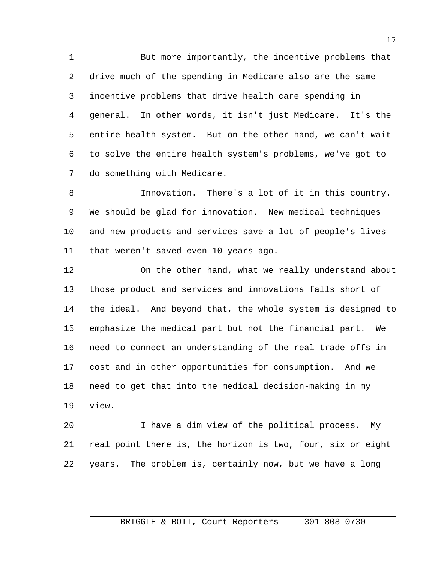But more importantly, the incentive problems that drive much of the spending in Medicare also are the same incentive problems that drive health care spending in general. In other words, it isn't just Medicare. It's the entire health system. But on the other hand, we can't wait to solve the entire health system's problems, we've got to do something with Medicare.

 Innovation. There's a lot of it in this country. We should be glad for innovation. New medical techniques and new products and services save a lot of people's lives that weren't saved even 10 years ago.

 On the other hand, what we really understand about those product and services and innovations falls short of the ideal. And beyond that, the whole system is designed to emphasize the medical part but not the financial part. We need to connect an understanding of the real trade-offs in cost and in other opportunities for consumption. And we need to get that into the medical decision-making in my view.

 I have a dim view of the political process. My real point there is, the horizon is two, four, six or eight years. The problem is, certainly now, but we have a long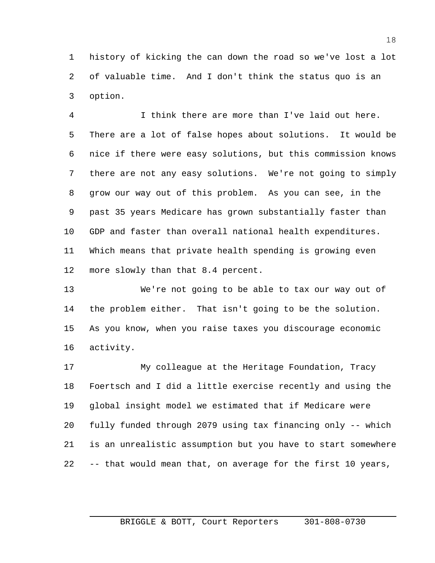history of kicking the can down the road so we've lost a lot of valuable time. And I don't think the status quo is an option.

 I think there are more than I've laid out here. There are a lot of false hopes about solutions. It would be nice if there were easy solutions, but this commission knows there are not any easy solutions. We're not going to simply grow our way out of this problem. As you can see, in the past 35 years Medicare has grown substantially faster than GDP and faster than overall national health expenditures. Which means that private health spending is growing even 12 more slowly than that 8.4 percent.

 We're not going to be able to tax our way out of the problem either. That isn't going to be the solution. As you know, when you raise taxes you discourage economic activity.

 My colleague at the Heritage Foundation, Tracy Foertsch and I did a little exercise recently and using the global insight model we estimated that if Medicare were fully funded through 2079 using tax financing only -- which is an unrealistic assumption but you have to start somewhere -- that would mean that, on average for the first 10 years,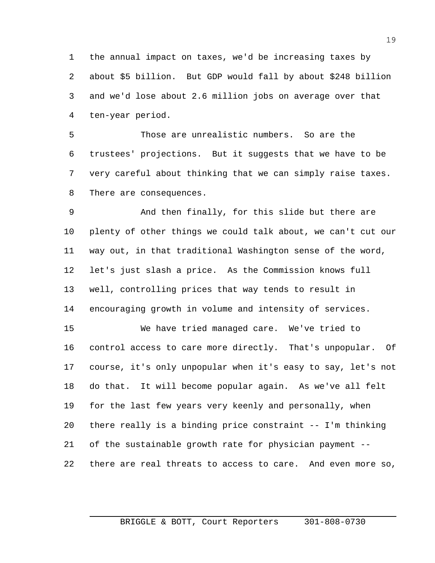the annual impact on taxes, we'd be increasing taxes by about \$5 billion. But GDP would fall by about \$248 billion and we'd lose about 2.6 million jobs on average over that ten-year period.

 Those are unrealistic numbers. So are the trustees' projections. But it suggests that we have to be very careful about thinking that we can simply raise taxes. There are consequences.

 And then finally, for this slide but there are plenty of other things we could talk about, we can't cut our way out, in that traditional Washington sense of the word, let's just slash a price. As the Commission knows full well, controlling prices that way tends to result in encouraging growth in volume and intensity of services.

 We have tried managed care. We've tried to control access to care more directly. That's unpopular. Of course, it's only unpopular when it's easy to say, let's not do that. It will become popular again. As we've all felt for the last few years very keenly and personally, when there really is a binding price constraint -- I'm thinking of the sustainable growth rate for physician payment -- there are real threats to access to care. And even more so,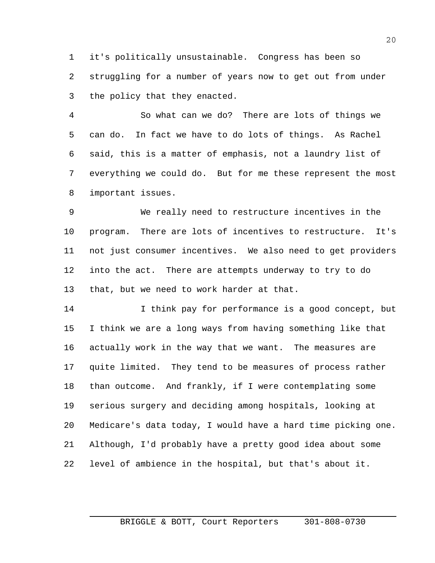it's politically unsustainable. Congress has been so struggling for a number of years now to get out from under the policy that they enacted.

 So what can we do? There are lots of things we can do. In fact we have to do lots of things. As Rachel said, this is a matter of emphasis, not a laundry list of everything we could do. But for me these represent the most important issues.

 We really need to restructure incentives in the program. There are lots of incentives to restructure. It's not just consumer incentives. We also need to get providers into the act. There are attempts underway to try to do that, but we need to work harder at that.

 I think pay for performance is a good concept, but I think we are a long ways from having something like that actually work in the way that we want. The measures are quite limited. They tend to be measures of process rather than outcome. And frankly, if I were contemplating some serious surgery and deciding among hospitals, looking at Medicare's data today, I would have a hard time picking one. Although, I'd probably have a pretty good idea about some level of ambience in the hospital, but that's about it.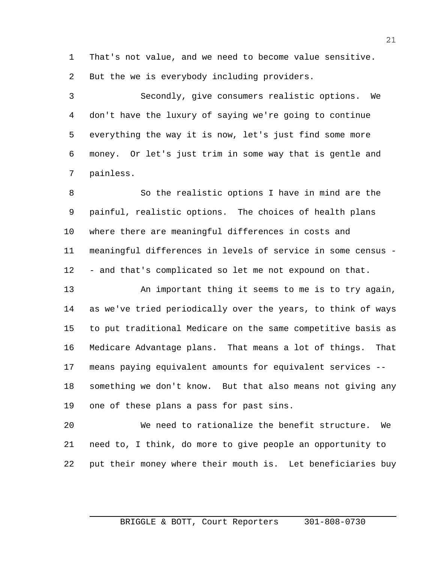That's not value, and we need to become value sensitive. But the we is everybody including providers.

 Secondly, give consumers realistic options. We don't have the luxury of saying we're going to continue everything the way it is now, let's just find some more money. Or let's just trim in some way that is gentle and painless.

 So the realistic options I have in mind are the painful, realistic options. The choices of health plans where there are meaningful differences in costs and meaningful differences in levels of service in some census - - and that's complicated so let me not expound on that.

13 An important thing it seems to me is to try again, as we've tried periodically over the years, to think of ways to put traditional Medicare on the same competitive basis as Medicare Advantage plans. That means a lot of things. That means paying equivalent amounts for equivalent services -- something we don't know. But that also means not giving any one of these plans a pass for past sins.

 We need to rationalize the benefit structure. We need to, I think, do more to give people an opportunity to put their money where their mouth is. Let beneficiaries buy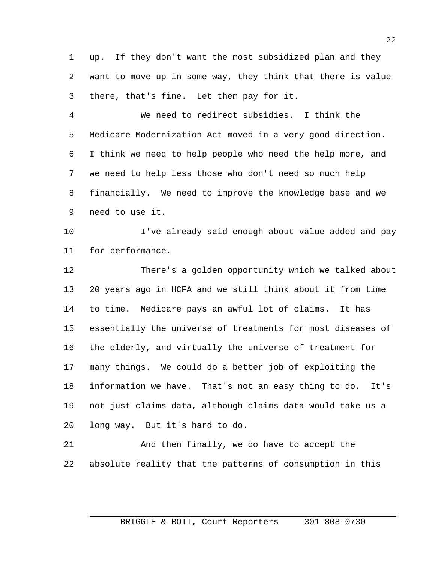up. If they don't want the most subsidized plan and they want to move up in some way, they think that there is value there, that's fine. Let them pay for it.

 We need to redirect subsidies. I think the Medicare Modernization Act moved in a very good direction. I think we need to help people who need the help more, and we need to help less those who don't need so much help financially. We need to improve the knowledge base and we need to use it.

 I've already said enough about value added and pay for performance.

 There's a golden opportunity which we talked about 20 years ago in HCFA and we still think about it from time to time. Medicare pays an awful lot of claims. It has essentially the universe of treatments for most diseases of the elderly, and virtually the universe of treatment for many things. We could do a better job of exploiting the information we have. That's not an easy thing to do. It's not just claims data, although claims data would take us a long way. But it's hard to do.

 And then finally, we do have to accept the absolute reality that the patterns of consumption in this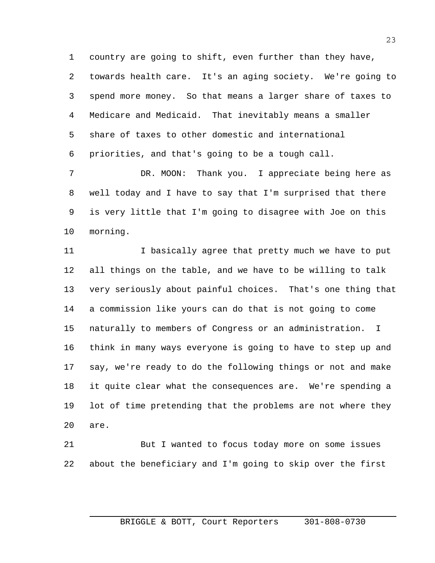country are going to shift, even further than they have,

 towards health care. It's an aging society. We're going to spend more money. So that means a larger share of taxes to Medicare and Medicaid. That inevitably means a smaller share of taxes to other domestic and international priorities, and that's going to be a tough call.

7 DR. MOON: Thank you. I appreciate being here as well today and I have to say that I'm surprised that there is very little that I'm going to disagree with Joe on this morning.

11 11 I basically agree that pretty much we have to put all things on the table, and we have to be willing to talk very seriously about painful choices. That's one thing that a commission like yours can do that is not going to come naturally to members of Congress or an administration. I think in many ways everyone is going to have to step up and say, we're ready to do the following things or not and make it quite clear what the consequences are. We're spending a lot of time pretending that the problems are not where they are.

 But I wanted to focus today more on some issues about the beneficiary and I'm going to skip over the first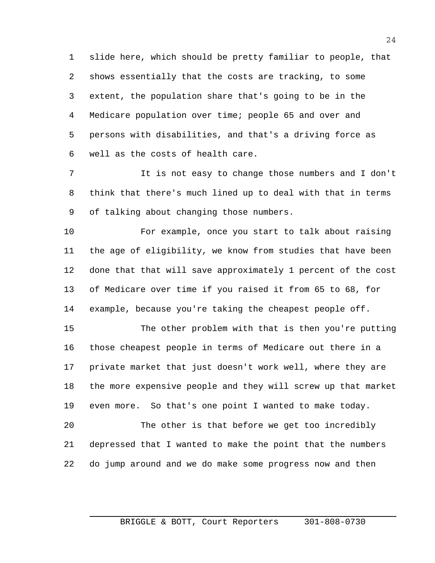slide here, which should be pretty familiar to people, that shows essentially that the costs are tracking, to some extent, the population share that's going to be in the Medicare population over time; people 65 and over and persons with disabilities, and that's a driving force as well as the costs of health care.

 It is not easy to change those numbers and I don't think that there's much lined up to deal with that in terms of talking about changing those numbers.

 For example, once you start to talk about raising the age of eligibility, we know from studies that have been done that that will save approximately 1 percent of the cost of Medicare over time if you raised it from 65 to 68, for example, because you're taking the cheapest people off.

 The other problem with that is then you're putting those cheapest people in terms of Medicare out there in a private market that just doesn't work well, where they are the more expensive people and they will screw up that market even more. So that's one point I wanted to make today.

 The other is that before we get too incredibly depressed that I wanted to make the point that the numbers do jump around and we do make some progress now and then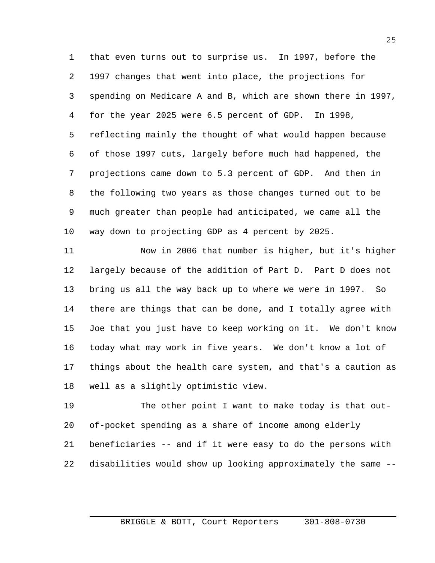that even turns out to surprise us. In 1997, before the 1997 changes that went into place, the projections for spending on Medicare A and B, which are shown there in 1997, for the year 2025 were 6.5 percent of GDP. In 1998, reflecting mainly the thought of what would happen because of those 1997 cuts, largely before much had happened, the projections came down to 5.3 percent of GDP. And then in the following two years as those changes turned out to be much greater than people had anticipated, we came all the way down to projecting GDP as 4 percent by 2025.

 Now in 2006 that number is higher, but it's higher largely because of the addition of Part D. Part D does not bring us all the way back up to where we were in 1997. So there are things that can be done, and I totally agree with Joe that you just have to keep working on it. We don't know today what may work in five years. We don't know a lot of things about the health care system, and that's a caution as well as a slightly optimistic view.

 The other point I want to make today is that out- of-pocket spending as a share of income among elderly beneficiaries -- and if it were easy to do the persons with disabilities would show up looking approximately the same --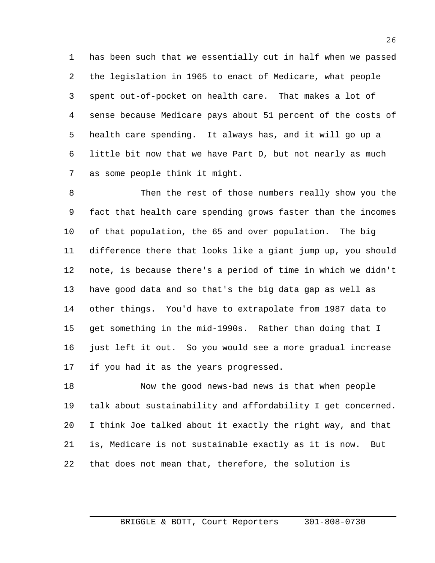has been such that we essentially cut in half when we passed the legislation in 1965 to enact of Medicare, what people spent out-of-pocket on health care. That makes a lot of sense because Medicare pays about 51 percent of the costs of health care spending. It always has, and it will go up a little bit now that we have Part D, but not nearly as much as some people think it might.

 Then the rest of those numbers really show you the fact that health care spending grows faster than the incomes of that population, the 65 and over population. The big difference there that looks like a giant jump up, you should note, is because there's a period of time in which we didn't have good data and so that's the big data gap as well as other things. You'd have to extrapolate from 1987 data to get something in the mid-1990s. Rather than doing that I just left it out. So you would see a more gradual increase if you had it as the years progressed.

 Now the good news-bad news is that when people talk about sustainability and affordability I get concerned. I think Joe talked about it exactly the right way, and that is, Medicare is not sustainable exactly as it is now. But that does not mean that, therefore, the solution is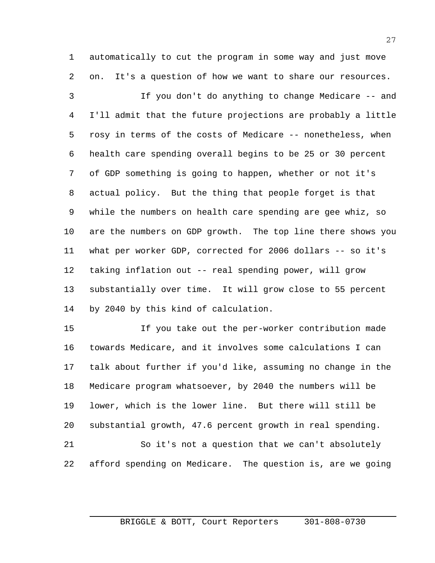automatically to cut the program in some way and just move on. It's a question of how we want to share our resources.

 If you don't do anything to change Medicare -- and I'll admit that the future projections are probably a little rosy in terms of the costs of Medicare -- nonetheless, when health care spending overall begins to be 25 or 30 percent of GDP something is going to happen, whether or not it's actual policy. But the thing that people forget is that while the numbers on health care spending are gee whiz, so are the numbers on GDP growth. The top line there shows you what per worker GDP, corrected for 2006 dollars -- so it's taking inflation out -- real spending power, will grow substantially over time. It will grow close to 55 percent by 2040 by this kind of calculation.

 If you take out the per-worker contribution made towards Medicare, and it involves some calculations I can talk about further if you'd like, assuming no change in the Medicare program whatsoever, by 2040 the numbers will be lower, which is the lower line. But there will still be substantial growth, 47.6 percent growth in real spending. So it's not a question that we can't absolutely

afford spending on Medicare. The question is, are we going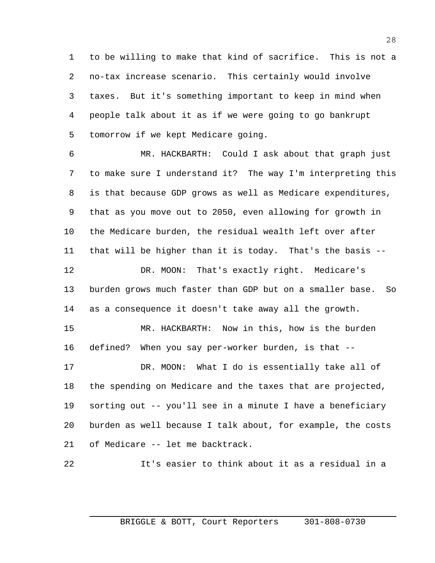to be willing to make that kind of sacrifice. This is not a no-tax increase scenario. This certainly would involve taxes. But it's something important to keep in mind when people talk about it as if we were going to go bankrupt tomorrow if we kept Medicare going.

 MR. HACKBARTH: Could I ask about that graph just to make sure I understand it? The way I'm interpreting this is that because GDP grows as well as Medicare expenditures, that as you move out to 2050, even allowing for growth in the Medicare burden, the residual wealth left over after that will be higher than it is today. That's the basis -- DR. MOON: That's exactly right. Medicare's burden grows much faster than GDP but on a smaller base. So as a consequence it doesn't take away all the growth. MR. HACKBARTH: Now in this, how is the burden defined? When you say per-worker burden, is that -- DR. MOON: What I do is essentially take all of the spending on Medicare and the taxes that are projected, sorting out -- you'll see in a minute I have a beneficiary burden as well because I talk about, for example, the costs

of Medicare -- let me backtrack.

It's easier to think about it as a residual in a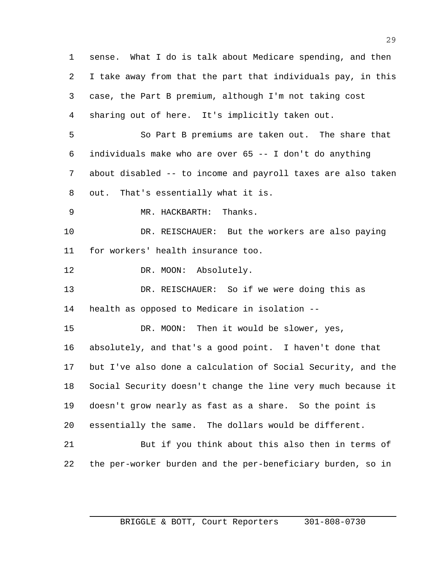sense. What I do is talk about Medicare spending, and then I take away from that the part that individuals pay, in this case, the Part B premium, although I'm not taking cost sharing out of here. It's implicitly taken out. So Part B premiums are taken out. The share that individuals make who are over 65 -- I don't do anything about disabled -- to income and payroll taxes are also taken out. That's essentially what it is. MR. HACKBARTH: Thanks. DR. REISCHAUER: But the workers are also paying for workers' health insurance too. 12 DR. MOON: Absolutely. DR. REISCHAUER: So if we were doing this as health as opposed to Medicare in isolation -- DR. MOON: Then it would be slower, yes, absolutely, and that's a good point. I haven't done that but I've also done a calculation of Social Security, and the Social Security doesn't change the line very much because it doesn't grow nearly as fast as a share. So the point is essentially the same. The dollars would be different. But if you think about this also then in terms of the per-worker burden and the per-beneficiary burden, so in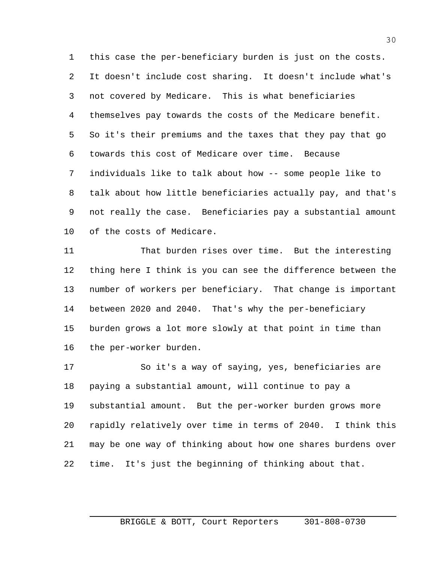this case the per-beneficiary burden is just on the costs. It doesn't include cost sharing. It doesn't include what's not covered by Medicare. This is what beneficiaries themselves pay towards the costs of the Medicare benefit. So it's their premiums and the taxes that they pay that go towards this cost of Medicare over time. Because individuals like to talk about how -- some people like to talk about how little beneficiaries actually pay, and that's not really the case. Beneficiaries pay a substantial amount of the costs of Medicare.

 That burden rises over time. But the interesting thing here I think is you can see the difference between the number of workers per beneficiary. That change is important between 2020 and 2040. That's why the per-beneficiary burden grows a lot more slowly at that point in time than the per-worker burden.

 So it's a way of saying, yes, beneficiaries are paying a substantial amount, will continue to pay a substantial amount. But the per-worker burden grows more rapidly relatively over time in terms of 2040. I think this may be one way of thinking about how one shares burdens over time. It's just the beginning of thinking about that.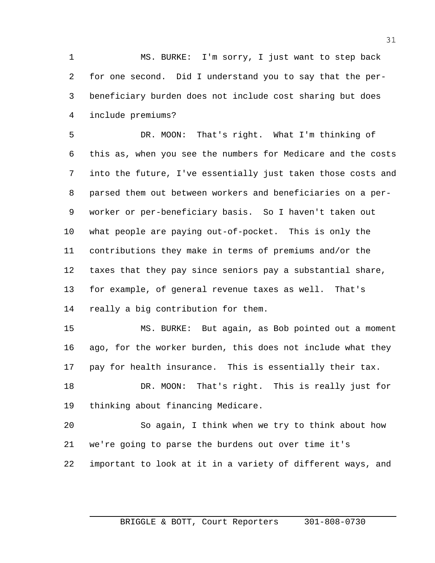MS. BURKE: I'm sorry, I just want to step back for one second. Did I understand you to say that the per- beneficiary burden does not include cost sharing but does include premiums?

 DR. MOON: That's right. What I'm thinking of this as, when you see the numbers for Medicare and the costs into the future, I've essentially just taken those costs and parsed them out between workers and beneficiaries on a per- worker or per-beneficiary basis. So I haven't taken out what people are paying out-of-pocket. This is only the contributions they make in terms of premiums and/or the taxes that they pay since seniors pay a substantial share, for example, of general revenue taxes as well. That's really a big contribution for them.

 MS. BURKE: But again, as Bob pointed out a moment ago, for the worker burden, this does not include what they pay for health insurance. This is essentially their tax.

18 DR. MOON: That's right. This is really just for thinking about financing Medicare.

 So again, I think when we try to think about how we're going to parse the burdens out over time it's important to look at it in a variety of different ways, and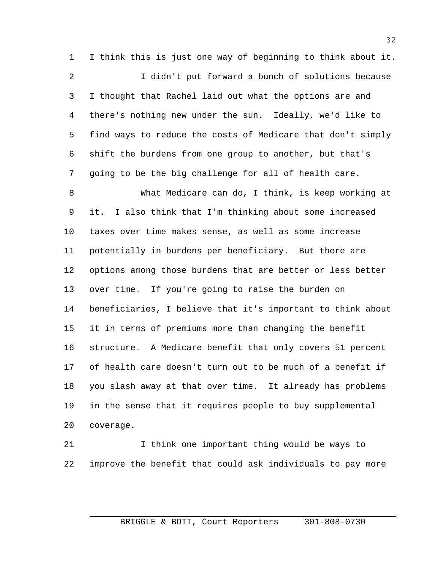I think this is just one way of beginning to think about it. I didn't put forward a bunch of solutions because I thought that Rachel laid out what the options are and there's nothing new under the sun. Ideally, we'd like to find ways to reduce the costs of Medicare that don't simply shift the burdens from one group to another, but that's going to be the big challenge for all of health care.

 What Medicare can do, I think, is keep working at it. I also think that I'm thinking about some increased taxes over time makes sense, as well as some increase potentially in burdens per beneficiary. But there are options among those burdens that are better or less better over time. If you're going to raise the burden on beneficiaries, I believe that it's important to think about it in terms of premiums more than changing the benefit structure. A Medicare benefit that only covers 51 percent of health care doesn't turn out to be much of a benefit if you slash away at that over time. It already has problems in the sense that it requires people to buy supplemental coverage.

 I think one important thing would be ways to improve the benefit that could ask individuals to pay more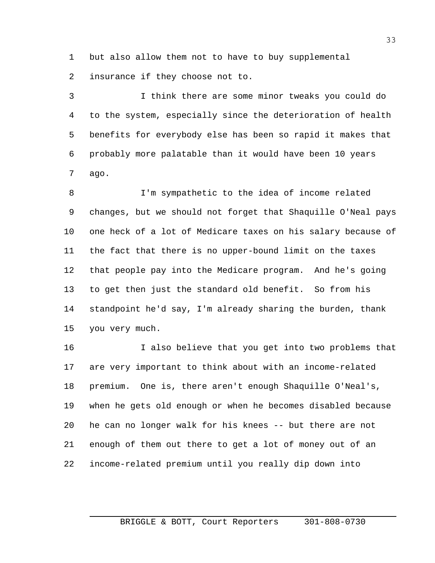but also allow them not to have to buy supplemental insurance if they choose not to.

 I think there are some minor tweaks you could do to the system, especially since the deterioration of health benefits for everybody else has been so rapid it makes that probably more palatable than it would have been 10 years ago.

 I'm sympathetic to the idea of income related changes, but we should not forget that Shaquille O'Neal pays one heck of a lot of Medicare taxes on his salary because of the fact that there is no upper-bound limit on the taxes that people pay into the Medicare program. And he's going to get then just the standard old benefit. So from his standpoint he'd say, I'm already sharing the burden, thank you very much.

 I also believe that you get into two problems that are very important to think about with an income-related premium. One is, there aren't enough Shaquille O'Neal's, when he gets old enough or when he becomes disabled because he can no longer walk for his knees -- but there are not enough of them out there to get a lot of money out of an income-related premium until you really dip down into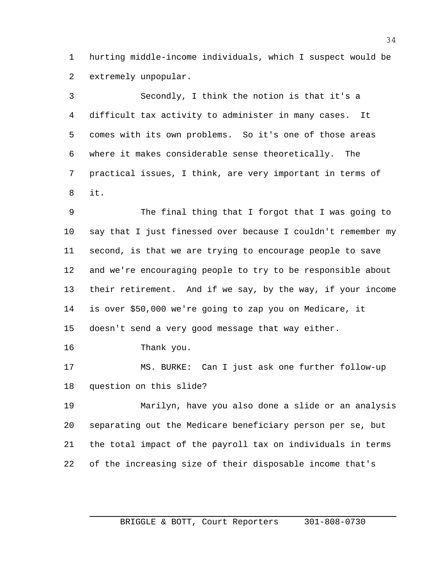hurting middle-income individuals, which I suspect would be extremely unpopular.

 Secondly, I think the notion is that it's a difficult tax activity to administer in many cases. It comes with its own problems. So it's one of those areas where it makes considerable sense theoretically. The practical issues, I think, are very important in terms of it.

 The final thing that I forgot that I was going to say that I just finessed over because I couldn't remember my second, is that we are trying to encourage people to save and we're encouraging people to try to be responsible about their retirement. And if we say, by the way, if your income is over \$50,000 we're going to zap you on Medicare, it doesn't send a very good message that way either.

Thank you.

 MS. BURKE: Can I just ask one further follow-up question on this slide?

 Marilyn, have you also done a slide or an analysis separating out the Medicare beneficiary person per se, but the total impact of the payroll tax on individuals in terms of the increasing size of their disposable income that's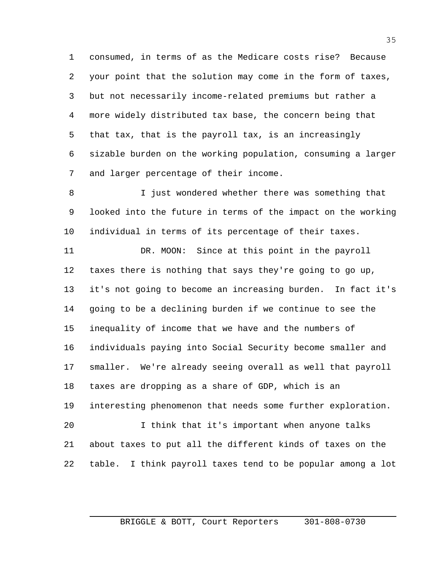consumed, in terms of as the Medicare costs rise? Because your point that the solution may come in the form of taxes, but not necessarily income-related premiums but rather a more widely distributed tax base, the concern being that that tax, that is the payroll tax, is an increasingly sizable burden on the working population, consuming a larger and larger percentage of their income.

 I just wondered whether there was something that looked into the future in terms of the impact on the working individual in terms of its percentage of their taxes.

 DR. MOON: Since at this point in the payroll taxes there is nothing that says they're going to go up, it's not going to become an increasing burden. In fact it's going to be a declining burden if we continue to see the inequality of income that we have and the numbers of individuals paying into Social Security become smaller and smaller. We're already seeing overall as well that payroll taxes are dropping as a share of GDP, which is an interesting phenomenon that needs some further exploration. I think that it's important when anyone talks about taxes to put all the different kinds of taxes on the table. I think payroll taxes tend to be popular among a lot

## BRIGGLE & BOTT, Court Reporters 301-808-0730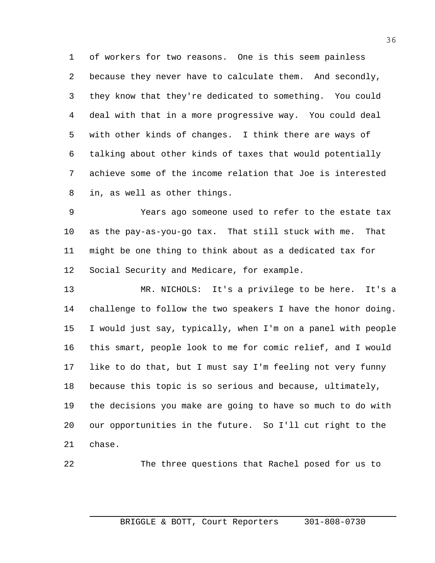of workers for two reasons. One is this seem painless because they never have to calculate them. And secondly, they know that they're dedicated to something. You could deal with that in a more progressive way. You could deal with other kinds of changes. I think there are ways of talking about other kinds of taxes that would potentially achieve some of the income relation that Joe is interested in, as well as other things.

 Years ago someone used to refer to the estate tax as the pay-as-you-go tax. That still stuck with me. That might be one thing to think about as a dedicated tax for Social Security and Medicare, for example.

 MR. NICHOLS: It's a privilege to be here. It's a challenge to follow the two speakers I have the honor doing. I would just say, typically, when I'm on a panel with people this smart, people look to me for comic relief, and I would like to do that, but I must say I'm feeling not very funny because this topic is so serious and because, ultimately, the decisions you make are going to have so much to do with our opportunities in the future. So I'll cut right to the chase.

The three questions that Rachel posed for us to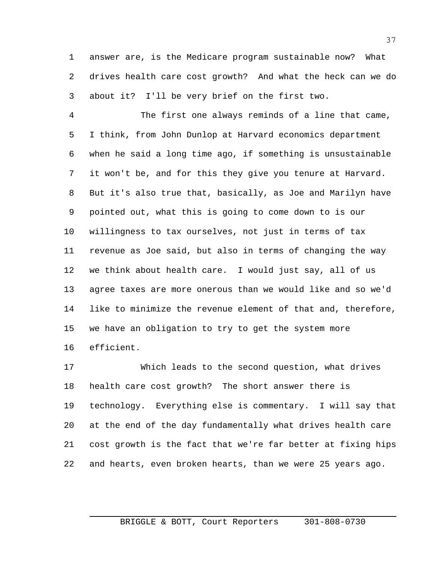answer are, is the Medicare program sustainable now? What drives health care cost growth? And what the heck can we do about it? I'll be very brief on the first two.

 The first one always reminds of a line that came, I think, from John Dunlop at Harvard economics department when he said a long time ago, if something is unsustainable it won't be, and for this they give you tenure at Harvard. But it's also true that, basically, as Joe and Marilyn have pointed out, what this is going to come down to is our willingness to tax ourselves, not just in terms of tax revenue as Joe said, but also in terms of changing the way we think about health care. I would just say, all of us agree taxes are more onerous than we would like and so we'd like to minimize the revenue element of that and, therefore, we have an obligation to try to get the system more efficient.

 Which leads to the second question, what drives health care cost growth? The short answer there is technology. Everything else is commentary. I will say that at the end of the day fundamentally what drives health care cost growth is the fact that we're far better at fixing hips and hearts, even broken hearts, than we were 25 years ago.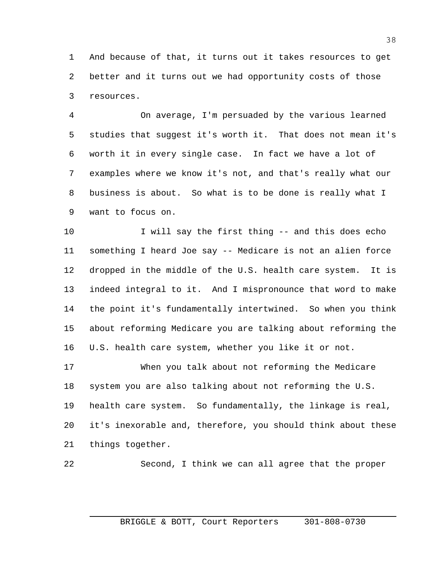And because of that, it turns out it takes resources to get better and it turns out we had opportunity costs of those resources.

 On average, I'm persuaded by the various learned studies that suggest it's worth it. That does not mean it's worth it in every single case. In fact we have a lot of examples where we know it's not, and that's really what our business is about. So what is to be done is really what I want to focus on.

 I will say the first thing -- and this does echo something I heard Joe say -- Medicare is not an alien force dropped in the middle of the U.S. health care system. It is indeed integral to it. And I mispronounce that word to make the point it's fundamentally intertwined. So when you think about reforming Medicare you are talking about reforming the U.S. health care system, whether you like it or not.

 When you talk about not reforming the Medicare system you are also talking about not reforming the U.S. health care system. So fundamentally, the linkage is real, it's inexorable and, therefore, you should think about these things together.

Second, I think we can all agree that the proper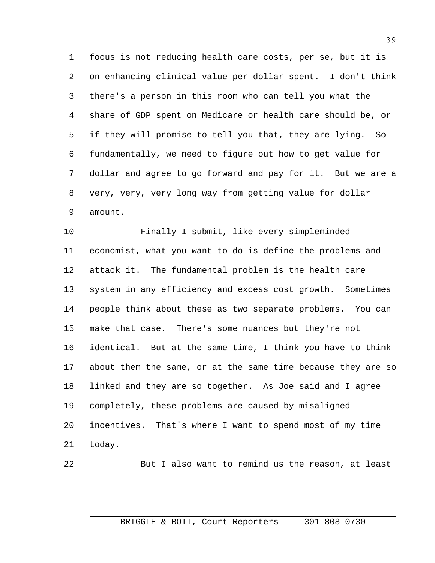focus is not reducing health care costs, per se, but it is on enhancing clinical value per dollar spent. I don't think there's a person in this room who can tell you what the share of GDP spent on Medicare or health care should be, or if they will promise to tell you that, they are lying. So fundamentally, we need to figure out how to get value for dollar and agree to go forward and pay for it. But we are a very, very, very long way from getting value for dollar amount.

 Finally I submit, like every simpleminded economist, what you want to do is define the problems and attack it. The fundamental problem is the health care system in any efficiency and excess cost growth. Sometimes people think about these as two separate problems. You can make that case. There's some nuances but they're not identical. But at the same time, I think you have to think about them the same, or at the same time because they are so linked and they are so together. As Joe said and I agree completely, these problems are caused by misaligned incentives. That's where I want to spend most of my time today.

$$
^{22}\!
$$

But I also want to remind us the reason, at least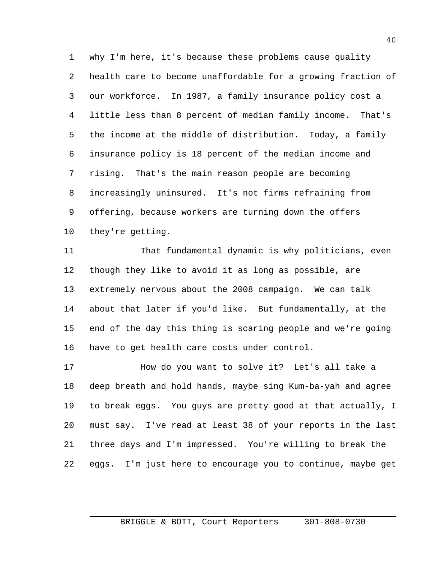why I'm here, it's because these problems cause quality health care to become unaffordable for a growing fraction of our workforce. In 1987, a family insurance policy cost a little less than 8 percent of median family income. That's the income at the middle of distribution. Today, a family insurance policy is 18 percent of the median income and rising. That's the main reason people are becoming increasingly uninsured. It's not firms refraining from offering, because workers are turning down the offers they're getting.

 That fundamental dynamic is why politicians, even though they like to avoid it as long as possible, are extremely nervous about the 2008 campaign. We can talk about that later if you'd like. But fundamentally, at the end of the day this thing is scaring people and we're going have to get health care costs under control.

17 How do you want to solve it? Let's all take a deep breath and hold hands, maybe sing Kum-ba-yah and agree to break eggs. You guys are pretty good at that actually, I must say. I've read at least 38 of your reports in the last three days and I'm impressed. You're willing to break the eggs. I'm just here to encourage you to continue, maybe get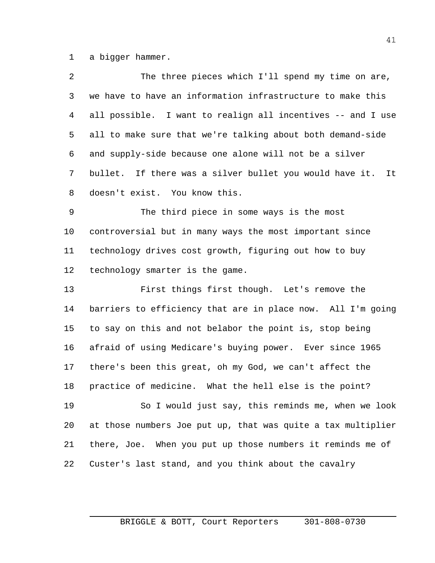a bigger hammer.

| $\overline{a}$ | The three pieces which I'll spend my time on are,             |
|----------------|---------------------------------------------------------------|
| 3              | we have to have an information infrastructure to make this    |
| 4              | all possible. I want to realign all incentives -- and I use   |
| 5              | all to make sure that we're talking about both demand-side    |
| 6              | and supply-side because one alone will not be a silver        |
| 7              | bullet. If there was a silver bullet you would have it.<br>It |
| 8              | doesn't exist. You know this.                                 |
| 9              | The third piece in some ways is the most                      |
| 10             | controversial but in many ways the most important since       |
| 11             | technology drives cost growth, figuring out how to buy        |
| 12             | technology smarter is the game.                               |
| 13             | First things first though. Let's remove the                   |
| 14             | barriers to efficiency that are in place now. All I'm going   |
| 15             | to say on this and not belabor the point is, stop being       |
| 16             | afraid of using Medicare's buying power. Ever since 1965      |
| 17             | there's been this great, oh my God, we can't affect the       |
| 18             | practice of medicine. What the hell else is the point?        |
| 19             | So I would just say, this reminds me, when we look            |
| 20             | at those numbers Joe put up, that was quite a tax multiplier  |
| 21             | there, Joe. When you put up those numbers it reminds me of    |
| 22             | Custer's last stand, and you think about the cavalry          |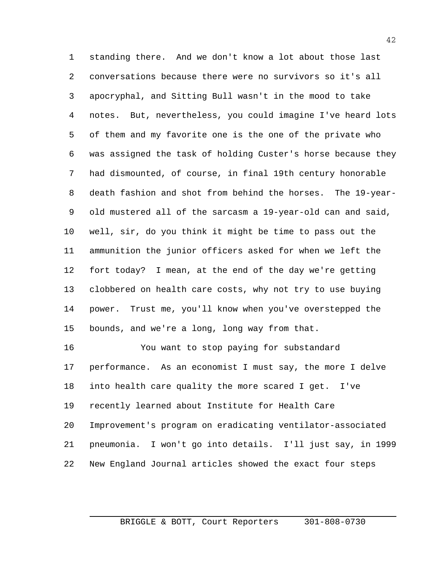standing there. And we don't know a lot about those last conversations because there were no survivors so it's all apocryphal, and Sitting Bull wasn't in the mood to take notes. But, nevertheless, you could imagine I've heard lots of them and my favorite one is the one of the private who was assigned the task of holding Custer's horse because they had dismounted, of course, in final 19th century honorable death fashion and shot from behind the horses. The 19-year- old mustered all of the sarcasm a 19-year-old can and said, well, sir, do you think it might be time to pass out the ammunition the junior officers asked for when we left the fort today? I mean, at the end of the day we're getting clobbered on health care costs, why not try to use buying power. Trust me, you'll know when you've overstepped the bounds, and we're a long, long way from that.

 You want to stop paying for substandard performance. As an economist I must say, the more I delve into health care quality the more scared I get. I've recently learned about Institute for Health Care Improvement's program on eradicating ventilator-associated pneumonia. I won't go into details. I'll just say, in 1999 New England Journal articles showed the exact four steps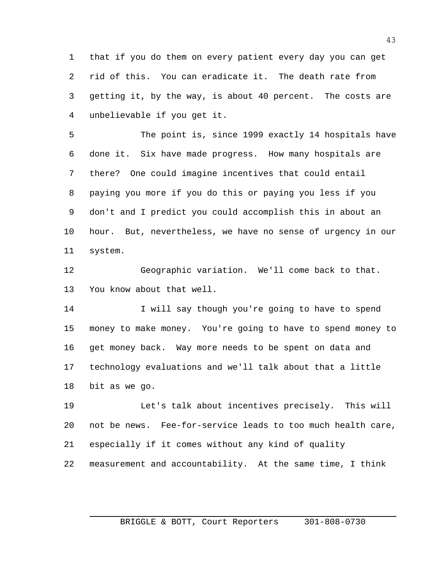that if you do them on every patient every day you can get rid of this. You can eradicate it. The death rate from getting it, by the way, is about 40 percent. The costs are unbelievable if you get it.

 The point is, since 1999 exactly 14 hospitals have done it. Six have made progress. How many hospitals are there? One could imagine incentives that could entail paying you more if you do this or paying you less if you don't and I predict you could accomplish this in about an hour. But, nevertheless, we have no sense of urgency in our system.

 Geographic variation. We'll come back to that. You know about that well.

 I will say though you're going to have to spend money to make money. You're going to have to spend money to get money back. Way more needs to be spent on data and technology evaluations and we'll talk about that a little bit as we go.

 Let's talk about incentives precisely. This will not be news. Fee-for-service leads to too much health care, especially if it comes without any kind of quality measurement and accountability. At the same time, I think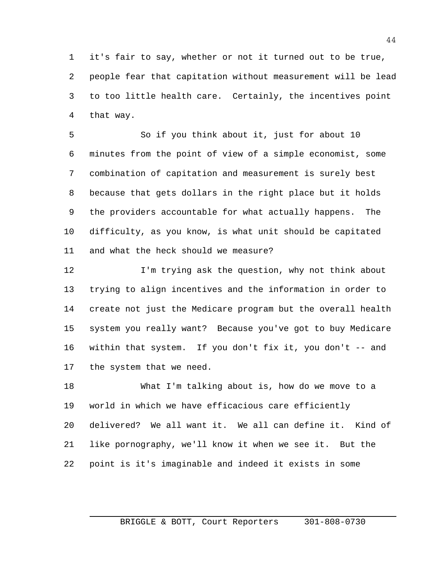it's fair to say, whether or not it turned out to be true, people fear that capitation without measurement will be lead to too little health care. Certainly, the incentives point that way.

 So if you think about it, just for about 10 minutes from the point of view of a simple economist, some combination of capitation and measurement is surely best because that gets dollars in the right place but it holds the providers accountable for what actually happens. The difficulty, as you know, is what unit should be capitated and what the heck should we measure?

12 I'm trying ask the question, why not think about trying to align incentives and the information in order to create not just the Medicare program but the overall health system you really want? Because you've got to buy Medicare within that system. If you don't fix it, you don't -- and the system that we need.

 What I'm talking about is, how do we move to a world in which we have efficacious care efficiently delivered? We all want it. We all can define it. Kind of like pornography, we'll know it when we see it. But the point is it's imaginable and indeed it exists in some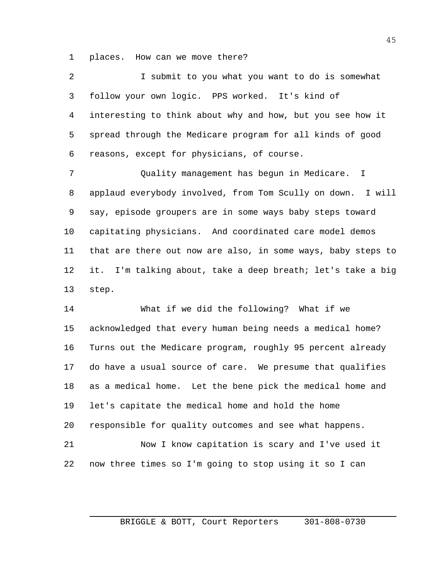places. How can we move there?

 I submit to you what you want to do is somewhat follow your own logic. PPS worked. It's kind of interesting to think about why and how, but you see how it spread through the Medicare program for all kinds of good reasons, except for physicians, of course.

 Quality management has begun in Medicare. I applaud everybody involved, from Tom Scully on down. I will say, episode groupers are in some ways baby steps toward capitating physicians. And coordinated care model demos that are there out now are also, in some ways, baby steps to it. I'm talking about, take a deep breath; let's take a big step.

 What if we did the following? What if we acknowledged that every human being needs a medical home? Turns out the Medicare program, roughly 95 percent already do have a usual source of care. We presume that qualifies as a medical home. Let the bene pick the medical home and let's capitate the medical home and hold the home responsible for quality outcomes and see what happens. Now I know capitation is scary and I've used it now three times so I'm going to stop using it so I can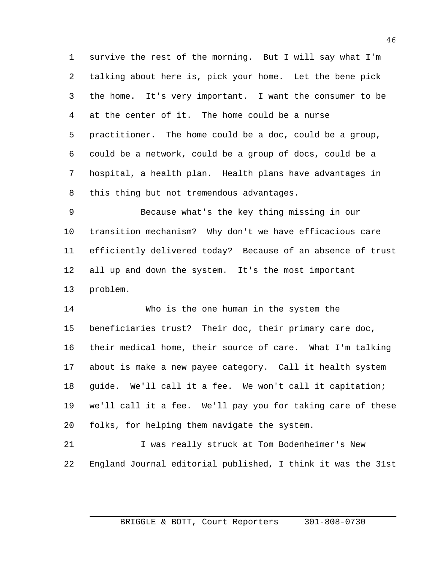survive the rest of the morning. But I will say what I'm talking about here is, pick your home. Let the bene pick the home. It's very important. I want the consumer to be at the center of it. The home could be a nurse practitioner. The home could be a doc, could be a group, could be a network, could be a group of docs, could be a hospital, a health plan. Health plans have advantages in this thing but not tremendous advantages.

 Because what's the key thing missing in our transition mechanism? Why don't we have efficacious care efficiently delivered today? Because of an absence of trust all up and down the system. It's the most important problem.

14 Who is the one human in the system the beneficiaries trust? Their doc, their primary care doc, their medical home, their source of care. What I'm talking about is make a new payee category. Call it health system guide. We'll call it a fee. We won't call it capitation; we'll call it a fee. We'll pay you for taking care of these folks, for helping them navigate the system.

 I was really struck at Tom Bodenheimer's New England Journal editorial published, I think it was the 31st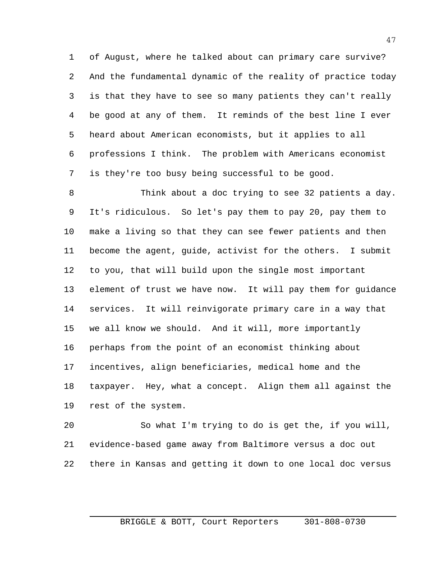of August, where he talked about can primary care survive? And the fundamental dynamic of the reality of practice today is that they have to see so many patients they can't really be good at any of them. It reminds of the best line I ever heard about American economists, but it applies to all professions I think. The problem with Americans economist is they're too busy being successful to be good.

 Think about a doc trying to see 32 patients a day. It's ridiculous. So let's pay them to pay 20, pay them to make a living so that they can see fewer patients and then become the agent, guide, activist for the others. I submit to you, that will build upon the single most important element of trust we have now. It will pay them for guidance services. It will reinvigorate primary care in a way that we all know we should. And it will, more importantly perhaps from the point of an economist thinking about incentives, align beneficiaries, medical home and the taxpayer. Hey, what a concept. Align them all against the rest of the system.

 So what I'm trying to do is get the, if you will, evidence-based game away from Baltimore versus a doc out there in Kansas and getting it down to one local doc versus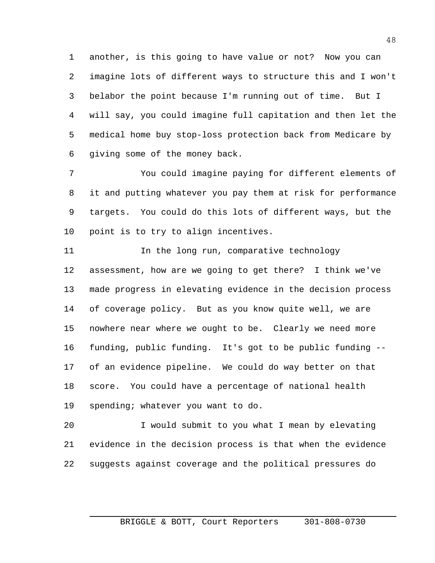another, is this going to have value or not? Now you can imagine lots of different ways to structure this and I won't belabor the point because I'm running out of time. But I will say, you could imagine full capitation and then let the medical home buy stop-loss protection back from Medicare by giving some of the money back.

 You could imagine paying for different elements of it and putting whatever you pay them at risk for performance targets. You could do this lots of different ways, but the point is to try to align incentives.

11 11 In the long run, comparative technology assessment, how are we going to get there? I think we've made progress in elevating evidence in the decision process of coverage policy. But as you know quite well, we are nowhere near where we ought to be. Clearly we need more funding, public funding. It's got to be public funding -- of an evidence pipeline. We could do way better on that score. You could have a percentage of national health spending; whatever you want to do.

 I would submit to you what I mean by elevating evidence in the decision process is that when the evidence suggests against coverage and the political pressures do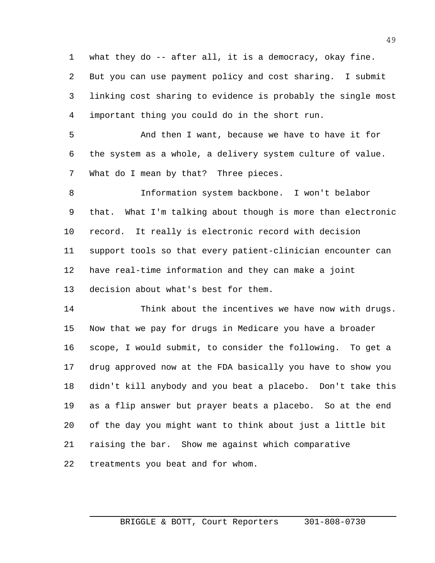what they do -- after all, it is a democracy, okay fine. But you can use payment policy and cost sharing. I submit linking cost sharing to evidence is probably the single most important thing you could do in the short run.

 And then I want, because we have to have it for the system as a whole, a delivery system culture of value. What do I mean by that? Three pieces.

 Information system backbone. I won't belabor that. What I'm talking about though is more than electronic record. It really is electronic record with decision support tools so that every patient-clinician encounter can have real-time information and they can make a joint decision about what's best for them.

 Think about the incentives we have now with drugs. Now that we pay for drugs in Medicare you have a broader scope, I would submit, to consider the following. To get a drug approved now at the FDA basically you have to show you didn't kill anybody and you beat a placebo. Don't take this as a flip answer but prayer beats a placebo. So at the end of the day you might want to think about just a little bit raising the bar. Show me against which comparative treatments you beat and for whom.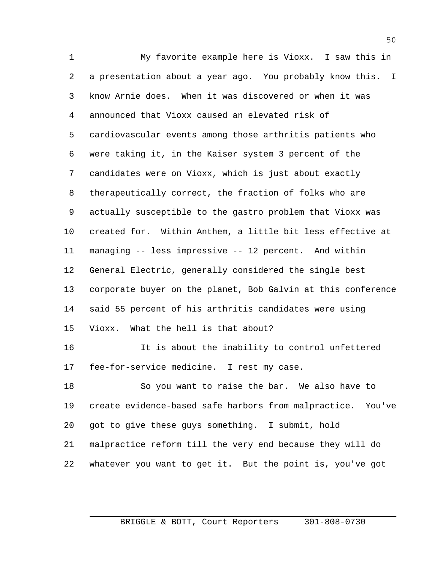My favorite example here is Vioxx. I saw this in a presentation about a year ago. You probably know this. I know Arnie does. When it was discovered or when it was announced that Vioxx caused an elevated risk of cardiovascular events among those arthritis patients who were taking it, in the Kaiser system 3 percent of the candidates were on Vioxx, which is just about exactly therapeutically correct, the fraction of folks who are actually susceptible to the gastro problem that Vioxx was created for. Within Anthem, a little bit less effective at managing -- less impressive -- 12 percent. And within General Electric, generally considered the single best corporate buyer on the planet, Bob Galvin at this conference said 55 percent of his arthritis candidates were using Vioxx. What the hell is that about?

 It is about the inability to control unfettered fee-for-service medicine. I rest my case.

 So you want to raise the bar. We also have to create evidence-based safe harbors from malpractice. You've got to give these guys something. I submit, hold malpractice reform till the very end because they will do whatever you want to get it. But the point is, you've got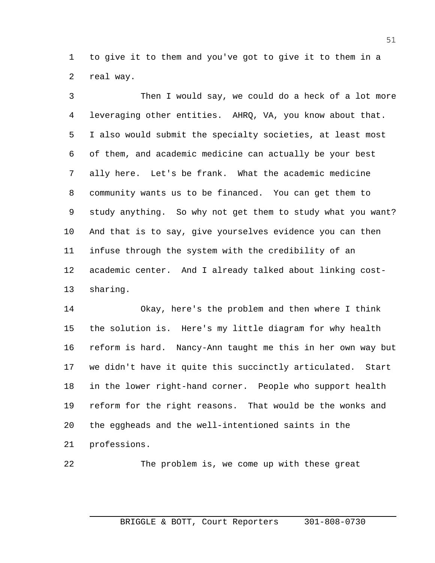to give it to them and you've got to give it to them in a real way.

 Then I would say, we could do a heck of a lot more leveraging other entities. AHRQ, VA, you know about that. I also would submit the specialty societies, at least most of them, and academic medicine can actually be your best ally here. Let's be frank. What the academic medicine community wants us to be financed. You can get them to study anything. So why not get them to study what you want? And that is to say, give yourselves evidence you can then infuse through the system with the credibility of an academic center. And I already talked about linking cost-sharing.

 Okay, here's the problem and then where I think the solution is. Here's my little diagram for why health reform is hard. Nancy-Ann taught me this in her own way but we didn't have it quite this succinctly articulated. Start in the lower right-hand corner. People who support health reform for the right reasons. That would be the wonks and the eggheads and the well-intentioned saints in the professions.

The problem is, we come up with these great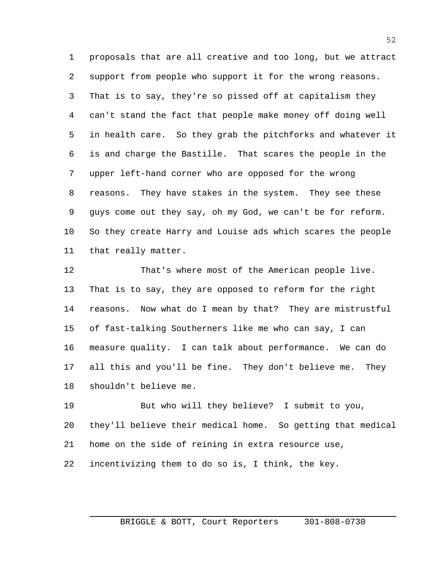proposals that are all creative and too long, but we attract support from people who support it for the wrong reasons. That is to say, they're so pissed off at capitalism they can't stand the fact that people make money off doing well in health care. So they grab the pitchforks and whatever it is and charge the Bastille. That scares the people in the upper left-hand corner who are opposed for the wrong reasons. They have stakes in the system. They see these guys come out they say, oh my God, we can't be for reform. So they create Harry and Louise ads which scares the people that really matter.

 That's where most of the American people live. That is to say, they are opposed to reform for the right reasons. Now what do I mean by that? They are mistrustful of fast-talking Southerners like me who can say, I can measure quality. I can talk about performance. We can do all this and you'll be fine. They don't believe me. They shouldn't believe me.

 But who will they believe? I submit to you, they'll believe their medical home. So getting that medical home on the side of reining in extra resource use, incentivizing them to do so is, I think, the key.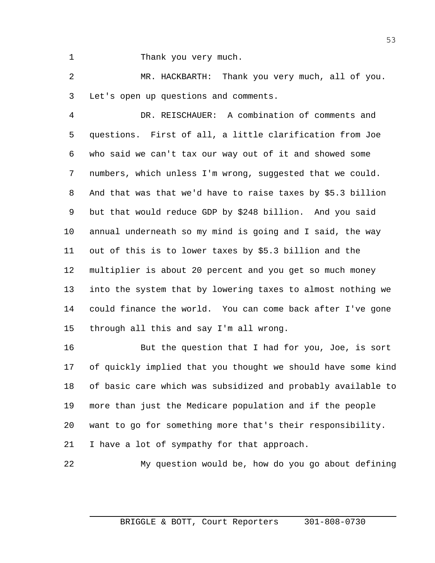Thank you very much.

 MR. HACKBARTH: Thank you very much, all of you. Let's open up questions and comments.

 DR. REISCHAUER: A combination of comments and questions. First of all, a little clarification from Joe who said we can't tax our way out of it and showed some numbers, which unless I'm wrong, suggested that we could. And that was that we'd have to raise taxes by \$5.3 billion but that would reduce GDP by \$248 billion. And you said annual underneath so my mind is going and I said, the way out of this is to lower taxes by \$5.3 billion and the multiplier is about 20 percent and you get so much money into the system that by lowering taxes to almost nothing we could finance the world. You can come back after I've gone through all this and say I'm all wrong.

 But the question that I had for you, Joe, is sort of quickly implied that you thought we should have some kind of basic care which was subsidized and probably available to more than just the Medicare population and if the people want to go for something more that's their responsibility. I have a lot of sympathy for that approach.

My question would be, how do you go about defining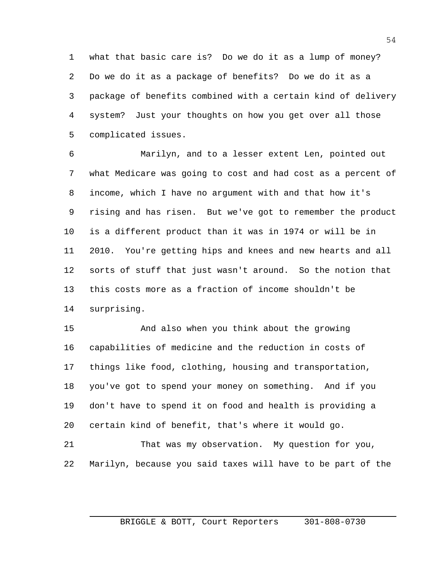what that basic care is? Do we do it as a lump of money? Do we do it as a package of benefits? Do we do it as a package of benefits combined with a certain kind of delivery system? Just your thoughts on how you get over all those complicated issues.

 Marilyn, and to a lesser extent Len, pointed out what Medicare was going to cost and had cost as a percent of income, which I have no argument with and that how it's rising and has risen. But we've got to remember the product is a different product than it was in 1974 or will be in 2010. You're getting hips and knees and new hearts and all sorts of stuff that just wasn't around. So the notion that this costs more as a fraction of income shouldn't be surprising.

 And also when you think about the growing capabilities of medicine and the reduction in costs of things like food, clothing, housing and transportation, you've got to spend your money on something. And if you don't have to spend it on food and health is providing a certain kind of benefit, that's where it would go.

 That was my observation. My question for you, Marilyn, because you said taxes will have to be part of the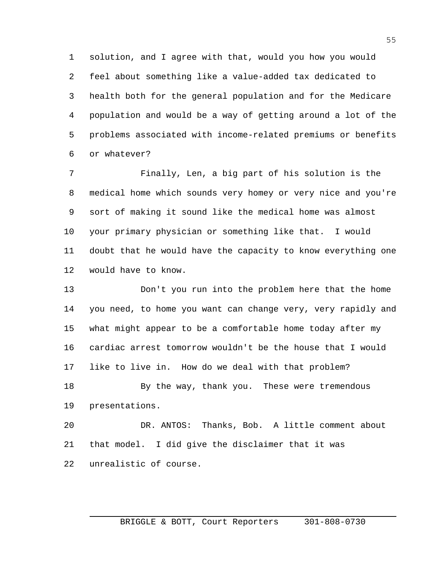solution, and I agree with that, would you how you would feel about something like a value-added tax dedicated to health both for the general population and for the Medicare population and would be a way of getting around a lot of the problems associated with income-related premiums or benefits or whatever?

 Finally, Len, a big part of his solution is the medical home which sounds very homey or very nice and you're sort of making it sound like the medical home was almost your primary physician or something like that. I would doubt that he would have the capacity to know everything one would have to know.

 Don't you run into the problem here that the home you need, to home you want can change very, very rapidly and what might appear to be a comfortable home today after my cardiac arrest tomorrow wouldn't be the house that I would like to live in. How do we deal with that problem?

18 By the way, thank you. These were tremendous presentations.

 DR. ANTOS: Thanks, Bob. A little comment about that model. I did give the disclaimer that it was unrealistic of course.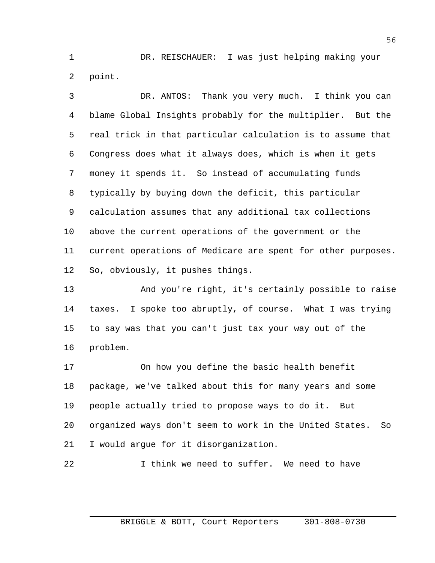DR. REISCHAUER: I was just helping making your point.

 DR. ANTOS: Thank you very much. I think you can blame Global Insights probably for the multiplier. But the real trick in that particular calculation is to assume that Congress does what it always does, which is when it gets money it spends it. So instead of accumulating funds typically by buying down the deficit, this particular calculation assumes that any additional tax collections above the current operations of the government or the current operations of Medicare are spent for other purposes. So, obviously, it pushes things.

 And you're right, it's certainly possible to raise taxes. I spoke too abruptly, of course. What I was trying to say was that you can't just tax your way out of the problem.

 On how you define the basic health benefit package, we've talked about this for many years and some people actually tried to propose ways to do it. But organized ways don't seem to work in the United States. So I would argue for it disorganization.

I think we need to suffer. We need to have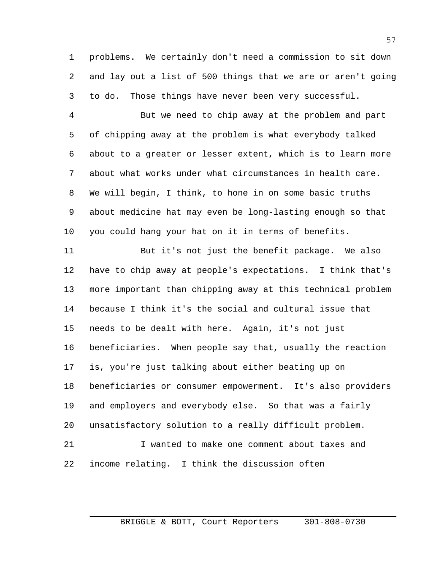problems. We certainly don't need a commission to sit down and lay out a list of 500 things that we are or aren't going to do. Those things have never been very successful.

 But we need to chip away at the problem and part of chipping away at the problem is what everybody talked about to a greater or lesser extent, which is to learn more about what works under what circumstances in health care. We will begin, I think, to hone in on some basic truths about medicine hat may even be long-lasting enough so that you could hang your hat on it in terms of benefits.

 But it's not just the benefit package. We also have to chip away at people's expectations. I think that's more important than chipping away at this technical problem because I think it's the social and cultural issue that needs to be dealt with here. Again, it's not just beneficiaries. When people say that, usually the reaction is, you're just talking about either beating up on beneficiaries or consumer empowerment. It's also providers and employers and everybody else. So that was a fairly unsatisfactory solution to a really difficult problem. I wanted to make one comment about taxes and income relating. I think the discussion often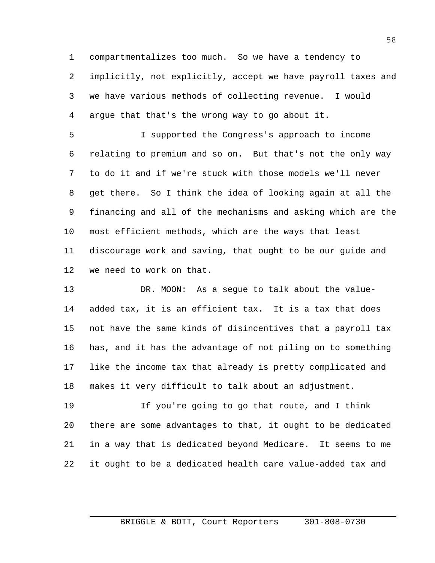compartmentalizes too much. So we have a tendency to implicitly, not explicitly, accept we have payroll taxes and we have various methods of collecting revenue. I would argue that that's the wrong way to go about it.

 I supported the Congress's approach to income relating to premium and so on. But that's not the only way to do it and if we're stuck with those models we'll never get there. So I think the idea of looking again at all the financing and all of the mechanisms and asking which are the most efficient methods, which are the ways that least discourage work and saving, that ought to be our guide and we need to work on that.

 DR. MOON: As a segue to talk about the value- added tax, it is an efficient tax. It is a tax that does not have the same kinds of disincentives that a payroll tax has, and it has the advantage of not piling on to something like the income tax that already is pretty complicated and makes it very difficult to talk about an adjustment.

 If you're going to go that route, and I think there are some advantages to that, it ought to be dedicated in a way that is dedicated beyond Medicare. It seems to me it ought to be a dedicated health care value-added tax and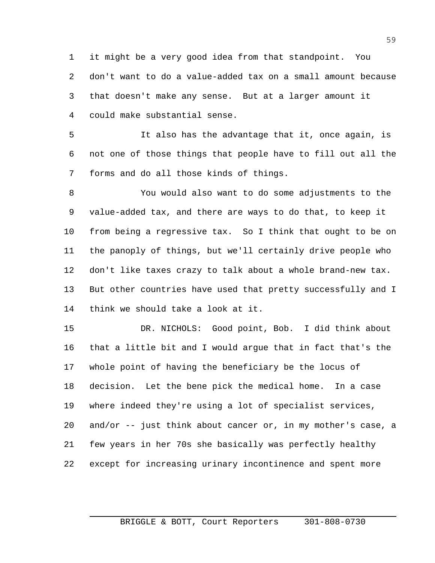it might be a very good idea from that standpoint. You don't want to do a value-added tax on a small amount because that doesn't make any sense. But at a larger amount it could make substantial sense.

 It also has the advantage that it, once again, is not one of those things that people have to fill out all the forms and do all those kinds of things.

 You would also want to do some adjustments to the value-added tax, and there are ways to do that, to keep it from being a regressive tax. So I think that ought to be on the panoply of things, but we'll certainly drive people who don't like taxes crazy to talk about a whole brand-new tax. But other countries have used that pretty successfully and I think we should take a look at it.

 DR. NICHOLS: Good point, Bob. I did think about that a little bit and I would argue that in fact that's the whole point of having the beneficiary be the locus of decision. Let the bene pick the medical home. In a case where indeed they're using a lot of specialist services, and/or -- just think about cancer or, in my mother's case, a few years in her 70s she basically was perfectly healthy except for increasing urinary incontinence and spent more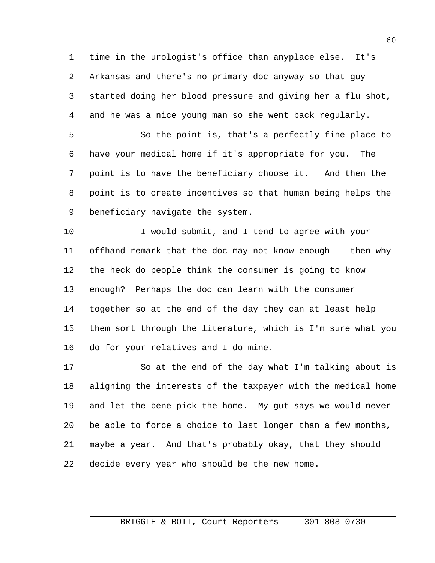time in the urologist's office than anyplace else. It's Arkansas and there's no primary doc anyway so that guy started doing her blood pressure and giving her a flu shot, and he was a nice young man so she went back regularly.

 So the point is, that's a perfectly fine place to have your medical home if it's appropriate for you. The point is to have the beneficiary choose it. And then the point is to create incentives so that human being helps the beneficiary navigate the system.

 I would submit, and I tend to agree with your offhand remark that the doc may not know enough -- then why the heck do people think the consumer is going to know enough? Perhaps the doc can learn with the consumer together so at the end of the day they can at least help them sort through the literature, which is I'm sure what you do for your relatives and I do mine.

 So at the end of the day what I'm talking about is aligning the interests of the taxpayer with the medical home and let the bene pick the home. My gut says we would never be able to force a choice to last longer than a few months, maybe a year. And that's probably okay, that they should decide every year who should be the new home.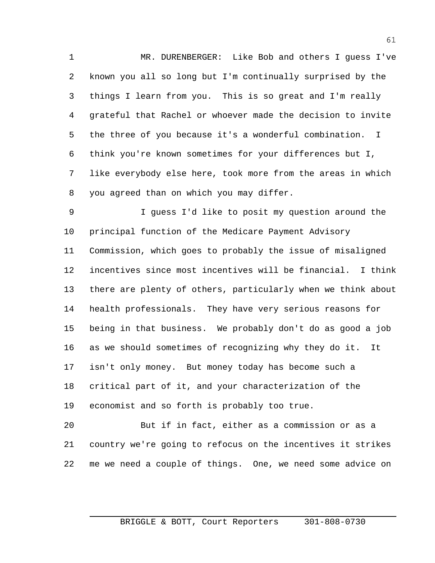MR. DURENBERGER: Like Bob and others I guess I've known you all so long but I'm continually surprised by the things I learn from you. This is so great and I'm really grateful that Rachel or whoever made the decision to invite the three of you because it's a wonderful combination. I think you're known sometimes for your differences but I, like everybody else here, took more from the areas in which you agreed than on which you may differ.

 I guess I'd like to posit my question around the principal function of the Medicare Payment Advisory Commission, which goes to probably the issue of misaligned incentives since most incentives will be financial. I think there are plenty of others, particularly when we think about health professionals. They have very serious reasons for being in that business. We probably don't do as good a job as we should sometimes of recognizing why they do it. It isn't only money. But money today has become such a critical part of it, and your characterization of the economist and so forth is probably too true.

 But if in fact, either as a commission or as a country we're going to refocus on the incentives it strikes me we need a couple of things. One, we need some advice on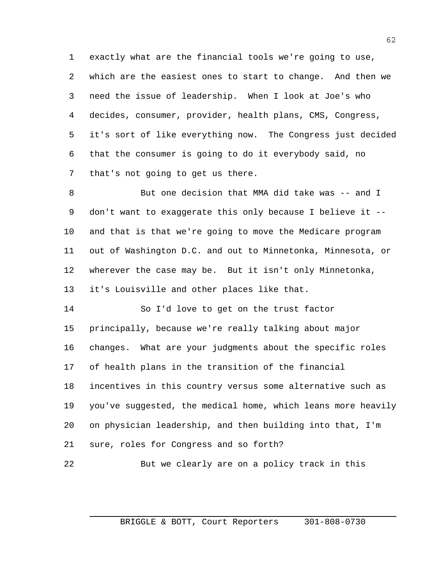exactly what are the financial tools we're going to use, which are the easiest ones to start to change. And then we need the issue of leadership. When I look at Joe's who decides, consumer, provider, health plans, CMS, Congress, it's sort of like everything now. The Congress just decided that the consumer is going to do it everybody said, no that's not going to get us there.

 But one decision that MMA did take was -- and I don't want to exaggerate this only because I believe it -- and that is that we're going to move the Medicare program out of Washington D.C. and out to Minnetonka, Minnesota, or wherever the case may be. But it isn't only Minnetonka, it's Louisville and other places like that.

 So I'd love to get on the trust factor principally, because we're really talking about major changes. What are your judgments about the specific roles of health plans in the transition of the financial incentives in this country versus some alternative such as you've suggested, the medical home, which leans more heavily on physician leadership, and then building into that, I'm sure, roles for Congress and so forth?

```
22 But we clearly are on a policy track in this
```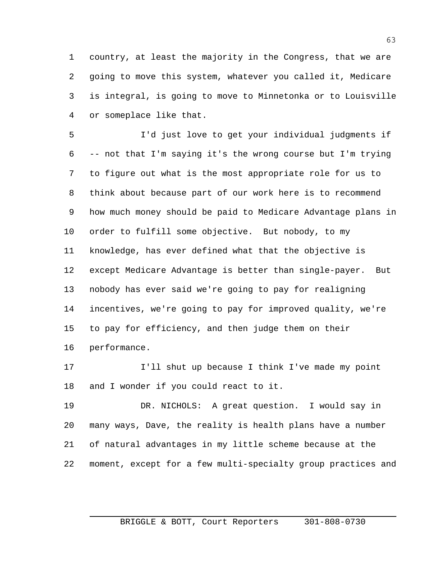country, at least the majority in the Congress, that we are going to move this system, whatever you called it, Medicare is integral, is going to move to Minnetonka or to Louisville or someplace like that.

 I'd just love to get your individual judgments if -- not that I'm saying it's the wrong course but I'm trying to figure out what is the most appropriate role for us to think about because part of our work here is to recommend how much money should be paid to Medicare Advantage plans in order to fulfill some objective. But nobody, to my knowledge, has ever defined what that the objective is except Medicare Advantage is better than single-payer. But nobody has ever said we're going to pay for realigning incentives, we're going to pay for improved quality, we're to pay for efficiency, and then judge them on their performance.

 I'll shut up because I think I've made my point and I wonder if you could react to it.

 DR. NICHOLS: A great question. I would say in many ways, Dave, the reality is health plans have a number of natural advantages in my little scheme because at the moment, except for a few multi-specialty group practices and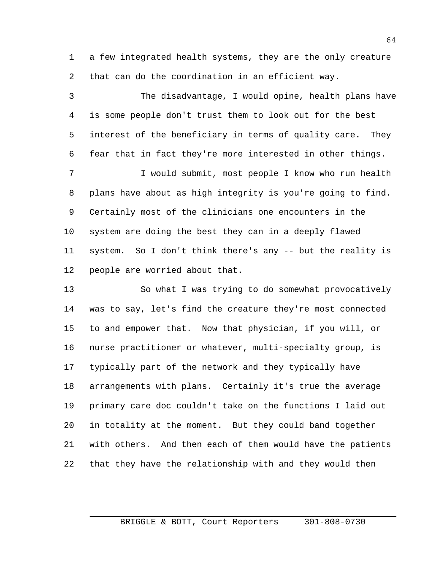a few integrated health systems, they are the only creature that can do the coordination in an efficient way.

 The disadvantage, I would opine, health plans have is some people don't trust them to look out for the best interest of the beneficiary in terms of quality care. They fear that in fact they're more interested in other things. I would submit, most people I know who run health

 plans have about as high integrity is you're going to find. Certainly most of the clinicians one encounters in the system are doing the best they can in a deeply flawed system. So I don't think there's any -- but the reality is people are worried about that.

 So what I was trying to do somewhat provocatively was to say, let's find the creature they're most connected to and empower that. Now that physician, if you will, or nurse practitioner or whatever, multi-specialty group, is typically part of the network and they typically have arrangements with plans. Certainly it's true the average primary care doc couldn't take on the functions I laid out in totality at the moment. But they could band together with others. And then each of them would have the patients that they have the relationship with and they would then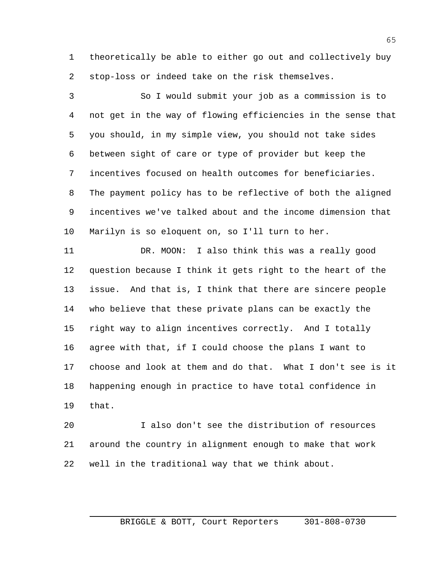theoretically be able to either go out and collectively buy stop-loss or indeed take on the risk themselves.

 So I would submit your job as a commission is to not get in the way of flowing efficiencies in the sense that you should, in my simple view, you should not take sides between sight of care or type of provider but keep the incentives focused on health outcomes for beneficiaries. The payment policy has to be reflective of both the aligned incentives we've talked about and the income dimension that Marilyn is so eloquent on, so I'll turn to her.

 DR. MOON: I also think this was a really good question because I think it gets right to the heart of the issue. And that is, I think that there are sincere people who believe that these private plans can be exactly the right way to align incentives correctly. And I totally agree with that, if I could choose the plans I want to choose and look at them and do that. What I don't see is it happening enough in practice to have total confidence in that.

 I also don't see the distribution of resources around the country in alignment enough to make that work well in the traditional way that we think about.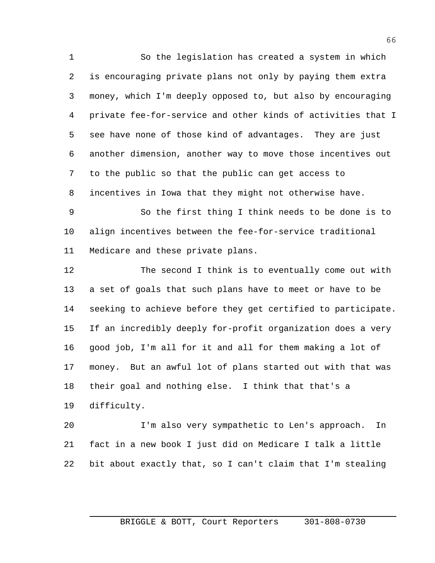So the legislation has created a system in which is encouraging private plans not only by paying them extra money, which I'm deeply opposed to, but also by encouraging private fee-for-service and other kinds of activities that I see have none of those kind of advantages. They are just another dimension, another way to move those incentives out to the public so that the public can get access to incentives in Iowa that they might not otherwise have.

 So the first thing I think needs to be done is to align incentives between the fee-for-service traditional Medicare and these private plans.

 The second I think is to eventually come out with a set of goals that such plans have to meet or have to be seeking to achieve before they get certified to participate. If an incredibly deeply for-profit organization does a very good job, I'm all for it and all for them making a lot of money. But an awful lot of plans started out with that was their goal and nothing else. I think that that's a difficulty.

 I'm also very sympathetic to Len's approach. In fact in a new book I just did on Medicare I talk a little bit about exactly that, so I can't claim that I'm stealing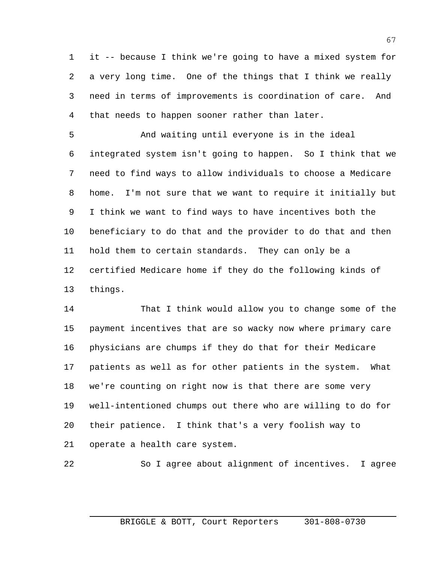it -- because I think we're going to have a mixed system for a very long time. One of the things that I think we really need in terms of improvements is coordination of care. And that needs to happen sooner rather than later.

 And waiting until everyone is in the ideal integrated system isn't going to happen. So I think that we need to find ways to allow individuals to choose a Medicare home. I'm not sure that we want to require it initially but I think we want to find ways to have incentives both the beneficiary to do that and the provider to do that and then hold them to certain standards. They can only be a certified Medicare home if they do the following kinds of things.

 That I think would allow you to change some of the payment incentives that are so wacky now where primary care physicians are chumps if they do that for their Medicare patients as well as for other patients in the system. What we're counting on right now is that there are some very well-intentioned chumps out there who are willing to do for their patience. I think that's a very foolish way to operate a health care system.

So I agree about alignment of incentives. I agree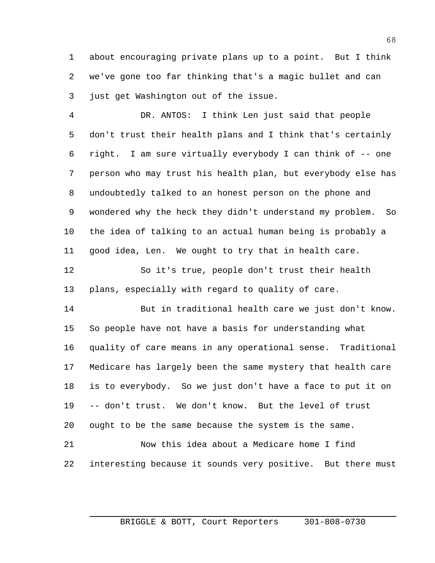about encouraging private plans up to a point. But I think we've gone too far thinking that's a magic bullet and can just get Washington out of the issue.

 DR. ANTOS: I think Len just said that people don't trust their health plans and I think that's certainly right. I am sure virtually everybody I can think of -- one person who may trust his health plan, but everybody else has undoubtedly talked to an honest person on the phone and wondered why the heck they didn't understand my problem. So the idea of talking to an actual human being is probably a good idea, Len. We ought to try that in health care.

 So it's true, people don't trust their health plans, especially with regard to quality of care.

 But in traditional health care we just don't know. So people have not have a basis for understanding what quality of care means in any operational sense. Traditional Medicare has largely been the same mystery that health care is to everybody. So we just don't have a face to put it on -- don't trust. We don't know. But the level of trust ought to be the same because the system is the same.

 Now this idea about a Medicare home I find interesting because it sounds very positive. But there must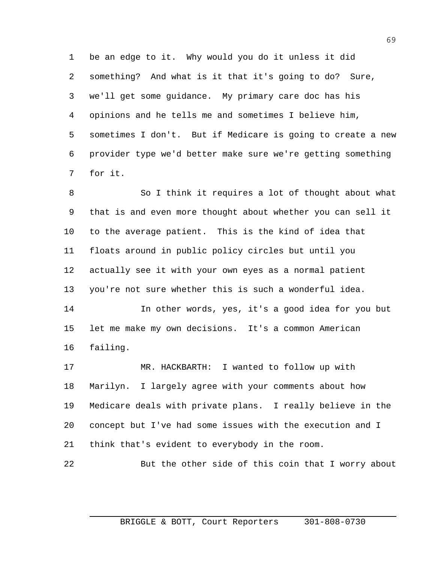be an edge to it. Why would you do it unless it did something? And what is it that it's going to do? Sure, we'll get some guidance. My primary care doc has his opinions and he tells me and sometimes I believe him, sometimes I don't. But if Medicare is going to create a new provider type we'd better make sure we're getting something for it.

 So I think it requires a lot of thought about what that is and even more thought about whether you can sell it to the average patient. This is the kind of idea that floats around in public policy circles but until you actually see it with your own eyes as a normal patient you're not sure whether this is such a wonderful idea.

 In other words, yes, it's a good idea for you but let me make my own decisions. It's a common American failing.

 MR. HACKBARTH: I wanted to follow up with Marilyn. I largely agree with your comments about how Medicare deals with private plans. I really believe in the concept but I've had some issues with the execution and I think that's evident to everybody in the room.

But the other side of this coin that I worry about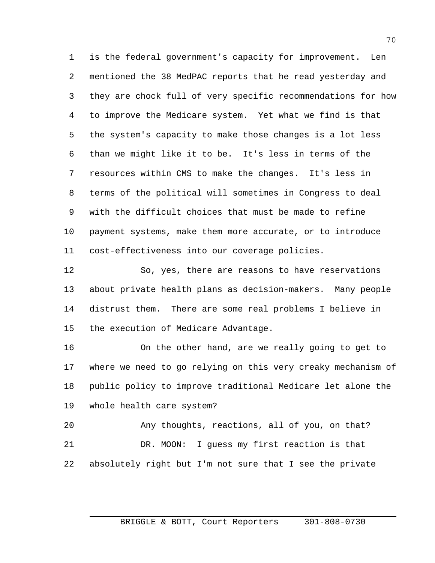is the federal government's capacity for improvement. Len mentioned the 38 MedPAC reports that he read yesterday and they are chock full of very specific recommendations for how to improve the Medicare system. Yet what we find is that the system's capacity to make those changes is a lot less than we might like it to be. It's less in terms of the resources within CMS to make the changes. It's less in terms of the political will sometimes in Congress to deal with the difficult choices that must be made to refine payment systems, make them more accurate, or to introduce cost-effectiveness into our coverage policies.

 So, yes, there are reasons to have reservations about private health plans as decision-makers. Many people distrust them. There are some real problems I believe in the execution of Medicare Advantage.

 On the other hand, are we really going to get to where we need to go relying on this very creaky mechanism of public policy to improve traditional Medicare let alone the whole health care system?

 Any thoughts, reactions, all of you, on that? DR. MOON: I guess my first reaction is that absolutely right but I'm not sure that I see the private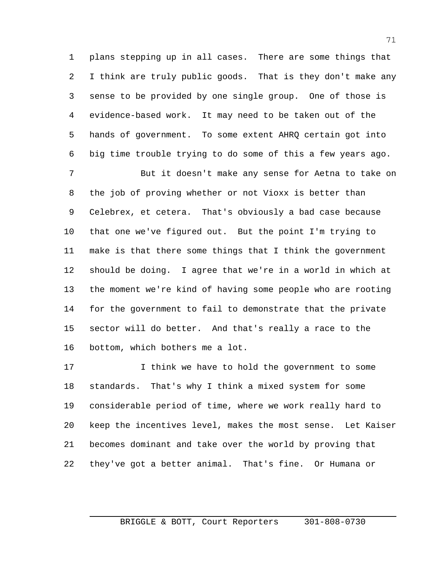plans stepping up in all cases. There are some things that I think are truly public goods. That is they don't make any sense to be provided by one single group. One of those is evidence-based work. It may need to be taken out of the hands of government. To some extent AHRQ certain got into big time trouble trying to do some of this a few years ago.

 But it doesn't make any sense for Aetna to take on the job of proving whether or not Vioxx is better than Celebrex, et cetera. That's obviously a bad case because that one we've figured out. But the point I'm trying to make is that there some things that I think the government should be doing. I agree that we're in a world in which at the moment we're kind of having some people who are rooting for the government to fail to demonstrate that the private sector will do better. And that's really a race to the bottom, which bothers me a lot.

 I think we have to hold the government to some standards. That's why I think a mixed system for some considerable period of time, where we work really hard to keep the incentives level, makes the most sense. Let Kaiser becomes dominant and take over the world by proving that they've got a better animal. That's fine. Or Humana or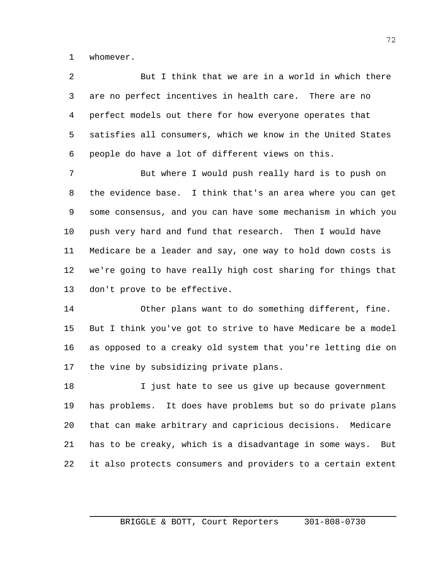whomever.

| 2 | But I think that we are in a world in which there             |
|---|---------------------------------------------------------------|
|   | 3 are no perfect incentives in health care. There are no      |
|   | 4 perfect models out there for how everyone operates that     |
|   | 5 satisfies all consumers, which we know in the United States |
| 6 | people do have a lot of different views on this.              |

 But where I would push really hard is to push on the evidence base. I think that's an area where you can get some consensus, and you can have some mechanism in which you push very hard and fund that research. Then I would have Medicare be a leader and say, one way to hold down costs is we're going to have really high cost sharing for things that don't prove to be effective.

 Other plans want to do something different, fine. But I think you've got to strive to have Medicare be a model as opposed to a creaky old system that you're letting die on the vine by subsidizing private plans.

18 I just hate to see us give up because government has problems. It does have problems but so do private plans that can make arbitrary and capricious decisions. Medicare has to be creaky, which is a disadvantage in some ways. But it also protects consumers and providers to a certain extent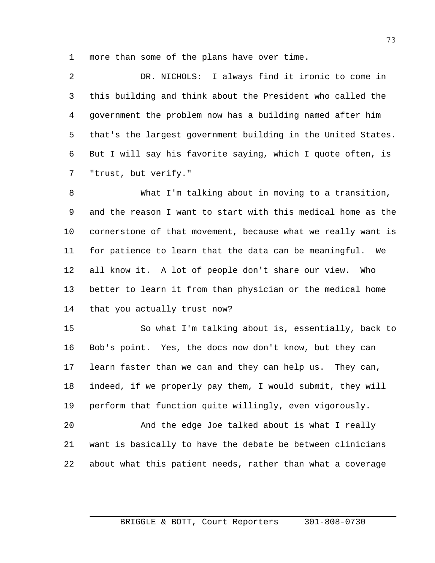more than some of the plans have over time.

 DR. NICHOLS: I always find it ironic to come in this building and think about the President who called the government the problem now has a building named after him that's the largest government building in the United States. But I will say his favorite saying, which I quote often, is "trust, but verify."

 What I'm talking about in moving to a transition, and the reason I want to start with this medical home as the 10 cornerstone of that movement, because what we really want is for patience to learn that the data can be meaningful. We all know it. A lot of people don't share our view. Who better to learn it from than physician or the medical home that you actually trust now?

 So what I'm talking about is, essentially, back to Bob's point. Yes, the docs now don't know, but they can learn faster than we can and they can help us. They can, indeed, if we properly pay them, I would submit, they will perform that function quite willingly, even vigorously.

 And the edge Joe talked about is what I really want is basically to have the debate be between clinicians about what this patient needs, rather than what a coverage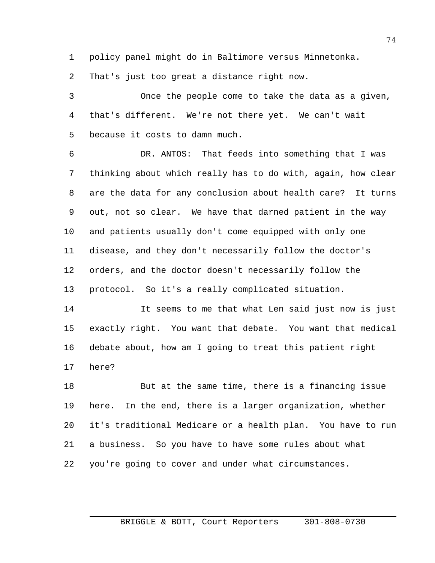policy panel might do in Baltimore versus Minnetonka.

That's just too great a distance right now.

 Once the people come to take the data as a given, that's different. We're not there yet. We can't wait because it costs to damn much.

 DR. ANTOS: That feeds into something that I was thinking about which really has to do with, again, how clear are the data for any conclusion about health care? It turns out, not so clear. We have that darned patient in the way and patients usually don't come equipped with only one disease, and they don't necessarily follow the doctor's orders, and the doctor doesn't necessarily follow the protocol. So it's a really complicated situation.

 It seems to me that what Len said just now is just exactly right. You want that debate. You want that medical debate about, how am I going to treat this patient right here?

 But at the same time, there is a financing issue here. In the end, there is a larger organization, whether it's traditional Medicare or a health plan. You have to run a business. So you have to have some rules about what you're going to cover and under what circumstances.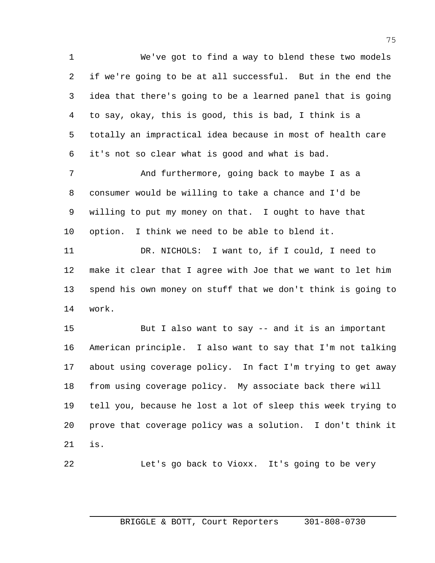We've got to find a way to blend these two models if we're going to be at all successful. But in the end the idea that there's going to be a learned panel that is going to say, okay, this is good, this is bad, I think is a totally an impractical idea because in most of health care it's not so clear what is good and what is bad.

 And furthermore, going back to maybe I as a consumer would be willing to take a chance and I'd be willing to put my money on that. I ought to have that option. I think we need to be able to blend it.

 DR. NICHOLS: I want to, if I could, I need to make it clear that I agree with Joe that we want to let him spend his own money on stuff that we don't think is going to work.

 But I also want to say -- and it is an important American principle. I also want to say that I'm not talking about using coverage policy. In fact I'm trying to get away from using coverage policy. My associate back there will tell you, because he lost a lot of sleep this week trying to prove that coverage policy was a solution. I don't think it is.

Let's go back to Vioxx. It's going to be very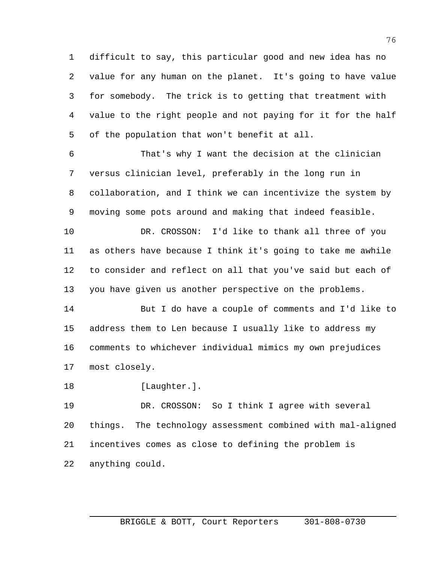difficult to say, this particular good and new idea has no value for any human on the planet. It's going to have value for somebody. The trick is to getting that treatment with value to the right people and not paying for it for the half of the population that won't benefit at all.

 That's why I want the decision at the clinician versus clinician level, preferably in the long run in collaboration, and I think we can incentivize the system by moving some pots around and making that indeed feasible.

 DR. CROSSON: I'd like to thank all three of you as others have because I think it's going to take me awhile to consider and reflect on all that you've said but each of you have given us another perspective on the problems.

 But I do have a couple of comments and I'd like to address them to Len because I usually like to address my comments to whichever individual mimics my own prejudices most closely.

18 [Laughter.].

 DR. CROSSON: So I think I agree with several things. The technology assessment combined with mal-aligned incentives comes as close to defining the problem is anything could.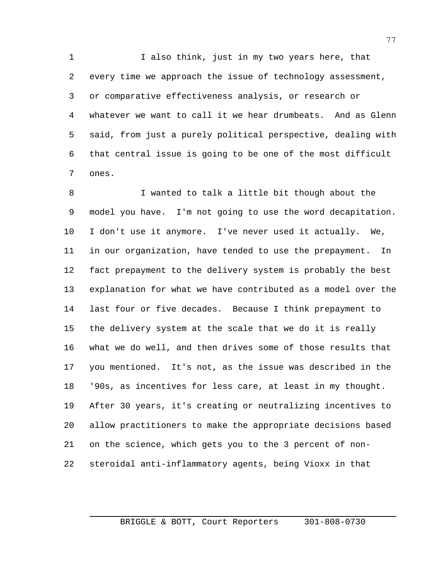I also think, just in my two years here, that every time we approach the issue of technology assessment, or comparative effectiveness analysis, or research or whatever we want to call it we hear drumbeats. And as Glenn said, from just a purely political perspective, dealing with that central issue is going to be one of the most difficult ones.

 I wanted to talk a little bit though about the model you have. I'm not going to use the word decapitation. I don't use it anymore. I've never used it actually. We, in our organization, have tended to use the prepayment. In fact prepayment to the delivery system is probably the best explanation for what we have contributed as a model over the last four or five decades. Because I think prepayment to the delivery system at the scale that we do it is really what we do well, and then drives some of those results that you mentioned. It's not, as the issue was described in the '90s, as incentives for less care, at least in my thought. After 30 years, it's creating or neutralizing incentives to allow practitioners to make the appropriate decisions based on the science, which gets you to the 3 percent of non-steroidal anti-inflammatory agents, being Vioxx in that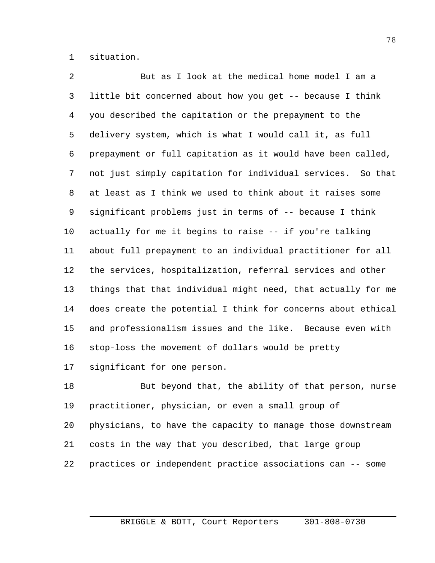situation.

 But as I look at the medical home model I am a little bit concerned about how you get -- because I think you described the capitation or the prepayment to the delivery system, which is what I would call it, as full prepayment or full capitation as it would have been called, not just simply capitation for individual services. So that at least as I think we used to think about it raises some significant problems just in terms of -- because I think actually for me it begins to raise -- if you're talking about full prepayment to an individual practitioner for all the services, hospitalization, referral services and other things that that individual might need, that actually for me does create the potential I think for concerns about ethical and professionalism issues and the like. Because even with stop-loss the movement of dollars would be pretty significant for one person.

18 But beyond that, the ability of that person, nurse practitioner, physician, or even a small group of physicians, to have the capacity to manage those downstream costs in the way that you described, that large group practices or independent practice associations can -- some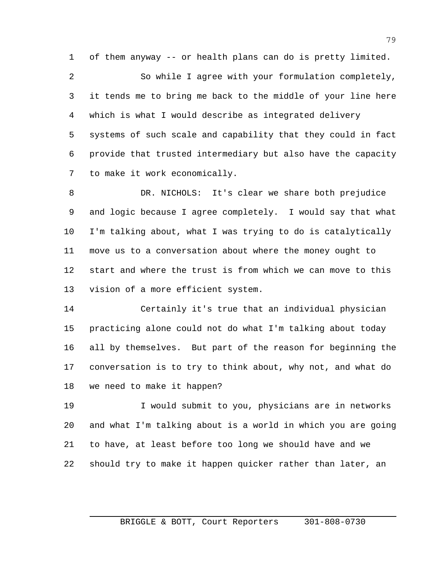of them anyway -- or health plans can do is pretty limited. So while I agree with your formulation completely, it tends me to bring me back to the middle of your line here which is what I would describe as integrated delivery systems of such scale and capability that they could in fact provide that trusted intermediary but also have the capacity to make it work economically.

 DR. NICHOLS: It's clear we share both prejudice and logic because I agree completely. I would say that what I'm talking about, what I was trying to do is catalytically move us to a conversation about where the money ought to start and where the trust is from which we can move to this vision of a more efficient system.

 Certainly it's true that an individual physician practicing alone could not do what I'm talking about today all by themselves. But part of the reason for beginning the conversation is to try to think about, why not, and what do we need to make it happen?

 I would submit to you, physicians are in networks and what I'm talking about is a world in which you are going to have, at least before too long we should have and we should try to make it happen quicker rather than later, an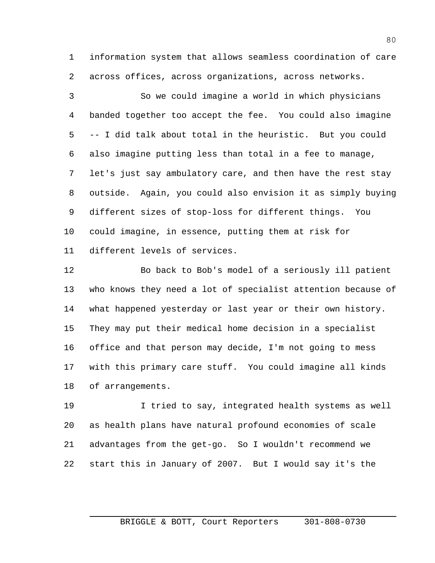information system that allows seamless coordination of care across offices, across organizations, across networks.

 So we could imagine a world in which physicians banded together too accept the fee. You could also imagine -- I did talk about total in the heuristic. But you could also imagine putting less than total in a fee to manage, let's just say ambulatory care, and then have the rest stay outside. Again, you could also envision it as simply buying different sizes of stop-loss for different things. You could imagine, in essence, putting them at risk for different levels of services.

 Bo back to Bob's model of a seriously ill patient who knows they need a lot of specialist attention because of what happened yesterday or last year or their own history. They may put their medical home decision in a specialist office and that person may decide, I'm not going to mess with this primary care stuff. You could imagine all kinds of arrangements.

 I tried to say, integrated health systems as well as health plans have natural profound economies of scale advantages from the get-go. So I wouldn't recommend we start this in January of 2007. But I would say it's the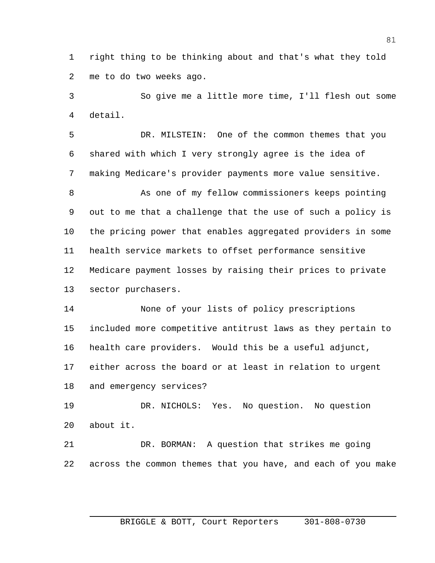right thing to be thinking about and that's what they told me to do two weeks ago.

 So give me a little more time, I'll flesh out some detail.

 DR. MILSTEIN: One of the common themes that you shared with which I very strongly agree is the idea of making Medicare's provider payments more value sensitive.

 As one of my fellow commissioners keeps pointing out to me that a challenge that the use of such a policy is the pricing power that enables aggregated providers in some health service markets to offset performance sensitive Medicare payment losses by raising their prices to private sector purchasers.

 None of your lists of policy prescriptions included more competitive antitrust laws as they pertain to health care providers. Would this be a useful adjunct, either across the board or at least in relation to urgent and emergency services?

 DR. NICHOLS: Yes. No question. No question about it.

 DR. BORMAN: A question that strikes me going across the common themes that you have, and each of you make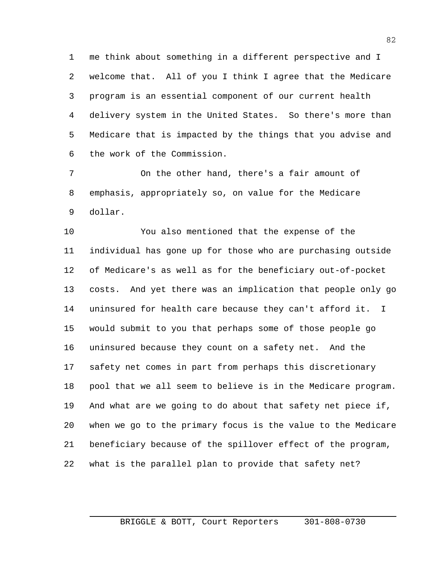me think about something in a different perspective and I welcome that. All of you I think I agree that the Medicare program is an essential component of our current health delivery system in the United States. So there's more than Medicare that is impacted by the things that you advise and the work of the Commission.

 On the other hand, there's a fair amount of emphasis, appropriately so, on value for the Medicare dollar.

 You also mentioned that the expense of the individual has gone up for those who are purchasing outside of Medicare's as well as for the beneficiary out-of-pocket costs. And yet there was an implication that people only go uninsured for health care because they can't afford it. I would submit to you that perhaps some of those people go uninsured because they count on a safety net. And the safety net comes in part from perhaps this discretionary pool that we all seem to believe is in the Medicare program. And what are we going to do about that safety net piece if, when we go to the primary focus is the value to the Medicare beneficiary because of the spillover effect of the program, what is the parallel plan to provide that safety net?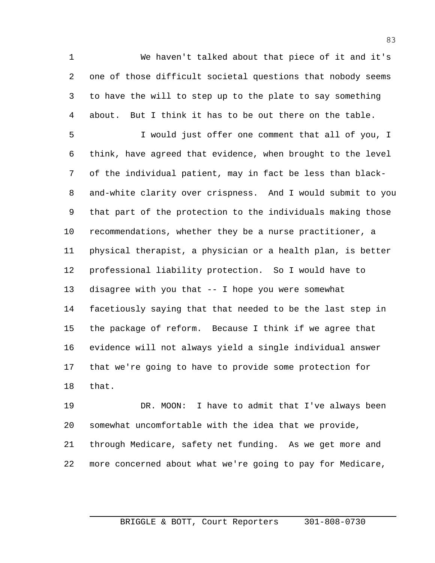We haven't talked about that piece of it and it's one of those difficult societal questions that nobody seems to have the will to step up to the plate to say something about. But I think it has to be out there on the table.

 I would just offer one comment that all of you, I think, have agreed that evidence, when brought to the level of the individual patient, may in fact be less than black- and-white clarity over crispness. And I would submit to you that part of the protection to the individuals making those recommendations, whether they be a nurse practitioner, a physical therapist, a physician or a health plan, is better professional liability protection. So I would have to disagree with you that -- I hope you were somewhat facetiously saying that that needed to be the last step in the package of reform. Because I think if we agree that evidence will not always yield a single individual answer that we're going to have to provide some protection for that.

 DR. MOON: I have to admit that I've always been somewhat uncomfortable with the idea that we provide, through Medicare, safety net funding. As we get more and more concerned about what we're going to pay for Medicare,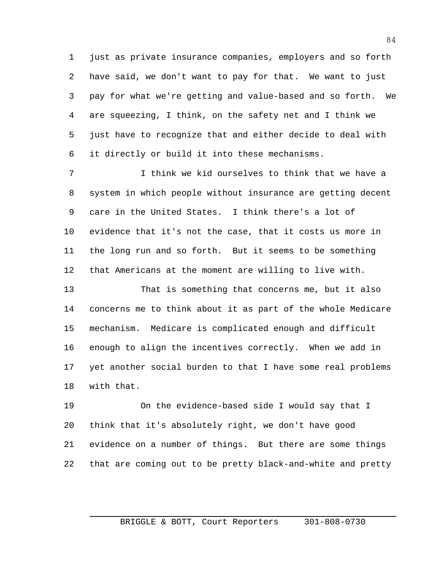just as private insurance companies, employers and so forth have said, we don't want to pay for that. We want to just pay for what we're getting and value-based and so forth. We are squeezing, I think, on the safety net and I think we just have to recognize that and either decide to deal with it directly or build it into these mechanisms.

 I think we kid ourselves to think that we have a system in which people without insurance are getting decent care in the United States. I think there's a lot of evidence that it's not the case, that it costs us more in the long run and so forth. But it seems to be something that Americans at the moment are willing to live with.

 That is something that concerns me, but it also concerns me to think about it as part of the whole Medicare mechanism. Medicare is complicated enough and difficult enough to align the incentives correctly. When we add in yet another social burden to that I have some real problems with that.

 On the evidence-based side I would say that I think that it's absolutely right, we don't have good evidence on a number of things. But there are some things that are coming out to be pretty black-and-white and pretty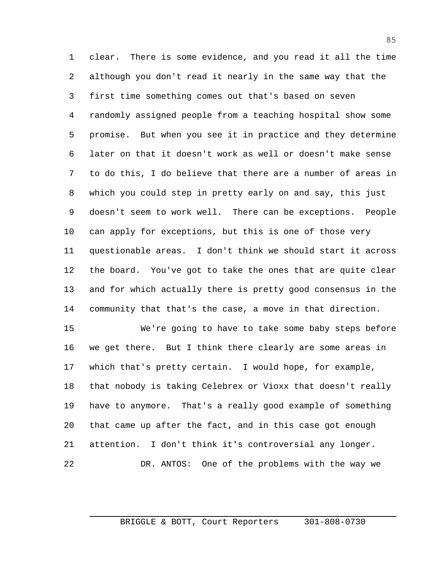clear. There is some evidence, and you read it all the time although you don't read it nearly in the same way that the first time something comes out that's based on seven randomly assigned people from a teaching hospital show some promise. But when you see it in practice and they determine later on that it doesn't work as well or doesn't make sense to do this, I do believe that there are a number of areas in which you could step in pretty early on and say, this just doesn't seem to work well. There can be exceptions. People can apply for exceptions, but this is one of those very questionable areas. I don't think we should start it across the board. You've got to take the ones that are quite clear and for which actually there is pretty good consensus in the community that that's the case, a move in that direction.

 We're going to have to take some baby steps before we get there. But I think there clearly are some areas in which that's pretty certain. I would hope, for example, that nobody is taking Celebrex or Vioxx that doesn't really have to anymore. That's a really good example of something that came up after the fact, and in this case got enough attention. I don't think it's controversial any longer. DR. ANTOS: One of the problems with the way we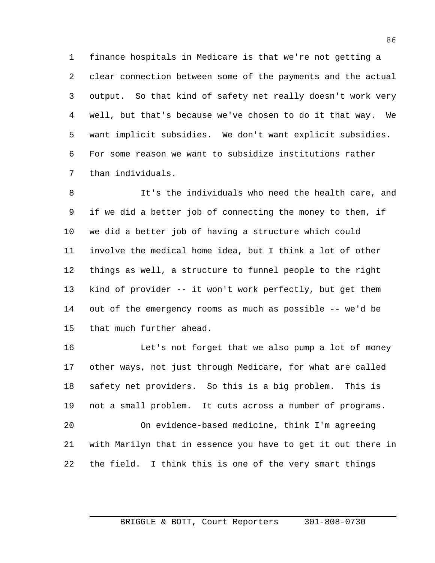finance hospitals in Medicare is that we're not getting a clear connection between some of the payments and the actual output. So that kind of safety net really doesn't work very well, but that's because we've chosen to do it that way. We want implicit subsidies. We don't want explicit subsidies. For some reason we want to subsidize institutions rather than individuals.

 It's the individuals who need the health care, and if we did a better job of connecting the money to them, if we did a better job of having a structure which could involve the medical home idea, but I think a lot of other things as well, a structure to funnel people to the right kind of provider -- it won't work perfectly, but get them out of the emergency rooms as much as possible -- we'd be that much further ahead.

 Let's not forget that we also pump a lot of money other ways, not just through Medicare, for what are called safety net providers. So this is a big problem. This is not a small problem. It cuts across a number of programs. On evidence-based medicine, think I'm agreeing with Marilyn that in essence you have to get it out there in

the field. I think this is one of the very smart things

BRIGGLE & BOTT, Court Reporters 301-808-0730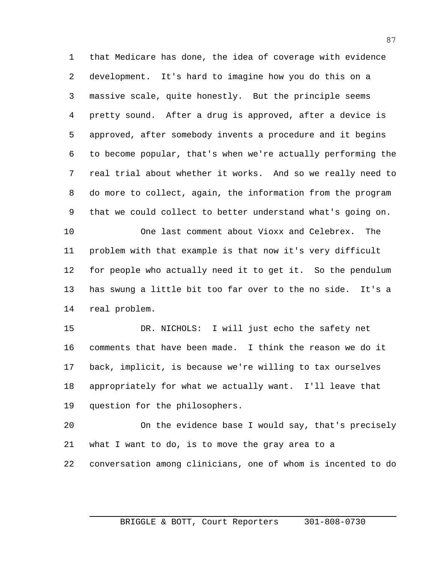that Medicare has done, the idea of coverage with evidence development. It's hard to imagine how you do this on a massive scale, quite honestly. But the principle seems pretty sound. After a drug is approved, after a device is approved, after somebody invents a procedure and it begins to become popular, that's when we're actually performing the real trial about whether it works. And so we really need to do more to collect, again, the information from the program that we could collect to better understand what's going on.

 One last comment about Vioxx and Celebrex. The problem with that example is that now it's very difficult for people who actually need it to get it. So the pendulum has swung a little bit too far over to the no side. It's a real problem.

 DR. NICHOLS: I will just echo the safety net comments that have been made. I think the reason we do it back, implicit, is because we're willing to tax ourselves appropriately for what we actually want. I'll leave that question for the philosophers.

 On the evidence base I would say, that's precisely what I want to do, is to move the gray area to a conversation among clinicians, one of whom is incented to do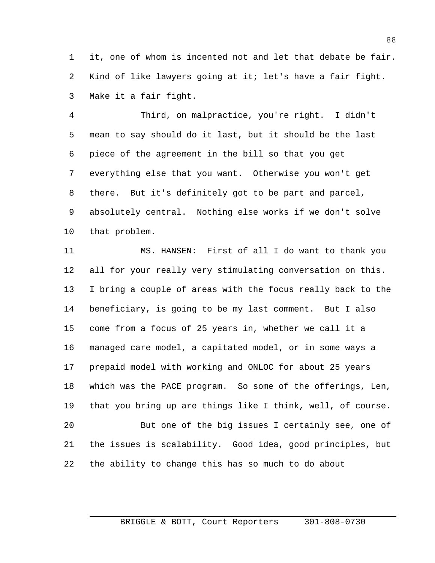it, one of whom is incented not and let that debate be fair. Kind of like lawyers going at it; let's have a fair fight. Make it a fair fight.

 Third, on malpractice, you're right. I didn't mean to say should do it last, but it should be the last piece of the agreement in the bill so that you get everything else that you want. Otherwise you won't get there. But it's definitely got to be part and parcel, absolutely central. Nothing else works if we don't solve that problem.

 MS. HANSEN: First of all I do want to thank you all for your really very stimulating conversation on this. I bring a couple of areas with the focus really back to the beneficiary, is going to be my last comment. But I also come from a focus of 25 years in, whether we call it a managed care model, a capitated model, or in some ways a prepaid model with working and ONLOC for about 25 years which was the PACE program. So some of the offerings, Len, that you bring up are things like I think, well, of course. But one of the big issues I certainly see, one of the issues is scalability. Good idea, good principles, but the ability to change this has so much to do about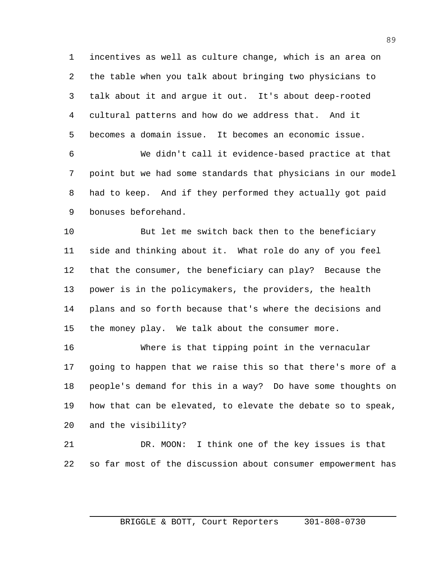incentives as well as culture change, which is an area on the table when you talk about bringing two physicians to talk about it and argue it out. It's about deep-rooted cultural patterns and how do we address that. And it becomes a domain issue. It becomes an economic issue.

 We didn't call it evidence-based practice at that point but we had some standards that physicians in our model had to keep. And if they performed they actually got paid bonuses beforehand.

 But let me switch back then to the beneficiary side and thinking about it. What role do any of you feel that the consumer, the beneficiary can play? Because the power is in the policymakers, the providers, the health plans and so forth because that's where the decisions and the money play. We talk about the consumer more.

 Where is that tipping point in the vernacular going to happen that we raise this so that there's more of a people's demand for this in a way? Do have some thoughts on how that can be elevated, to elevate the debate so to speak, and the visibility?

 DR. MOON: I think one of the key issues is that so far most of the discussion about consumer empowerment has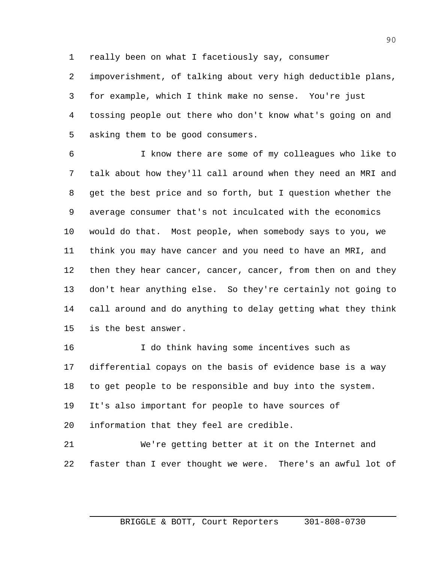really been on what I facetiously say, consumer

 impoverishment, of talking about very high deductible plans, for example, which I think make no sense. You're just tossing people out there who don't know what's going on and asking them to be good consumers.

 I know there are some of my colleagues who like to talk about how they'll call around when they need an MRI and get the best price and so forth, but I question whether the average consumer that's not inculcated with the economics would do that. Most people, when somebody says to you, we think you may have cancer and you need to have an MRI, and 12 then they hear cancer, cancer, cancer, from then on and they don't hear anything else. So they're certainly not going to call around and do anything to delay getting what they think is the best answer.

16 I do think having some incentives such as differential copays on the basis of evidence base is a way to get people to be responsible and buy into the system. It's also important for people to have sources of information that they feel are credible.

 We're getting better at it on the Internet and faster than I ever thought we were. There's an awful lot of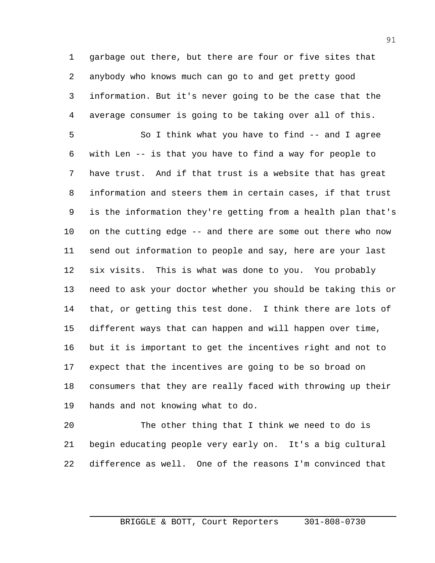garbage out there, but there are four or five sites that anybody who knows much can go to and get pretty good information. But it's never going to be the case that the average consumer is going to be taking over all of this.

 So I think what you have to find -- and I agree with Len -- is that you have to find a way for people to have trust. And if that trust is a website that has great information and steers them in certain cases, if that trust is the information they're getting from a health plan that's on the cutting edge -- and there are some out there who now send out information to people and say, here are your last six visits. This is what was done to you. You probably need to ask your doctor whether you should be taking this or that, or getting this test done. I think there are lots of different ways that can happen and will happen over time, but it is important to get the incentives right and not to expect that the incentives are going to be so broad on consumers that they are really faced with throwing up their hands and not knowing what to do.

 The other thing that I think we need to do is begin educating people very early on. It's a big cultural difference as well. One of the reasons I'm convinced that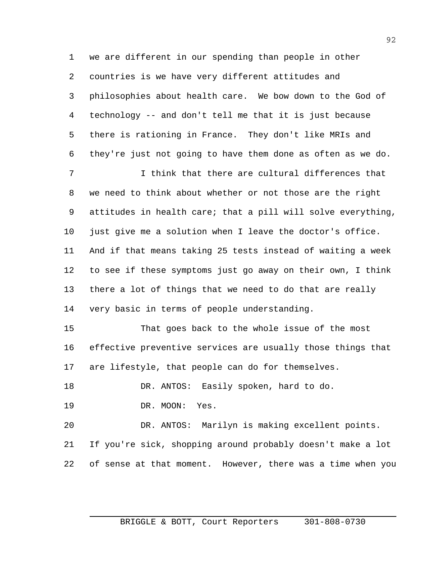we are different in our spending than people in other countries is we have very different attitudes and philosophies about health care. We bow down to the God of technology -- and don't tell me that it is just because there is rationing in France. They don't like MRIs and they're just not going to have them done as often as we do.

 I think that there are cultural differences that we need to think about whether or not those are the right attitudes in health care; that a pill will solve everything, 10 just give me a solution when I leave the doctor's office. And if that means taking 25 tests instead of waiting a week to see if these symptoms just go away on their own, I think there a lot of things that we need to do that are really very basic in terms of people understanding.

 That goes back to the whole issue of the most effective preventive services are usually those things that are lifestyle, that people can do for themselves.

18 DR. ANTOS: Easily spoken, hard to do.

DR. MOON: Yes.

 DR. ANTOS: Marilyn is making excellent points. If you're sick, shopping around probably doesn't make a lot of sense at that moment. However, there was a time when you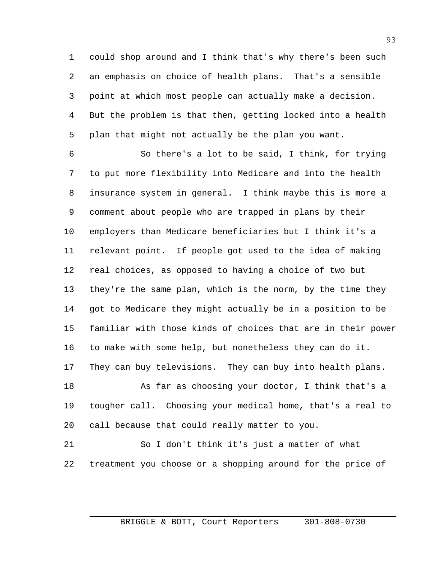could shop around and I think that's why there's been such an emphasis on choice of health plans. That's a sensible point at which most people can actually make a decision. But the problem is that then, getting locked into a health plan that might not actually be the plan you want.

 So there's a lot to be said, I think, for trying to put more flexibility into Medicare and into the health insurance system in general. I think maybe this is more a comment about people who are trapped in plans by their employers than Medicare beneficiaries but I think it's a relevant point. If people got used to the idea of making real choices, as opposed to having a choice of two but they're the same plan, which is the norm, by the time they got to Medicare they might actually be in a position to be familiar with those kinds of choices that are in their power to make with some help, but nonetheless they can do it. They can buy televisions. They can buy into health plans.

 As far as choosing your doctor, I think that's a tougher call. Choosing your medical home, that's a real to call because that could really matter to you.

 So I don't think it's just a matter of what treatment you choose or a shopping around for the price of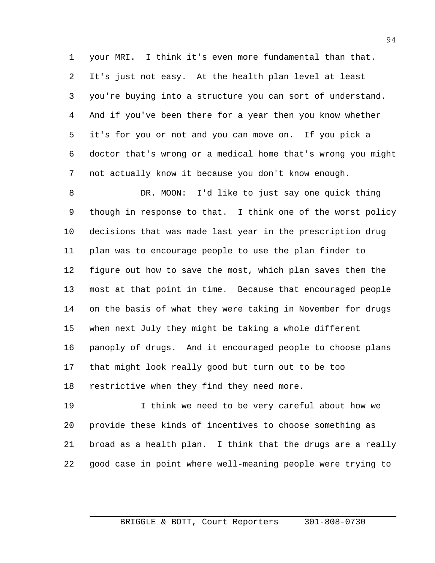your MRI. I think it's even more fundamental than that. It's just not easy. At the health plan level at least you're buying into a structure you can sort of understand. And if you've been there for a year then you know whether it's for you or not and you can move on. If you pick a doctor that's wrong or a medical home that's wrong you might not actually know it because you don't know enough.

 DR. MOON: I'd like to just say one quick thing though in response to that. I think one of the worst policy decisions that was made last year in the prescription drug plan was to encourage people to use the plan finder to figure out how to save the most, which plan saves them the most at that point in time. Because that encouraged people on the basis of what they were taking in November for drugs when next July they might be taking a whole different panoply of drugs. And it encouraged people to choose plans that might look really good but turn out to be too restrictive when they find they need more.

 I think we need to be very careful about how we provide these kinds of incentives to choose something as broad as a health plan. I think that the drugs are a really good case in point where well-meaning people were trying to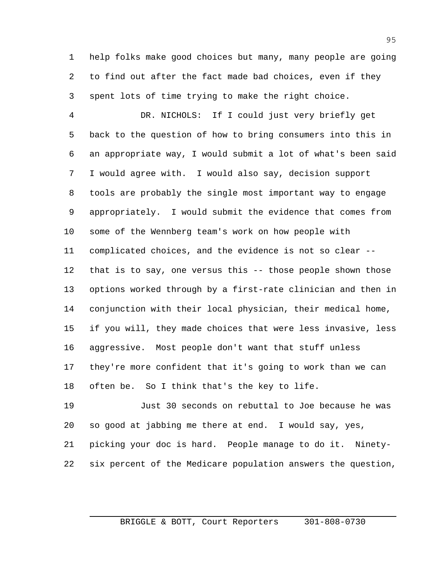help folks make good choices but many, many people are going to find out after the fact made bad choices, even if they spent lots of time trying to make the right choice.

 DR. NICHOLS: If I could just very briefly get back to the question of how to bring consumers into this in an appropriate way, I would submit a lot of what's been said I would agree with. I would also say, decision support tools are probably the single most important way to engage appropriately. I would submit the evidence that comes from some of the Wennberg team's work on how people with complicated choices, and the evidence is not so clear -- that is to say, one versus this -- those people shown those options worked through by a first-rate clinician and then in conjunction with their local physician, their medical home, if you will, they made choices that were less invasive, less aggressive. Most people don't want that stuff unless they're more confident that it's going to work than we can often be. So I think that's the key to life.

 Just 30 seconds on rebuttal to Joe because he was so good at jabbing me there at end. I would say, yes, picking your doc is hard. People manage to do it. Ninety-six percent of the Medicare population answers the question,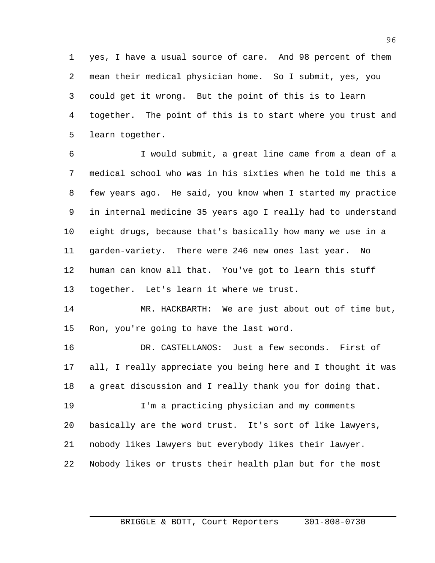yes, I have a usual source of care. And 98 percent of them mean their medical physician home. So I submit, yes, you could get it wrong. But the point of this is to learn together. The point of this is to start where you trust and learn together.

 I would submit, a great line came from a dean of a medical school who was in his sixties when he told me this a few years ago. He said, you know when I started my practice in internal medicine 35 years ago I really had to understand eight drugs, because that's basically how many we use in a garden-variety. There were 246 new ones last year. No human can know all that. You've got to learn this stuff together. Let's learn it where we trust.

 MR. HACKBARTH: We are just about out of time but, Ron, you're going to have the last word.

 DR. CASTELLANOS: Just a few seconds. First of all, I really appreciate you being here and I thought it was a great discussion and I really thank you for doing that.

 I'm a practicing physician and my comments basically are the word trust. It's sort of like lawyers, nobody likes lawyers but everybody likes their lawyer. Nobody likes or trusts their health plan but for the most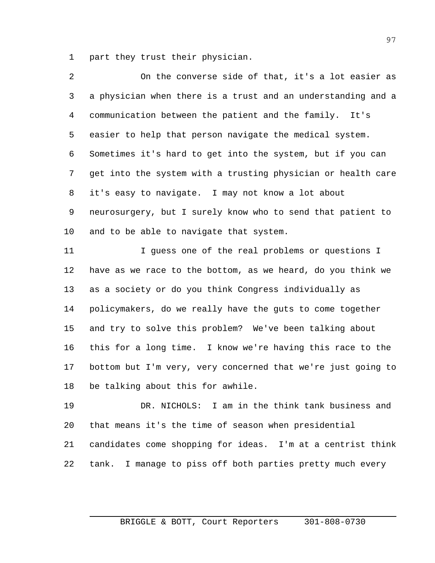part they trust their physician.

| 2  | On the converse side of that, it's a lot easier as           |
|----|--------------------------------------------------------------|
| 3  | a physician when there is a trust and an understanding and a |
| 4  | communication between the patient and the family. It's       |
| 5  | easier to help that person navigate the medical system.      |
| 6  | Sometimes it's hard to get into the system, but if you can   |
| 7  | get into the system with a trusting physician or health care |
| 8  | it's easy to navigate. I may not know a lot about            |
| 9  | neurosurgery, but I surely know who to send that patient to  |
| 10 | and to be able to navigate that system.                      |
| 11 | I guess one of the real problems or questions I              |
| 12 | have as we race to the bottom, as we heard, do you think we  |
| 13 | as a society or do you think Congress individually as        |
| 14 | policymakers, do we really have the guts to come together    |
| 15 | and try to solve this problem? We've been talking about      |
| 16 | this for a long time. I know we're having this race to the   |
| 17 | bottom but I'm very, very concerned that we're just going to |
| 18 | be talking about this for awhile.                            |
|    |                                                              |

 DR. NICHOLS: I am in the think tank business and that means it's the time of season when presidential candidates come shopping for ideas. I'm at a centrist think tank. I manage to piss off both parties pretty much every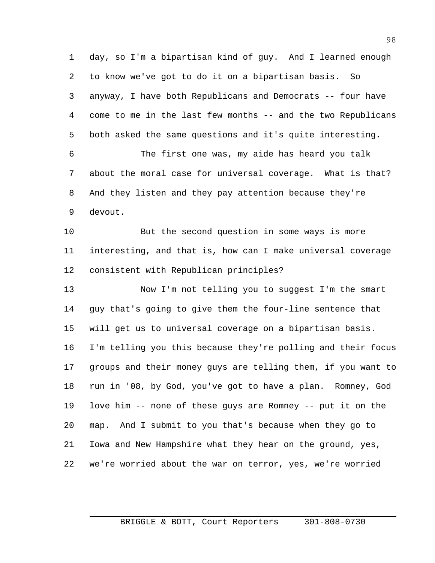day, so I'm a bipartisan kind of guy. And I learned enough to know we've got to do it on a bipartisan basis. So anyway, I have both Republicans and Democrats -- four have come to me in the last few months -- and the two Republicans both asked the same questions and it's quite interesting.

 The first one was, my aide has heard you talk about the moral case for universal coverage. What is that? And they listen and they pay attention because they're devout.

 But the second question in some ways is more interesting, and that is, how can I make universal coverage consistent with Republican principles?

 Now I'm not telling you to suggest I'm the smart guy that's going to give them the four-line sentence that will get us to universal coverage on a bipartisan basis. I'm telling you this because they're polling and their focus groups and their money guys are telling them, if you want to run in '08, by God, you've got to have a plan. Romney, God love him -- none of these guys are Romney -- put it on the map. And I submit to you that's because when they go to Iowa and New Hampshire what they hear on the ground, yes, we're worried about the war on terror, yes, we're worried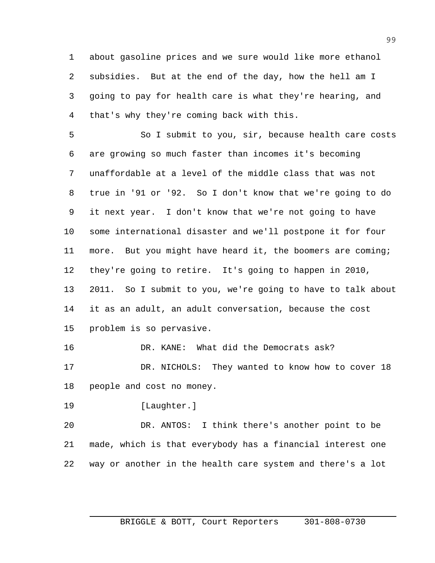about gasoline prices and we sure would like more ethanol subsidies. But at the end of the day, how the hell am I going to pay for health care is what they're hearing, and that's why they're coming back with this.

 So I submit to you, sir, because health care costs are growing so much faster than incomes it's becoming unaffordable at a level of the middle class that was not true in '91 or '92. So I don't know that we're going to do it next year. I don't know that we're not going to have some international disaster and we'll postpone it for four more. But you might have heard it, the boomers are coming; they're going to retire. It's going to happen in 2010, 2011. So I submit to you, we're going to have to talk about it as an adult, an adult conversation, because the cost problem is so pervasive.

DR. KANE: What did the Democrats ask?

17 DR. NICHOLS: They wanted to know how to cover 18 people and cost no money.

[Laughter.]

 DR. ANTOS: I think there's another point to be made, which is that everybody has a financial interest one way or another in the health care system and there's a lot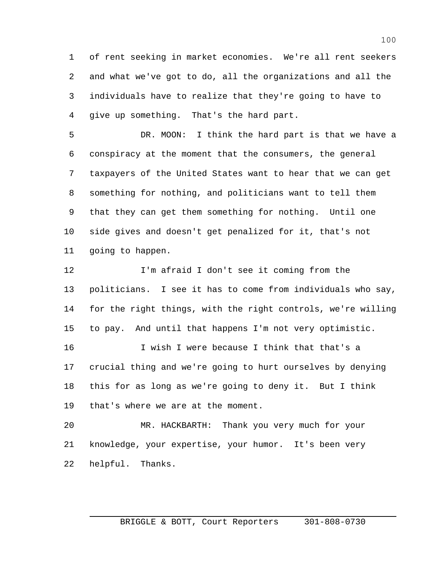of rent seeking in market economies. We're all rent seekers and what we've got to do, all the organizations and all the individuals have to realize that they're going to have to give up something. That's the hard part.

 DR. MOON: I think the hard part is that we have a conspiracy at the moment that the consumers, the general taxpayers of the United States want to hear that we can get something for nothing, and politicians want to tell them that they can get them something for nothing. Until one side gives and doesn't get penalized for it, that's not going to happen.

 I'm afraid I don't see it coming from the politicians. I see it has to come from individuals who say, for the right things, with the right controls, we're willing to pay. And until that happens I'm not very optimistic. I wish I were because I think that that's a crucial thing and we're going to hurt ourselves by denying

 this for as long as we're going to deny it. But I think that's where we are at the moment.

 MR. HACKBARTH: Thank you very much for your knowledge, your expertise, your humor. It's been very helpful. Thanks.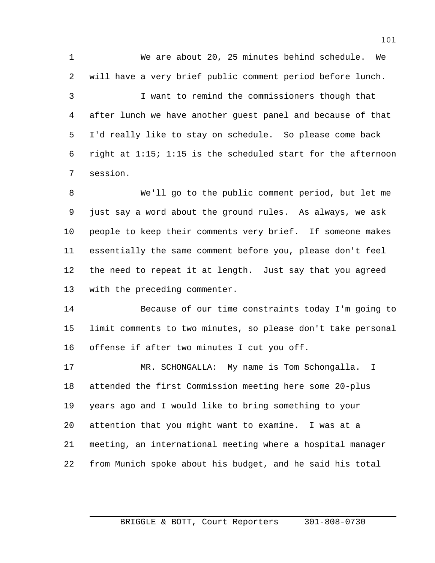We are about 20, 25 minutes behind schedule. We will have a very brief public comment period before lunch.

 I want to remind the commissioners though that after lunch we have another guest panel and because of that I'd really like to stay on schedule. So please come back right at 1:15; 1:15 is the scheduled start for the afternoon session.

 We'll go to the public comment period, but let me just say a word about the ground rules. As always, we ask people to keep their comments very brief. If someone makes essentially the same comment before you, please don't feel the need to repeat it at length. Just say that you agreed with the preceding commenter.

 Because of our time constraints today I'm going to limit comments to two minutes, so please don't take personal offense if after two minutes I cut you off.

 MR. SCHONGALLA: My name is Tom Schongalla. I attended the first Commission meeting here some 20-plus years ago and I would like to bring something to your attention that you might want to examine. I was at a meeting, an international meeting where a hospital manager from Munich spoke about his budget, and he said his total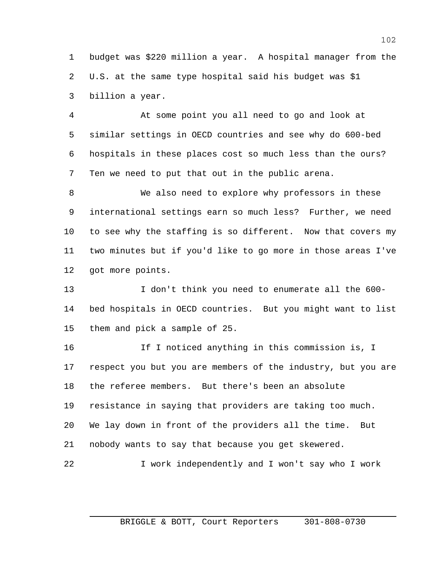budget was \$220 million a year. A hospital manager from the U.S. at the same type hospital said his budget was \$1 billion a year.

 At some point you all need to go and look at similar settings in OECD countries and see why do 600-bed hospitals in these places cost so much less than the ours? Ten we need to put that out in the public arena.

 We also need to explore why professors in these international settings earn so much less? Further, we need to see why the staffing is so different. Now that covers my two minutes but if you'd like to go more in those areas I've got more points.

 I don't think you need to enumerate all the 600- bed hospitals in OECD countries. But you might want to list them and pick a sample of 25.

 If I noticed anything in this commission is, I respect you but you are members of the industry, but you are the referee members. But there's been an absolute resistance in saying that providers are taking too much. We lay down in front of the providers all the time. But nobody wants to say that because you get skewered. I work independently and I won't say who I work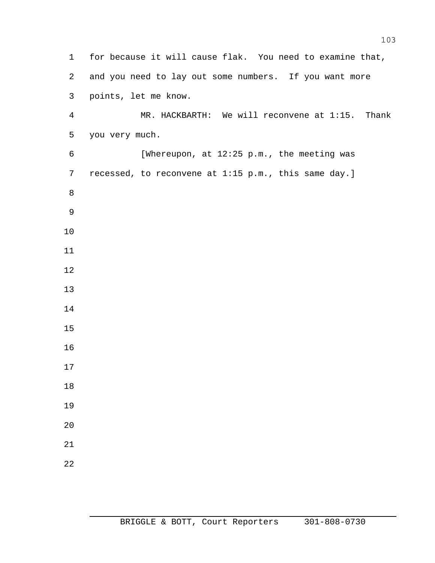for because it will cause flak. You need to examine that, and you need to lay out some numbers. If you want more points, let me know. MR. HACKBARTH: We will reconvene at 1:15. Thank you very much. [Whereupon, at 12:25 p.m., the meeting was recessed, to reconvene at 1:15 p.m., this same day.]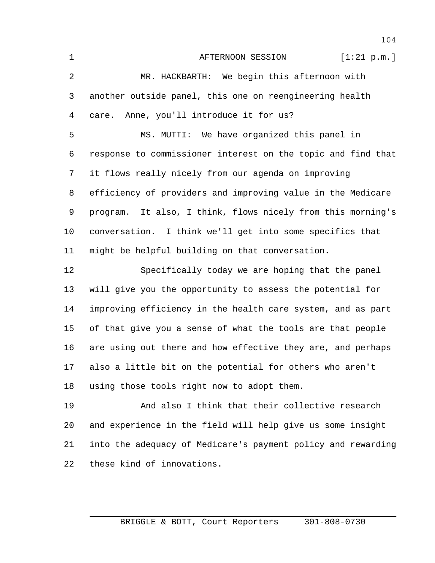1 AFTERNOON SESSION [1:21 p.m.] MR. HACKBARTH: We begin this afternoon with another outside panel, this one on reengineering health care. Anne, you'll introduce it for us? MS. MUTTI: We have organized this panel in response to commissioner interest on the topic and find that it flows really nicely from our agenda on improving efficiency of providers and improving value in the Medicare program. It also, I think, flows nicely from this morning's conversation. I think we'll get into some specifics that might be helpful building on that conversation. Specifically today we are hoping that the panel will give you the opportunity to assess the potential for improving efficiency in the health care system, and as part of that give you a sense of what the tools are that people are using out there and how effective they are, and perhaps also a little bit on the potential for others who aren't using those tools right now to adopt them. And also I think that their collective research and experience in the field will help give us some insight into the adequacy of Medicare's payment policy and rewarding

these kind of innovations.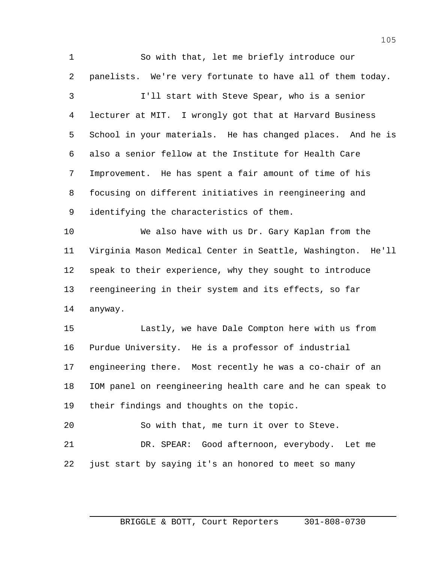So with that, let me briefly introduce our panelists. We're very fortunate to have all of them today. I'll start with Steve Spear, who is a senior lecturer at MIT. I wrongly got that at Harvard Business School in your materials. He has changed places. And he is also a senior fellow at the Institute for Health Care Improvement. He has spent a fair amount of time of his focusing on different initiatives in reengineering and identifying the characteristics of them. We also have with us Dr. Gary Kaplan from the Virginia Mason Medical Center in Seattle, Washington. He'll speak to their experience, why they sought to introduce reengineering in their system and its effects, so far anyway. Lastly, we have Dale Compton here with us from Purdue University. He is a professor of industrial engineering there. Most recently he was a co-chair of an IOM panel on reengineering health care and he can speak to their findings and thoughts on the topic. So with that, me turn it over to Steve. DR. SPEAR: Good afternoon, everybody. Let me just start by saying it's an honored to meet so many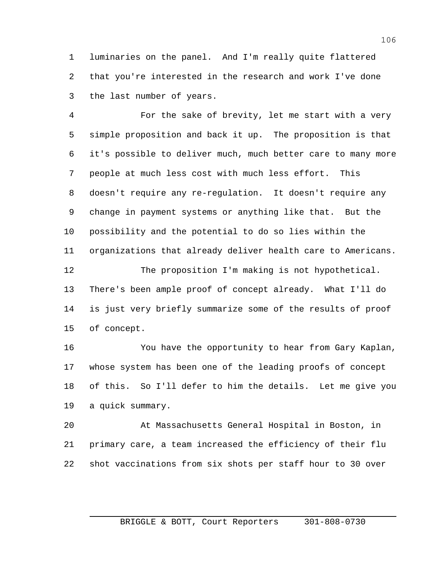luminaries on the panel. And I'm really quite flattered that you're interested in the research and work I've done the last number of years.

 For the sake of brevity, let me start with a very simple proposition and back it up. The proposition is that it's possible to deliver much, much better care to many more people at much less cost with much less effort. This doesn't require any re-regulation. It doesn't require any change in payment systems or anything like that. But the possibility and the potential to do so lies within the organizations that already deliver health care to Americans. The proposition I'm making is not hypothetical.

 There's been ample proof of concept already. What I'll do is just very briefly summarize some of the results of proof of concept.

 You have the opportunity to hear from Gary Kaplan, whose system has been one of the leading proofs of concept of this. So I'll defer to him the details. Let me give you a quick summary.

 At Massachusetts General Hospital in Boston, in primary care, a team increased the efficiency of their flu shot vaccinations from six shots per staff hour to 30 over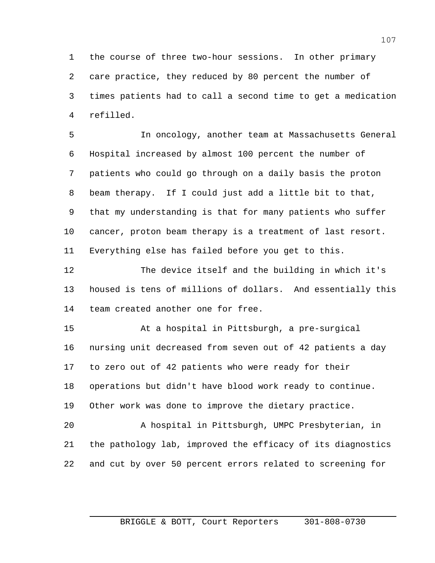the course of three two-hour sessions. In other primary care practice, they reduced by 80 percent the number of times patients had to call a second time to get a medication refilled.

 In oncology, another team at Massachusetts General Hospital increased by almost 100 percent the number of patients who could go through on a daily basis the proton beam therapy. If I could just add a little bit to that, that my understanding is that for many patients who suffer cancer, proton beam therapy is a treatment of last resort. Everything else has failed before you get to this.

 The device itself and the building in which it's housed is tens of millions of dollars. And essentially this team created another one for free.

 At a hospital in Pittsburgh, a pre-surgical nursing unit decreased from seven out of 42 patients a day to zero out of 42 patients who were ready for their operations but didn't have blood work ready to continue. Other work was done to improve the dietary practice.

 A hospital in Pittsburgh, UMPC Presbyterian, in the pathology lab, improved the efficacy of its diagnostics and cut by over 50 percent errors related to screening for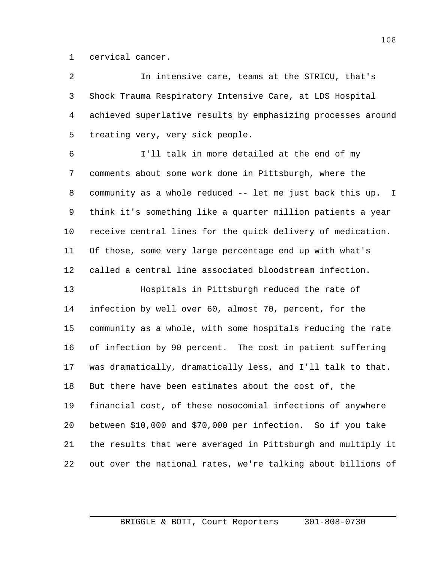cervical cancer.

 In intensive care, teams at the STRICU, that's Shock Trauma Respiratory Intensive Care, at LDS Hospital achieved superlative results by emphasizing processes around treating very, very sick people.

 I'll talk in more detailed at the end of my comments about some work done in Pittsburgh, where the community as a whole reduced -- let me just back this up. I think it's something like a quarter million patients a year receive central lines for the quick delivery of medication. Of those, some very large percentage end up with what's called a central line associated bloodstream infection.

 Hospitals in Pittsburgh reduced the rate of infection by well over 60, almost 70, percent, for the community as a whole, with some hospitals reducing the rate of infection by 90 percent. The cost in patient suffering was dramatically, dramatically less, and I'll talk to that. But there have been estimates about the cost of, the financial cost, of these nosocomial infections of anywhere between \$10,000 and \$70,000 per infection. So if you take the results that were averaged in Pittsburgh and multiply it out over the national rates, we're talking about billions of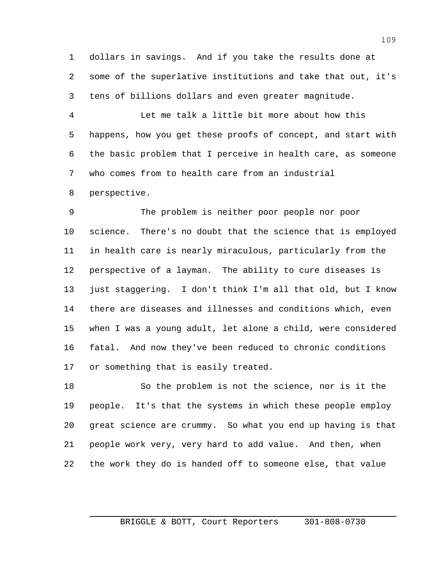dollars in savings. And if you take the results done at some of the superlative institutions and take that out, it's tens of billions dollars and even greater magnitude.

 Let me talk a little bit more about how this happens, how you get these proofs of concept, and start with the basic problem that I perceive in health care, as someone who comes from to health care from an industrial perspective.

 The problem is neither poor people nor poor science. There's no doubt that the science that is employed in health care is nearly miraculous, particularly from the perspective of a layman. The ability to cure diseases is just staggering. I don't think I'm all that old, but I know there are diseases and illnesses and conditions which, even when I was a young adult, let alone a child, were considered fatal. And now they've been reduced to chronic conditions or something that is easily treated.

 So the problem is not the science, nor is it the people. It's that the systems in which these people employ great science are crummy. So what you end up having is that people work very, very hard to add value. And then, when the work they do is handed off to someone else, that value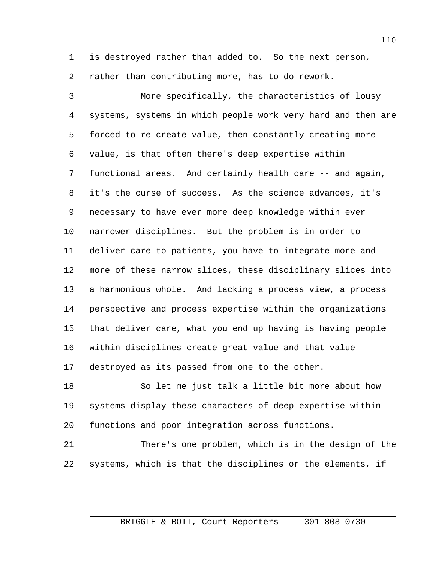is destroyed rather than added to. So the next person, rather than contributing more, has to do rework.

 More specifically, the characteristics of lousy systems, systems in which people work very hard and then are forced to re-create value, then constantly creating more value, is that often there's deep expertise within functional areas. And certainly health care -- and again, it's the curse of success. As the science advances, it's necessary to have ever more deep knowledge within ever narrower disciplines. But the problem is in order to deliver care to patients, you have to integrate more and more of these narrow slices, these disciplinary slices into a harmonious whole. And lacking a process view, a process perspective and process expertise within the organizations that deliver care, what you end up having is having people within disciplines create great value and that value destroyed as its passed from one to the other.

 So let me just talk a little bit more about how systems display these characters of deep expertise within functions and poor integration across functions.

 There's one problem, which is in the design of the systems, which is that the disciplines or the elements, if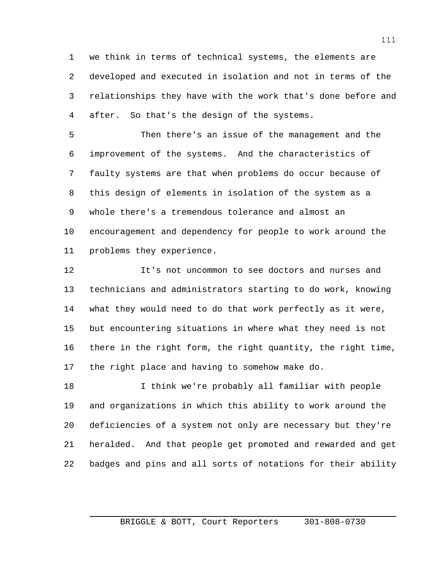we think in terms of technical systems, the elements are developed and executed in isolation and not in terms of the relationships they have with the work that's done before and after. So that's the design of the systems.

 Then there's an issue of the management and the improvement of the systems. And the characteristics of faulty systems are that when problems do occur because of this design of elements in isolation of the system as a whole there's a tremendous tolerance and almost an encouragement and dependency for people to work around the problems they experience.

 It's not uncommon to see doctors and nurses and technicians and administrators starting to do work, knowing what they would need to do that work perfectly as it were, but encountering situations in where what they need is not there in the right form, the right quantity, the right time, the right place and having to somehow make do.

 I think we're probably all familiar with people and organizations in which this ability to work around the deficiencies of a system not only are necessary but they're heralded. And that people get promoted and rewarded and get badges and pins and all sorts of notations for their ability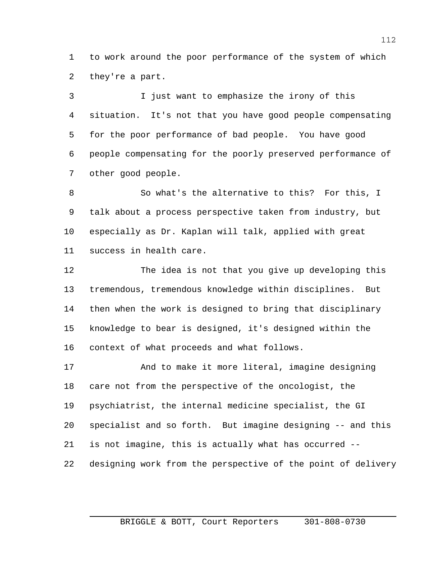to work around the poor performance of the system of which they're a part.

 I just want to emphasize the irony of this situation. It's not that you have good people compensating for the poor performance of bad people. You have good people compensating for the poorly preserved performance of other good people.

 So what's the alternative to this? For this, I talk about a process perspective taken from industry, but especially as Dr. Kaplan will talk, applied with great success in health care.

 The idea is not that you give up developing this tremendous, tremendous knowledge within disciplines. But then when the work is designed to bring that disciplinary knowledge to bear is designed, it's designed within the context of what proceeds and what follows.

 And to make it more literal, imagine designing care not from the perspective of the oncologist, the psychiatrist, the internal medicine specialist, the GI specialist and so forth. But imagine designing -- and this is not imagine, this is actually what has occurred -- designing work from the perspective of the point of delivery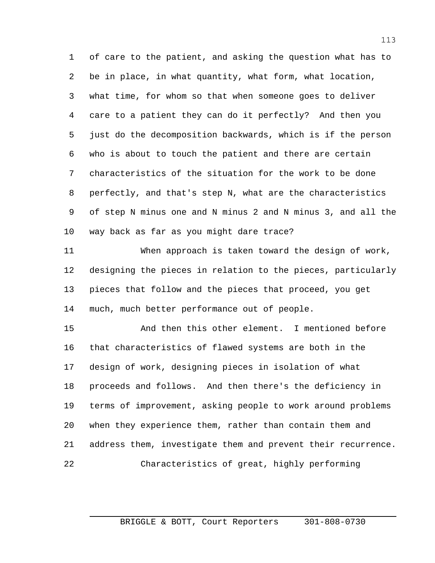of care to the patient, and asking the question what has to be in place, in what quantity, what form, what location, what time, for whom so that when someone goes to deliver care to a patient they can do it perfectly? And then you just do the decomposition backwards, which is if the person who is about to touch the patient and there are certain characteristics of the situation for the work to be done perfectly, and that's step N, what are the characteristics of step N minus one and N minus 2 and N minus 3, and all the way back as far as you might dare trace?

 When approach is taken toward the design of work, designing the pieces in relation to the pieces, particularly pieces that follow and the pieces that proceed, you get much, much better performance out of people.

 And then this other element. I mentioned before that characteristics of flawed systems are both in the design of work, designing pieces in isolation of what proceeds and follows. And then there's the deficiency in terms of improvement, asking people to work around problems when they experience them, rather than contain them and address them, investigate them and prevent their recurrence. Characteristics of great, highly performing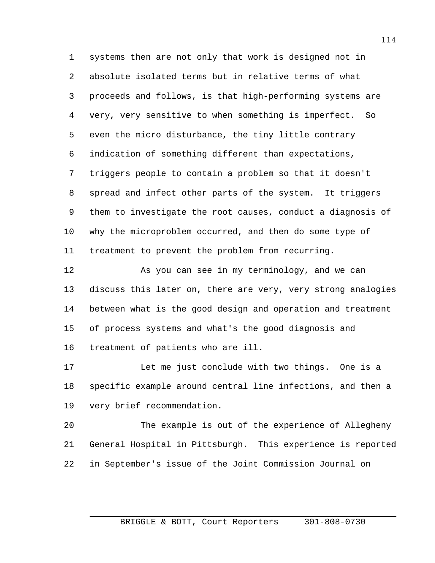systems then are not only that work is designed not in absolute isolated terms but in relative terms of what proceeds and follows, is that high-performing systems are very, very sensitive to when something is imperfect. So even the micro disturbance, the tiny little contrary indication of something different than expectations, triggers people to contain a problem so that it doesn't spread and infect other parts of the system. It triggers them to investigate the root causes, conduct a diagnosis of why the microproblem occurred, and then do some type of treatment to prevent the problem from recurring.

 As you can see in my terminology, and we can discuss this later on, there are very, very strong analogies between what is the good design and operation and treatment of process systems and what's the good diagnosis and treatment of patients who are ill.

 Let me just conclude with two things. One is a specific example around central line infections, and then a very brief recommendation.

 The example is out of the experience of Allegheny General Hospital in Pittsburgh. This experience is reported in September's issue of the Joint Commission Journal on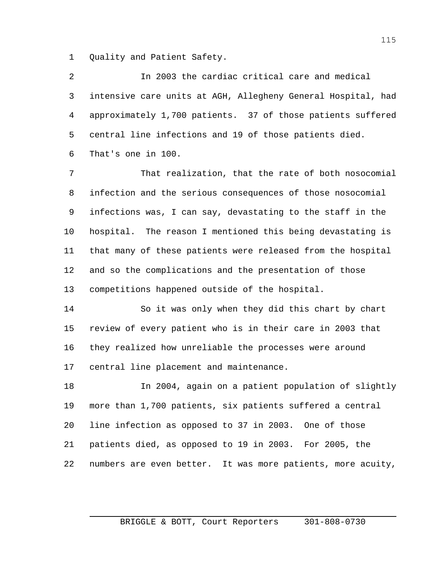Quality and Patient Safety.

 In 2003 the cardiac critical care and medical intensive care units at AGH, Allegheny General Hospital, had approximately 1,700 patients. 37 of those patients suffered central line infections and 19 of those patients died. That's one in 100.

 That realization, that the rate of both nosocomial infection and the serious consequences of those nosocomial infections was, I can say, devastating to the staff in the hospital. The reason I mentioned this being devastating is that many of these patients were released from the hospital and so the complications and the presentation of those competitions happened outside of the hospital.

 So it was only when they did this chart by chart review of every patient who is in their care in 2003 that they realized how unreliable the processes were around central line placement and maintenance.

 In 2004, again on a patient population of slightly more than 1,700 patients, six patients suffered a central line infection as opposed to 37 in 2003. One of those patients died, as opposed to 19 in 2003. For 2005, the numbers are even better. It was more patients, more acuity,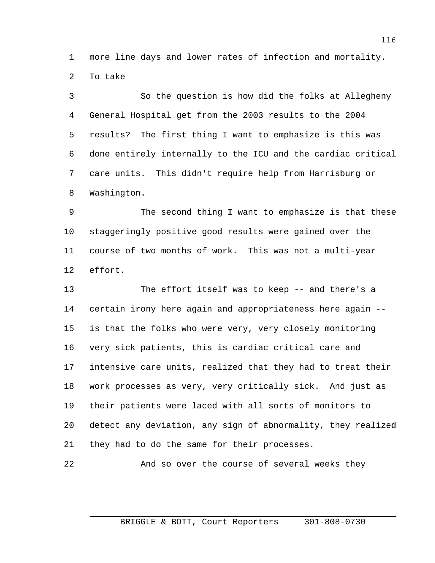more line days and lower rates of infection and mortality. To take

 So the question is how did the folks at Allegheny General Hospital get from the 2003 results to the 2004 results? The first thing I want to emphasize is this was done entirely internally to the ICU and the cardiac critical care units. This didn't require help from Harrisburg or Washington.

 The second thing I want to emphasize is that these staggeringly positive good results were gained over the course of two months of work. This was not a multi-year effort.

 The effort itself was to keep -- and there's a certain irony here again and appropriateness here again -- is that the folks who were very, very closely monitoring very sick patients, this is cardiac critical care and intensive care units, realized that they had to treat their work processes as very, very critically sick. And just as their patients were laced with all sorts of monitors to detect any deviation, any sign of abnormality, they realized they had to do the same for their processes.

And so over the course of several weeks they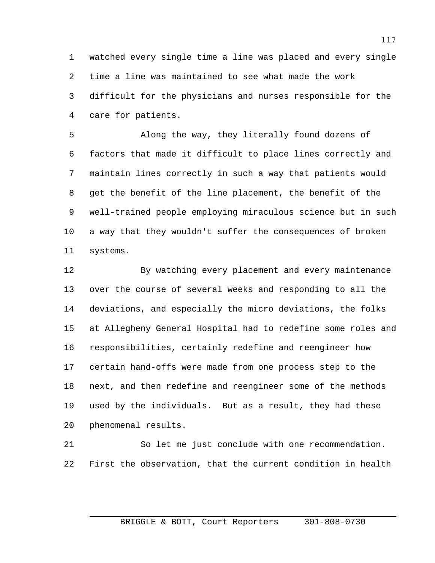watched every single time a line was placed and every single time a line was maintained to see what made the work difficult for the physicians and nurses responsible for the care for patients.

 Along the way, they literally found dozens of factors that made it difficult to place lines correctly and maintain lines correctly in such a way that patients would get the benefit of the line placement, the benefit of the well-trained people employing miraculous science but in such a way that they wouldn't suffer the consequences of broken systems.

 By watching every placement and every maintenance over the course of several weeks and responding to all the deviations, and especially the micro deviations, the folks at Allegheny General Hospital had to redefine some roles and responsibilities, certainly redefine and reengineer how certain hand-offs were made from one process step to the next, and then redefine and reengineer some of the methods used by the individuals. But as a result, they had these phenomenal results.

 So let me just conclude with one recommendation. First the observation, that the current condition in health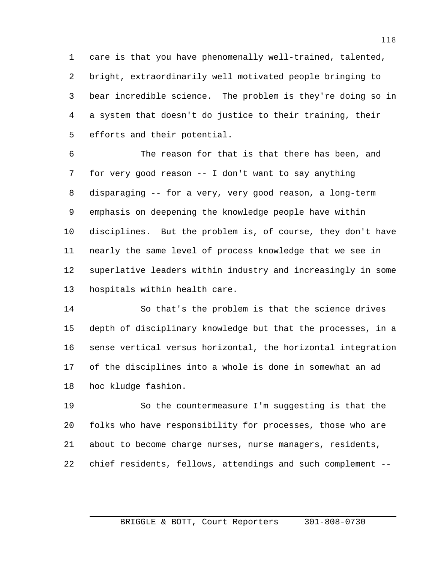care is that you have phenomenally well-trained, talented, bright, extraordinarily well motivated people bringing to bear incredible science. The problem is they're doing so in a system that doesn't do justice to their training, their efforts and their potential.

 The reason for that is that there has been, and for very good reason -- I don't want to say anything disparaging -- for a very, very good reason, a long-term emphasis on deepening the knowledge people have within disciplines. But the problem is, of course, they don't have nearly the same level of process knowledge that we see in superlative leaders within industry and increasingly in some hospitals within health care.

 So that's the problem is that the science drives depth of disciplinary knowledge but that the processes, in a sense vertical versus horizontal, the horizontal integration of the disciplines into a whole is done in somewhat an ad hoc kludge fashion.

 So the countermeasure I'm suggesting is that the folks who have responsibility for processes, those who are about to become charge nurses, nurse managers, residents, chief residents, fellows, attendings and such complement --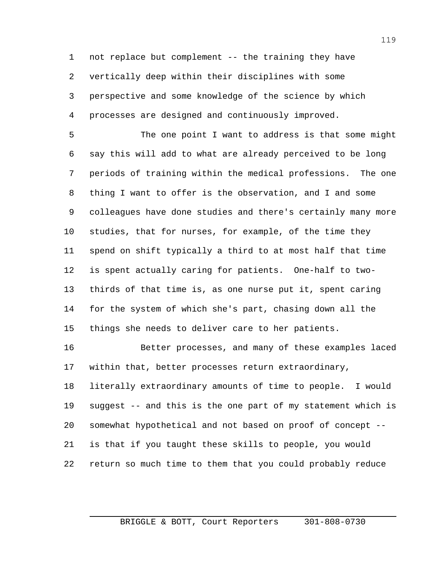not replace but complement -- the training they have vertically deep within their disciplines with some perspective and some knowledge of the science by which processes are designed and continuously improved.

 The one point I want to address is that some might say this will add to what are already perceived to be long periods of training within the medical professions. The one thing I want to offer is the observation, and I and some colleagues have done studies and there's certainly many more studies, that for nurses, for example, of the time they spend on shift typically a third to at most half that time is spent actually caring for patients. One-half to two- thirds of that time is, as one nurse put it, spent caring for the system of which she's part, chasing down all the things she needs to deliver care to her patients.

 Better processes, and many of these examples laced within that, better processes return extraordinary,

 literally extraordinary amounts of time to people. I would suggest -- and this is the one part of my statement which is somewhat hypothetical and not based on proof of concept -- is that if you taught these skills to people, you would return so much time to them that you could probably reduce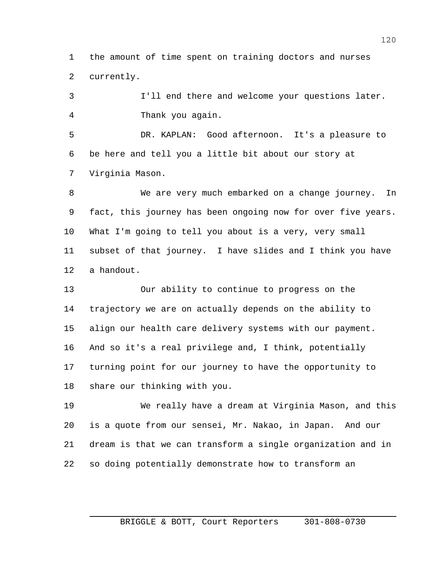the amount of time spent on training doctors and nurses currently.

 I'll end there and welcome your questions later. Thank you again.

 DR. KAPLAN: Good afternoon. It's a pleasure to be here and tell you a little bit about our story at Virginia Mason.

 We are very much embarked on a change journey. In fact, this journey has been ongoing now for over five years. What I'm going to tell you about is a very, very small subset of that journey. I have slides and I think you have a handout.

 Our ability to continue to progress on the trajectory we are on actually depends on the ability to align our health care delivery systems with our payment. And so it's a real privilege and, I think, potentially turning point for our journey to have the opportunity to share our thinking with you.

 We really have a dream at Virginia Mason, and this is a quote from our sensei, Mr. Nakao, in Japan. And our dream is that we can transform a single organization and in so doing potentially demonstrate how to transform an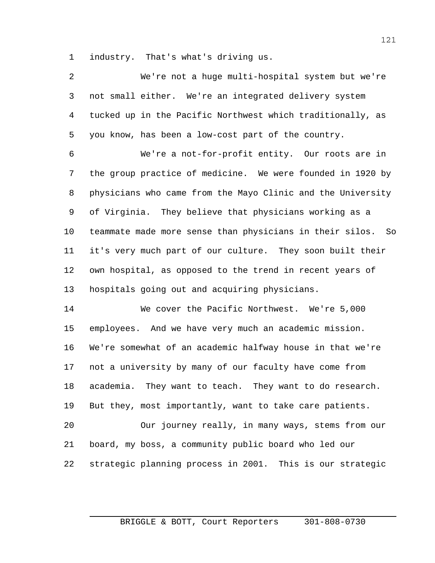industry. That's what's driving us.

| 2 | We're not a huge multi-hospital system but we're             |
|---|--------------------------------------------------------------|
| 3 | not small either. We're an integrated delivery system        |
|   | 4 tucked up in the Pacific Northwest which traditionally, as |
| 5 | you know, has been a low-cost part of the country.           |

 We're a not-for-profit entity. Our roots are in the group practice of medicine. We were founded in 1920 by physicians who came from the Mayo Clinic and the University of Virginia. They believe that physicians working as a teammate made more sense than physicians in their silos. So it's very much part of our culture. They soon built their own hospital, as opposed to the trend in recent years of hospitals going out and acquiring physicians.

 We cover the Pacific Northwest. We're 5,000 employees. And we have very much an academic mission. We're somewhat of an academic halfway house in that we're not a university by many of our faculty have come from academia. They want to teach. They want to do research. But they, most importantly, want to take care patients. Our journey really, in many ways, stems from our

strategic planning process in 2001. This is our strategic

board, my boss, a community public board who led our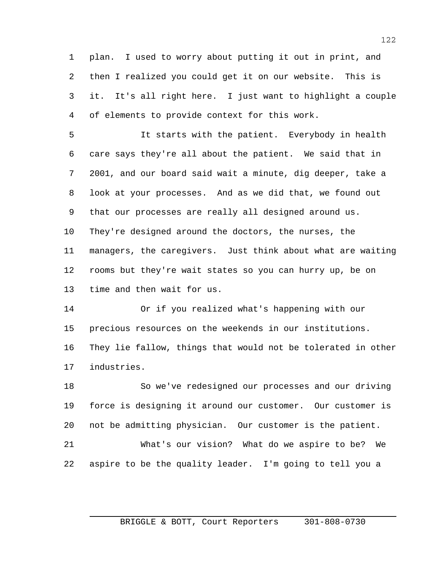plan. I used to worry about putting it out in print, and then I realized you could get it on our website. This is it. It's all right here. I just want to highlight a couple of elements to provide context for this work.

 It starts with the patient. Everybody in health care says they're all about the patient. We said that in 2001, and our board said wait a minute, dig deeper, take a look at your processes. And as we did that, we found out that our processes are really all designed around us. They're designed around the doctors, the nurses, the managers, the caregivers. Just think about what are waiting rooms but they're wait states so you can hurry up, be on time and then wait for us.

 Or if you realized what's happening with our precious resources on the weekends in our institutions. They lie fallow, things that would not be tolerated in other industries.

 So we've redesigned our processes and our driving force is designing it around our customer. Our customer is not be admitting physician. Our customer is the patient. What's our vision? What do we aspire to be? We

aspire to be the quality leader. I'm going to tell you a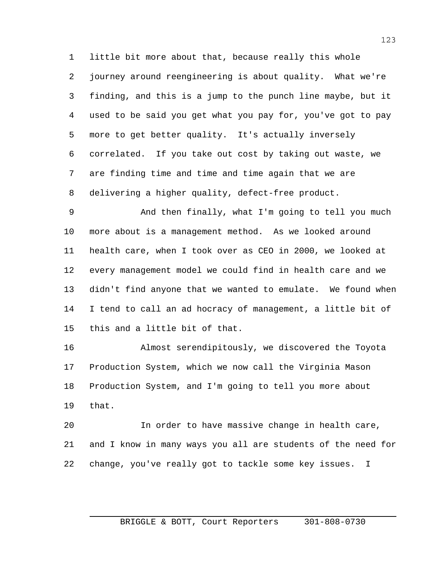little bit more about that, because really this whole journey around reengineering is about quality. What we're finding, and this is a jump to the punch line maybe, but it used to be said you get what you pay for, you've got to pay more to get better quality. It's actually inversely correlated. If you take out cost by taking out waste, we are finding time and time and time again that we are delivering a higher quality, defect-free product.

 And then finally, what I'm going to tell you much more about is a management method. As we looked around health care, when I took over as CEO in 2000, we looked at every management model we could find in health care and we didn't find anyone that we wanted to emulate. We found when I tend to call an ad hocracy of management, a little bit of this and a little bit of that.

 Almost serendipitously, we discovered the Toyota Production System, which we now call the Virginia Mason Production System, and I'm going to tell you more about that.

 In order to have massive change in health care, and I know in many ways you all are students of the need for change, you've really got to tackle some key issues. I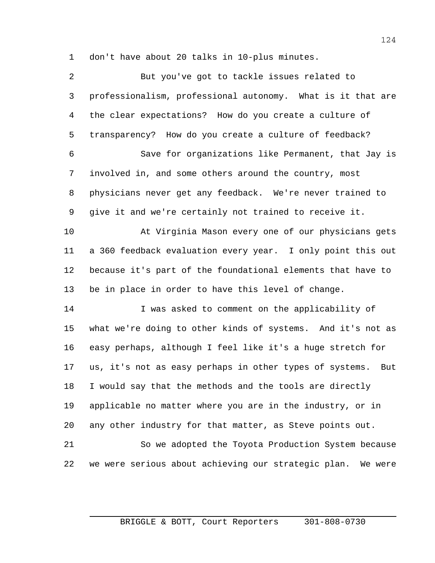don't have about 20 talks in 10-plus minutes.

| $\overline{2}$ | But you've got to tackle issues related to                     |
|----------------|----------------------------------------------------------------|
| 3              | professionalism, professional autonomy. What is it that are    |
| 4              | the clear expectations? How do you create a culture of         |
| 5              | transparency? How do you create a culture of feedback?         |
| 6              | Save for organizations like Permanent, that Jay is             |
| 7              | involved in, and some others around the country, most          |
| 8              | physicians never get any feedback. We're never trained to      |
| 9              | give it and we're certainly not trained to receive it.         |
| 10             | At Virginia Mason every one of our physicians gets             |
| 11             | a 360 feedback evaluation every year. I only point this out    |
| 12             | because it's part of the foundational elements that have to    |
| 13             | be in place in order to have this level of change.             |
| 14             | I was asked to comment on the applicability of                 |
| 15             | what we're doing to other kinds of systems. And it's not as    |
| 16             | easy perhaps, although I feel like it's a huge stretch for     |
| 17             | us, it's not as easy perhaps in other types of systems.<br>But |
| 18             | I would say that the methods and the tools are directly        |
| 19             | applicable no matter where you are in the industry, or in      |
| 20             | any other industry for that matter, as Steve points out.       |
| 21             | So we adopted the Toyota Production System because             |
| 22             | we were serious about achieving our strategic plan. We were    |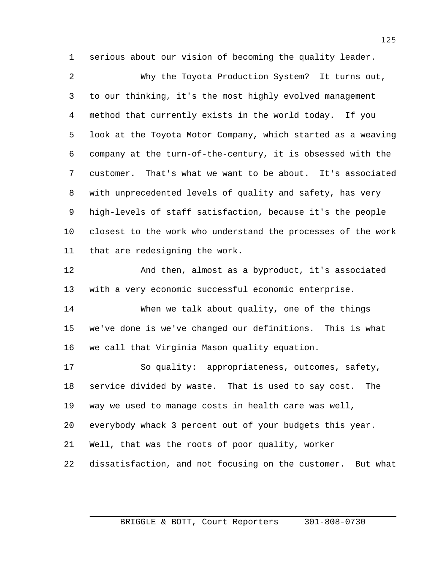serious about our vision of becoming the quality leader.

 Why the Toyota Production System? It turns out, to our thinking, it's the most highly evolved management method that currently exists in the world today. If you look at the Toyota Motor Company, which started as a weaving company at the turn-of-the-century, it is obsessed with the customer. That's what we want to be about. It's associated with unprecedented levels of quality and safety, has very high-levels of staff satisfaction, because it's the people closest to the work who understand the processes of the work that are redesigning the work.

 And then, almost as a byproduct, it's associated with a very economic successful economic enterprise.

 When we talk about quality, one of the things we've done is we've changed our definitions. This is what we call that Virginia Mason quality equation.

 So quality: appropriateness, outcomes, safety, service divided by waste. That is used to say cost. The way we used to manage costs in health care was well, everybody whack 3 percent out of your budgets this year. Well, that was the roots of poor quality, worker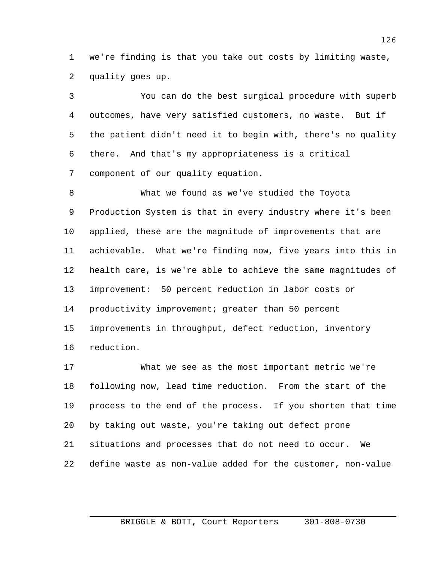we're finding is that you take out costs by limiting waste, quality goes up.

 You can do the best surgical procedure with superb outcomes, have very satisfied customers, no waste. But if the patient didn't need it to begin with, there's no quality there. And that's my appropriateness is a critical component of our quality equation.

 What we found as we've studied the Toyota Production System is that in every industry where it's been applied, these are the magnitude of improvements that are achievable. What we're finding now, five years into this in health care, is we're able to achieve the same magnitudes of improvement: 50 percent reduction in labor costs or productivity improvement; greater than 50 percent improvements in throughput, defect reduction, inventory reduction.

 What we see as the most important metric we're following now, lead time reduction. From the start of the process to the end of the process. If you shorten that time by taking out waste, you're taking out defect prone situations and processes that do not need to occur. We define waste as non-value added for the customer, non-value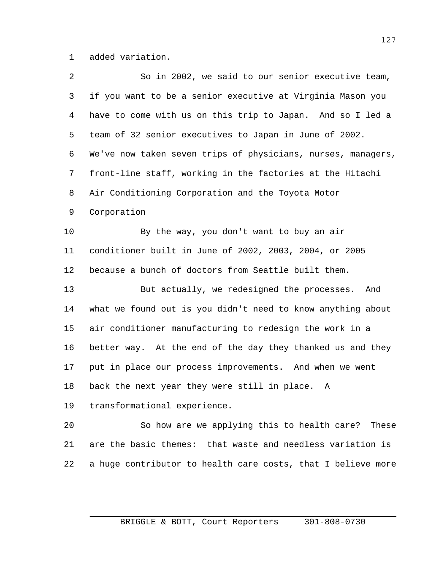added variation.

| $\overline{a}$ | So in 2002, we said to our senior executive team,            |
|----------------|--------------------------------------------------------------|
| 3              | if you want to be a senior executive at Virginia Mason you   |
| 4              | have to come with us on this trip to Japan. And so I led a   |
| 5              | team of 32 senior executives to Japan in June of 2002.       |
| 6              | We've now taken seven trips of physicians, nurses, managers, |
| 7              | front-line staff, working in the factories at the Hitachi    |
| 8              | Air Conditioning Corporation and the Toyota Motor            |
| 9              | Corporation                                                  |
| 10             | By the way, you don't want to buy an air                     |
| 11             | conditioner built in June of 2002, 2003, 2004, or 2005       |
| 12             | because a bunch of doctors from Seattle built them.          |
| 13             | But actually, we redesigned the processes. And               |
| 14             | what we found out is you didn't need to know anything about  |
| 15             | air conditioner manufacturing to redesign the work in a      |
| 16             | better way. At the end of the day they thanked us and they   |
| 17             | put in place our process improvements. And when we went      |
| 18             | back the next year they were still in place. A               |
| 19             | transformational experience.                                 |
| 20             | So how are we applying this to health care?<br>These         |
| 21             | are the basic themes: that waste and needless variation is   |
| 22             | a huge contributor to health care costs, that I believe more |
|                |                                                              |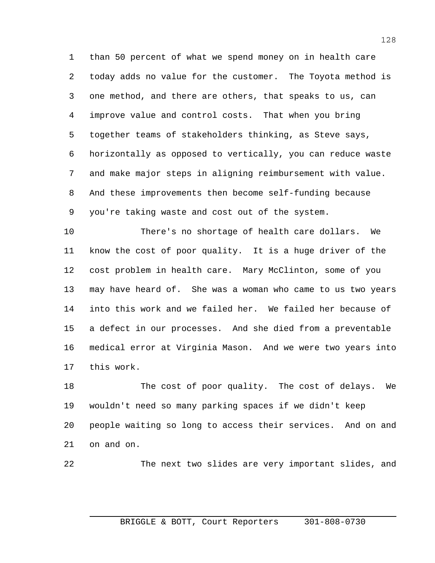than 50 percent of what we spend money on in health care today adds no value for the customer. The Toyota method is one method, and there are others, that speaks to us, can improve value and control costs. That when you bring together teams of stakeholders thinking, as Steve says, horizontally as opposed to vertically, you can reduce waste and make major steps in aligning reimbursement with value. And these improvements then become self-funding because you're taking waste and cost out of the system.

 There's no shortage of health care dollars. We know the cost of poor quality. It is a huge driver of the cost problem in health care. Mary McClinton, some of you may have heard of. She was a woman who came to us two years into this work and we failed her. We failed her because of a defect in our processes. And she died from a preventable medical error at Virginia Mason. And we were two years into this work.

18 The cost of poor quality. The cost of delays. We wouldn't need so many parking spaces if we didn't keep people waiting so long to access their services. And on and on and on.

The next two slides are very important slides, and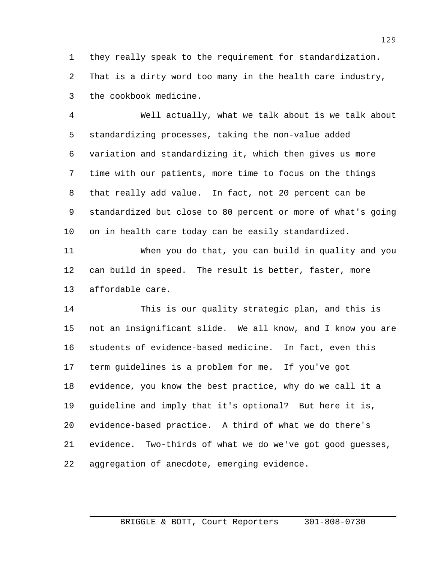they really speak to the requirement for standardization. That is a dirty word too many in the health care industry, the cookbook medicine.

 Well actually, what we talk about is we talk about standardizing processes, taking the non-value added variation and standardizing it, which then gives us more time with our patients, more time to focus on the things that really add value. In fact, not 20 percent can be standardized but close to 80 percent or more of what's going on in health care today can be easily standardized.

 When you do that, you can build in quality and you can build in speed. The result is better, faster, more affordable care.

 This is our quality strategic plan, and this is not an insignificant slide. We all know, and I know you are students of evidence-based medicine. In fact, even this term guidelines is a problem for me. If you've got evidence, you know the best practice, why do we call it a guideline and imply that it's optional? But here it is, evidence-based practice. A third of what we do there's evidence. Two-thirds of what we do we've got good guesses, aggregation of anecdote, emerging evidence.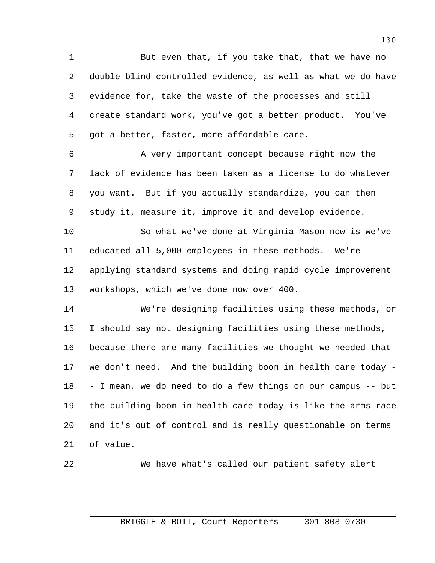1 But even that, if you take that, that we have no double-blind controlled evidence, as well as what we do have evidence for, take the waste of the processes and still create standard work, you've got a better product. You've got a better, faster, more affordable care.

 A very important concept because right now the lack of evidence has been taken as a license to do whatever you want. But if you actually standardize, you can then study it, measure it, improve it and develop evidence.

 So what we've done at Virginia Mason now is we've educated all 5,000 employees in these methods. We're applying standard systems and doing rapid cycle improvement workshops, which we've done now over 400.

 We're designing facilities using these methods, or I should say not designing facilities using these methods, because there are many facilities we thought we needed that we don't need. And the building boom in health care today - - I mean, we do need to do a few things on our campus -- but the building boom in health care today is like the arms race and it's out of control and is really questionable on terms of value.

We have what's called our patient safety alert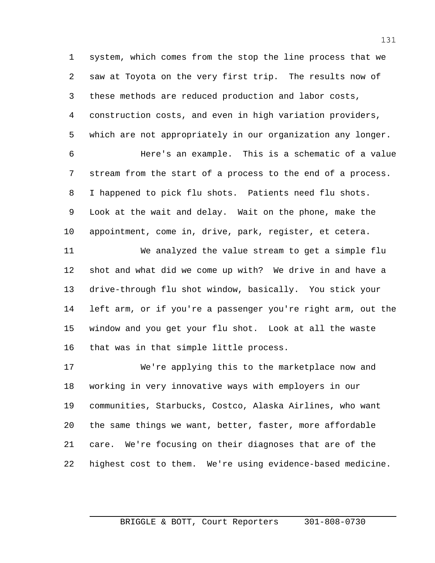system, which comes from the stop the line process that we saw at Toyota on the very first trip. The results now of these methods are reduced production and labor costs, construction costs, and even in high variation providers, which are not appropriately in our organization any longer.

 Here's an example. This is a schematic of a value stream from the start of a process to the end of a process. I happened to pick flu shots. Patients need flu shots. Look at the wait and delay. Wait on the phone, make the appointment, come in, drive, park, register, et cetera.

 We analyzed the value stream to get a simple flu shot and what did we come up with? We drive in and have a drive-through flu shot window, basically. You stick your left arm, or if you're a passenger you're right arm, out the window and you get your flu shot. Look at all the waste that was in that simple little process.

 We're applying this to the marketplace now and working in very innovative ways with employers in our communities, Starbucks, Costco, Alaska Airlines, who want the same things we want, better, faster, more affordable care. We're focusing on their diagnoses that are of the highest cost to them. We're using evidence-based medicine.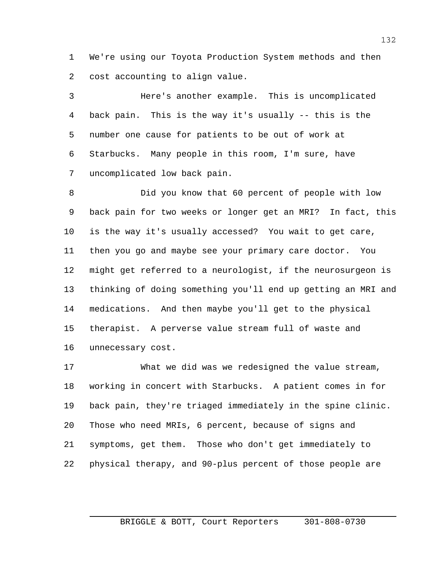We're using our Toyota Production System methods and then cost accounting to align value.

 Here's another example. This is uncomplicated back pain. This is the way it's usually -- this is the number one cause for patients to be out of work at Starbucks. Many people in this room, I'm sure, have uncomplicated low back pain.

 Did you know that 60 percent of people with low back pain for two weeks or longer get an MRI? In fact, this is the way it's usually accessed? You wait to get care, then you go and maybe see your primary care doctor. You might get referred to a neurologist, if the neurosurgeon is thinking of doing something you'll end up getting an MRI and medications. And then maybe you'll get to the physical therapist. A perverse value stream full of waste and unnecessary cost.

 What we did was we redesigned the value stream, working in concert with Starbucks. A patient comes in for back pain, they're triaged immediately in the spine clinic. Those who need MRIs, 6 percent, because of signs and symptoms, get them. Those who don't get immediately to physical therapy, and 90-plus percent of those people are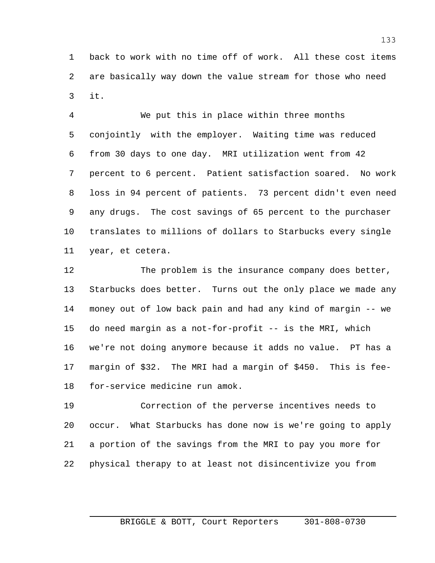back to work with no time off of work. All these cost items are basically way down the value stream for those who need it.

 We put this in place within three months conjointly with the employer. Waiting time was reduced from 30 days to one day. MRI utilization went from 42 percent to 6 percent. Patient satisfaction soared. No work loss in 94 percent of patients. 73 percent didn't even need any drugs. The cost savings of 65 percent to the purchaser translates to millions of dollars to Starbucks every single year, et cetera.

 The problem is the insurance company does better, Starbucks does better. Turns out the only place we made any money out of low back pain and had any kind of margin -- we do need margin as a not-for-profit -- is the MRI, which we're not doing anymore because it adds no value. PT has a margin of \$32. The MRI had a margin of \$450. This is fee-for-service medicine run amok.

 Correction of the perverse incentives needs to occur. What Starbucks has done now is we're going to apply a portion of the savings from the MRI to pay you more for physical therapy to at least not disincentivize you from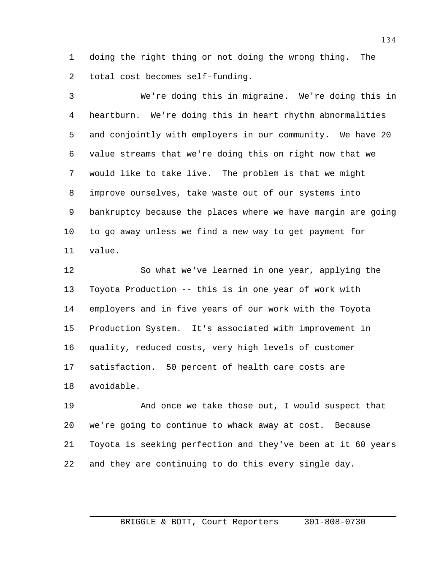doing the right thing or not doing the wrong thing. The total cost becomes self-funding.

 We're doing this in migraine. We're doing this in heartburn. We're doing this in heart rhythm abnormalities and conjointly with employers in our community. We have 20 value streams that we're doing this on right now that we would like to take live. The problem is that we might improve ourselves, take waste out of our systems into bankruptcy because the places where we have margin are going to go away unless we find a new way to get payment for value.

 So what we've learned in one year, applying the Toyota Production -- this is in one year of work with employers and in five years of our work with the Toyota Production System. It's associated with improvement in quality, reduced costs, very high levels of customer satisfaction. 50 percent of health care costs are avoidable.

 And once we take those out, I would suspect that we're going to continue to whack away at cost. Because Toyota is seeking perfection and they've been at it 60 years and they are continuing to do this every single day.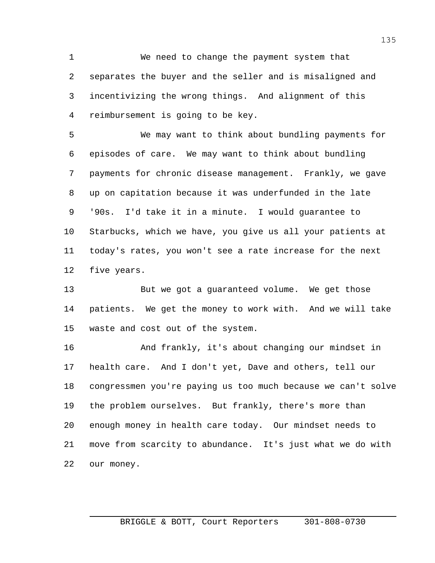We need to change the payment system that separates the buyer and the seller and is misaligned and incentivizing the wrong things. And alignment of this reimbursement is going to be key.

 We may want to think about bundling payments for episodes of care. We may want to think about bundling payments for chronic disease management. Frankly, we gave up on capitation because it was underfunded in the late '90s. I'd take it in a minute. I would guarantee to Starbucks, which we have, you give us all your patients at today's rates, you won't see a rate increase for the next five years.

 But we got a guaranteed volume. We get those patients. We get the money to work with. And we will take waste and cost out of the system.

 And frankly, it's about changing our mindset in health care. And I don't yet, Dave and others, tell our congressmen you're paying us too much because we can't solve the problem ourselves. But frankly, there's more than enough money in health care today. Our mindset needs to move from scarcity to abundance. It's just what we do with our money.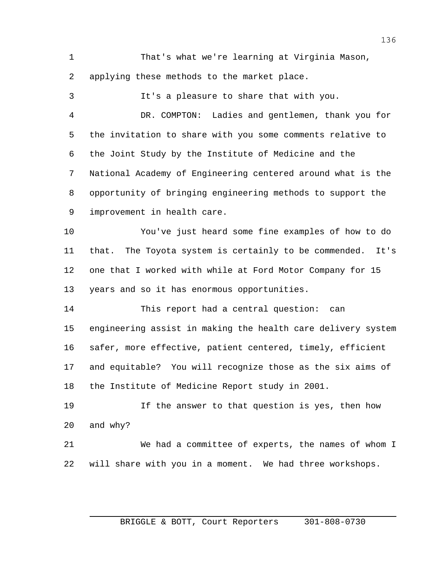That's what we're learning at Virginia Mason, applying these methods to the market place.

 It's a pleasure to share that with you. DR. COMPTON: Ladies and gentlemen, thank you for the invitation to share with you some comments relative to the Joint Study by the Institute of Medicine and the National Academy of Engineering centered around what is the opportunity of bringing engineering methods to support the improvement in health care. You've just heard some fine examples of how to do that. The Toyota system is certainly to be commended. It's one that I worked with while at Ford Motor Company for 15 years and so it has enormous opportunities. This report had a central question: can engineering assist in making the health care delivery system safer, more effective, patient centered, timely, efficient and equitable? You will recognize those as the six aims of

the Institute of Medicine Report study in 2001.

 If the answer to that question is yes, then how and why?

 We had a committee of experts, the names of whom I will share with you in a moment. We had three workshops.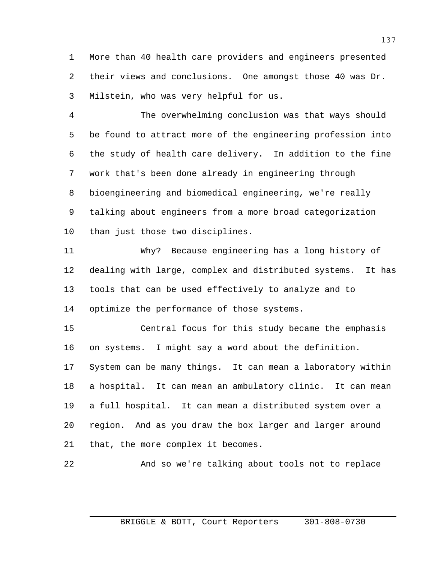More than 40 health care providers and engineers presented their views and conclusions. One amongst those 40 was Dr. Milstein, who was very helpful for us.

 The overwhelming conclusion was that ways should be found to attract more of the engineering profession into the study of health care delivery. In addition to the fine work that's been done already in engineering through bioengineering and biomedical engineering, we're really talking about engineers from a more broad categorization than just those two disciplines.

 Why? Because engineering has a long history of dealing with large, complex and distributed systems. It has tools that can be used effectively to analyze and to optimize the performance of those systems.

 Central focus for this study became the emphasis on systems. I might say a word about the definition. System can be many things. It can mean a laboratory within a hospital. It can mean an ambulatory clinic. It can mean a full hospital. It can mean a distributed system over a region. And as you draw the box larger and larger around that, the more complex it becomes.

And so we're talking about tools not to replace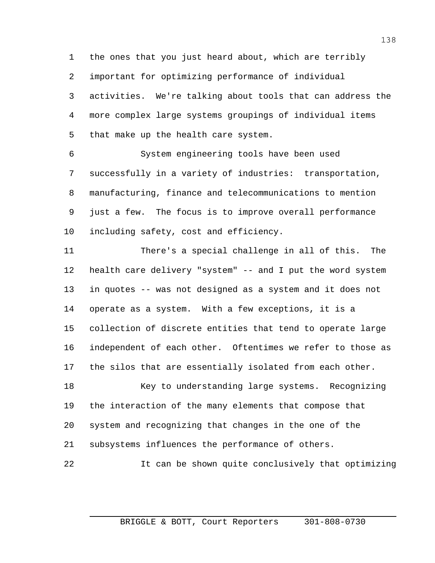the ones that you just heard about, which are terribly important for optimizing performance of individual activities. We're talking about tools that can address the more complex large systems groupings of individual items that make up the health care system.

 System engineering tools have been used successfully in a variety of industries: transportation, manufacturing, finance and telecommunications to mention just a few. The focus is to improve overall performance including safety, cost and efficiency.

 There's a special challenge in all of this. The health care delivery "system" -- and I put the word system in quotes -- was not designed as a system and it does not operate as a system. With a few exceptions, it is a collection of discrete entities that tend to operate large independent of each other. Oftentimes we refer to those as the silos that are essentially isolated from each other.

18 Key to understanding large systems. Recognizing the interaction of the many elements that compose that system and recognizing that changes in the one of the subsystems influences the performance of others.

It can be shown quite conclusively that optimizing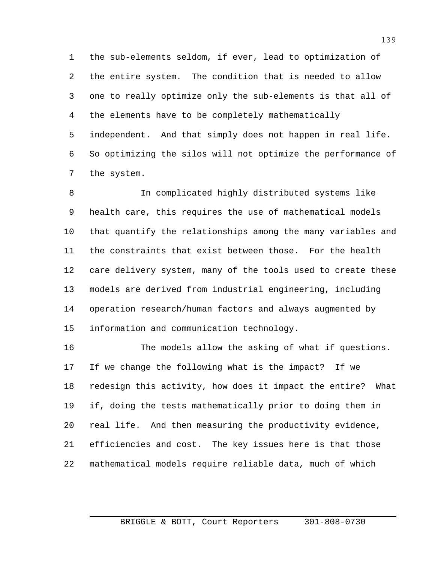the sub-elements seldom, if ever, lead to optimization of the entire system. The condition that is needed to allow one to really optimize only the sub-elements is that all of the elements have to be completely mathematically independent. And that simply does not happen in real life. So optimizing the silos will not optimize the performance of the system.

 In complicated highly distributed systems like health care, this requires the use of mathematical models that quantify the relationships among the many variables and the constraints that exist between those. For the health care delivery system, many of the tools used to create these models are derived from industrial engineering, including operation research/human factors and always augmented by information and communication technology.

 The models allow the asking of what if questions. If we change the following what is the impact? If we redesign this activity, how does it impact the entire? What if, doing the tests mathematically prior to doing them in real life. And then measuring the productivity evidence, efficiencies and cost. The key issues here is that those mathematical models require reliable data, much of which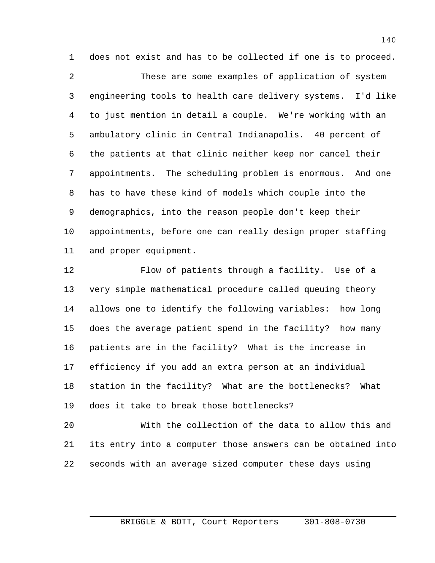does not exist and has to be collected if one is to proceed. These are some examples of application of system engineering tools to health care delivery systems. I'd like to just mention in detail a couple. We're working with an ambulatory clinic in Central Indianapolis. 40 percent of the patients at that clinic neither keep nor cancel their appointments. The scheduling problem is enormous. And one has to have these kind of models which couple into the demographics, into the reason people don't keep their appointments, before one can really design proper staffing and proper equipment.

 Flow of patients through a facility. Use of a very simple mathematical procedure called queuing theory allows one to identify the following variables: how long does the average patient spend in the facility? how many patients are in the facility? What is the increase in efficiency if you add an extra person at an individual station in the facility? What are the bottlenecks? What does it take to break those bottlenecks?

 With the collection of the data to allow this and its entry into a computer those answers can be obtained into seconds with an average sized computer these days using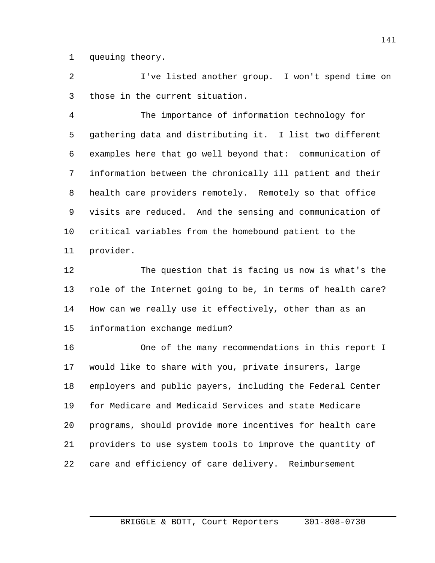queuing theory.

 I've listed another group. I won't spend time on those in the current situation.

 The importance of information technology for gathering data and distributing it. I list two different examples here that go well beyond that: communication of information between the chronically ill patient and their health care providers remotely. Remotely so that office visits are reduced. And the sensing and communication of critical variables from the homebound patient to the provider.

 The question that is facing us now is what's the role of the Internet going to be, in terms of health care? How can we really use it effectively, other than as an information exchange medium?

 One of the many recommendations in this report I would like to share with you, private insurers, large employers and public payers, including the Federal Center for Medicare and Medicaid Services and state Medicare programs, should provide more incentives for health care providers to use system tools to improve the quantity of care and efficiency of care delivery. Reimbursement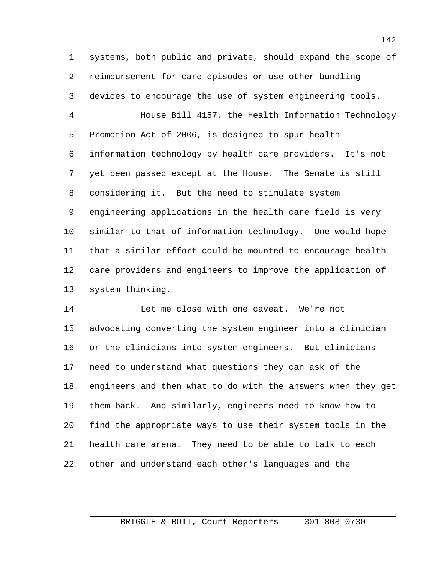systems, both public and private, should expand the scope of reimbursement for care episodes or use other bundling devices to encourage the use of system engineering tools.

 House Bill 4157, the Health Information Technology Promotion Act of 2006, is designed to spur health information technology by health care providers. It's not yet been passed except at the House. The Senate is still considering it. But the need to stimulate system engineering applications in the health care field is very similar to that of information technology. One would hope that a similar effort could be mounted to encourage health care providers and engineers to improve the application of system thinking.

 Let me close with one caveat. We're not advocating converting the system engineer into a clinician or the clinicians into system engineers. But clinicians need to understand what questions they can ask of the engineers and then what to do with the answers when they get them back. And similarly, engineers need to know how to find the appropriate ways to use their system tools in the health care arena. They need to be able to talk to each other and understand each other's languages and the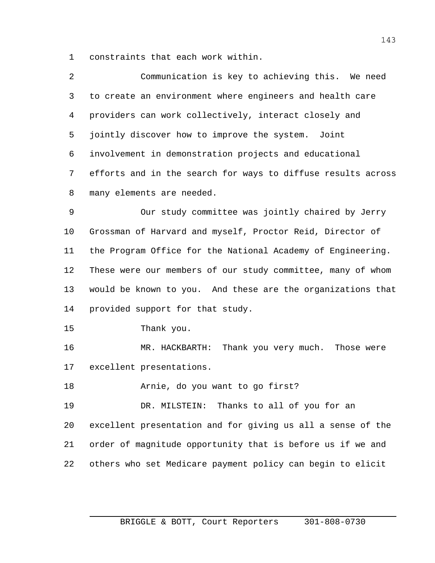constraints that each work within.

| 2            | Communication is key to achieving this. We need                |
|--------------|----------------------------------------------------------------|
| $\mathbf{3}$ | to create an environment where engineers and health care       |
| 4            | providers can work collectively, interact closely and          |
| 5            | jointly discover how to improve the system. Joint              |
|              | 6 involvement in demonstration projects and educational        |
|              | 7 efforts and in the search for ways to diffuse results across |
| 8            | many elements are needed.                                      |

 Our study committee was jointly chaired by Jerry Grossman of Harvard and myself, Proctor Reid, Director of the Program Office for the National Academy of Engineering. These were our members of our study committee, many of whom would be known to you. And these are the organizations that provided support for that study.

Thank you.

 MR. HACKBARTH: Thank you very much. Those were excellent presentations.

Arnie, do you want to go first?

 DR. MILSTEIN: Thanks to all of you for an excellent presentation and for giving us all a sense of the order of magnitude opportunity that is before us if we and others who set Medicare payment policy can begin to elicit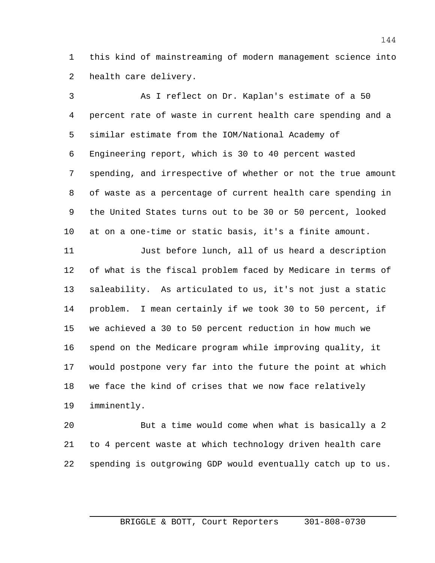this kind of mainstreaming of modern management science into health care delivery.

 As I reflect on Dr. Kaplan's estimate of a 50 percent rate of waste in current health care spending and a similar estimate from the IOM/National Academy of Engineering report, which is 30 to 40 percent wasted spending, and irrespective of whether or not the true amount of waste as a percentage of current health care spending in the United States turns out to be 30 or 50 percent, looked at on a one-time or static basis, it's a finite amount.

 Just before lunch, all of us heard a description of what is the fiscal problem faced by Medicare in terms of saleability. As articulated to us, it's not just a static problem. I mean certainly if we took 30 to 50 percent, if we achieved a 30 to 50 percent reduction in how much we spend on the Medicare program while improving quality, it would postpone very far into the future the point at which we face the kind of crises that we now face relatively imminently.

 But a time would come when what is basically a 2 to 4 percent waste at which technology driven health care spending is outgrowing GDP would eventually catch up to us.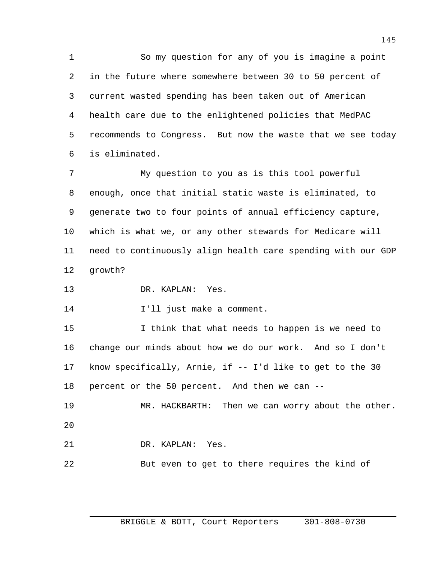So my question for any of you is imagine a point in the future where somewhere between 30 to 50 percent of current wasted spending has been taken out of American health care due to the enlightened policies that MedPAC recommends to Congress. But now the waste that we see today is eliminated.

 My question to you as is this tool powerful enough, once that initial static waste is eliminated, to generate two to four points of annual efficiency capture, which is what we, or any other stewards for Medicare will need to continuously align health care spending with our GDP growth?

DR. KAPLAN: Yes.

I'll just make a comment.

 I think that what needs to happen is we need to change our minds about how we do our work. And so I don't know specifically, Arnie, if -- I'd like to get to the 30 percent or the 50 percent. And then we can --

 MR. HACKBARTH: Then we can worry about the other. 

DR. KAPLAN: Yes.

But even to get to there requires the kind of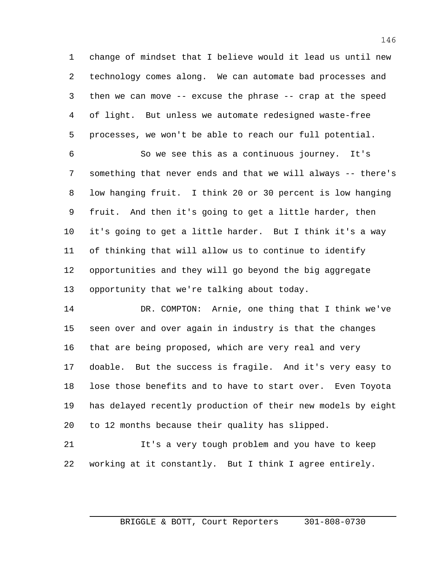change of mindset that I believe would it lead us until new technology comes along. We can automate bad processes and then we can move -- excuse the phrase -- crap at the speed of light. But unless we automate redesigned waste-free processes, we won't be able to reach our full potential.

 So we see this as a continuous journey. It's something that never ends and that we will always -- there's low hanging fruit. I think 20 or 30 percent is low hanging fruit. And then it's going to get a little harder, then it's going to get a little harder. But I think it's a way of thinking that will allow us to continue to identify opportunities and they will go beyond the big aggregate opportunity that we're talking about today.

 DR. COMPTON: Arnie, one thing that I think we've seen over and over again in industry is that the changes that are being proposed, which are very real and very doable. But the success is fragile. And it's very easy to lose those benefits and to have to start over. Even Toyota has delayed recently production of their new models by eight to 12 months because their quality has slipped.

 It's a very tough problem and you have to keep working at it constantly. But I think I agree entirely.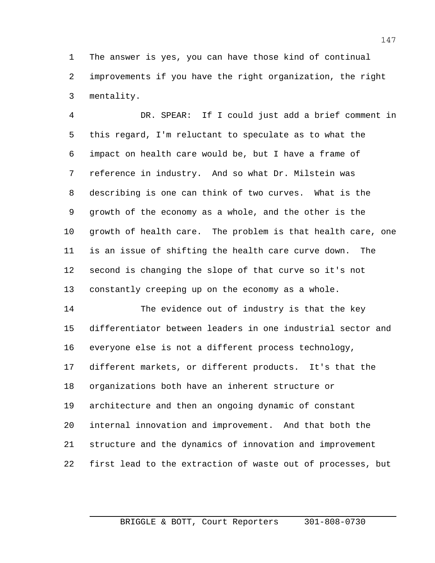The answer is yes, you can have those kind of continual improvements if you have the right organization, the right mentality.

 DR. SPEAR: If I could just add a brief comment in this regard, I'm reluctant to speculate as to what the impact on health care would be, but I have a frame of reference in industry. And so what Dr. Milstein was describing is one can think of two curves. What is the growth of the economy as a whole, and the other is the growth of health care. The problem is that health care, one is an issue of shifting the health care curve down. The second is changing the slope of that curve so it's not constantly creeping up on the economy as a whole.

 The evidence out of industry is that the key differentiator between leaders in one industrial sector and everyone else is not a different process technology, different markets, or different products. It's that the organizations both have an inherent structure or architecture and then an ongoing dynamic of constant internal innovation and improvement. And that both the structure and the dynamics of innovation and improvement first lead to the extraction of waste out of processes, but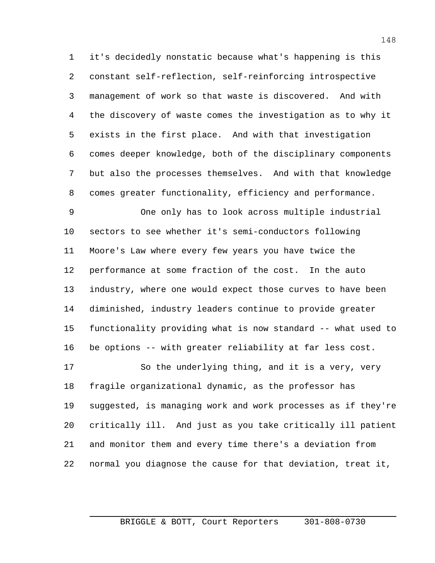it's decidedly nonstatic because what's happening is this constant self-reflection, self-reinforcing introspective management of work so that waste is discovered. And with the discovery of waste comes the investigation as to why it exists in the first place. And with that investigation comes deeper knowledge, both of the disciplinary components but also the processes themselves. And with that knowledge comes greater functionality, efficiency and performance.

 One only has to look across multiple industrial sectors to see whether it's semi-conductors following Moore's Law where every few years you have twice the performance at some fraction of the cost. In the auto industry, where one would expect those curves to have been diminished, industry leaders continue to provide greater functionality providing what is now standard -- what used to be options -- with greater reliability at far less cost.

 So the underlying thing, and it is a very, very fragile organizational dynamic, as the professor has suggested, is managing work and work processes as if they're critically ill. And just as you take critically ill patient and monitor them and every time there's a deviation from normal you diagnose the cause for that deviation, treat it,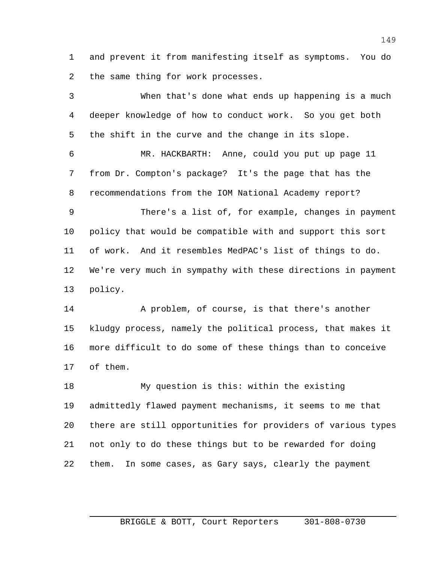and prevent it from manifesting itself as symptoms. You do 2 the same thing for work processes.

 When that's done what ends up happening is a much deeper knowledge of how to conduct work. So you get both the shift in the curve and the change in its slope. MR. HACKBARTH: Anne, could you put up page 11 from Dr. Compton's package? It's the page that has the recommendations from the IOM National Academy report? There's a list of, for example, changes in payment policy that would be compatible with and support this sort of work. And it resembles MedPAC's list of things to do. We're very much in sympathy with these directions in payment policy.

 A problem, of course, is that there's another kludgy process, namely the political process, that makes it more difficult to do some of these things than to conceive of them.

 My question is this: within the existing admittedly flawed payment mechanisms, it seems to me that there are still opportunities for providers of various types not only to do these things but to be rewarded for doing them. In some cases, as Gary says, clearly the payment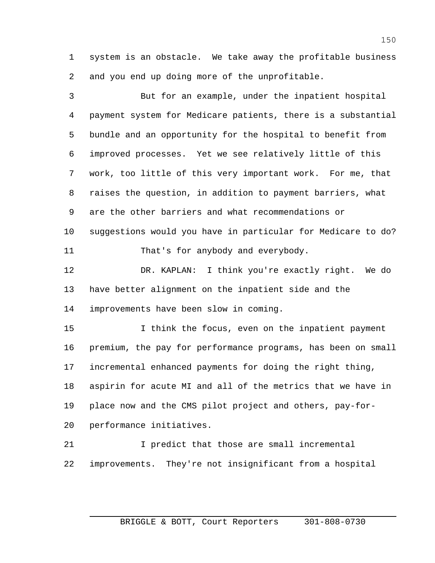system is an obstacle. We take away the profitable business and you end up doing more of the unprofitable.

 But for an example, under the inpatient hospital payment system for Medicare patients, there is a substantial bundle and an opportunity for the hospital to benefit from improved processes. Yet we see relatively little of this work, too little of this very important work. For me, that raises the question, in addition to payment barriers, what are the other barriers and what recommendations or suggestions would you have in particular for Medicare to do? 11 That's for anybody and everybody. DR. KAPLAN: I think you're exactly right. We do have better alignment on the inpatient side and the improvements have been slow in coming. I think the focus, even on the inpatient payment premium, the pay for performance programs, has been on small incremental enhanced payments for doing the right thing, aspirin for acute MI and all of the metrics that we have in place now and the CMS pilot project and others, pay-for- performance initiatives. I predict that those are small incremental improvements. They're not insignificant from a hospital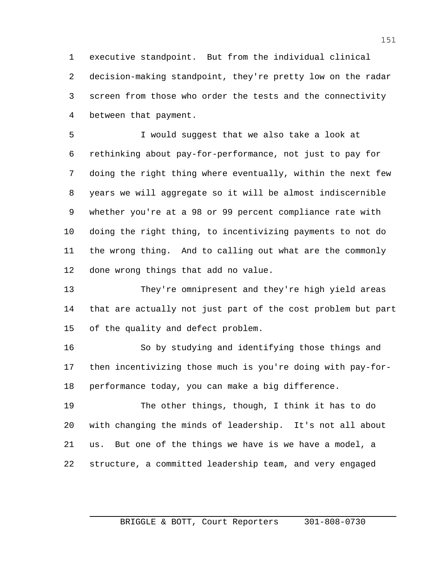executive standpoint. But from the individual clinical decision-making standpoint, they're pretty low on the radar screen from those who order the tests and the connectivity between that payment.

 I would suggest that we also take a look at rethinking about pay-for-performance, not just to pay for doing the right thing where eventually, within the next few years we will aggregate so it will be almost indiscernible whether you're at a 98 or 99 percent compliance rate with doing the right thing, to incentivizing payments to not do the wrong thing. And to calling out what are the commonly done wrong things that add no value.

 They're omnipresent and they're high yield areas that are actually not just part of the cost problem but part of the quality and defect problem.

 So by studying and identifying those things and then incentivizing those much is you're doing with pay-for-performance today, you can make a big difference.

 The other things, though, I think it has to do with changing the minds of leadership. It's not all about us. But one of the things we have is we have a model, a structure, a committed leadership team, and very engaged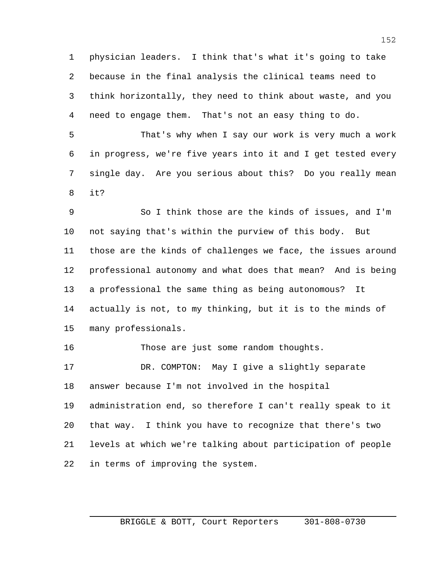physician leaders. I think that's what it's going to take because in the final analysis the clinical teams need to think horizontally, they need to think about waste, and you need to engage them. That's not an easy thing to do.

 That's why when I say our work is very much a work in progress, we're five years into it and I get tested every single day. Are you serious about this? Do you really mean it?

 So I think those are the kinds of issues, and I'm not saying that's within the purview of this body. But those are the kinds of challenges we face, the issues around professional autonomy and what does that mean? And is being a professional the same thing as being autonomous? It actually is not, to my thinking, but it is to the minds of many professionals.

Those are just some random thoughts.

 DR. COMPTON: May I give a slightly separate answer because I'm not involved in the hospital administration end, so therefore I can't really speak to it that way. I think you have to recognize that there's two levels at which we're talking about participation of people in terms of improving the system.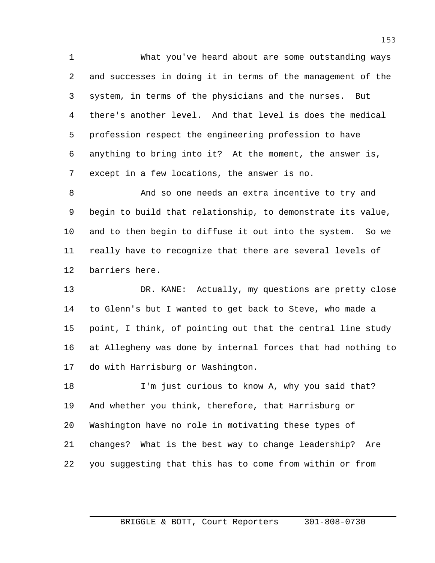What you've heard about are some outstanding ways and successes in doing it in terms of the management of the system, in terms of the physicians and the nurses. But there's another level. And that level is does the medical profession respect the engineering profession to have anything to bring into it? At the moment, the answer is, except in a few locations, the answer is no.

 And so one needs an extra incentive to try and begin to build that relationship, to demonstrate its value, and to then begin to diffuse it out into the system. So we really have to recognize that there are several levels of barriers here.

 DR. KANE: Actually, my questions are pretty close to Glenn's but I wanted to get back to Steve, who made a point, I think, of pointing out that the central line study at Allegheny was done by internal forces that had nothing to do with Harrisburg or Washington.

 I'm just curious to know A, why you said that? And whether you think, therefore, that Harrisburg or Washington have no role in motivating these types of changes? What is the best way to change leadership? Are you suggesting that this has to come from within or from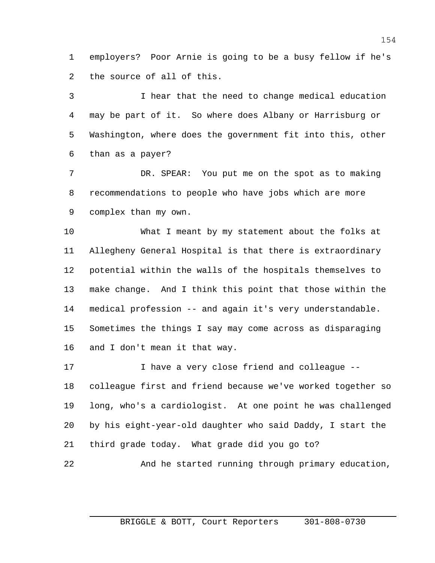employers? Poor Arnie is going to be a busy fellow if he's the source of all of this.

 I hear that the need to change medical education may be part of it. So where does Albany or Harrisburg or Washington, where does the government fit into this, other than as a payer?

 DR. SPEAR: You put me on the spot as to making recommendations to people who have jobs which are more complex than my own.

 What I meant by my statement about the folks at Allegheny General Hospital is that there is extraordinary potential within the walls of the hospitals themselves to make change. And I think this point that those within the medical profession -- and again it's very understandable. Sometimes the things I say may come across as disparaging and I don't mean it that way.

 I have a very close friend and colleague -- colleague first and friend because we've worked together so long, who's a cardiologist. At one point he was challenged by his eight-year-old daughter who said Daddy, I start the third grade today. What grade did you go to?

And he started running through primary education,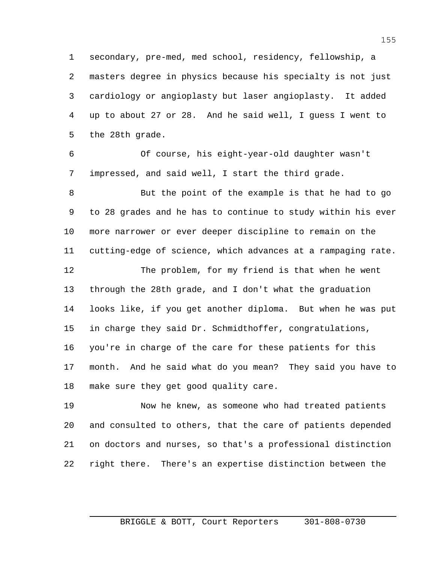secondary, pre-med, med school, residency, fellowship, a masters degree in physics because his specialty is not just cardiology or angioplasty but laser angioplasty. It added up to about 27 or 28. And he said well, I guess I went to the 28th grade.

 Of course, his eight-year-old daughter wasn't impressed, and said well, I start the third grade.

 But the point of the example is that he had to go to 28 grades and he has to continue to study within his ever more narrower or ever deeper discipline to remain on the cutting-edge of science, which advances at a rampaging rate. The problem, for my friend is that when he went through the 28th grade, and I don't what the graduation looks like, if you get another diploma. But when he was put

 in charge they said Dr. Schmidthoffer, congratulations, you're in charge of the care for these patients for this month. And he said what do you mean? They said you have to make sure they get good quality care.

 Now he knew, as someone who had treated patients and consulted to others, that the care of patients depended on doctors and nurses, so that's a professional distinction right there. There's an expertise distinction between the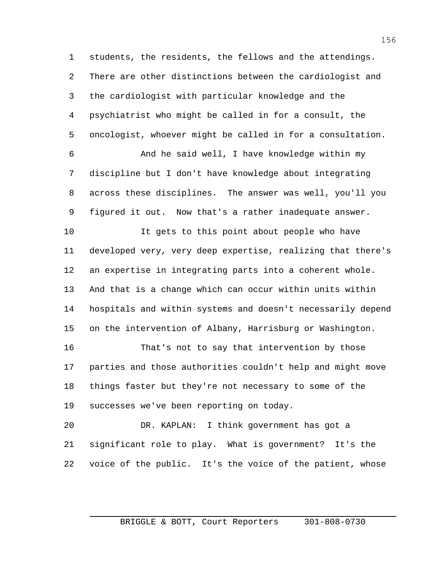students, the residents, the fellows and the attendings. There are other distinctions between the cardiologist and the cardiologist with particular knowledge and the psychiatrist who might be called in for a consult, the oncologist, whoever might be called in for a consultation.

 And he said well, I have knowledge within my discipline but I don't have knowledge about integrating across these disciplines. The answer was well, you'll you figured it out. Now that's a rather inadequate answer.

 It gets to this point about people who have developed very, very deep expertise, realizing that there's an expertise in integrating parts into a coherent whole. And that is a change which can occur within units within hospitals and within systems and doesn't necessarily depend on the intervention of Albany, Harrisburg or Washington.

 That's not to say that intervention by those parties and those authorities couldn't help and might move things faster but they're not necessary to some of the successes we've been reporting on today.

 DR. KAPLAN: I think government has got a significant role to play. What is government? It's the voice of the public. It's the voice of the patient, whose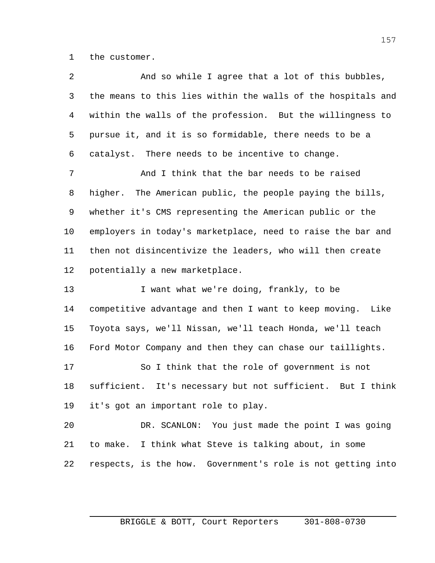the customer.

| 2  | And so while I agree that a lot of this bubbles,              |
|----|---------------------------------------------------------------|
| 3  | the means to this lies within the walls of the hospitals and  |
| 4  | within the walls of the profession. But the willingness to    |
| 5  | pursue it, and it is so formidable, there needs to be a       |
| 6  | catalyst. There needs to be incentive to change.              |
| 7  | And I think that the bar needs to be raised                   |
| 8  | higher. The American public, the people paying the bills,     |
| 9  | whether it's CMS representing the American public or the      |
| 10 | employers in today's marketplace, need to raise the bar and   |
| 11 | then not disincentivize the leaders, who will then create     |
| 12 | potentially a new marketplace.                                |
| 13 | I want what we're doing, frankly, to be                       |
| 14 | competitive advantage and then I want to keep moving.<br>Like |
| 15 | Toyota says, we'll Nissan, we'll teach Honda, we'll teach     |
| 16 | Ford Motor Company and then they can chase our taillights.    |
| 17 | So I think that the role of government is not                 |
| 18 | sufficient. It's necessary but not sufficient. But I think    |
| 19 | it's got an important role to play.                           |
| 20 | DR. SCANLON: You just made the point I was going              |
| 21 | to make. I think what Steve is talking about, in some         |
| 22 | respects, is the how. Government's role is not getting into   |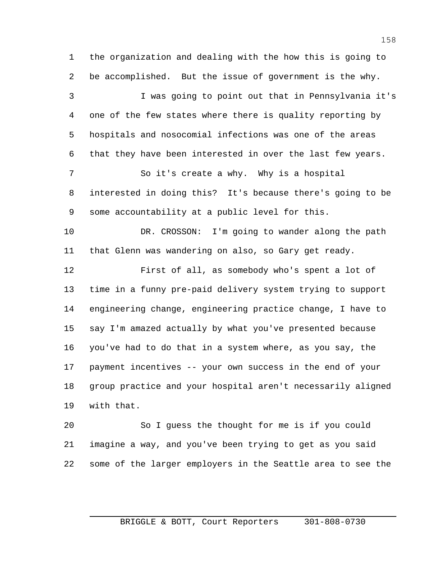the organization and dealing with the how this is going to be accomplished. But the issue of government is the why. I was going to point out that in Pennsylvania it's one of the few states where there is quality reporting by hospitals and nosocomial infections was one of the areas that they have been interested in over the last few years. So it's create a why. Why is a hospital interested in doing this? It's because there's going to be some accountability at a public level for this. DR. CROSSON: I'm going to wander along the path that Glenn was wandering on also, so Gary get ready. First of all, as somebody who's spent a lot of time in a funny pre-paid delivery system trying to support engineering change, engineering practice change, I have to say I'm amazed actually by what you've presented because you've had to do that in a system where, as you say, the payment incentives -- your own success in the end of your group practice and your hospital aren't necessarily aligned with that. So I guess the thought for me is if you could imagine a way, and you've been trying to get as you said

some of the larger employers in the Seattle area to see the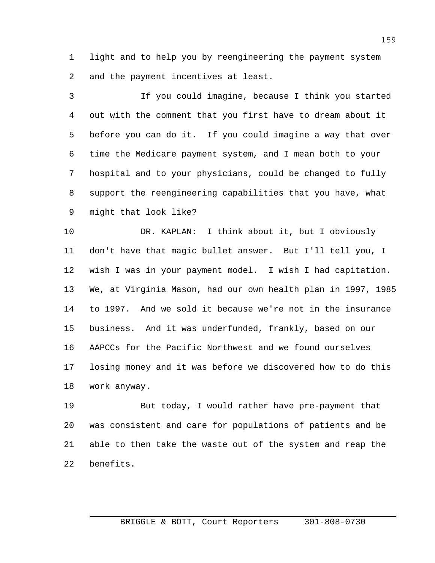light and to help you by reengineering the payment system and the payment incentives at least.

 If you could imagine, because I think you started out with the comment that you first have to dream about it before you can do it. If you could imagine a way that over time the Medicare payment system, and I mean both to your hospital and to your physicians, could be changed to fully support the reengineering capabilities that you have, what might that look like?

 DR. KAPLAN: I think about it, but I obviously don't have that magic bullet answer. But I'll tell you, I wish I was in your payment model. I wish I had capitation. We, at Virginia Mason, had our own health plan in 1997, 1985 to 1997. And we sold it because we're not in the insurance business. And it was underfunded, frankly, based on our AAPCCs for the Pacific Northwest and we found ourselves losing money and it was before we discovered how to do this work anyway.

 But today, I would rather have pre-payment that was consistent and care for populations of patients and be able to then take the waste out of the system and reap the benefits.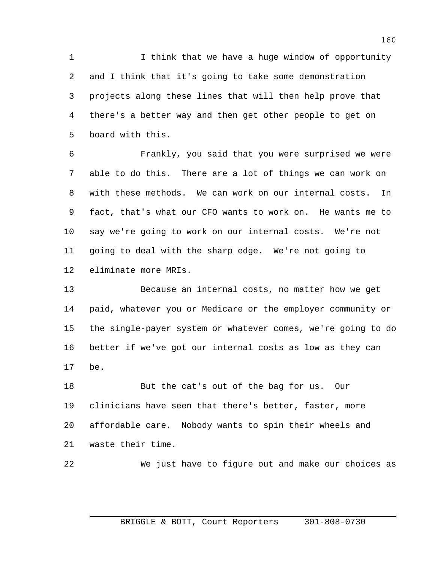1 1 I think that we have a huge window of opportunity and I think that it's going to take some demonstration projects along these lines that will then help prove that there's a better way and then get other people to get on board with this.

 Frankly, you said that you were surprised we were able to do this. There are a lot of things we can work on with these methods. We can work on our internal costs. In fact, that's what our CFO wants to work on. He wants me to say we're going to work on our internal costs. We're not going to deal with the sharp edge. We're not going to eliminate more MRIs.

 Because an internal costs, no matter how we get paid, whatever you or Medicare or the employer community or the single-payer system or whatever comes, we're going to do better if we've got our internal costs as low as they can be.

 But the cat's out of the bag for us. Our clinicians have seen that there's better, faster, more affordable care. Nobody wants to spin their wheels and waste their time.

We just have to figure out and make our choices as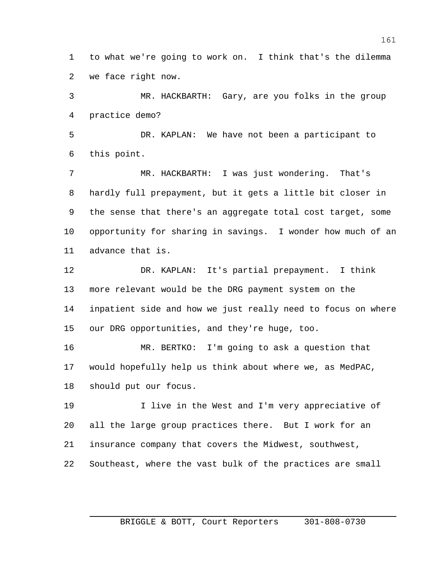to what we're going to work on. I think that's the dilemma we face right now.

 MR. HACKBARTH: Gary, are you folks in the group practice demo?

 DR. KAPLAN: We have not been a participant to this point.

 MR. HACKBARTH: I was just wondering. That's hardly full prepayment, but it gets a little bit closer in the sense that there's an aggregate total cost target, some opportunity for sharing in savings. I wonder how much of an advance that is.

 DR. KAPLAN: It's partial prepayment. I think more relevant would be the DRG payment system on the inpatient side and how we just really need to focus on where our DRG opportunities, and they're huge, too.

 MR. BERTKO: I'm going to ask a question that would hopefully help us think about where we, as MedPAC, should put our focus.

 I live in the West and I'm very appreciative of all the large group practices there. But I work for an insurance company that covers the Midwest, southwest, Southeast, where the vast bulk of the practices are small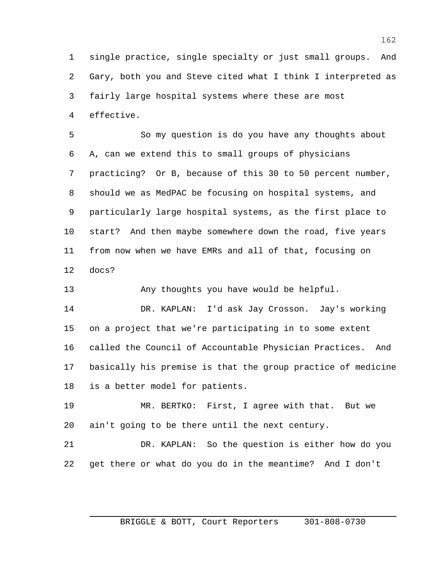single practice, single specialty or just small groups. And Gary, both you and Steve cited what I think I interpreted as fairly large hospital systems where these are most effective.

 So my question is do you have any thoughts about A, can we extend this to small groups of physicians practicing? Or B, because of this 30 to 50 percent number, should we as MedPAC be focusing on hospital systems, and particularly large hospital systems, as the first place to start? And then maybe somewhere down the road, five years from now when we have EMRs and all of that, focusing on docs?

Any thoughts you have would be helpful.

 DR. KAPLAN: I'd ask Jay Crosson. Jay's working on a project that we're participating in to some extent called the Council of Accountable Physician Practices. And basically his premise is that the group practice of medicine is a better model for patients.

 MR. BERTKO: First, I agree with that. But we ain't going to be there until the next century.

 DR. KAPLAN: So the question is either how do you get there or what do you do in the meantime? And I don't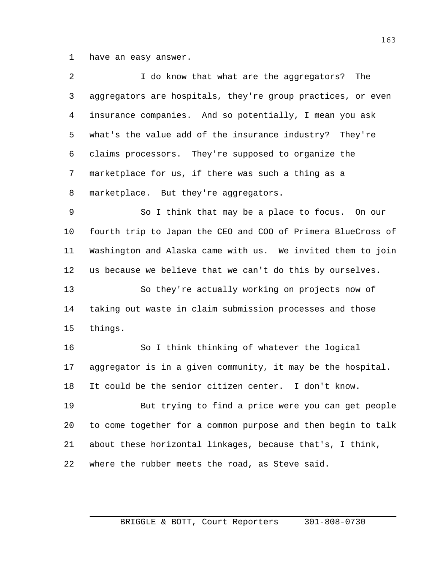have an easy answer.

| $\overline{2}$ | I do know that what are the aggregators?<br>The              |
|----------------|--------------------------------------------------------------|
| 3              | aggregators are hospitals, they're group practices, or even  |
| 4              | insurance companies. And so potentially, I mean you ask      |
| 5              | what's the value add of the insurance industry? They're      |
| 6              | claims processors. They're supposed to organize the          |
| $\overline{7}$ | marketplace for us, if there was such a thing as a           |
| 8              | marketplace. But they're aggregators.                        |
| 9              | So I think that may be a place to focus. On our              |
| 10             | fourth trip to Japan the CEO and COO of Primera BlueCross of |
| 11             | Washington and Alaska came with us. We invited them to join  |
| 12             | us because we believe that we can't do this by ourselves.    |
| 13             | So they're actually working on projects now of               |
| 14             | taking out waste in claim submission processes and those     |
| 15             | things.                                                      |
| 16             | So I think thinking of whatever the logical                  |
| 17             | aggregator is in a given community, it may be the hospital.  |
| 18             | It could be the senior citizen center. I don't know.         |
| 19             | But trying to find a price were you can get people           |
| 20             | to come together for a common purpose and then begin to talk |
| 21             | about these horizontal linkages, because that's, I think,    |
| 22             | where the rubber meets the road, as Steve said.              |
|                |                                                              |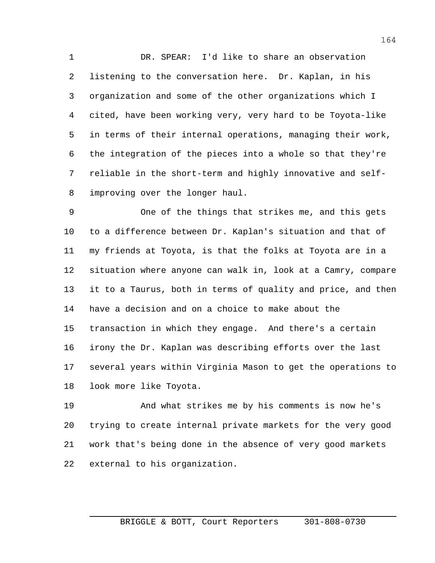DR. SPEAR: I'd like to share an observation listening to the conversation here. Dr. Kaplan, in his organization and some of the other organizations which I cited, have been working very, very hard to be Toyota-like in terms of their internal operations, managing their work, the integration of the pieces into a whole so that they're reliable in the short-term and highly innovative and self-improving over the longer haul.

 One of the things that strikes me, and this gets to a difference between Dr. Kaplan's situation and that of my friends at Toyota, is that the folks at Toyota are in a situation where anyone can walk in, look at a Camry, compare it to a Taurus, both in terms of quality and price, and then have a decision and on a choice to make about the transaction in which they engage. And there's a certain irony the Dr. Kaplan was describing efforts over the last several years within Virginia Mason to get the operations to look more like Toyota.

 And what strikes me by his comments is now he's trying to create internal private markets for the very good work that's being done in the absence of very good markets external to his organization.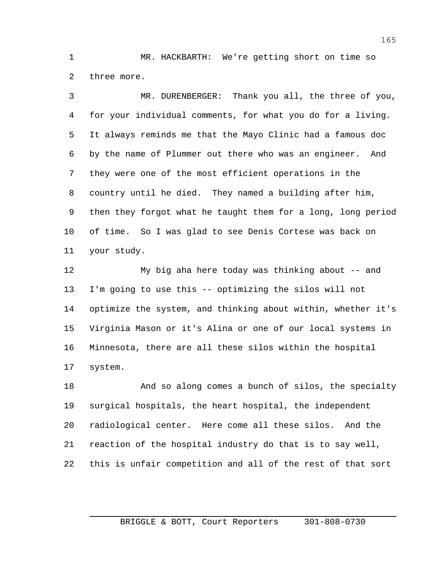MR. HACKBARTH: We're getting short on time so three more.

 MR. DURENBERGER: Thank you all, the three of you, for your individual comments, for what you do for a living. It always reminds me that the Mayo Clinic had a famous doc by the name of Plummer out there who was an engineer. And they were one of the most efficient operations in the country until he died. They named a building after him, then they forgot what he taught them for a long, long period of time. So I was glad to see Denis Cortese was back on your study.

 My big aha here today was thinking about -- and I'm going to use this -- optimizing the silos will not optimize the system, and thinking about within, whether it's Virginia Mason or it's Alina or one of our local systems in Minnesota, there are all these silos within the hospital system.

 And so along comes a bunch of silos, the specialty surgical hospitals, the heart hospital, the independent radiological center. Here come all these silos. And the reaction of the hospital industry do that is to say well, this is unfair competition and all of the rest of that sort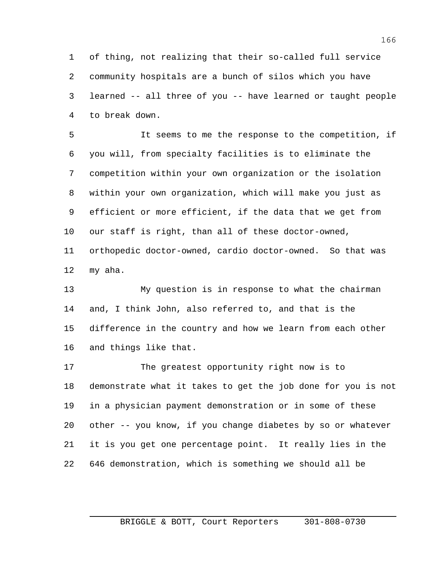of thing, not realizing that their so-called full service community hospitals are a bunch of silos which you have learned -- all three of you -- have learned or taught people to break down.

 It seems to me the response to the competition, if you will, from specialty facilities is to eliminate the competition within your own organization or the isolation within your own organization, which will make you just as efficient or more efficient, if the data that we get from our staff is right, than all of these doctor-owned, orthopedic doctor-owned, cardio doctor-owned. So that was

my aha.

 My question is in response to what the chairman and, I think John, also referred to, and that is the difference in the country and how we learn from each other and things like that.

 The greatest opportunity right now is to demonstrate what it takes to get the job done for you is not in a physician payment demonstration or in some of these other -- you know, if you change diabetes by so or whatever it is you get one percentage point. It really lies in the 646 demonstration, which is something we should all be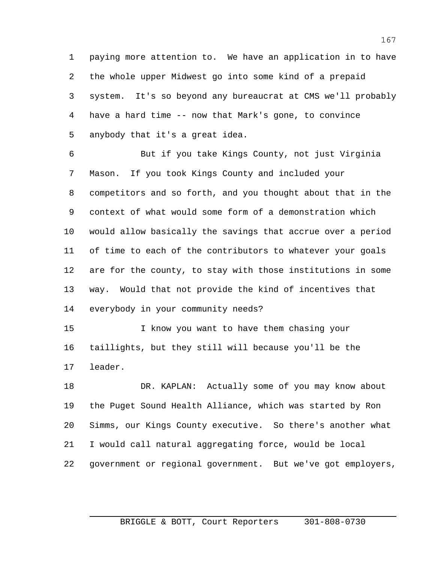paying more attention to. We have an application in to have the whole upper Midwest go into some kind of a prepaid system. It's so beyond any bureaucrat at CMS we'll probably have a hard time -- now that Mark's gone, to convince anybody that it's a great idea.

 But if you take Kings County, not just Virginia Mason. If you took Kings County and included your competitors and so forth, and you thought about that in the context of what would some form of a demonstration which would allow basically the savings that accrue over a period of time to each of the contributors to whatever your goals are for the county, to stay with those institutions in some way. Would that not provide the kind of incentives that everybody in your community needs?

 I know you want to have them chasing your taillights, but they still will because you'll be the leader.

 DR. KAPLAN: Actually some of you may know about the Puget Sound Health Alliance, which was started by Ron Simms, our Kings County executive. So there's another what I would call natural aggregating force, would be local government or regional government. But we've got employers,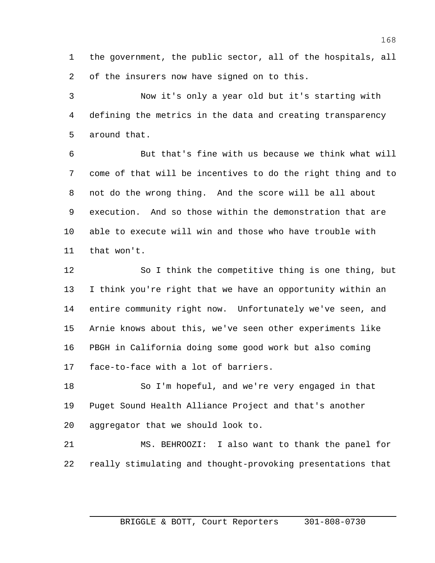the government, the public sector, all of the hospitals, all of the insurers now have signed on to this.

 Now it's only a year old but it's starting with defining the metrics in the data and creating transparency around that.

 But that's fine with us because we think what will come of that will be incentives to do the right thing and to not do the wrong thing. And the score will be all about execution. And so those within the demonstration that are able to execute will win and those who have trouble with that won't.

 So I think the competitive thing is one thing, but I think you're right that we have an opportunity within an entire community right now. Unfortunately we've seen, and Arnie knows about this, we've seen other experiments like PBGH in California doing some good work but also coming face-to-face with a lot of barriers.

 So I'm hopeful, and we're very engaged in that Puget Sound Health Alliance Project and that's another aggregator that we should look to.

 MS. BEHROOZI: I also want to thank the panel for really stimulating and thought-provoking presentations that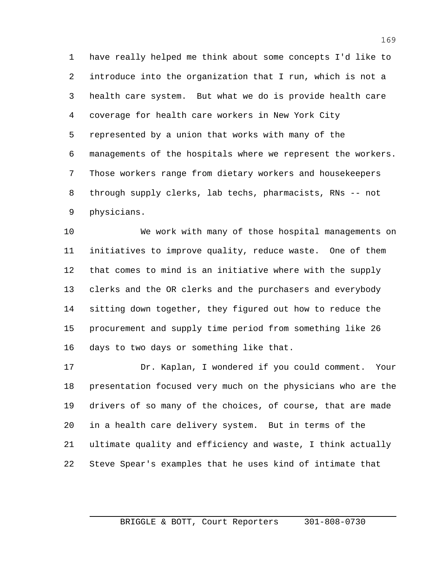have really helped me think about some concepts I'd like to introduce into the organization that I run, which is not a health care system. But what we do is provide health care coverage for health care workers in New York City represented by a union that works with many of the managements of the hospitals where we represent the workers. Those workers range from dietary workers and housekeepers through supply clerks, lab techs, pharmacists, RNs -- not physicians.

 We work with many of those hospital managements on initiatives to improve quality, reduce waste. One of them that comes to mind is an initiative where with the supply clerks and the OR clerks and the purchasers and everybody sitting down together, they figured out how to reduce the procurement and supply time period from something like 26 days to two days or something like that.

 Dr. Kaplan, I wondered if you could comment. Your presentation focused very much on the physicians who are the drivers of so many of the choices, of course, that are made in a health care delivery system. But in terms of the ultimate quality and efficiency and waste, I think actually Steve Spear's examples that he uses kind of intimate that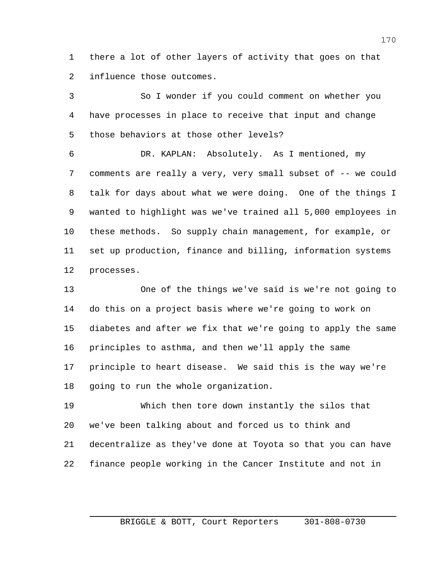there a lot of other layers of activity that goes on that influence those outcomes.

 So I wonder if you could comment on whether you have processes in place to receive that input and change those behaviors at those other levels?

 DR. KAPLAN: Absolutely. As I mentioned, my comments are really a very, very small subset of -- we could talk for days about what we were doing. One of the things I wanted to highlight was we've trained all 5,000 employees in these methods. So supply chain management, for example, or set up production, finance and billing, information systems processes.

 One of the things we've said is we're not going to do this on a project basis where we're going to work on diabetes and after we fix that we're going to apply the same principles to asthma, and then we'll apply the same principle to heart disease. We said this is the way we're going to run the whole organization.

 Which then tore down instantly the silos that we've been talking about and forced us to think and decentralize as they've done at Toyota so that you can have finance people working in the Cancer Institute and not in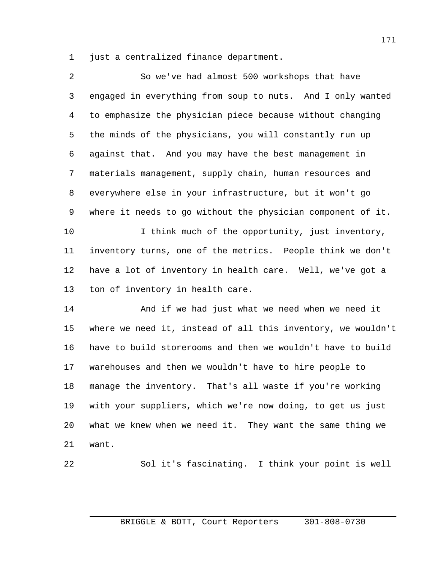just a centralized finance department.

| $\overline{a}$ | So we've had almost 500 workshops that have                  |
|----------------|--------------------------------------------------------------|
| 3              | engaged in everything from soup to nuts. And I only wanted   |
| 4              | to emphasize the physician piece because without changing    |
| 5              | the minds of the physicians, you will constantly run up      |
| 6              | against that. And you may have the best management in        |
| 7              | materials management, supply chain, human resources and      |
| 8              | everywhere else in your infrastructure, but it won't go      |
| 9              | where it needs to go without the physician component of it.  |
| 10             | I think much of the opportunity, just inventory,             |
| 11             | inventory turns, one of the metrics. People think we don't   |
| 12             | have a lot of inventory in health care. Well, we've got a    |
| 13             | ton of inventory in health care.                             |
| 14             | And if we had just what we need when we need it              |
| 15             | where we need it, instead of all this inventory, we wouldn't |
| 16             | have to build storerooms and then we wouldn't have to build  |
| 17             | warehouses and then we wouldn't have to hire people to       |
| 18             | That's all waste if you're working<br>manage the inventory.  |
| 19             | with your suppliers, which we're now doing, to get us just   |
| 20             | what we knew when we need it. They want the same thing we    |
| 21             | want.                                                        |
|                |                                                              |

$$
^{22}\!
$$

Sol it's fascinating. I think your point is well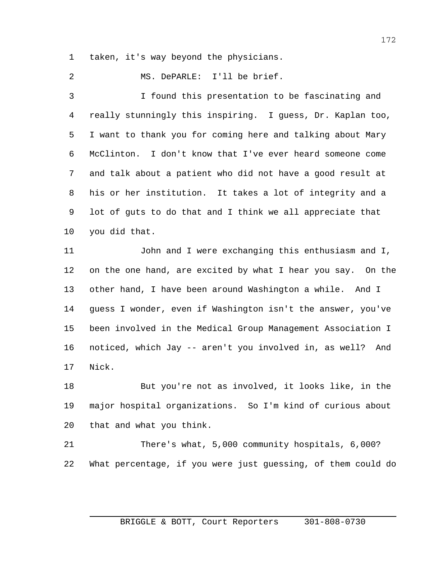taken, it's way beyond the physicians.

MS. DePARLE: I'll be brief.

 I found this presentation to be fascinating and really stunningly this inspiring. I guess, Dr. Kaplan too, I want to thank you for coming here and talking about Mary McClinton. I don't know that I've ever heard someone come and talk about a patient who did not have a good result at his or her institution. It takes a lot of integrity and a lot of guts to do that and I think we all appreciate that you did that.

 John and I were exchanging this enthusiasm and I, on the one hand, are excited by what I hear you say. On the other hand, I have been around Washington a while. And I guess I wonder, even if Washington isn't the answer, you've been involved in the Medical Group Management Association I noticed, which Jay -- aren't you involved in, as well? And Nick.

 But you're not as involved, it looks like, in the major hospital organizations. So I'm kind of curious about that and what you think.

 There's what, 5,000 community hospitals, 6,000? What percentage, if you were just guessing, of them could do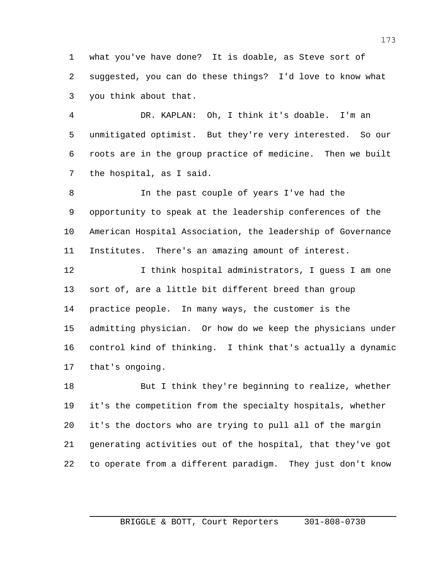what you've have done? It is doable, as Steve sort of suggested, you can do these things? I'd love to know what you think about that.

 DR. KAPLAN: Oh, I think it's doable. I'm an unmitigated optimist. But they're very interested. So our roots are in the group practice of medicine. Then we built the hospital, as I said.

 In the past couple of years I've had the opportunity to speak at the leadership conferences of the American Hospital Association, the leadership of Governance Institutes. There's an amazing amount of interest.

 I think hospital administrators, I guess I am one sort of, are a little bit different breed than group practice people. In many ways, the customer is the admitting physician. Or how do we keep the physicians under control kind of thinking. I think that's actually a dynamic that's ongoing.

18 But I think they're beginning to realize, whether it's the competition from the specialty hospitals, whether it's the doctors who are trying to pull all of the margin generating activities out of the hospital, that they've got to operate from a different paradigm. They just don't know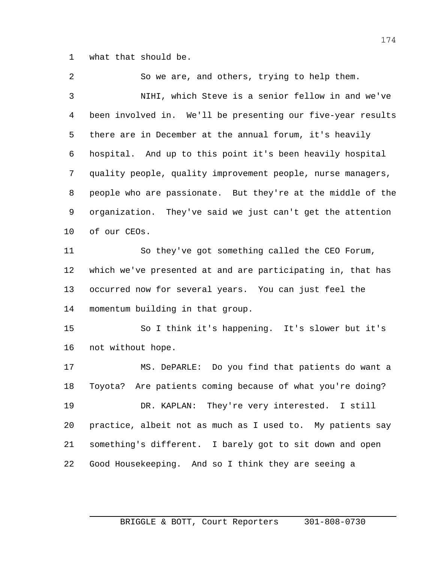what that should be.

 So we are, and others, trying to help them. NIHI, which Steve is a senior fellow in and we've been involved in. We'll be presenting our five-year results there are in December at the annual forum, it's heavily hospital. And up to this point it's been heavily hospital quality people, quality improvement people, nurse managers, people who are passionate. But they're at the middle of the organization. They've said we just can't get the attention of our CEOs. So they've got something called the CEO Forum, which we've presented at and are participating in, that has occurred now for several years. You can just feel the momentum building in that group. So I think it's happening. It's slower but it's not without hope. MS. DePARLE: Do you find that patients do want a Toyota? Are patients coming because of what you're doing?

 DR. KAPLAN: They're very interested. I still practice, albeit not as much as I used to. My patients say something's different. I barely got to sit down and open Good Housekeeping. And so I think they are seeing a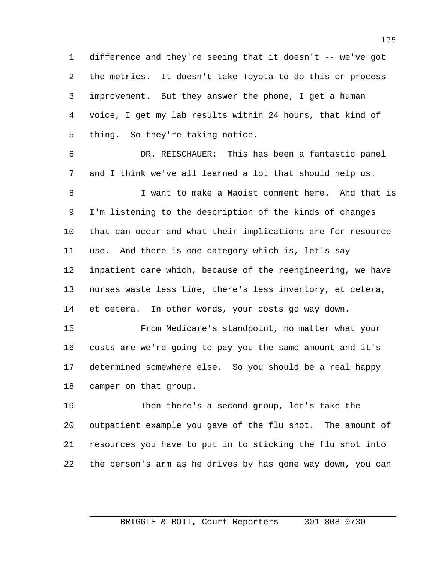difference and they're seeing that it doesn't -- we've got the metrics. It doesn't take Toyota to do this or process improvement. But they answer the phone, I get a human voice, I get my lab results within 24 hours, that kind of thing. So they're taking notice.

 DR. REISCHAUER: This has been a fantastic panel and I think we've all learned a lot that should help us.

 I want to make a Maoist comment here. And that is I'm listening to the description of the kinds of changes that can occur and what their implications are for resource use. And there is one category which is, let's say inpatient care which, because of the reengineering, we have nurses waste less time, there's less inventory, et cetera, et cetera. In other words, your costs go way down.

 From Medicare's standpoint, no matter what your costs are we're going to pay you the same amount and it's determined somewhere else. So you should be a real happy camper on that group.

 Then there's a second group, let's take the outpatient example you gave of the flu shot. The amount of resources you have to put in to sticking the flu shot into the person's arm as he drives by has gone way down, you can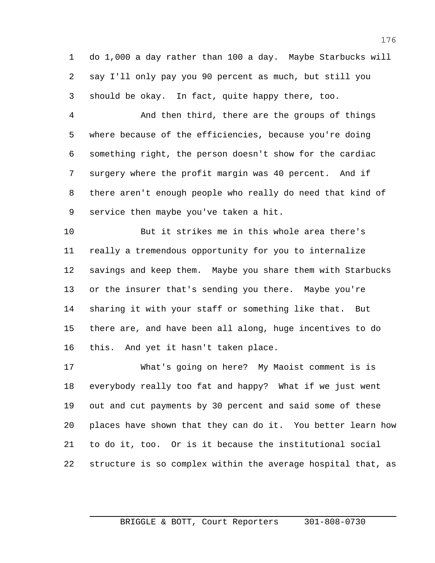do 1,000 a day rather than 100 a day. Maybe Starbucks will say I'll only pay you 90 percent as much, but still you should be okay. In fact, quite happy there, too.

 And then third, there are the groups of things where because of the efficiencies, because you're doing something right, the person doesn't show for the cardiac surgery where the profit margin was 40 percent. And if there aren't enough people who really do need that kind of service then maybe you've taken a hit.

 But it strikes me in this whole area there's really a tremendous opportunity for you to internalize savings and keep them. Maybe you share them with Starbucks or the insurer that's sending you there. Maybe you're sharing it with your staff or something like that. But there are, and have been all along, huge incentives to do this. And yet it hasn't taken place.

 What's going on here? My Maoist comment is is everybody really too fat and happy? What if we just went out and cut payments by 30 percent and said some of these places have shown that they can do it. You better learn how to do it, too. Or is it because the institutional social structure is so complex within the average hospital that, as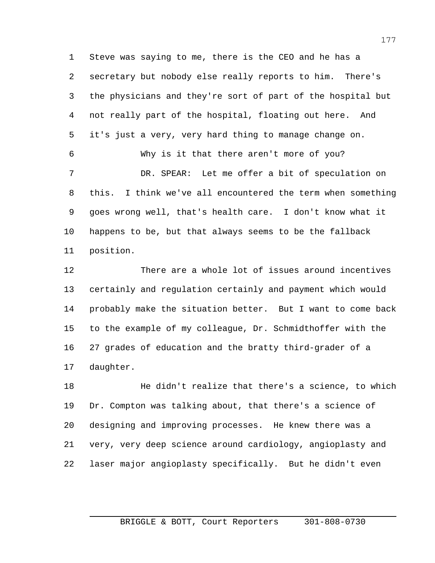Steve was saying to me, there is the CEO and he has a secretary but nobody else really reports to him. There's the physicians and they're sort of part of the hospital but not really part of the hospital, floating out here. And it's just a very, very hard thing to manage change on. Why is it that there aren't more of you? DR. SPEAR: Let me offer a bit of speculation on this. I think we've all encountered the term when something goes wrong well, that's health care. I don't know what it happens to be, but that always seems to be the fallback position.

 There are a whole lot of issues around incentives certainly and regulation certainly and payment which would probably make the situation better. But I want to come back to the example of my colleague, Dr. Schmidthoffer with the 27 grades of education and the bratty third-grader of a daughter.

 He didn't realize that there's a science, to which Dr. Compton was talking about, that there's a science of designing and improving processes. He knew there was a very, very deep science around cardiology, angioplasty and laser major angioplasty specifically. But he didn't even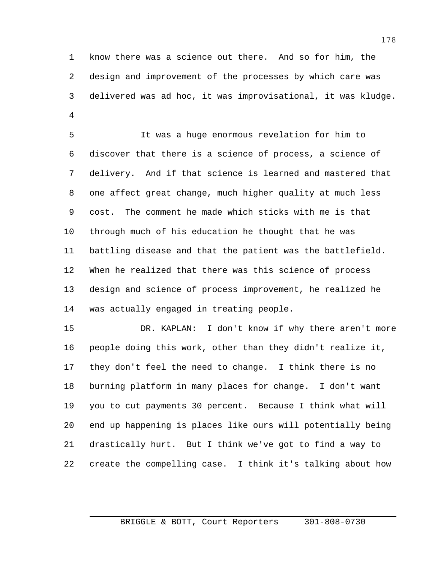know there was a science out there. And so for him, the design and improvement of the processes by which care was delivered was ad hoc, it was improvisational, it was kludge. 

 It was a huge enormous revelation for him to discover that there is a science of process, a science of delivery. And if that science is learned and mastered that one affect great change, much higher quality at much less cost. The comment he made which sticks with me is that through much of his education he thought that he was battling disease and that the patient was the battlefield. When he realized that there was this science of process design and science of process improvement, he realized he was actually engaged in treating people.

 DR. KAPLAN: I don't know if why there aren't more people doing this work, other than they didn't realize it, they don't feel the need to change. I think there is no burning platform in many places for change. I don't want you to cut payments 30 percent. Because I think what will end up happening is places like ours will potentially being drastically hurt. But I think we've got to find a way to create the compelling case. I think it's talking about how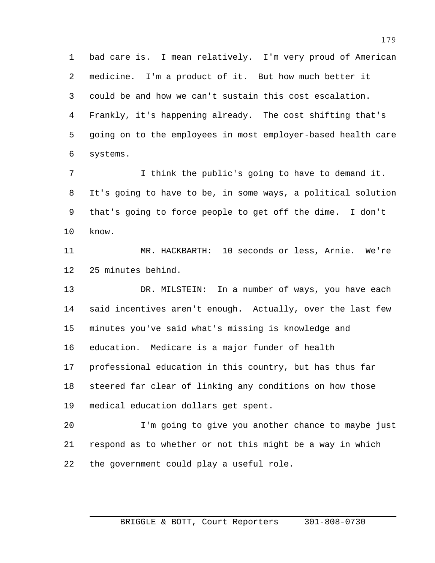bad care is. I mean relatively. I'm very proud of American medicine. I'm a product of it. But how much better it could be and how we can't sustain this cost escalation. Frankly, it's happening already. The cost shifting that's going on to the employees in most employer-based health care systems.

 I think the public's going to have to demand it. It's going to have to be, in some ways, a political solution that's going to force people to get off the dime. I don't know.

 MR. HACKBARTH: 10 seconds or less, Arnie. We're 25 minutes behind.

 DR. MILSTEIN: In a number of ways, you have each said incentives aren't enough. Actually, over the last few minutes you've said what's missing is knowledge and education. Medicare is a major funder of health professional education in this country, but has thus far steered far clear of linking any conditions on how those medical education dollars get spent.

 I'm going to give you another chance to maybe just respond as to whether or not this might be a way in which the government could play a useful role.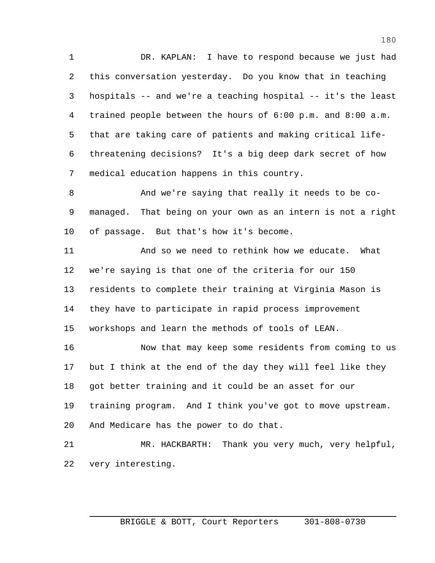DR. KAPLAN: I have to respond because we just had this conversation yesterday. Do you know that in teaching hospitals -- and we're a teaching hospital -- it's the least trained people between the hours of 6:00 p.m. and 8:00 a.m. that are taking care of patients and making critical life- threatening decisions? It's a big deep dark secret of how medical education happens in this country.

 And we're saying that really it needs to be co- managed. That being on your own as an intern is not a right of passage. But that's how it's become.

 And so we need to rethink how we educate. What we're saying is that one of the criteria for our 150 residents to complete their training at Virginia Mason is they have to participate in rapid process improvement workshops and learn the methods of tools of LEAN.

 Now that may keep some residents from coming to us but I think at the end of the day they will feel like they got better training and it could be an asset for our training program. And I think you've got to move upstream. And Medicare has the power to do that.

 MR. HACKBARTH: Thank you very much, very helpful, very interesting.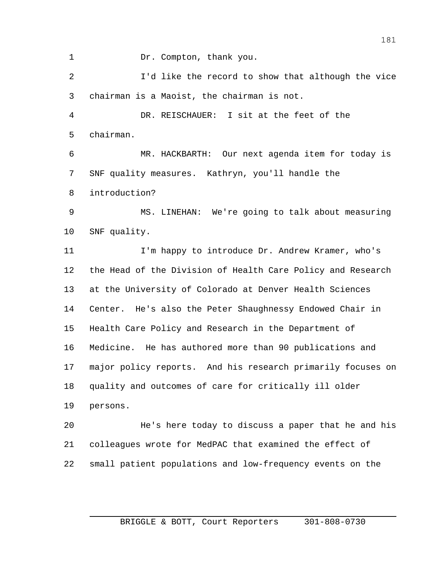1 Dr. Compton, thank you.

 I'd like the record to show that although the vice chairman is a Maoist, the chairman is not.

 DR. REISCHAUER: I sit at the feet of the chairman.

 MR. HACKBARTH: Our next agenda item for today is SNF quality measures. Kathryn, you'll handle the introduction?

 MS. LINEHAN: We're going to talk about measuring SNF quality.

 I'm happy to introduce Dr. Andrew Kramer, who's the Head of the Division of Health Care Policy and Research at the University of Colorado at Denver Health Sciences Center. He's also the Peter Shaughnessy Endowed Chair in Health Care Policy and Research in the Department of Medicine. He has authored more than 90 publications and major policy reports. And his research primarily focuses on quality and outcomes of care for critically ill older persons.

 He's here today to discuss a paper that he and his colleagues wrote for MedPAC that examined the effect of small patient populations and low-frequency events on the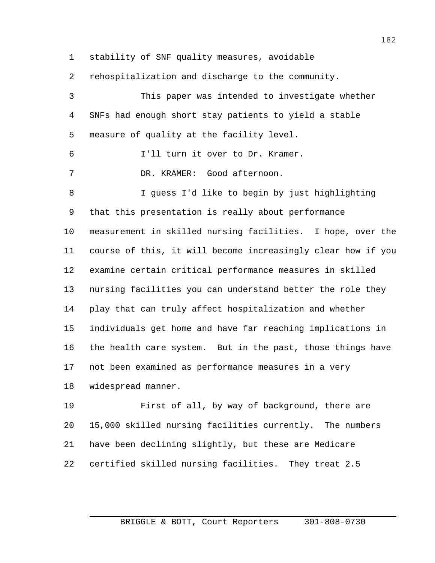stability of SNF quality measures, avoidable

rehospitalization and discharge to the community.

 This paper was intended to investigate whether SNFs had enough short stay patients to yield a stable measure of quality at the facility level. I'll turn it over to Dr. Kramer. DR. KRAMER: Good afternoon. I guess I'd like to begin by just highlighting that this presentation is really about performance measurement in skilled nursing facilities. I hope, over the course of this, it will become increasingly clear how if you examine certain critical performance measures in skilled nursing facilities you can understand better the role they play that can truly affect hospitalization and whether individuals get home and have far reaching implications in the health care system. But in the past, those things have not been examined as performance measures in a very widespread manner.

 First of all, by way of background, there are 15,000 skilled nursing facilities currently. The numbers have been declining slightly, but these are Medicare certified skilled nursing facilities. They treat 2.5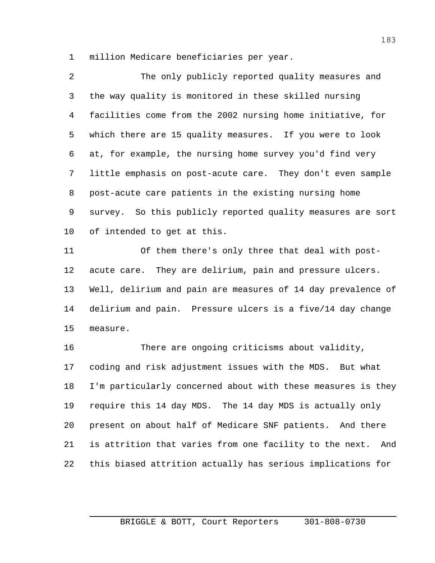million Medicare beneficiaries per year.

 The only publicly reported quality measures and the way quality is monitored in these skilled nursing facilities come from the 2002 nursing home initiative, for which there are 15 quality measures. If you were to look at, for example, the nursing home survey you'd find very little emphasis on post-acute care. They don't even sample post-acute care patients in the existing nursing home survey. So this publicly reported quality measures are sort of intended to get at this.

 Of them there's only three that deal with post- acute care. They are delirium, pain and pressure ulcers. Well, delirium and pain are measures of 14 day prevalence of delirium and pain. Pressure ulcers is a five/14 day change measure.

 There are ongoing criticisms about validity, coding and risk adjustment issues with the MDS. But what I'm particularly concerned about with these measures is they require this 14 day MDS. The 14 day MDS is actually only present on about half of Medicare SNF patients. And there is attrition that varies from one facility to the next. And this biased attrition actually has serious implications for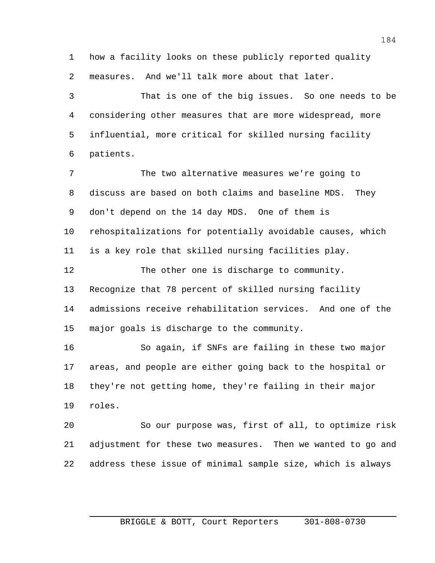how a facility looks on these publicly reported quality measures. And we'll talk more about that later.

 That is one of the big issues. So one needs to be considering other measures that are more widespread, more influential, more critical for skilled nursing facility patients.

 The two alternative measures we're going to discuss are based on both claims and baseline MDS. They don't depend on the 14 day MDS. One of them is rehospitalizations for potentially avoidable causes, which is a key role that skilled nursing facilities play.

 The other one is discharge to community. Recognize that 78 percent of skilled nursing facility admissions receive rehabilitation services. And one of the major goals is discharge to the community.

 So again, if SNFs are failing in these two major areas, and people are either going back to the hospital or they're not getting home, they're failing in their major roles.

 So our purpose was, first of all, to optimize risk adjustment for these two measures. Then we wanted to go and address these issue of minimal sample size, which is always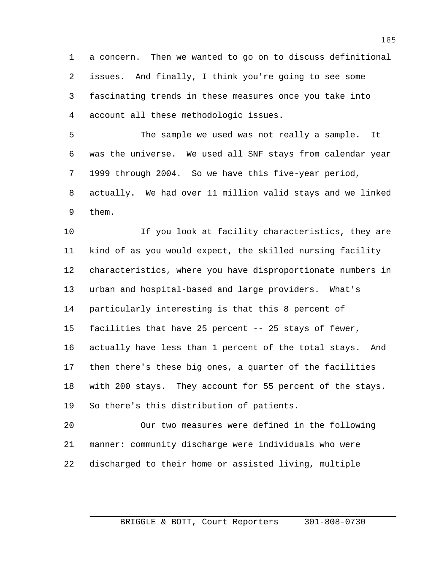a concern. Then we wanted to go on to discuss definitional issues. And finally, I think you're going to see some fascinating trends in these measures once you take into account all these methodologic issues.

 The sample we used was not really a sample. It was the universe. We used all SNF stays from calendar year 1999 through 2004. So we have this five-year period, actually. We had over 11 million valid stays and we linked them.

10 16 If you look at facility characteristics, they are kind of as you would expect, the skilled nursing facility characteristics, where you have disproportionate numbers in urban and hospital-based and large providers. What's particularly interesting is that this 8 percent of facilities that have 25 percent -- 25 stays of fewer, actually have less than 1 percent of the total stays. And then there's these big ones, a quarter of the facilities with 200 stays. They account for 55 percent of the stays. So there's this distribution of patients.

 Our two measures were defined in the following manner: community discharge were individuals who were discharged to their home or assisted living, multiple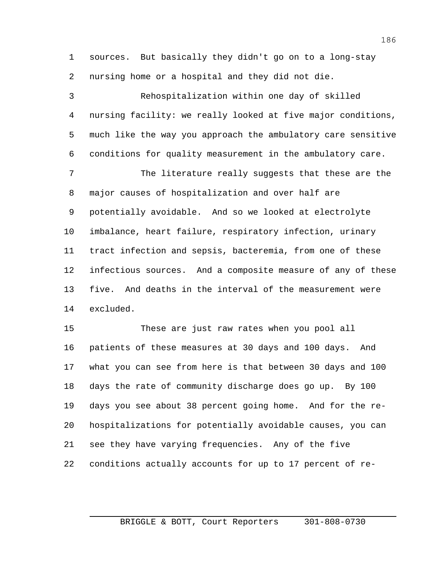sources. But basically they didn't go on to a long-stay nursing home or a hospital and they did not die.

 Rehospitalization within one day of skilled nursing facility: we really looked at five major conditions, much like the way you approach the ambulatory care sensitive conditions for quality measurement in the ambulatory care.

 The literature really suggests that these are the major causes of hospitalization and over half are potentially avoidable. And so we looked at electrolyte imbalance, heart failure, respiratory infection, urinary tract infection and sepsis, bacteremia, from one of these infectious sources. And a composite measure of any of these five. And deaths in the interval of the measurement were excluded.

 These are just raw rates when you pool all patients of these measures at 30 days and 100 days. And what you can see from here is that between 30 days and 100 days the rate of community discharge does go up. By 100 days you see about 38 percent going home. And for the re- hospitalizations for potentially avoidable causes, you can see they have varying frequencies. Any of the five conditions actually accounts for up to 17 percent of re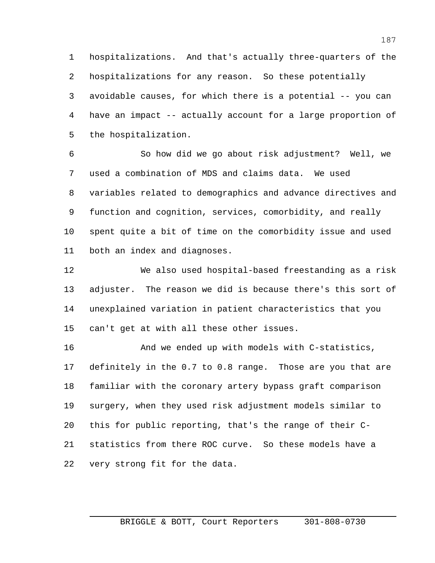hospitalizations. And that's actually three-quarters of the hospitalizations for any reason. So these potentially avoidable causes, for which there is a potential -- you can have an impact -- actually account for a large proportion of the hospitalization.

 So how did we go about risk adjustment? Well, we used a combination of MDS and claims data. We used variables related to demographics and advance directives and function and cognition, services, comorbidity, and really spent quite a bit of time on the comorbidity issue and used both an index and diagnoses.

 We also used hospital-based freestanding as a risk adjuster. The reason we did is because there's this sort of unexplained variation in patient characteristics that you can't get at with all these other issues.

 And we ended up with models with C-statistics, definitely in the 0.7 to 0.8 range. Those are you that are familiar with the coronary artery bypass graft comparison surgery, when they used risk adjustment models similar to this for public reporting, that's the range of their C- statistics from there ROC curve. So these models have a very strong fit for the data.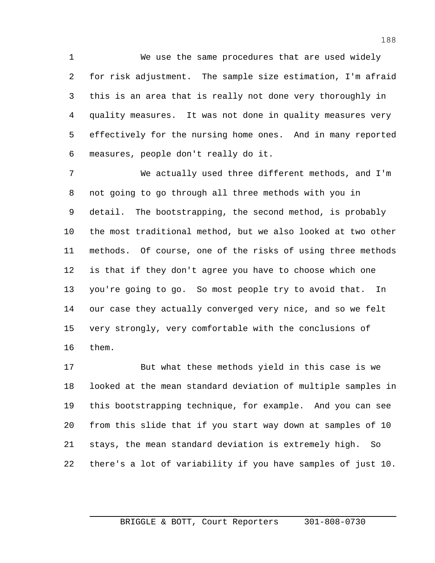We use the same procedures that are used widely for risk adjustment. The sample size estimation, I'm afraid this is an area that is really not done very thoroughly in quality measures. It was not done in quality measures very effectively for the nursing home ones. And in many reported measures, people don't really do it.

 We actually used three different methods, and I'm not going to go through all three methods with you in detail. The bootstrapping, the second method, is probably the most traditional method, but we also looked at two other methods. Of course, one of the risks of using three methods is that if they don't agree you have to choose which one you're going to go. So most people try to avoid that. In our case they actually converged very nice, and so we felt very strongly, very comfortable with the conclusions of them.

 But what these methods yield in this case is we looked at the mean standard deviation of multiple samples in this bootstrapping technique, for example. And you can see from this slide that if you start way down at samples of 10 stays, the mean standard deviation is extremely high. So there's a lot of variability if you have samples of just 10.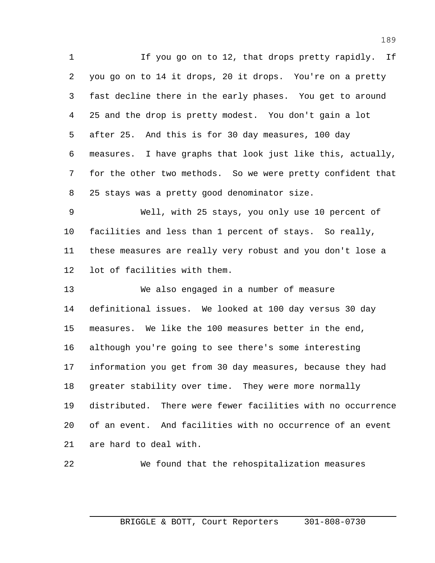1 If you go on to 12, that drops pretty rapidly. If you go on to 14 it drops, 20 it drops. You're on a pretty fast decline there in the early phases. You get to around 25 and the drop is pretty modest. You don't gain a lot after 25. And this is for 30 day measures, 100 day measures. I have graphs that look just like this, actually, for the other two methods. So we were pretty confident that 25 stays was a pretty good denominator size.

 Well, with 25 stays, you only use 10 percent of facilities and less than 1 percent of stays. So really, these measures are really very robust and you don't lose a lot of facilities with them.

 We also engaged in a number of measure definitional issues. We looked at 100 day versus 30 day measures. We like the 100 measures better in the end, although you're going to see there's some interesting information you get from 30 day measures, because they had 18 greater stability over time. They were more normally distributed. There were fewer facilities with no occurrence of an event. And facilities with no occurrence of an event are hard to deal with.

```
22 We found that the rehospitalization measures
```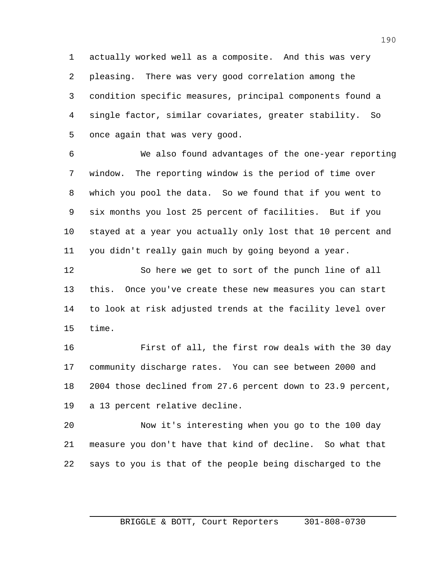actually worked well as a composite. And this was very pleasing. There was very good correlation among the condition specific measures, principal components found a single factor, similar covariates, greater stability. So once again that was very good.

 We also found advantages of the one-year reporting window. The reporting window is the period of time over which you pool the data. So we found that if you went to six months you lost 25 percent of facilities. But if you stayed at a year you actually only lost that 10 percent and you didn't really gain much by going beyond a year.

 So here we get to sort of the punch line of all this. Once you've create these new measures you can start to look at risk adjusted trends at the facility level over time.

 First of all, the first row deals with the 30 day community discharge rates. You can see between 2000 and 2004 those declined from 27.6 percent down to 23.9 percent, a 13 percent relative decline.

 Now it's interesting when you go to the 100 day measure you don't have that kind of decline. So what that says to you is that of the people being discharged to the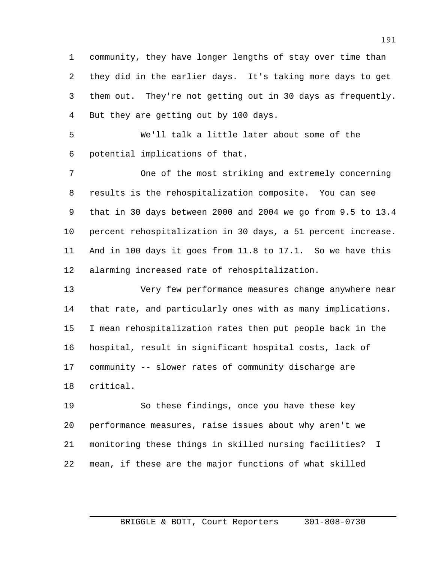community, they have longer lengths of stay over time than they did in the earlier days. It's taking more days to get them out. They're not getting out in 30 days as frequently. But they are getting out by 100 days.

 We'll talk a little later about some of the potential implications of that.

 One of the most striking and extremely concerning results is the rehospitalization composite. You can see that in 30 days between 2000 and 2004 we go from 9.5 to 13.4 percent rehospitalization in 30 days, a 51 percent increase. And in 100 days it goes from 11.8 to 17.1. So we have this alarming increased rate of rehospitalization.

 Very few performance measures change anywhere near that rate, and particularly ones with as many implications. I mean rehospitalization rates then put people back in the hospital, result in significant hospital costs, lack of community -- slower rates of community discharge are critical.

 So these findings, once you have these key performance measures, raise issues about why aren't we monitoring these things in skilled nursing facilities? I mean, if these are the major functions of what skilled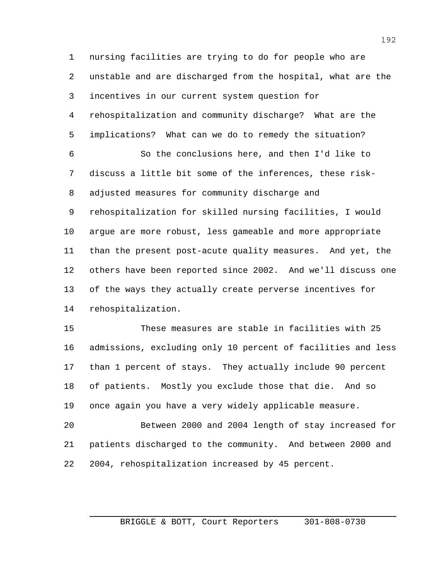nursing facilities are trying to do for people who are unstable and are discharged from the hospital, what are the incentives in our current system question for rehospitalization and community discharge? What are the implications? What can we do to remedy the situation?

 So the conclusions here, and then I'd like to discuss a little bit some of the inferences, these risk- adjusted measures for community discharge and rehospitalization for skilled nursing facilities, I would argue are more robust, less gameable and more appropriate than the present post-acute quality measures. And yet, the others have been reported since 2002. And we'll discuss one of the ways they actually create perverse incentives for rehospitalization.

 These measures are stable in facilities with 25 admissions, excluding only 10 percent of facilities and less than 1 percent of stays. They actually include 90 percent of patients. Mostly you exclude those that die. And so once again you have a very widely applicable measure.

 Between 2000 and 2004 length of stay increased for patients discharged to the community. And between 2000 and 2004, rehospitalization increased by 45 percent.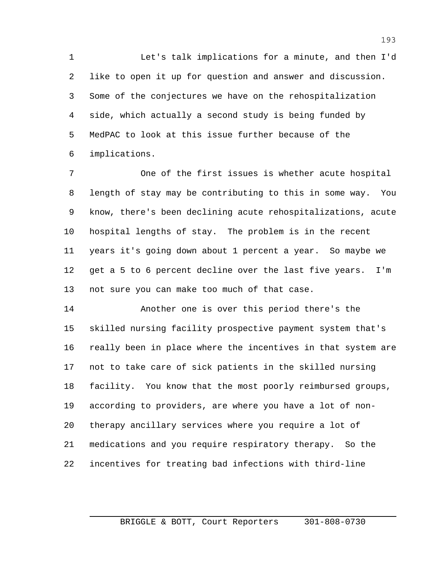Let's talk implications for a minute, and then I'd like to open it up for question and answer and discussion. Some of the conjectures we have on the rehospitalization side, which actually a second study is being funded by MedPAC to look at this issue further because of the implications.

 One of the first issues is whether acute hospital length of stay may be contributing to this in some way. You know, there's been declining acute rehospitalizations, acute hospital lengths of stay. The problem is in the recent years it's going down about 1 percent a year. So maybe we get a 5 to 6 percent decline over the last five years. I'm not sure you can make too much of that case.

 Another one is over this period there's the skilled nursing facility prospective payment system that's really been in place where the incentives in that system are not to take care of sick patients in the skilled nursing facility. You know that the most poorly reimbursed groups, according to providers, are where you have a lot of non- therapy ancillary services where you require a lot of medications and you require respiratory therapy. So the incentives for treating bad infections with third-line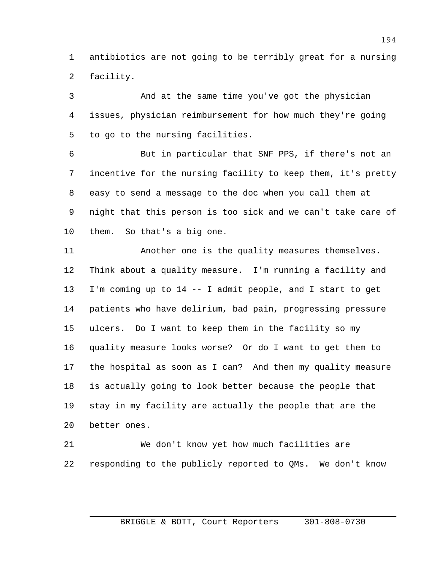antibiotics are not going to be terribly great for a nursing facility.

 And at the same time you've got the physician issues, physician reimbursement for how much they're going to go to the nursing facilities.

 But in particular that SNF PPS, if there's not an incentive for the nursing facility to keep them, it's pretty easy to send a message to the doc when you call them at night that this person is too sick and we can't take care of them. So that's a big one.

 Another one is the quality measures themselves. Think about a quality measure. I'm running a facility and I'm coming up to 14 -- I admit people, and I start to get patients who have delirium, bad pain, progressing pressure ulcers. Do I want to keep them in the facility so my quality measure looks worse? Or do I want to get them to the hospital as soon as I can? And then my quality measure is actually going to look better because the people that stay in my facility are actually the people that are the better ones.

 We don't know yet how much facilities are responding to the publicly reported to QMs. We don't know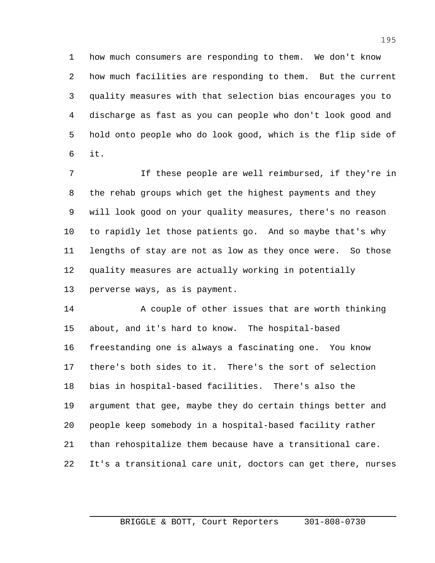how much consumers are responding to them. We don't know how much facilities are responding to them. But the current quality measures with that selection bias encourages you to discharge as fast as you can people who don't look good and hold onto people who do look good, which is the flip side of it.

 If these people are well reimbursed, if they're in the rehab groups which get the highest payments and they will look good on your quality measures, there's no reason to rapidly let those patients go. And so maybe that's why lengths of stay are not as low as they once were. So those quality measures are actually working in potentially perverse ways, as is payment.

14 A couple of other issues that are worth thinking about, and it's hard to know. The hospital-based freestanding one is always a fascinating one. You know there's both sides to it. There's the sort of selection bias in hospital-based facilities. There's also the argument that gee, maybe they do certain things better and people keep somebody in a hospital-based facility rather than rehospitalize them because have a transitional care. It's a transitional care unit, doctors can get there, nurses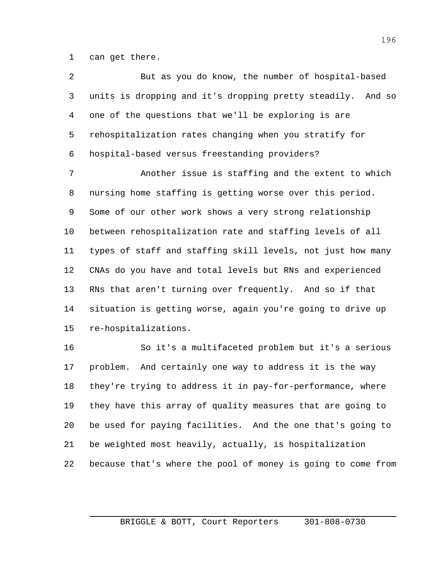can get there.

 But as you do know, the number of hospital-based units is dropping and it's dropping pretty steadily. And so one of the questions that we'll be exploring is are rehospitalization rates changing when you stratify for hospital-based versus freestanding providers?

 Another issue is staffing and the extent to which nursing home staffing is getting worse over this period. Some of our other work shows a very strong relationship between rehospitalization rate and staffing levels of all types of staff and staffing skill levels, not just how many CNAs do you have and total levels but RNs and experienced RNs that aren't turning over frequently. And so if that situation is getting worse, again you're going to drive up re-hospitalizations.

 So it's a multifaceted problem but it's a serious problem. And certainly one way to address it is the way they're trying to address it in pay-for-performance, where they have this array of quality measures that are going to be used for paying facilities. And the one that's going to be weighted most heavily, actually, is hospitalization because that's where the pool of money is going to come from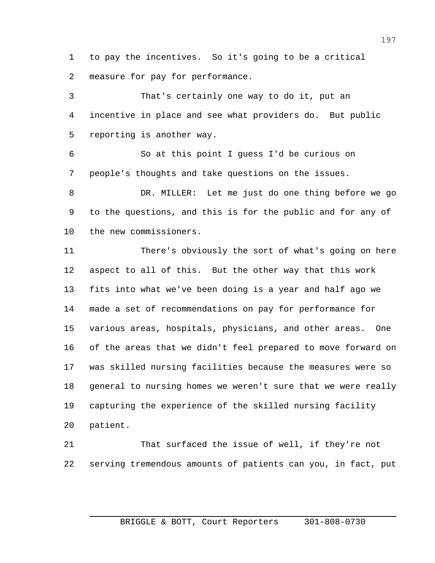to pay the incentives. So it's going to be a critical measure for pay for performance.

 That's certainly one way to do it, put an incentive in place and see what providers do. But public reporting is another way.

 So at this point I guess I'd be curious on people's thoughts and take questions on the issues.

 DR. MILLER: Let me just do one thing before we go to the questions, and this is for the public and for any of the new commissioners.

 There's obviously the sort of what's going on here aspect to all of this. But the other way that this work fits into what we've been doing is a year and half ago we made a set of recommendations on pay for performance for various areas, hospitals, physicians, and other areas. One of the areas that we didn't feel prepared to move forward on was skilled nursing facilities because the measures were so general to nursing homes we weren't sure that we were really capturing the experience of the skilled nursing facility patient.

 That surfaced the issue of well, if they're not serving tremendous amounts of patients can you, in fact, put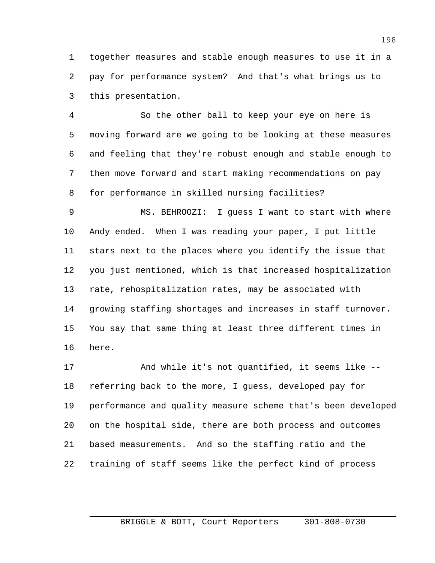together measures and stable enough measures to use it in a pay for performance system? And that's what brings us to this presentation.

 So the other ball to keep your eye on here is moving forward are we going to be looking at these measures and feeling that they're robust enough and stable enough to then move forward and start making recommendations on pay for performance in skilled nursing facilities?

 MS. BEHROOZI: I guess I want to start with where Andy ended. When I was reading your paper, I put little stars next to the places where you identify the issue that you just mentioned, which is that increased hospitalization rate, rehospitalization rates, may be associated with growing staffing shortages and increases in staff turnover. You say that same thing at least three different times in here.

 And while it's not quantified, it seems like -- referring back to the more, I guess, developed pay for performance and quality measure scheme that's been developed on the hospital side, there are both process and outcomes based measurements. And so the staffing ratio and the training of staff seems like the perfect kind of process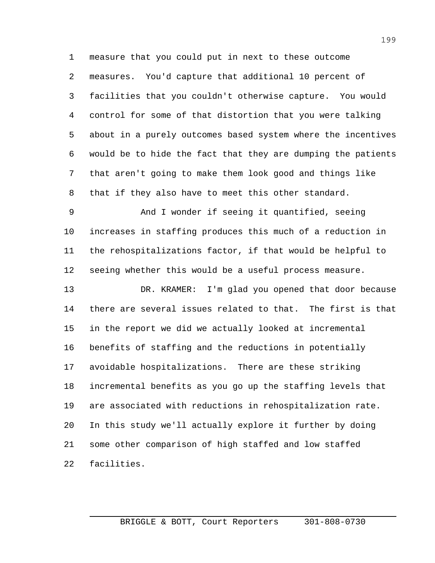measure that you could put in next to these outcome measures. You'd capture that additional 10 percent of facilities that you couldn't otherwise capture. You would control for some of that distortion that you were talking about in a purely outcomes based system where the incentives would be to hide the fact that they are dumping the patients that aren't going to make them look good and things like that if they also have to meet this other standard.

 And I wonder if seeing it quantified, seeing increases in staffing produces this much of a reduction in the rehospitalizations factor, if that would be helpful to seeing whether this would be a useful process measure.

 DR. KRAMER: I'm glad you opened that door because there are several issues related to that. The first is that in the report we did we actually looked at incremental benefits of staffing and the reductions in potentially avoidable hospitalizations. There are these striking incremental benefits as you go up the staffing levels that are associated with reductions in rehospitalization rate. In this study we'll actually explore it further by doing some other comparison of high staffed and low staffed facilities.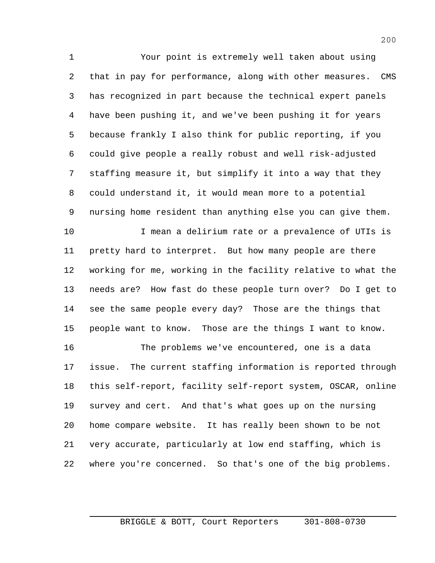Your point is extremely well taken about using that in pay for performance, along with other measures. CMS has recognized in part because the technical expert panels have been pushing it, and we've been pushing it for years because frankly I also think for public reporting, if you could give people a really robust and well risk-adjusted staffing measure it, but simplify it into a way that they could understand it, it would mean more to a potential nursing home resident than anything else you can give them. I mean a delirium rate or a prevalence of UTIs is pretty hard to interpret. But how many people are there working for me, working in the facility relative to what the needs are? How fast do these people turn over? Do I get to see the same people every day? Those are the things that people want to know. Those are the things I want to know. The problems we've encountered, one is a data

 issue. The current staffing information is reported through this self-report, facility self-report system, OSCAR, online survey and cert. And that's what goes up on the nursing home compare website. It has really been shown to be not very accurate, particularly at low end staffing, which is where you're concerned. So that's one of the big problems.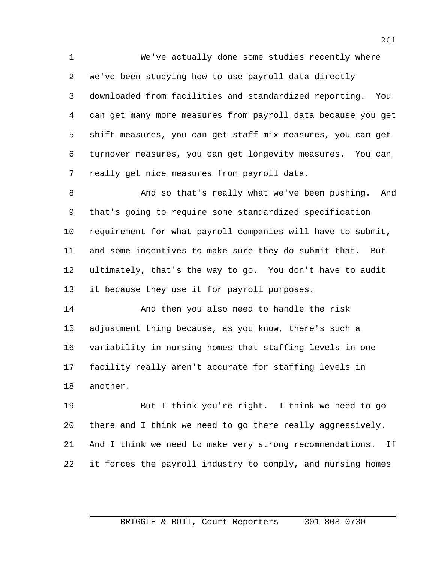We've actually done some studies recently where we've been studying how to use payroll data directly downloaded from facilities and standardized reporting. You can get many more measures from payroll data because you get shift measures, you can get staff mix measures, you can get turnover measures, you can get longevity measures. You can really get nice measures from payroll data.

 And so that's really what we've been pushing. And that's going to require some standardized specification requirement for what payroll companies will have to submit, and some incentives to make sure they do submit that. But ultimately, that's the way to go. You don't have to audit it because they use it for payroll purposes.

 And then you also need to handle the risk adjustment thing because, as you know, there's such a variability in nursing homes that staffing levels in one facility really aren't accurate for staffing levels in another.

 But I think you're right. I think we need to go there and I think we need to go there really aggressively. And I think we need to make very strong recommendations. If it forces the payroll industry to comply, and nursing homes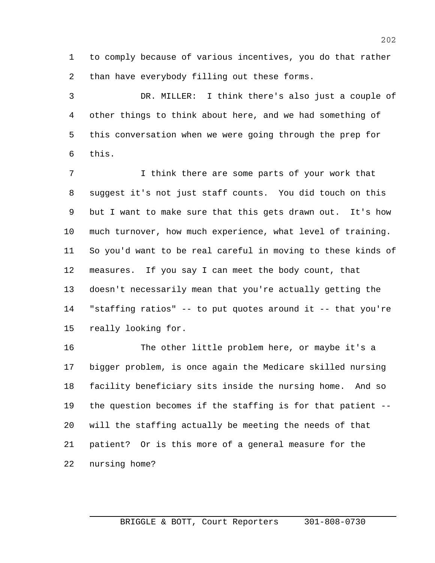to comply because of various incentives, you do that rather than have everybody filling out these forms.

 DR. MILLER: I think there's also just a couple of other things to think about here, and we had something of this conversation when we were going through the prep for this.

7 1 I think there are some parts of your work that suggest it's not just staff counts. You did touch on this but I want to make sure that this gets drawn out. It's how much turnover, how much experience, what level of training. So you'd want to be real careful in moving to these kinds of measures. If you say I can meet the body count, that doesn't necessarily mean that you're actually getting the "staffing ratios" -- to put quotes around it -- that you're really looking for.

 The other little problem here, or maybe it's a bigger problem, is once again the Medicare skilled nursing facility beneficiary sits inside the nursing home. And so the question becomes if the staffing is for that patient -- will the staffing actually be meeting the needs of that patient? Or is this more of a general measure for the nursing home?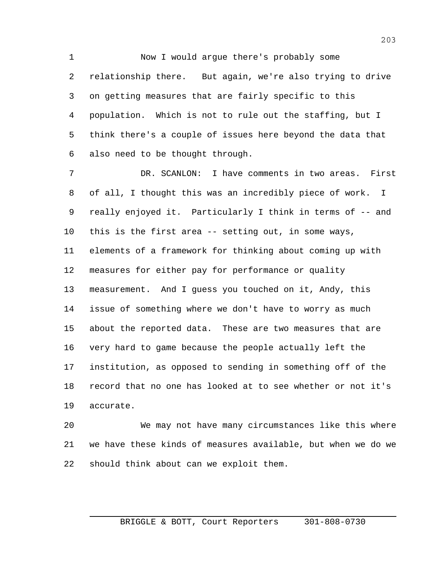Now I would argue there's probably some relationship there. But again, we're also trying to drive on getting measures that are fairly specific to this population. Which is not to rule out the staffing, but I think there's a couple of issues here beyond the data that also need to be thought through.

 DR. SCANLON: I have comments in two areas. First of all, I thought this was an incredibly piece of work. I really enjoyed it. Particularly I think in terms of -- and this is the first area -- setting out, in some ways, elements of a framework for thinking about coming up with measures for either pay for performance or quality measurement. And I guess you touched on it, Andy, this issue of something where we don't have to worry as much about the reported data. These are two measures that are very hard to game because the people actually left the institution, as opposed to sending in something off of the record that no one has looked at to see whether or not it's accurate.

 We may not have many circumstances like this where we have these kinds of measures available, but when we do we should think about can we exploit them.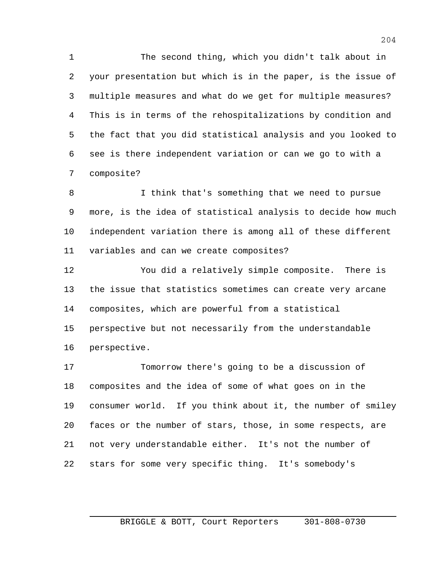The second thing, which you didn't talk about in your presentation but which is in the paper, is the issue of multiple measures and what do we get for multiple measures? This is in terms of the rehospitalizations by condition and the fact that you did statistical analysis and you looked to see is there independent variation or can we go to with a composite?

 I think that's something that we need to pursue more, is the idea of statistical analysis to decide how much independent variation there is among all of these different variables and can we create composites?

 You did a relatively simple composite. There is the issue that statistics sometimes can create very arcane composites, which are powerful from a statistical perspective but not necessarily from the understandable perspective.

 Tomorrow there's going to be a discussion of composites and the idea of some of what goes on in the consumer world. If you think about it, the number of smiley faces or the number of stars, those, in some respects, are not very understandable either. It's not the number of stars for some very specific thing. It's somebody's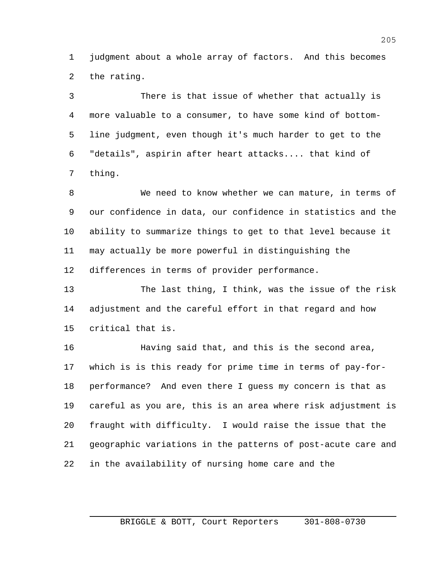judgment about a whole array of factors. And this becomes the rating.

 There is that issue of whether that actually is more valuable to a consumer, to have some kind of bottom- line judgment, even though it's much harder to get to the "details", aspirin after heart attacks.... that kind of thing.

 We need to know whether we can mature, in terms of our confidence in data, our confidence in statistics and the ability to summarize things to get to that level because it may actually be more powerful in distinguishing the differences in terms of provider performance.

 The last thing, I think, was the issue of the risk adjustment and the careful effort in that regard and how critical that is.

 Having said that, and this is the second area, which is is this ready for prime time in terms of pay-for- performance? And even there I guess my concern is that as careful as you are, this is an area where risk adjustment is fraught with difficulty. I would raise the issue that the geographic variations in the patterns of post-acute care and in the availability of nursing home care and the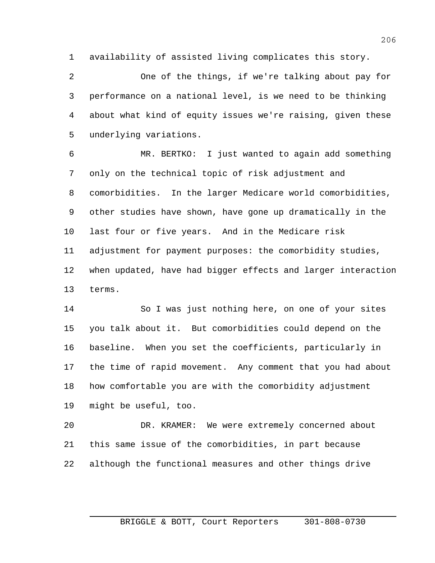availability of assisted living complicates this story.

 One of the things, if we're talking about pay for performance on a national level, is we need to be thinking about what kind of equity issues we're raising, given these underlying variations.

 MR. BERTKO: I just wanted to again add something only on the technical topic of risk adjustment and comorbidities. In the larger Medicare world comorbidities, other studies have shown, have gone up dramatically in the last four or five years. And in the Medicare risk adjustment for payment purposes: the comorbidity studies, when updated, have had bigger effects and larger interaction terms.

 So I was just nothing here, on one of your sites you talk about it. But comorbidities could depend on the baseline. When you set the coefficients, particularly in the time of rapid movement. Any comment that you had about how comfortable you are with the comorbidity adjustment might be useful, too.

 DR. KRAMER: We were extremely concerned about this same issue of the comorbidities, in part because although the functional measures and other things drive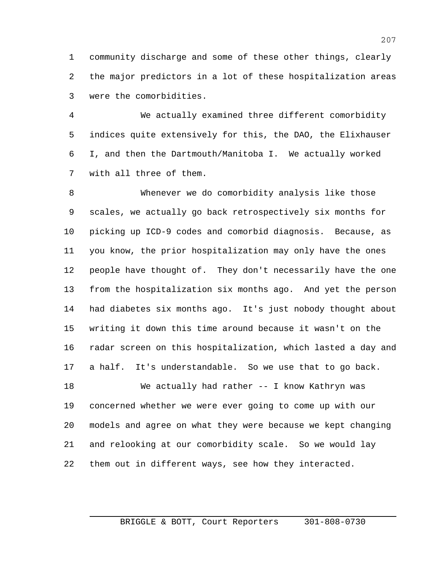community discharge and some of these other things, clearly the major predictors in a lot of these hospitalization areas were the comorbidities.

 We actually examined three different comorbidity indices quite extensively for this, the DAO, the Elixhauser I, and then the Dartmouth/Manitoba I. We actually worked with all three of them.

 Whenever we do comorbidity analysis like those scales, we actually go back retrospectively six months for picking up ICD-9 codes and comorbid diagnosis. Because, as you know, the prior hospitalization may only have the ones people have thought of. They don't necessarily have the one from the hospitalization six months ago. And yet the person had diabetes six months ago. It's just nobody thought about writing it down this time around because it wasn't on the radar screen on this hospitalization, which lasted a day and a half. It's understandable. So we use that to go back.

 We actually had rather -- I know Kathryn was concerned whether we were ever going to come up with our models and agree on what they were because we kept changing and relooking at our comorbidity scale. So we would lay them out in different ways, see how they interacted.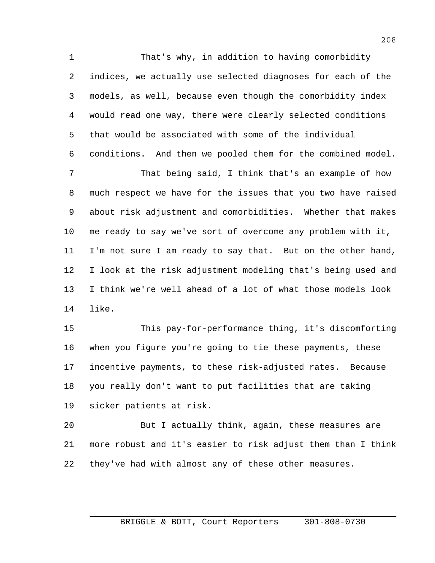That's why, in addition to having comorbidity indices, we actually use selected diagnoses for each of the models, as well, because even though the comorbidity index would read one way, there were clearly selected conditions that would be associated with some of the individual conditions. And then we pooled them for the combined model. That being said, I think that's an example of how much respect we have for the issues that you two have raised about risk adjustment and comorbidities. Whether that makes me ready to say we've sort of overcome any problem with it, I'm not sure I am ready to say that. But on the other hand, I look at the risk adjustment modeling that's being used and I think we're well ahead of a lot of what those models look like.

 This pay-for-performance thing, it's discomforting when you figure you're going to tie these payments, these incentive payments, to these risk-adjusted rates. Because you really don't want to put facilities that are taking sicker patients at risk.

 But I actually think, again, these measures are more robust and it's easier to risk adjust them than I think they've had with almost any of these other measures.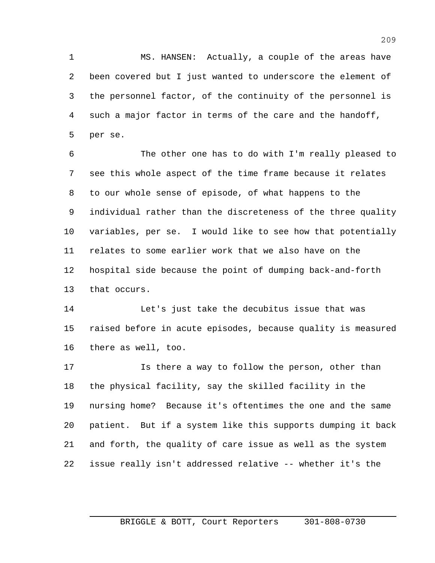MS. HANSEN: Actually, a couple of the areas have been covered but I just wanted to underscore the element of the personnel factor, of the continuity of the personnel is such a major factor in terms of the care and the handoff, per se.

 The other one has to do with I'm really pleased to see this whole aspect of the time frame because it relates to our whole sense of episode, of what happens to the individual rather than the discreteness of the three quality variables, per se. I would like to see how that potentially relates to some earlier work that we also have on the hospital side because the point of dumping back-and-forth that occurs.

 Let's just take the decubitus issue that was raised before in acute episodes, because quality is measured there as well, too.

 Is there a way to follow the person, other than the physical facility, say the skilled facility in the nursing home? Because it's oftentimes the one and the same patient. But if a system like this supports dumping it back and forth, the quality of care issue as well as the system issue really isn't addressed relative -- whether it's the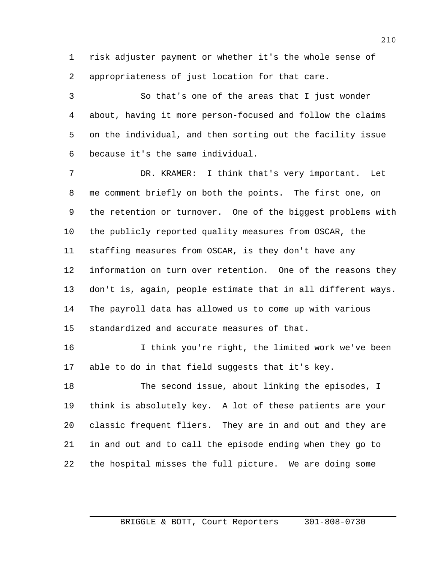risk adjuster payment or whether it's the whole sense of appropriateness of just location for that care.

 So that's one of the areas that I just wonder about, having it more person-focused and follow the claims on the individual, and then sorting out the facility issue because it's the same individual.

 DR. KRAMER: I think that's very important. Let me comment briefly on both the points. The first one, on the retention or turnover. One of the biggest problems with the publicly reported quality measures from OSCAR, the staffing measures from OSCAR, is they don't have any information on turn over retention. One of the reasons they don't is, again, people estimate that in all different ways. The payroll data has allowed us to come up with various standardized and accurate measures of that.

16 16 I think you're right, the limited work we've been able to do in that field suggests that it's key.

 The second issue, about linking the episodes, I think is absolutely key. A lot of these patients are your classic frequent fliers. They are in and out and they are in and out and to call the episode ending when they go to the hospital misses the full picture. We are doing some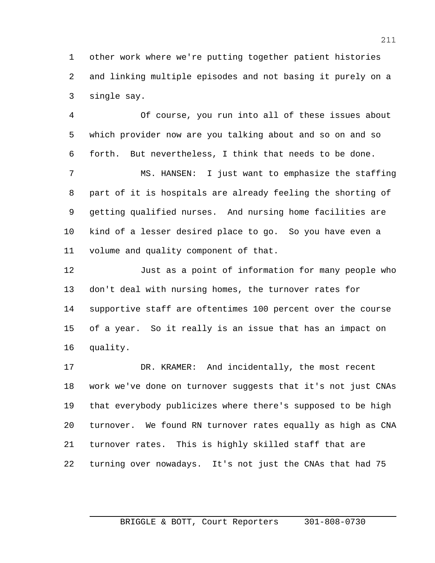other work where we're putting together patient histories and linking multiple episodes and not basing it purely on a single say.

 Of course, you run into all of these issues about which provider now are you talking about and so on and so forth. But nevertheless, I think that needs to be done.

 MS. HANSEN: I just want to emphasize the staffing part of it is hospitals are already feeling the shorting of getting qualified nurses. And nursing home facilities are kind of a lesser desired place to go. So you have even a volume and quality component of that.

 Just as a point of information for many people who don't deal with nursing homes, the turnover rates for supportive staff are oftentimes 100 percent over the course of a year. So it really is an issue that has an impact on quality.

 DR. KRAMER: And incidentally, the most recent work we've done on turnover suggests that it's not just CNAs that everybody publicizes where there's supposed to be high turnover. We found RN turnover rates equally as high as CNA turnover rates. This is highly skilled staff that are turning over nowadays. It's not just the CNAs that had 75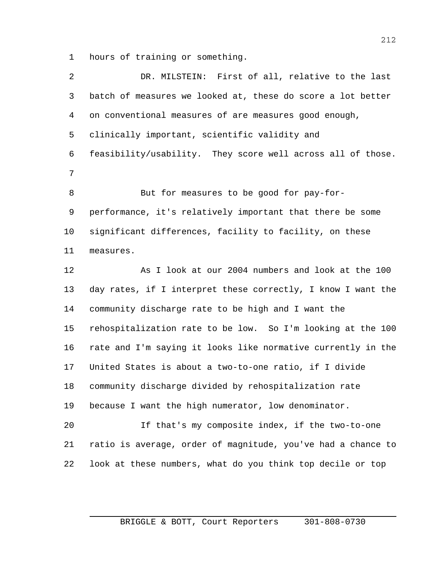hours of training or something.

| 2       | DR. MILSTEIN: First of all, relative to the last             |
|---------|--------------------------------------------------------------|
| 3       | batch of measures we looked at, these do score a lot better  |
| 4       | on conventional measures of are measures good enough,        |
| 5       | clinically important, scientific validity and                |
| 6       | feasibility/usability. They score well across all of those.  |
| 7       |                                                              |
| 8       | But for measures to be good for pay-for-                     |
| 9       | performance, it's relatively important that there be some    |
| $10 \,$ | significant differences, facility to facility, on these      |
| 11      | measures.                                                    |
| 12      | As I look at our 2004 numbers and look at the 100            |
| 13      | day rates, if I interpret these correctly, I know I want the |
| 14      | community discharge rate to be high and I want the           |
| 15      | rehospitalization rate to be low. So I'm looking at the 100  |
| 16      | rate and I'm saying it looks like normative currently in the |
| 17      | United States is about a two-to-one ratio, if I divide       |
| 18      | community discharge divided by rehospitalization rate        |
| 19      | because I want the high numerator, low denominator.          |
| 20      | If that's my composite index, if the two-to-one              |
| 21      | ratio is average, order of magnitude, you've had a chance to |
| 22      | look at these numbers, what do you think top decile or top   |
|         |                                                              |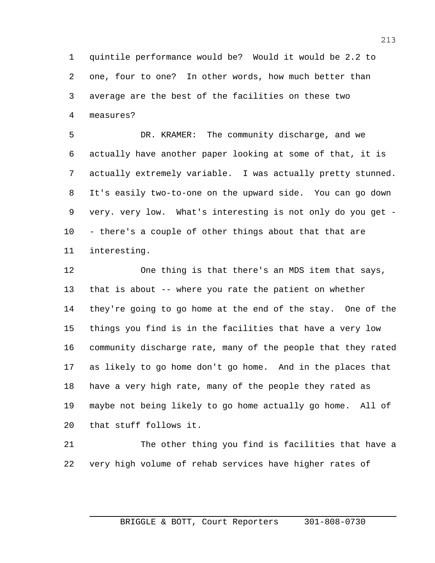quintile performance would be? Would it would be 2.2 to one, four to one? In other words, how much better than average are the best of the facilities on these two measures?

 DR. KRAMER: The community discharge, and we actually have another paper looking at some of that, it is actually extremely variable. I was actually pretty stunned. It's easily two-to-one on the upward side. You can go down very. very low. What's interesting is not only do you get - - there's a couple of other things about that that are interesting.

 One thing is that there's an MDS item that says, that is about -- where you rate the patient on whether they're going to go home at the end of the stay. One of the things you find is in the facilities that have a very low community discharge rate, many of the people that they rated as likely to go home don't go home. And in the places that have a very high rate, many of the people they rated as maybe not being likely to go home actually go home. All of that stuff follows it.

 The other thing you find is facilities that have a very high volume of rehab services have higher rates of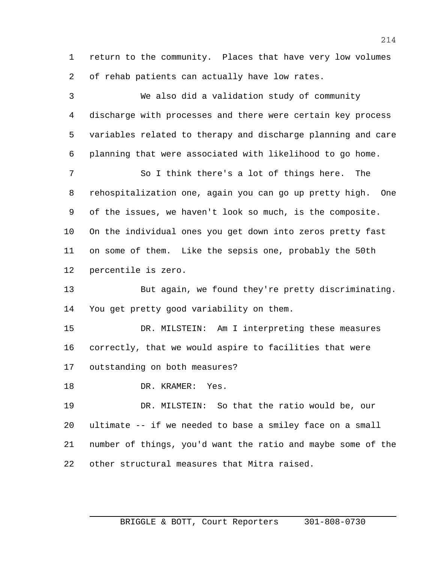return to the community. Places that have very low volumes of rehab patients can actually have low rates.

 We also did a validation study of community discharge with processes and there were certain key process variables related to therapy and discharge planning and care planning that were associated with likelihood to go home. So I think there's a lot of things here. The rehospitalization one, again you can go up pretty high. One of the issues, we haven't look so much, is the composite. On the individual ones you get down into zeros pretty fast on some of them. Like the sepsis one, probably the 50th percentile is zero. But again, we found they're pretty discriminating. You get pretty good variability on them. DR. MILSTEIN: Am I interpreting these measures correctly, that we would aspire to facilities that were outstanding on both measures? 18 DR. KRAMER: Yes. DR. MILSTEIN: So that the ratio would be, our ultimate -- if we needed to base a smiley face on a small number of things, you'd want the ratio and maybe some of the other structural measures that Mitra raised.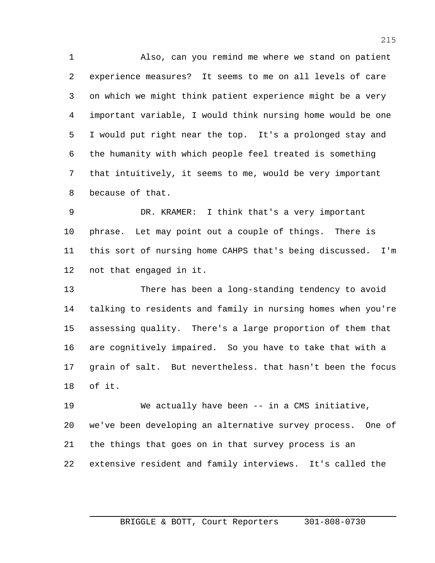Also, can you remind me where we stand on patient experience measures? It seems to me on all levels of care on which we might think patient experience might be a very important variable, I would think nursing home would be one I would put right near the top. It's a prolonged stay and the humanity with which people feel treated is something that intuitively, it seems to me, would be very important because of that.

 DR. KRAMER: I think that's a very important phrase. Let may point out a couple of things. There is this sort of nursing home CAHPS that's being discussed. I'm not that engaged in it.

 There has been a long-standing tendency to avoid talking to residents and family in nursing homes when you're assessing quality. There's a large proportion of them that are cognitively impaired. So you have to take that with a grain of salt. But nevertheless. that hasn't been the focus of it.

 We actually have been -- in a CMS initiative, we've been developing an alternative survey process. One of the things that goes on in that survey process is an extensive resident and family interviews. It's called the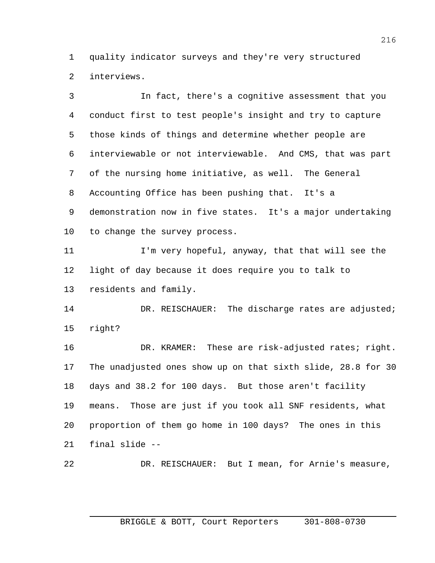quality indicator surveys and they're very structured interviews.

 In fact, there's a cognitive assessment that you conduct first to test people's insight and try to capture those kinds of things and determine whether people are interviewable or not interviewable. And CMS, that was part of the nursing home initiative, as well. The General Accounting Office has been pushing that. It's a demonstration now in five states. It's a major undertaking to change the survey process. 11 I'm very hopeful, anyway, that that will see the light of day because it does require you to talk to residents and family. 14 DR. REISCHAUER: The discharge rates are adjusted; right? 16 DR. KRAMER: These are risk-adjusted rates; right. The unadjusted ones show up on that sixth slide, 28.8 for 30 days and 38.2 for 100 days. But those aren't facility means. Those are just if you took all SNF residents, what proportion of them go home in 100 days? The ones in this final slide -- DR. REISCHAUER: But I mean, for Arnie's measure,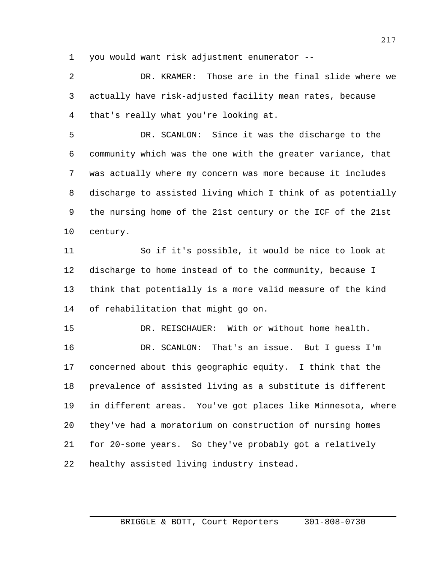you would want risk adjustment enumerator --

 DR. KRAMER: Those are in the final slide where we actually have risk-adjusted facility mean rates, because that's really what you're looking at.

 DR. SCANLON: Since it was the discharge to the community which was the one with the greater variance, that was actually where my concern was more because it includes discharge to assisted living which I think of as potentially the nursing home of the 21st century or the ICF of the 21st century.

 So if it's possible, it would be nice to look at discharge to home instead of to the community, because I think that potentially is a more valid measure of the kind of rehabilitation that might go on.

 DR. REISCHAUER: With or without home health. DR. SCANLON: That's an issue. But I guess I'm concerned about this geographic equity. I think that the prevalence of assisted living as a substitute is different in different areas. You've got places like Minnesota, where they've had a moratorium on construction of nursing homes for 20-some years. So they've probably got a relatively healthy assisted living industry instead.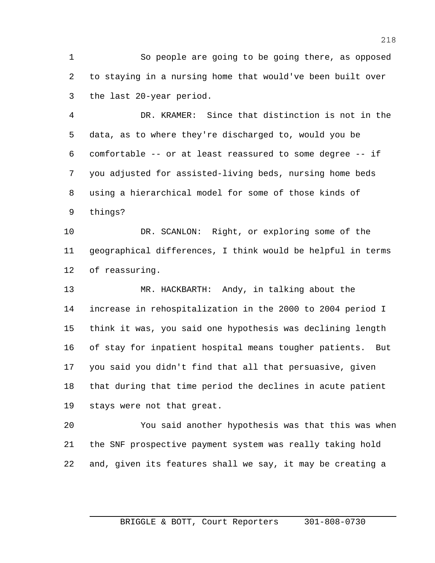So people are going to be going there, as opposed to staying in a nursing home that would've been built over the last 20-year period.

 DR. KRAMER: Since that distinction is not in the data, as to where they're discharged to, would you be comfortable -- or at least reassured to some degree -- if you adjusted for assisted-living beds, nursing home beds using a hierarchical model for some of those kinds of things?

 DR. SCANLON: Right, or exploring some of the geographical differences, I think would be helpful in terms of reassuring.

 MR. HACKBARTH: Andy, in talking about the increase in rehospitalization in the 2000 to 2004 period I think it was, you said one hypothesis was declining length of stay for inpatient hospital means tougher patients. But you said you didn't find that all that persuasive, given that during that time period the declines in acute patient stays were not that great.

 You said another hypothesis was that this was when the SNF prospective payment system was really taking hold and, given its features shall we say, it may be creating a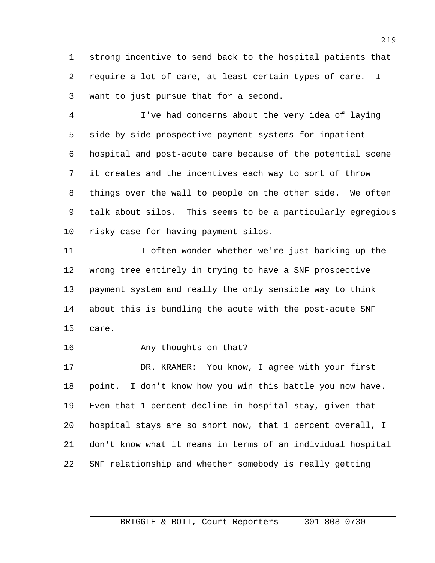strong incentive to send back to the hospital patients that require a lot of care, at least certain types of care. I want to just pursue that for a second.

 I've had concerns about the very idea of laying side-by-side prospective payment systems for inpatient hospital and post-acute care because of the potential scene it creates and the incentives each way to sort of throw things over the wall to people on the other side. We often talk about silos. This seems to be a particularly egregious risky case for having payment silos.

 I often wonder whether we're just barking up the wrong tree entirely in trying to have a SNF prospective payment system and really the only sensible way to think about this is bundling the acute with the post-acute SNF care.

**Any thoughts on that?** 

 DR. KRAMER: You know, I agree with your first point. I don't know how you win this battle you now have. Even that 1 percent decline in hospital stay, given that hospital stays are so short now, that 1 percent overall, I don't know what it means in terms of an individual hospital SNF relationship and whether somebody is really getting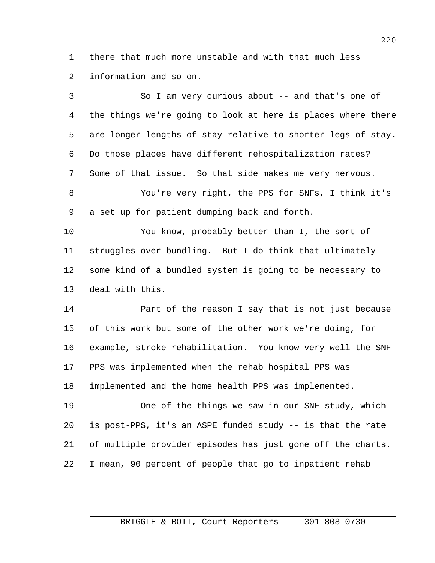there that much more unstable and with that much less information and so on.

| 3              | So I am very curious about -- and that's one of              |
|----------------|--------------------------------------------------------------|
| $\overline{4}$ | the things we're going to look at here is places where there |
| 5              | are longer lengths of stay relative to shorter legs of stay. |
| 6              | Do those places have different rehospitalization rates?      |
| 7              | Some of that issue. So that side makes me very nervous.      |
| 8              | You're very right, the PPS for SNFs, I think it's            |
| 9              | a set up for patient dumping back and forth.                 |
| 10             | You know, probably better than I, the sort of                |
| 11             | struggles over bundling. But I do think that ultimately      |
| 12             | some kind of a bundled system is going to be necessary to    |
| 13             | deal with this.                                              |
| 14             | Part of the reason I say that is not just because            |
| 15             | of this work but some of the other work we're doing, for     |
| 16             | example, stroke rehabilitation. You know very well the SNF   |
| 17             | PPS was implemented when the rehab hospital PPS was          |
| 18             | implemented and the home health PPS was implemented.         |
| 19             | One of the things we saw in our SNF study, which             |
| 20             | is post-PPS, it's an ASPE funded study -- is that the rate   |
| 21             | of multiple provider episodes has just gone off the charts.  |
|                |                                                              |

I mean, 90 percent of people that go to inpatient rehab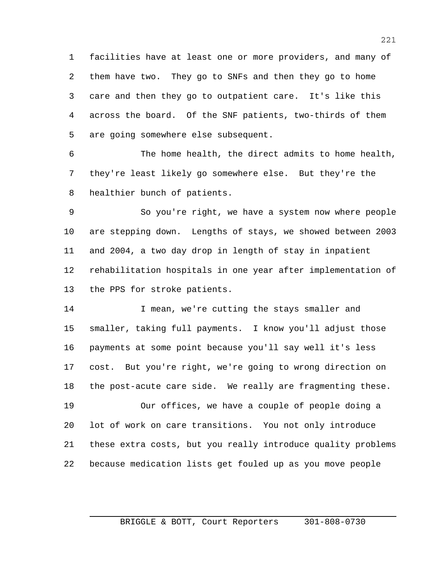facilities have at least one or more providers, and many of them have two. They go to SNFs and then they go to home care and then they go to outpatient care. It's like this across the board. Of the SNF patients, two-thirds of them are going somewhere else subsequent.

 The home health, the direct admits to home health, they're least likely go somewhere else. But they're the healthier bunch of patients.

 So you're right, we have a system now where people are stepping down. Lengths of stays, we showed between 2003 and 2004, a two day drop in length of stay in inpatient rehabilitation hospitals in one year after implementation of the PPS for stroke patients.

14 I mean, we're cutting the stays smaller and smaller, taking full payments. I know you'll adjust those payments at some point because you'll say well it's less cost. But you're right, we're going to wrong direction on the post-acute care side. We really are fragmenting these.

 Our offices, we have a couple of people doing a lot of work on care transitions. You not only introduce these extra costs, but you really introduce quality problems because medication lists get fouled up as you move people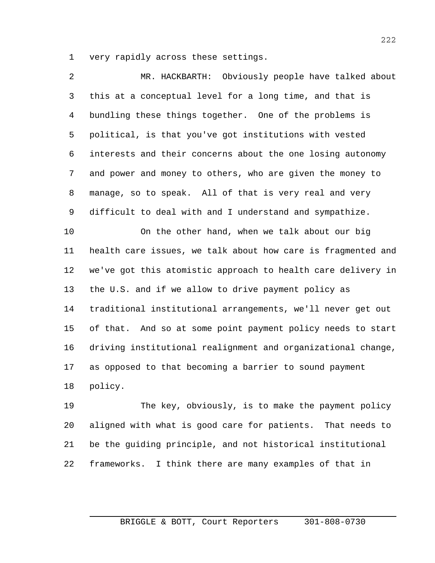very rapidly across these settings.

| 2  | MR. HACKBARTH: Obviously people have talked about            |
|----|--------------------------------------------------------------|
| 3  | this at a conceptual level for a long time, and that is      |
| 4  | bundling these things together. One of the problems is       |
| 5  | political, is that you've got institutions with vested       |
| 6  | interests and their concerns about the one losing autonomy   |
| 7  | and power and money to others, who are given the money to    |
| 8  | manage, so to speak. All of that is very real and very       |
| 9  | difficult to deal with and I understand and sympathize.      |
| 10 | On the other hand, when we talk about our big                |
| 11 | health care issues, we talk about how care is fragmented and |
| 12 | we've got this atomistic approach to health care delivery in |
| 13 | the U.S. and if we allow to drive payment policy as          |
| 14 | traditional institutional arrangements, we'll never get out  |
| 15 | of that. And so at some point payment policy needs to start  |
| 16 | driving institutional realignment and organizational change, |
| 17 | as opposed to that becoming a barrier to sound payment       |
| 18 | policy.                                                      |
| 19 | The key, obviously, is to make the payment policy            |
| 20 | aligned with what is good care for patients. That needs to   |
| 21 | be the guiding principle, and not historical institutional   |

frameworks. I think there are many examples of that in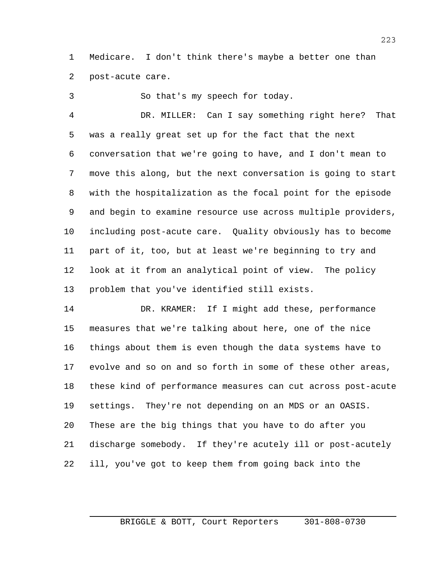Medicare. I don't think there's maybe a better one than post-acute care.

So that's my speech for today.

 DR. MILLER: Can I say something right here? That was a really great set up for the fact that the next conversation that we're going to have, and I don't mean to move this along, but the next conversation is going to start with the hospitalization as the focal point for the episode and begin to examine resource use across multiple providers, including post-acute care. Quality obviously has to become part of it, too, but at least we're beginning to try and look at it from an analytical point of view. The policy problem that you've identified still exists.

 DR. KRAMER: If I might add these, performance measures that we're talking about here, one of the nice things about them is even though the data systems have to evolve and so on and so forth in some of these other areas, these kind of performance measures can cut across post-acute settings. They're not depending on an MDS or an OASIS. These are the big things that you have to do after you discharge somebody. If they're acutely ill or post-acutely ill, you've got to keep them from going back into the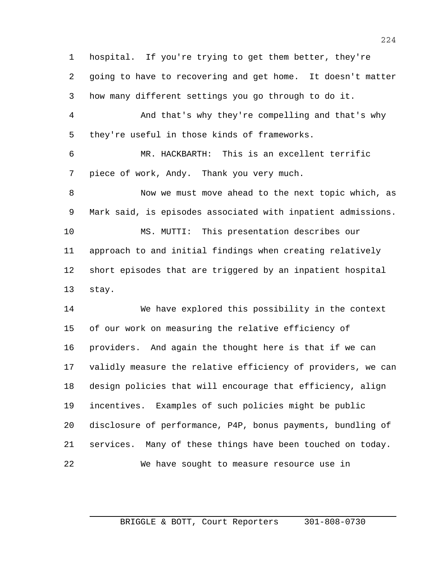hospital. If you're trying to get them better, they're going to have to recovering and get home. It doesn't matter how many different settings you go through to do it.

 And that's why they're compelling and that's why they're useful in those kinds of frameworks.

 MR. HACKBARTH: This is an excellent terrific piece of work, Andy. Thank you very much.

 Now we must move ahead to the next topic which, as Mark said, is episodes associated with inpatient admissions. MS. MUTTI: This presentation describes our approach to and initial findings when creating relatively short episodes that are triggered by an inpatient hospital stay.

 We have explored this possibility in the context of our work on measuring the relative efficiency of providers. And again the thought here is that if we can validly measure the relative efficiency of providers, we can design policies that will encourage that efficiency, align incentives. Examples of such policies might be public disclosure of performance, P4P, bonus payments, bundling of services. Many of these things have been touched on today. We have sought to measure resource use in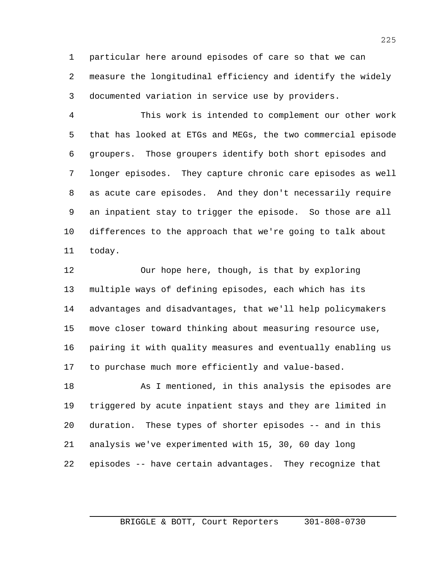particular here around episodes of care so that we can measure the longitudinal efficiency and identify the widely documented variation in service use by providers.

 This work is intended to complement our other work that has looked at ETGs and MEGs, the two commercial episode groupers. Those groupers identify both short episodes and longer episodes. They capture chronic care episodes as well as acute care episodes. And they don't necessarily require an inpatient stay to trigger the episode. So those are all differences to the approach that we're going to talk about today.

 Our hope here, though, is that by exploring multiple ways of defining episodes, each which has its advantages and disadvantages, that we'll help policymakers move closer toward thinking about measuring resource use, pairing it with quality measures and eventually enabling us to purchase much more efficiently and value-based.

18 As I mentioned, in this analysis the episodes are triggered by acute inpatient stays and they are limited in duration. These types of shorter episodes -- and in this analysis we've experimented with 15, 30, 60 day long episodes -- have certain advantages. They recognize that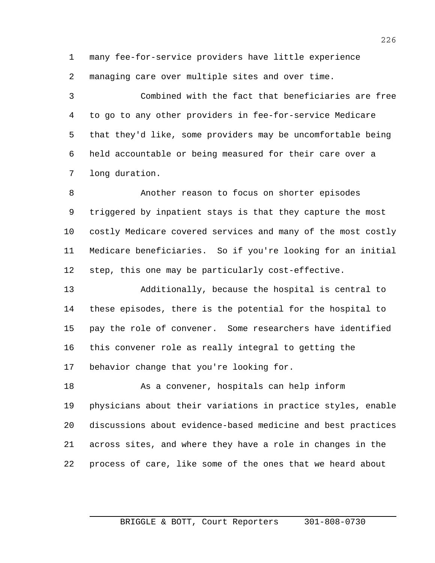many fee-for-service providers have little experience managing care over multiple sites and over time.

 Combined with the fact that beneficiaries are free to go to any other providers in fee-for-service Medicare that they'd like, some providers may be uncomfortable being held accountable or being measured for their care over a long duration.

 Another reason to focus on shorter episodes triggered by inpatient stays is that they capture the most costly Medicare covered services and many of the most costly Medicare beneficiaries. So if you're looking for an initial step, this one may be particularly cost-effective.

 Additionally, because the hospital is central to these episodes, there is the potential for the hospital to pay the role of convener. Some researchers have identified this convener role as really integral to getting the behavior change that you're looking for.

 As a convener, hospitals can help inform physicians about their variations in practice styles, enable discussions about evidence-based medicine and best practices across sites, and where they have a role in changes in the process of care, like some of the ones that we heard about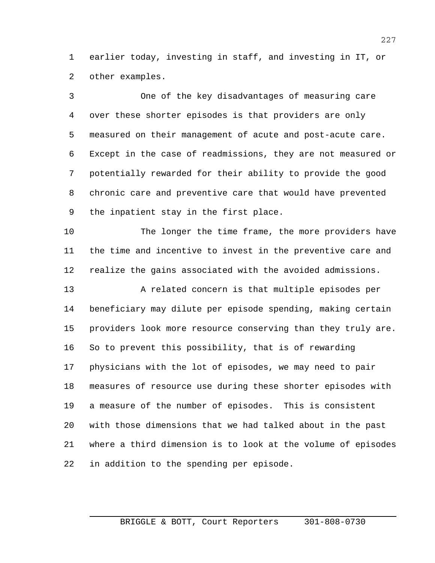earlier today, investing in staff, and investing in IT, or other examples.

 One of the key disadvantages of measuring care over these shorter episodes is that providers are only measured on their management of acute and post-acute care. Except in the case of readmissions, they are not measured or potentially rewarded for their ability to provide the good chronic care and preventive care that would have prevented the inpatient stay in the first place.

 The longer the time frame, the more providers have the time and incentive to invest in the preventive care and realize the gains associated with the avoided admissions.

13 A related concern is that multiple episodes per beneficiary may dilute per episode spending, making certain providers look more resource conserving than they truly are. So to prevent this possibility, that is of rewarding physicians with the lot of episodes, we may need to pair measures of resource use during these shorter episodes with a measure of the number of episodes. This is consistent with those dimensions that we had talked about in the past where a third dimension is to look at the volume of episodes in addition to the spending per episode.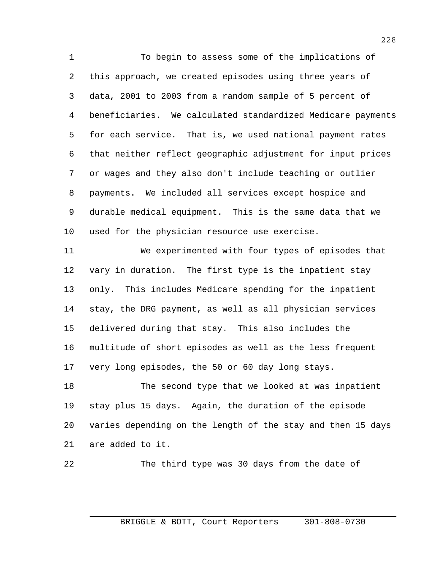To begin to assess some of the implications of this approach, we created episodes using three years of data, 2001 to 2003 from a random sample of 5 percent of beneficiaries. We calculated standardized Medicare payments for each service. That is, we used national payment rates that neither reflect geographic adjustment for input prices or wages and they also don't include teaching or outlier payments. We included all services except hospice and durable medical equipment. This is the same data that we used for the physician resource use exercise.

 We experimented with four types of episodes that vary in duration. The first type is the inpatient stay only. This includes Medicare spending for the inpatient stay, the DRG payment, as well as all physician services delivered during that stay. This also includes the multitude of short episodes as well as the less frequent very long episodes, the 50 or 60 day long stays.

 The second type that we looked at was inpatient stay plus 15 days. Again, the duration of the episode varies depending on the length of the stay and then 15 days are added to it.

The third type was 30 days from the date of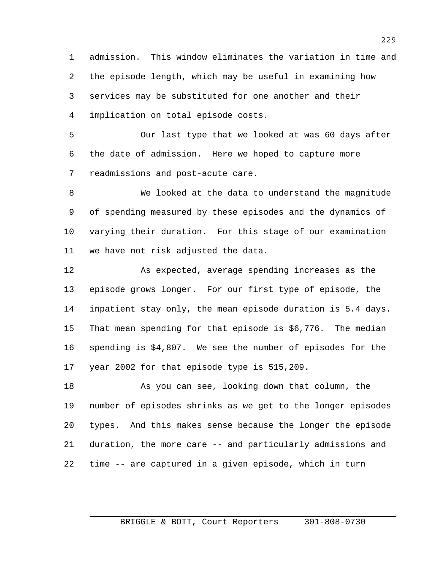admission. This window eliminates the variation in time and the episode length, which may be useful in examining how services may be substituted for one another and their implication on total episode costs.

 Our last type that we looked at was 60 days after the date of admission. Here we hoped to capture more readmissions and post-acute care.

 We looked at the data to understand the magnitude of spending measured by these episodes and the dynamics of varying their duration. For this stage of our examination we have not risk adjusted the data.

 As expected, average spending increases as the episode grows longer. For our first type of episode, the inpatient stay only, the mean episode duration is 5.4 days. That mean spending for that episode is \$6,776. The median spending is \$4,807. We see the number of episodes for the year 2002 for that episode type is 515,209.

 As you can see, looking down that column, the number of episodes shrinks as we get to the longer episodes types. And this makes sense because the longer the episode duration, the more care -- and particularly admissions and time -- are captured in a given episode, which in turn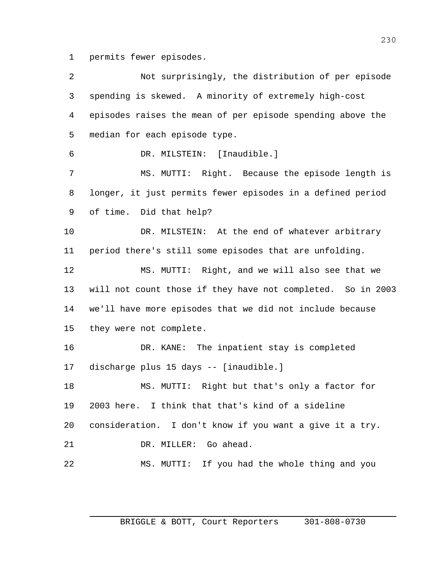permits fewer episodes.

| 2  | Not surprisingly, the distribution of per episode           |
|----|-------------------------------------------------------------|
| 3  | spending is skewed. A minority of extremely high-cost       |
| 4  | episodes raises the mean of per episode spending above the  |
| 5  | median for each episode type.                               |
| 6  | DR. MILSTEIN: [Inaudible.]                                  |
| 7  | MS. MUTTI: Right. Because the episode length is             |
| 8  | longer, it just permits fewer episodes in a defined period  |
| 9  | of time. Did that help?                                     |
| 10 | DR. MILSTEIN: At the end of whatever arbitrary              |
| 11 | period there's still some episodes that are unfolding.      |
| 12 | MS. MUTTI: Right, and we will also see that we              |
| 13 | will not count those if they have not completed. So in 2003 |
| 14 | we'll have more episodes that we did not include because    |
| 15 | they were not complete.                                     |
| 16 | DR. KANE: The inpatient stay is completed                   |
| 17 | discharge plus 15 days -- [inaudible.]                      |
| 18 | MS. MUTTI: Right but that's only a factor for               |
| 19 | 2003 here. I think that that's kind of a sideline           |
| 20 | consideration. I don't know if you want a give it a try.    |
| 21 | DR. MILLER: Go ahead.                                       |
| 22 | MS. MUTTI: If you had the whole thing and you               |
|    |                                                             |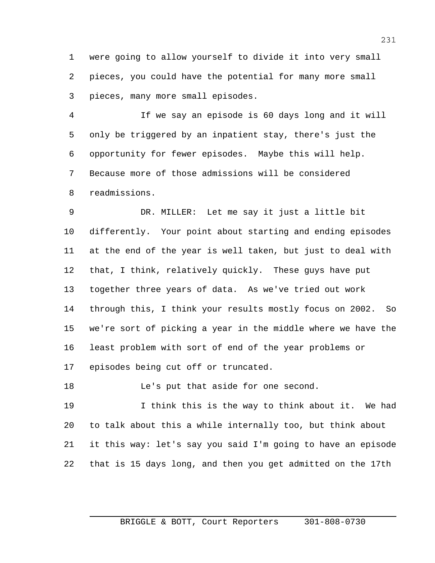were going to allow yourself to divide it into very small pieces, you could have the potential for many more small pieces, many more small episodes.

 If we say an episode is 60 days long and it will only be triggered by an inpatient stay, there's just the opportunity for fewer episodes. Maybe this will help. Because more of those admissions will be considered readmissions.

 DR. MILLER: Let me say it just a little bit differently. Your point about starting and ending episodes at the end of the year is well taken, but just to deal with that, I think, relatively quickly. These guys have put together three years of data. As we've tried out work through this, I think your results mostly focus on 2002. So we're sort of picking a year in the middle where we have the least problem with sort of end of the year problems or episodes being cut off or truncated.

18 Le's put that aside for one second.

 I think this is the way to think about it. We had to talk about this a while internally too, but think about it this way: let's say you said I'm going to have an episode that is 15 days long, and then you get admitted on the 17th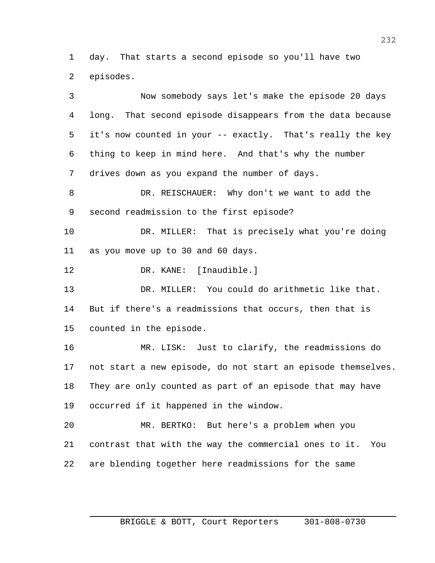day. That starts a second episode so you'll have two episodes.

 Now somebody says let's make the episode 20 days long. That second episode disappears from the data because it's now counted in your -- exactly. That's really the key thing to keep in mind here. And that's why the number drives down as you expand the number of days. DR. REISCHAUER: Why don't we want to add the second readmission to the first episode? DR. MILLER: That is precisely what you're doing as you move up to 30 and 60 days. 12 DR. KANE: [Inaudible.] DR. MILLER: You could do arithmetic like that. But if there's a readmissions that occurs, then that is counted in the episode. MR. LISK: Just to clarify, the readmissions do not start a new episode, do not start an episode themselves. They are only counted as part of an episode that may have occurred if it happened in the window. MR. BERTKO: But here's a problem when you contrast that with the way the commercial ones to it. You are blending together here readmissions for the same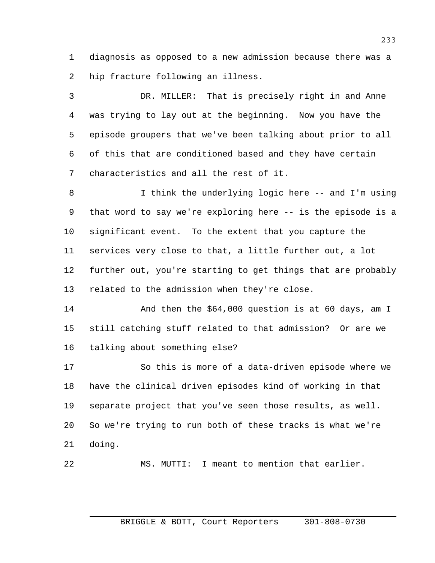diagnosis as opposed to a new admission because there was a hip fracture following an illness.

 DR. MILLER: That is precisely right in and Anne was trying to lay out at the beginning. Now you have the episode groupers that we've been talking about prior to all of this that are conditioned based and they have certain characteristics and all the rest of it.

 I think the underlying logic here -- and I'm using that word to say we're exploring here -- is the episode is a significant event. To the extent that you capture the services very close to that, a little further out, a lot further out, you're starting to get things that are probably related to the admission when they're close.

14 And then the \$64,000 question is at 60 days, am I still catching stuff related to that admission? Or are we talking about something else?

 So this is more of a data-driven episode where we have the clinical driven episodes kind of working in that separate project that you've seen those results, as well. So we're trying to run both of these tracks is what we're doing.

MS. MUTTI: I meant to mention that earlier.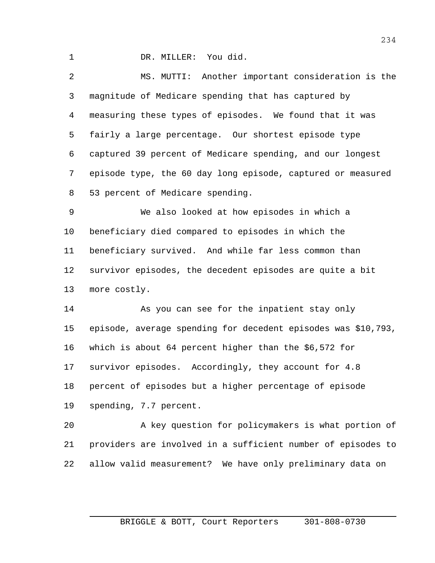DR. MILLER: You did.

 MS. MUTTI: Another important consideration is the magnitude of Medicare spending that has captured by measuring these types of episodes. We found that it was fairly a large percentage. Our shortest episode type captured 39 percent of Medicare spending, and our longest episode type, the 60 day long episode, captured or measured 53 percent of Medicare spending.

 We also looked at how episodes in which a beneficiary died compared to episodes in which the beneficiary survived. And while far less common than survivor episodes, the decedent episodes are quite a bit more costly.

14 As you can see for the inpatient stay only episode, average spending for decedent episodes was \$10,793, which is about 64 percent higher than the \$6,572 for survivor episodes. Accordingly, they account for 4.8 percent of episodes but a higher percentage of episode spending, 7.7 percent.

 A key question for policymakers is what portion of providers are involved in a sufficient number of episodes to allow valid measurement? We have only preliminary data on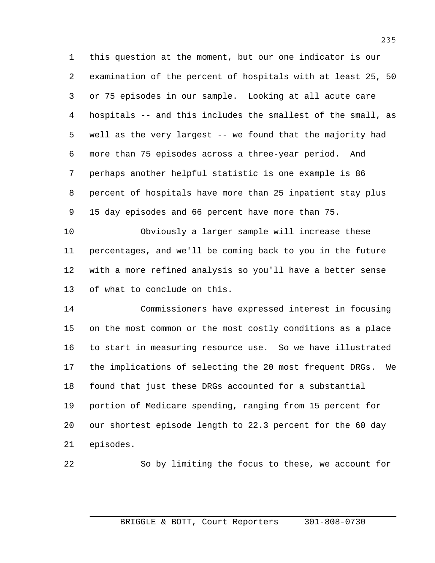this question at the moment, but our one indicator is our examination of the percent of hospitals with at least 25, 50 or 75 episodes in our sample. Looking at all acute care hospitals -- and this includes the smallest of the small, as well as the very largest -- we found that the majority had more than 75 episodes across a three-year period. And perhaps another helpful statistic is one example is 86 percent of hospitals have more than 25 inpatient stay plus 15 day episodes and 66 percent have more than 75.

 Obviously a larger sample will increase these percentages, and we'll be coming back to you in the future with a more refined analysis so you'll have a better sense of what to conclude on this.

 Commissioners have expressed interest in focusing on the most common or the most costly conditions as a place to start in measuring resource use. So we have illustrated the implications of selecting the 20 most frequent DRGs. We found that just these DRGs accounted for a substantial portion of Medicare spending, ranging from 15 percent for our shortest episode length to 22.3 percent for the 60 day episodes.

So by limiting the focus to these, we account for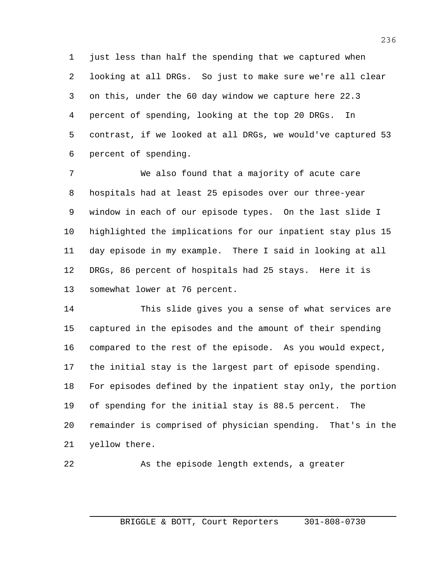just less than half the spending that we captured when looking at all DRGs. So just to make sure we're all clear on this, under the 60 day window we capture here 22.3 percent of spending, looking at the top 20 DRGs. In contrast, if we looked at all DRGs, we would've captured 53 percent of spending.

 We also found that a majority of acute care hospitals had at least 25 episodes over our three-year window in each of our episode types. On the last slide I highlighted the implications for our inpatient stay plus 15 day episode in my example. There I said in looking at all DRGs, 86 percent of hospitals had 25 stays. Here it is somewhat lower at 76 percent.

 This slide gives you a sense of what services are captured in the episodes and the amount of their spending compared to the rest of the episode. As you would expect, the initial stay is the largest part of episode spending. For episodes defined by the inpatient stay only, the portion of spending for the initial stay is 88.5 percent. The remainder is comprised of physician spending. That's in the yellow there.

As the episode length extends, a greater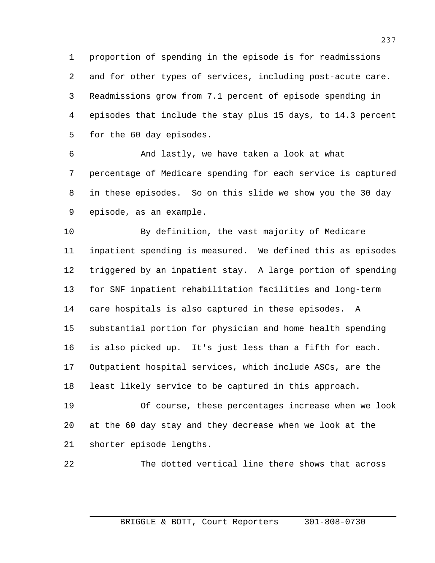proportion of spending in the episode is for readmissions and for other types of services, including post-acute care. Readmissions grow from 7.1 percent of episode spending in episodes that include the stay plus 15 days, to 14.3 percent for the 60 day episodes.

 And lastly, we have taken a look at what percentage of Medicare spending for each service is captured in these episodes. So on this slide we show you the 30 day episode, as an example.

 By definition, the vast majority of Medicare inpatient spending is measured. We defined this as episodes triggered by an inpatient stay. A large portion of spending for SNF inpatient rehabilitation facilities and long-term care hospitals is also captured in these episodes. A substantial portion for physician and home health spending is also picked up. It's just less than a fifth for each. Outpatient hospital services, which include ASCs, are the least likely service to be captured in this approach.

 Of course, these percentages increase when we look at the 60 day stay and they decrease when we look at the shorter episode lengths.

The dotted vertical line there shows that across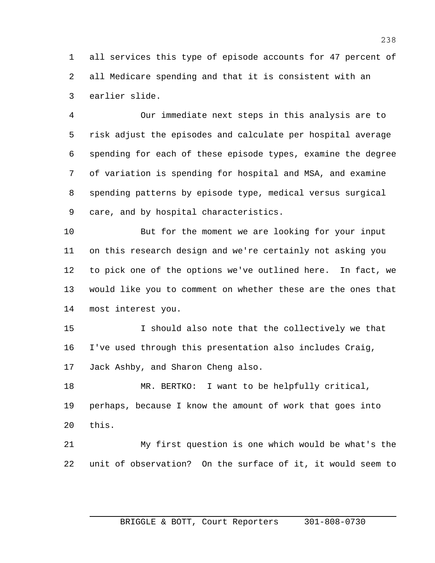all services this type of episode accounts for 47 percent of all Medicare spending and that it is consistent with an earlier slide.

 Our immediate next steps in this analysis are to risk adjust the episodes and calculate per hospital average spending for each of these episode types, examine the degree of variation is spending for hospital and MSA, and examine spending patterns by episode type, medical versus surgical care, and by hospital characteristics.

 But for the moment we are looking for your input on this research design and we're certainly not asking you to pick one of the options we've outlined here. In fact, we would like you to comment on whether these are the ones that most interest you.

 I should also note that the collectively we that I've used through this presentation also includes Craig, Jack Ashby, and Sharon Cheng also.

 MR. BERTKO: I want to be helpfully critical, perhaps, because I know the amount of work that goes into this.

 My first question is one which would be what's the unit of observation? On the surface of it, it would seem to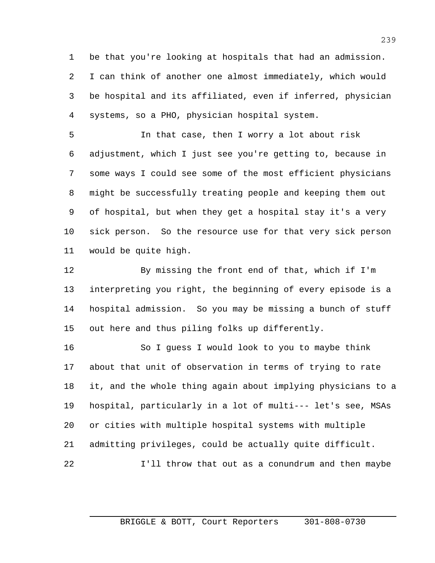be that you're looking at hospitals that had an admission. I can think of another one almost immediately, which would be hospital and its affiliated, even if inferred, physician systems, so a PHO, physician hospital system.

 In that case, then I worry a lot about risk adjustment, which I just see you're getting to, because in some ways I could see some of the most efficient physicians might be successfully treating people and keeping them out of hospital, but when they get a hospital stay it's a very sick person. So the resource use for that very sick person would be quite high.

 By missing the front end of that, which if I'm interpreting you right, the beginning of every episode is a hospital admission. So you may be missing a bunch of stuff out here and thus piling folks up differently.

 So I guess I would look to you to maybe think about that unit of observation in terms of trying to rate it, and the whole thing again about implying physicians to a hospital, particularly in a lot of multi--- let's see, MSAs or cities with multiple hospital systems with multiple admitting privileges, could be actually quite difficult. I'll throw that out as a conundrum and then maybe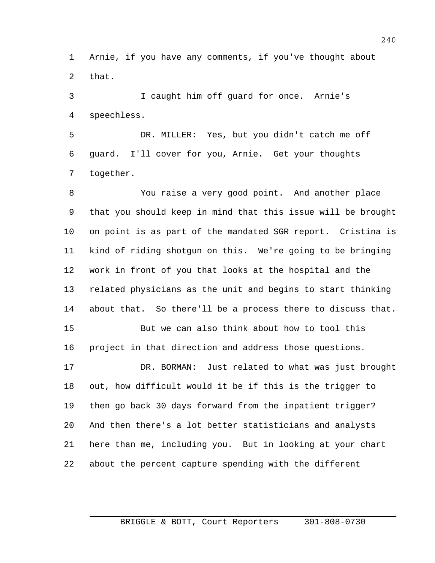Arnie, if you have any comments, if you've thought about that.

 I caught him off guard for once. Arnie's speechless.

 DR. MILLER: Yes, but you didn't catch me off guard. I'll cover for you, Arnie. Get your thoughts together.

 You raise a very good point. And another place that you should keep in mind that this issue will be brought on point is as part of the mandated SGR report. Cristina is kind of riding shotgun on this. We're going to be bringing work in front of you that looks at the hospital and the related physicians as the unit and begins to start thinking about that. So there'll be a process there to discuss that. But we can also think about how to tool this

project in that direction and address those questions.

 DR. BORMAN: Just related to what was just brought out, how difficult would it be if this is the trigger to then go back 30 days forward from the inpatient trigger? And then there's a lot better statisticians and analysts here than me, including you. But in looking at your chart about the percent capture spending with the different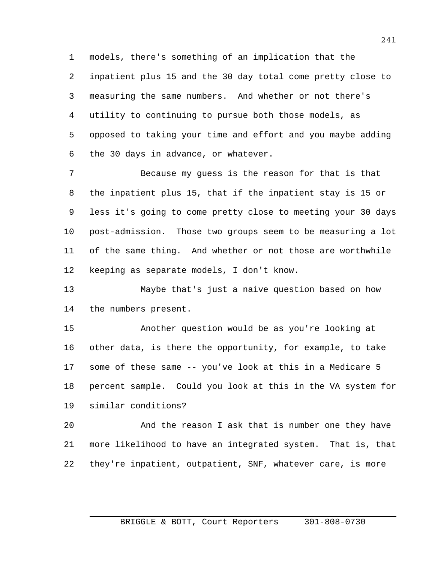models, there's something of an implication that the inpatient plus 15 and the 30 day total come pretty close to measuring the same numbers. And whether or not there's utility to continuing to pursue both those models, as opposed to taking your time and effort and you maybe adding the 30 days in advance, or whatever.

 Because my guess is the reason for that is that the inpatient plus 15, that if the inpatient stay is 15 or less it's going to come pretty close to meeting your 30 days post-admission. Those two groups seem to be measuring a lot of the same thing. And whether or not those are worthwhile keeping as separate models, I don't know.

 Maybe that's just a naive question based on how the numbers present.

 Another question would be as you're looking at other data, is there the opportunity, for example, to take some of these same -- you've look at this in a Medicare 5 percent sample. Could you look at this in the VA system for similar conditions?

 And the reason I ask that is number one they have more likelihood to have an integrated system. That is, that they're inpatient, outpatient, SNF, whatever care, is more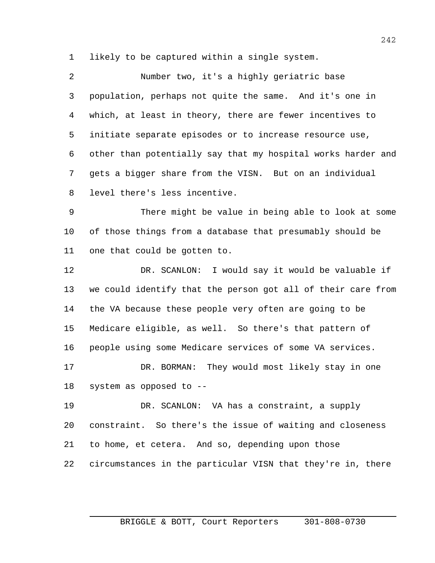likely to be captured within a single system.

| 2              | Number two, it's a highly geriatric base                     |
|----------------|--------------------------------------------------------------|
| 3              | population, perhaps not quite the same. And it's one in      |
| 4              | which, at least in theory, there are fewer incentives to     |
| 5 <sub>1</sub> | initiate separate episodes or to increase resource use,      |
| 6              | other than potentially say that my hospital works harder and |
| 7              | gets a bigger share from the VISN. But on an individual      |
| 8              | level there's less incentive.                                |
| 9              | There might be value in being able to look at some           |

 of those things from a database that presumably should be one that could be gotten to.

 DR. SCANLON: I would say it would be valuable if we could identify that the person got all of their care from the VA because these people very often are going to be Medicare eligible, as well. So there's that pattern of people using some Medicare services of some VA services. DR. BORMAN: They would most likely stay in one system as opposed to --

 DR. SCANLON: VA has a constraint, a supply constraint. So there's the issue of waiting and closeness to home, et cetera. And so, depending upon those circumstances in the particular VISN that they're in, there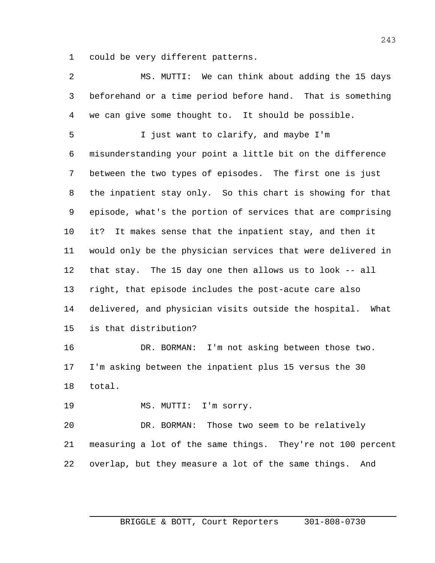could be very different patterns.

| $\overline{2}$ | MS. MUTTI: We can think about adding the 15 days            |
|----------------|-------------------------------------------------------------|
| 3              | beforehand or a time period before hand. That is something  |
| 4              | we can give some thought to. It should be possible.         |
| 5              | I just want to clarify, and maybe I'm                       |
| 6              | misunderstanding your point a little bit on the difference  |
| 7              | between the two types of episodes. The first one is just    |
| 8              | the inpatient stay only. So this chart is showing for that  |
| 9              | episode, what's the portion of services that are comprising |
| 10             | It makes sense that the inpatient stay, and then it<br>it?  |
| 11             | would only be the physician services that were delivered in |
| 12             | that stay. The 15 day one then allows us to look -- all     |
| 13             | right, that episode includes the post-acute care also       |
| 14             | delivered, and physician visits outside the hospital. What  |
| 15             | is that distribution?                                       |
| 16             | DR. BORMAN: I'm not asking between those two.               |
| 17             | I'm asking between the inpatient plus 15 versus the 30      |
| 18             | total.                                                      |
| 19             | MS. MUTTI: I'm sorry.                                       |
| 20             | DR. BORMAN: Those two seem to be relatively                 |
| 21             | measuring a lot of the same things. They're not 100 percent |
| 22             | overlap, but they measure a lot of the same things.<br>And  |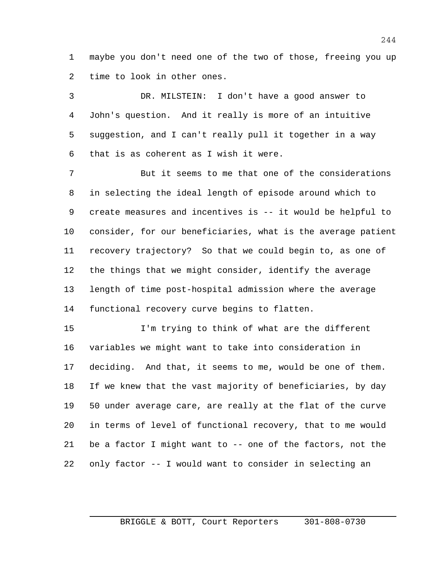maybe you don't need one of the two of those, freeing you up time to look in other ones.

 DR. MILSTEIN: I don't have a good answer to John's question. And it really is more of an intuitive suggestion, and I can't really pull it together in a way that is as coherent as I wish it were.

 But it seems to me that one of the considerations in selecting the ideal length of episode around which to create measures and incentives is -- it would be helpful to consider, for our beneficiaries, what is the average patient recovery trajectory? So that we could begin to, as one of the things that we might consider, identify the average length of time post-hospital admission where the average functional recovery curve begins to flatten.

 I'm trying to think of what are the different variables we might want to take into consideration in deciding. And that, it seems to me, would be one of them. If we knew that the vast majority of beneficiaries, by day 50 under average care, are really at the flat of the curve in terms of level of functional recovery, that to me would be a factor I might want to -- one of the factors, not the only factor -- I would want to consider in selecting an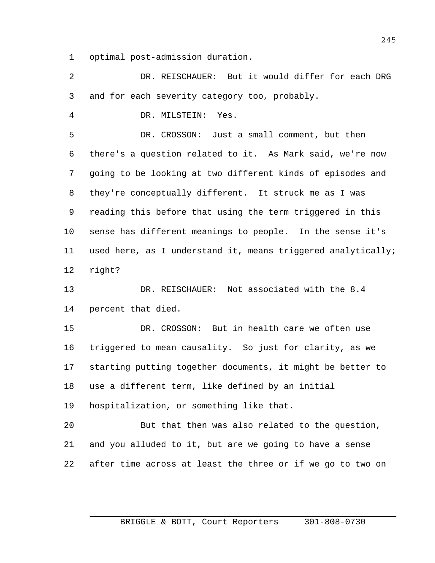optimal post-admission duration.

 DR. REISCHAUER: But it would differ for each DRG and for each severity category too, probably.

DR. MILSTEIN: Yes.

 DR. CROSSON: Just a small comment, but then there's a question related to it. As Mark said, we're now going to be looking at two different kinds of episodes and they're conceptually different. It struck me as I was reading this before that using the term triggered in this sense has different meanings to people. In the sense it's used here, as I understand it, means triggered analytically; right?

 DR. REISCHAUER: Not associated with the 8.4 percent that died.

 DR. CROSSON: But in health care we often use triggered to mean causality. So just for clarity, as we starting putting together documents, it might be better to use a different term, like defined by an initial hospitalization, or something like that.

 But that then was also related to the question, and you alluded to it, but are we going to have a sense after time across at least the three or if we go to two on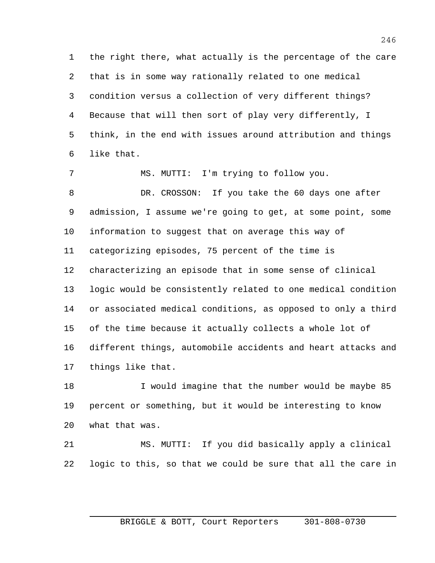the right there, what actually is the percentage of the care that is in some way rationally related to one medical condition versus a collection of very different things? Because that will then sort of play very differently, I think, in the end with issues around attribution and things like that.

 MS. MUTTI: I'm trying to follow you. DR. CROSSON: If you take the 60 days one after admission, I assume we're going to get, at some point, some information to suggest that on average this way of categorizing episodes, 75 percent of the time is characterizing an episode that in some sense of clinical logic would be consistently related to one medical condition or associated medical conditions, as opposed to only a third of the time because it actually collects a whole lot of different things, automobile accidents and heart attacks and things like that.

18 I would imagine that the number would be maybe 85 percent or something, but it would be interesting to know what that was.

 MS. MUTTI: If you did basically apply a clinical logic to this, so that we could be sure that all the care in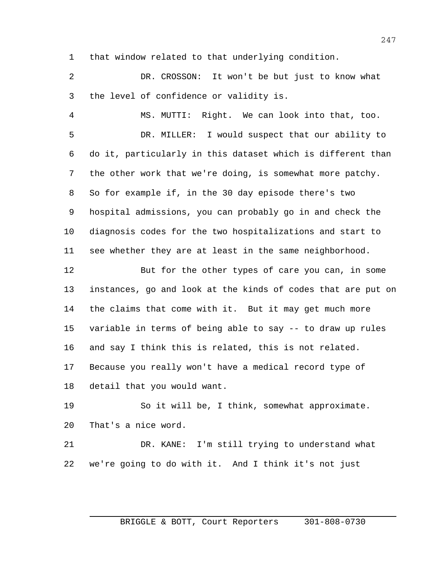that window related to that underlying condition.

 DR. CROSSON: It won't be but just to know what the level of confidence or validity is.

 MS. MUTTI: Right. We can look into that, too. DR. MILLER: I would suspect that our ability to do it, particularly in this dataset which is different than the other work that we're doing, is somewhat more patchy. So for example if, in the 30 day episode there's two hospital admissions, you can probably go in and check the diagnosis codes for the two hospitalizations and start to see whether they are at least in the same neighborhood.

 But for the other types of care you can, in some instances, go and look at the kinds of codes that are put on the claims that come with it. But it may get much more variable in terms of being able to say -- to draw up rules and say I think this is related, this is not related. Because you really won't have a medical record type of detail that you would want.

 So it will be, I think, somewhat approximate. That's a nice word.

 DR. KANE: I'm still trying to understand what we're going to do with it. And I think it's not just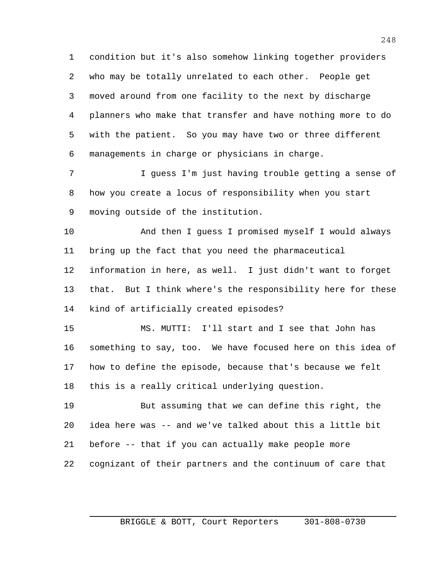condition but it's also somehow linking together providers who may be totally unrelated to each other. People get moved around from one facility to the next by discharge planners who make that transfer and have nothing more to do with the patient. So you may have two or three different managements in charge or physicians in charge.

 I guess I'm just having trouble getting a sense of how you create a locus of responsibility when you start moving outside of the institution.

 And then I guess I promised myself I would always bring up the fact that you need the pharmaceutical information in here, as well. I just didn't want to forget that. But I think where's the responsibility here for these kind of artificially created episodes?

 MS. MUTTI: I'll start and I see that John has something to say, too. We have focused here on this idea of how to define the episode, because that's because we felt this is a really critical underlying question.

 But assuming that we can define this right, the idea here was -- and we've talked about this a little bit before -- that if you can actually make people more cognizant of their partners and the continuum of care that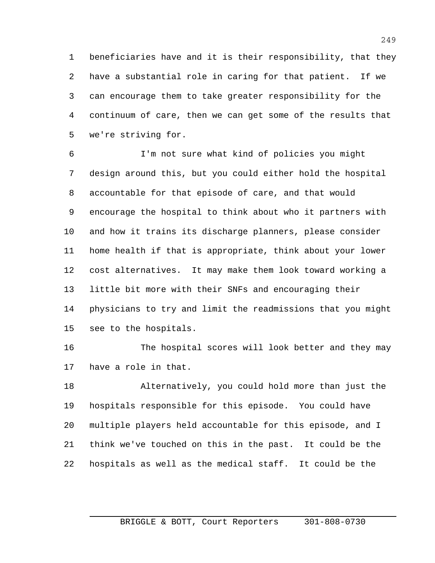beneficiaries have and it is their responsibility, that they have a substantial role in caring for that patient. If we can encourage them to take greater responsibility for the continuum of care, then we can get some of the results that we're striving for.

 I'm not sure what kind of policies you might design around this, but you could either hold the hospital accountable for that episode of care, and that would encourage the hospital to think about who it partners with and how it trains its discharge planners, please consider home health if that is appropriate, think about your lower cost alternatives. It may make them look toward working a little bit more with their SNFs and encouraging their physicians to try and limit the readmissions that you might see to the hospitals.

16 The hospital scores will look better and they may have a role in that.

 Alternatively, you could hold more than just the hospitals responsible for this episode. You could have multiple players held accountable for this episode, and I think we've touched on this in the past. It could be the hospitals as well as the medical staff. It could be the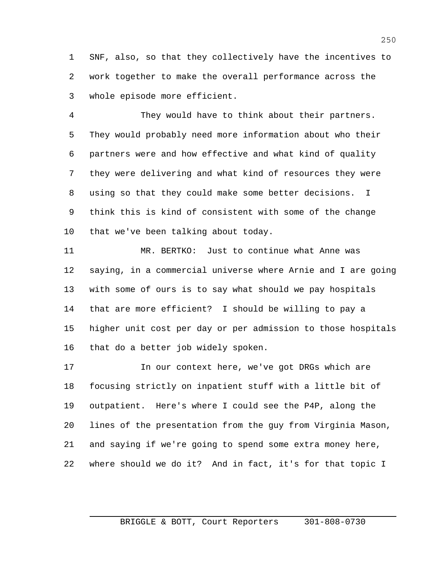SNF, also, so that they collectively have the incentives to work together to make the overall performance across the whole episode more efficient.

 They would have to think about their partners. They would probably need more information about who their partners were and how effective and what kind of quality they were delivering and what kind of resources they were using so that they could make some better decisions. I think this is kind of consistent with some of the change that we've been talking about today.

 MR. BERTKO: Just to continue what Anne was saying, in a commercial universe where Arnie and I are going with some of ours is to say what should we pay hospitals that are more efficient? I should be willing to pay a higher unit cost per day or per admission to those hospitals that do a better job widely spoken.

 In our context here, we've got DRGs which are focusing strictly on inpatient stuff with a little bit of outpatient. Here's where I could see the P4P, along the lines of the presentation from the guy from Virginia Mason, and saying if we're going to spend some extra money here, where should we do it? And in fact, it's for that topic I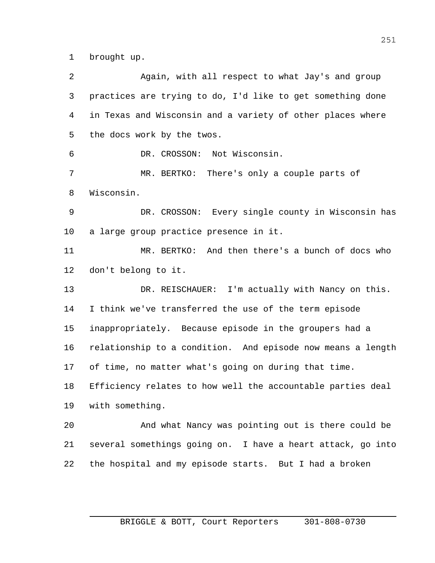brought up.

| 2  | Again, with all respect to what Jay's and group             |
|----|-------------------------------------------------------------|
| 3  | practices are trying to do, I'd like to get something done  |
| 4  | in Texas and Wisconsin and a variety of other places where  |
| 5  | the docs work by the twos.                                  |
| 6  | DR. CROSSON: Not Wisconsin.                                 |
| 7  | MR. BERTKO: There's only a couple parts of                  |
| 8  | Wisconsin.                                                  |
| 9  | DR. CROSSON: Every single county in Wisconsin has           |
| 10 | a large group practice presence in it.                      |
| 11 | MR. BERTKO: And then there's a bunch of docs who            |
| 12 | don't belong to it.                                         |
| 13 | DR. REISCHAUER: I'm actually with Nancy on this.            |
| 14 | I think we've transferred the use of the term episode       |
| 15 | inappropriately. Because episode in the groupers had a      |
| 16 | relationship to a condition. And episode now means a length |
| 17 | of time, no matter what's going on during that time.        |
| 18 | Efficiency relates to how well the accountable parties deal |
| 19 | with something.                                             |
| 20 | And what Nancy was pointing out is there could be           |
| 21 | several somethings going on. I have a heart attack, go into |
| 22 | the hospital and my episode starts. But I had a broken      |
|    |                                                             |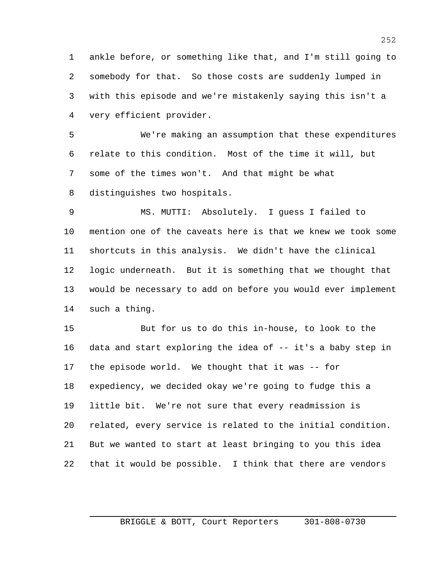ankle before, or something like that, and I'm still going to somebody for that. So those costs are suddenly lumped in with this episode and we're mistakenly saying this isn't a very efficient provider.

 We're making an assumption that these expenditures relate to this condition. Most of the time it will, but some of the times won't. And that might be what distinguishes two hospitals.

 MS. MUTTI: Absolutely. I guess I failed to mention one of the caveats here is that we knew we took some shortcuts in this analysis. We didn't have the clinical logic underneath. But it is something that we thought that would be necessary to add on before you would ever implement such a thing.

 But for us to do this in-house, to look to the data and start exploring the idea of -- it's a baby step in the episode world. We thought that it was -- for expediency, we decided okay we're going to fudge this a little bit. We're not sure that every readmission is related, every service is related to the initial condition. But we wanted to start at least bringing to you this idea that it would be possible. I think that there are vendors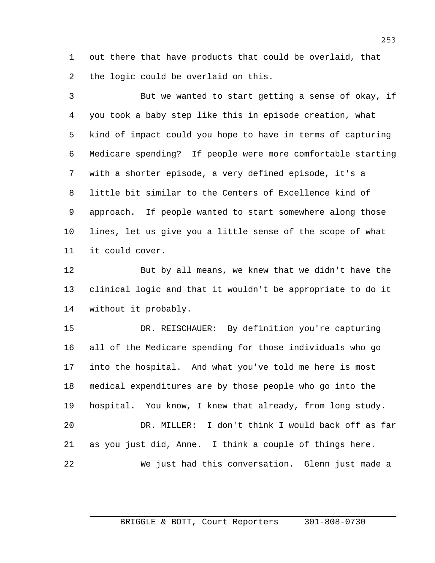out there that have products that could be overlaid, that the logic could be overlaid on this.

 But we wanted to start getting a sense of okay, if you took a baby step like this in episode creation, what kind of impact could you hope to have in terms of capturing Medicare spending? If people were more comfortable starting with a shorter episode, a very defined episode, it's a little bit similar to the Centers of Excellence kind of approach. If people wanted to start somewhere along those lines, let us give you a little sense of the scope of what it could cover.

 But by all means, we knew that we didn't have the clinical logic and that it wouldn't be appropriate to do it without it probably.

 DR. REISCHAUER: By definition you're capturing all of the Medicare spending for those individuals who go into the hospital. And what you've told me here is most medical expenditures are by those people who go into the hospital. You know, I knew that already, from long study. DR. MILLER: I don't think I would back off as far as you just did, Anne. I think a couple of things here. We just had this conversation. Glenn just made a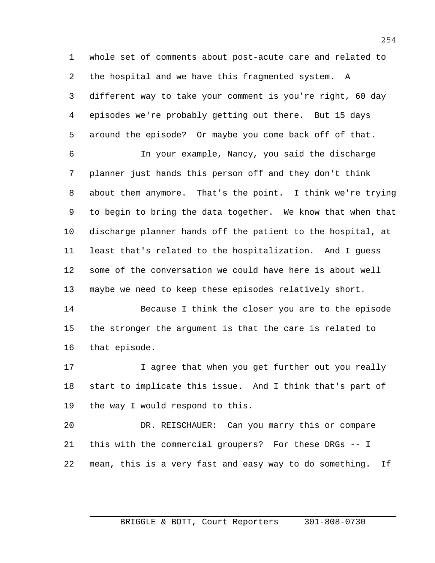whole set of comments about post-acute care and related to the hospital and we have this fragmented system. A different way to take your comment is you're right, 60 day episodes we're probably getting out there. But 15 days around the episode? Or maybe you come back off of that.

 In your example, Nancy, you said the discharge planner just hands this person off and they don't think about them anymore. That's the point. I think we're trying to begin to bring the data together. We know that when that discharge planner hands off the patient to the hospital, at least that's related to the hospitalization. And I guess some of the conversation we could have here is about well maybe we need to keep these episodes relatively short.

 Because I think the closer you are to the episode the stronger the argument is that the care is related to that episode.

17 17 I agree that when you get further out you really start to implicate this issue. And I think that's part of the way I would respond to this.

 DR. REISCHAUER: Can you marry this or compare this with the commercial groupers? For these DRGs -- I mean, this is a very fast and easy way to do something. If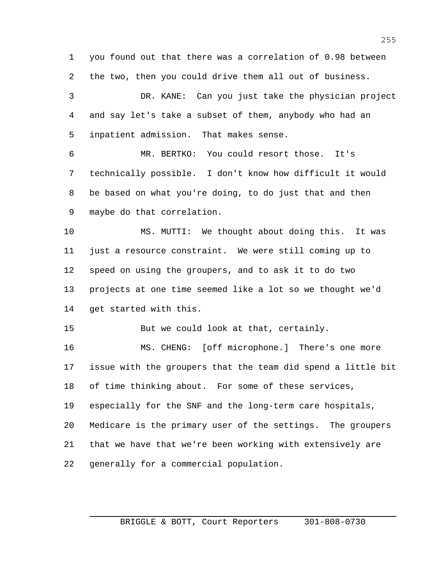you found out that there was a correlation of 0.98 between the two, then you could drive them all out of business.

 DR. KANE: Can you just take the physician project and say let's take a subset of them, anybody who had an inpatient admission. That makes sense.

 MR. BERTKO: You could resort those. It's technically possible. I don't know how difficult it would be based on what you're doing, to do just that and then maybe do that correlation.

 MS. MUTTI: We thought about doing this. It was just a resource constraint. We were still coming up to speed on using the groupers, and to ask it to do two projects at one time seemed like a lot so we thought we'd get started with this.

But we could look at that, certainly.

 MS. CHENG: [off microphone.] There's one more issue with the groupers that the team did spend a little bit of time thinking about. For some of these services, especially for the SNF and the long-term care hospitals, Medicare is the primary user of the settings. The groupers that we have that we're been working with extensively are generally for a commercial population.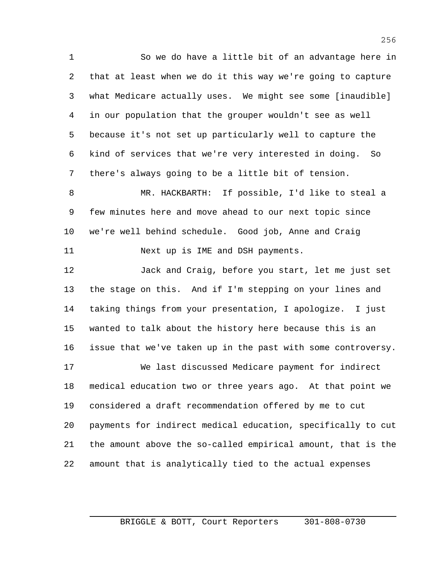So we do have a little bit of an advantage here in that at least when we do it this way we're going to capture what Medicare actually uses. We might see some [inaudible] in our population that the grouper wouldn't see as well because it's not set up particularly well to capture the kind of services that we're very interested in doing. So there's always going to be a little bit of tension.

 MR. HACKBARTH: If possible, I'd like to steal a few minutes here and move ahead to our next topic since we're well behind schedule. Good job, Anne and Craig 11 Next up is IME and DSH payments.

 Jack and Craig, before you start, let me just set the stage on this. And if I'm stepping on your lines and taking things from your presentation, I apologize. I just wanted to talk about the history here because this is an issue that we've taken up in the past with some controversy.

 We last discussed Medicare payment for indirect medical education two or three years ago. At that point we considered a draft recommendation offered by me to cut payments for indirect medical education, specifically to cut the amount above the so-called empirical amount, that is the amount that is analytically tied to the actual expenses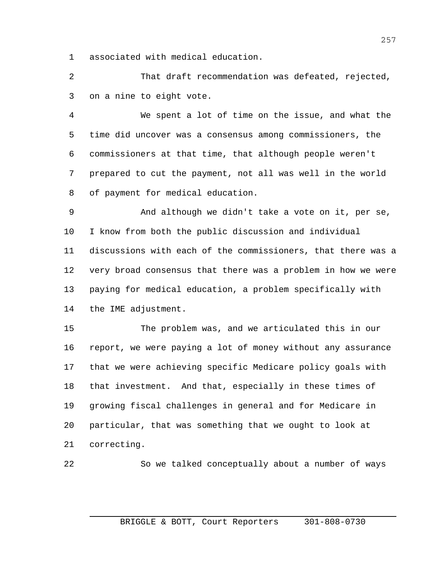associated with medical education.

 That draft recommendation was defeated, rejected, on a nine to eight vote.

 We spent a lot of time on the issue, and what the time did uncover was a consensus among commissioners, the commissioners at that time, that although people weren't prepared to cut the payment, not all was well in the world of payment for medical education.

 And although we didn't take a vote on it, per se, I know from both the public discussion and individual discussions with each of the commissioners, that there was a very broad consensus that there was a problem in how we were paying for medical education, a problem specifically with the IME adjustment.

 The problem was, and we articulated this in our report, we were paying a lot of money without any assurance that we were achieving specific Medicare policy goals with that investment. And that, especially in these times of growing fiscal challenges in general and for Medicare in particular, that was something that we ought to look at correcting.

So we talked conceptually about a number of ways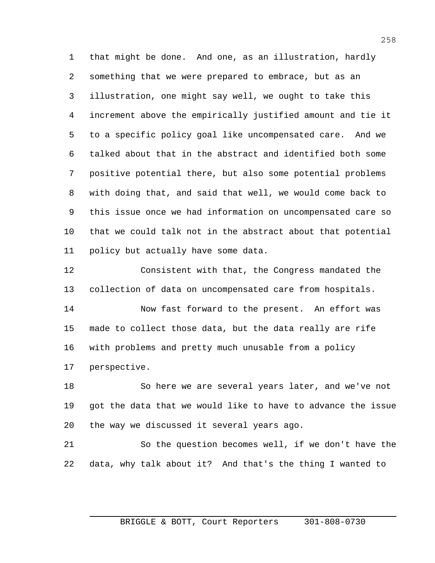that might be done. And one, as an illustration, hardly something that we were prepared to embrace, but as an illustration, one might say well, we ought to take this increment above the empirically justified amount and tie it to a specific policy goal like uncompensated care. And we talked about that in the abstract and identified both some positive potential there, but also some potential problems with doing that, and said that well, we would come back to this issue once we had information on uncompensated care so that we could talk not in the abstract about that potential policy but actually have some data.

 Consistent with that, the Congress mandated the collection of data on uncompensated care from hospitals.

 Now fast forward to the present. An effort was made to collect those data, but the data really are rife with problems and pretty much unusable from a policy perspective.

 So here we are several years later, and we've not got the data that we would like to have to advance the issue the way we discussed it several years ago.

 So the question becomes well, if we don't have the data, why talk about it? And that's the thing I wanted to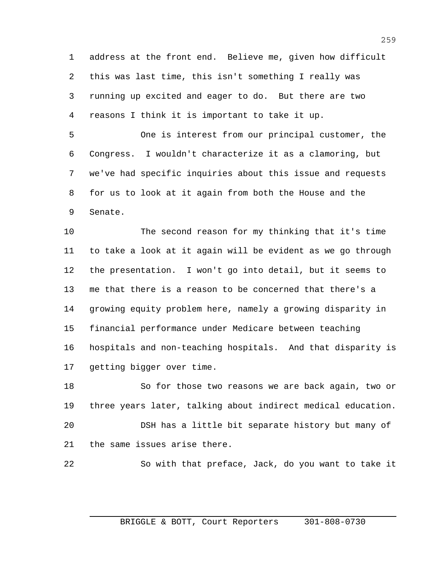address at the front end. Believe me, given how difficult this was last time, this isn't something I really was running up excited and eager to do. But there are two reasons I think it is important to take it up.

 One is interest from our principal customer, the Congress. I wouldn't characterize it as a clamoring, but we've had specific inquiries about this issue and requests for us to look at it again from both the House and the Senate.

 The second reason for my thinking that it's time to take a look at it again will be evident as we go through the presentation. I won't go into detail, but it seems to me that there is a reason to be concerned that there's a growing equity problem here, namely a growing disparity in financial performance under Medicare between teaching hospitals and non-teaching hospitals. And that disparity is getting bigger over time.

 So for those two reasons we are back again, two or three years later, talking about indirect medical education. DSH has a little bit separate history but many of the same issues arise there.

So with that preface, Jack, do you want to take it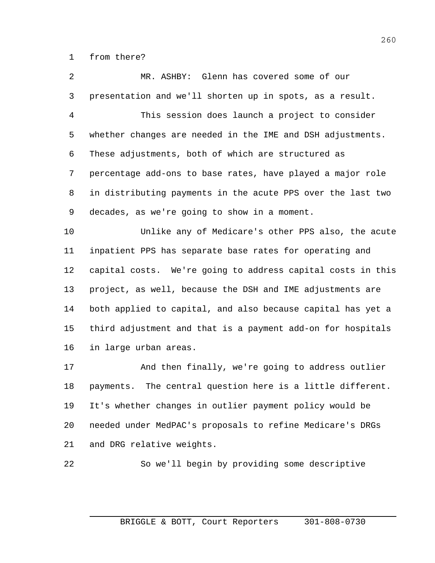from there?

 MR. ASHBY: Glenn has covered some of our presentation and we'll shorten up in spots, as a result.

 This session does launch a project to consider whether changes are needed in the IME and DSH adjustments. These adjustments, both of which are structured as percentage add-ons to base rates, have played a major role in distributing payments in the acute PPS over the last two decades, as we're going to show in a moment.

 Unlike any of Medicare's other PPS also, the acute inpatient PPS has separate base rates for operating and capital costs. We're going to address capital costs in this project, as well, because the DSH and IME adjustments are both applied to capital, and also because capital has yet a third adjustment and that is a payment add-on for hospitals in large urban areas.

 And then finally, we're going to address outlier payments. The central question here is a little different. It's whether changes in outlier payment policy would be needed under MedPAC's proposals to refine Medicare's DRGs and DRG relative weights.

So we'll begin by providing some descriptive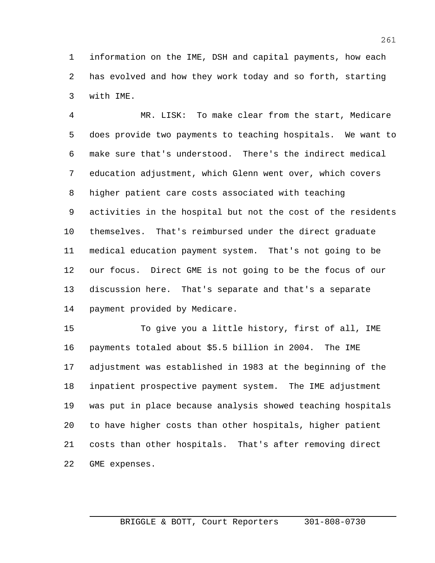information on the IME, DSH and capital payments, how each has evolved and how they work today and so forth, starting with IME.

 MR. LISK: To make clear from the start, Medicare does provide two payments to teaching hospitals. We want to make sure that's understood. There's the indirect medical education adjustment, which Glenn went over, which covers higher patient care costs associated with teaching activities in the hospital but not the cost of the residents themselves. That's reimbursed under the direct graduate medical education payment system. That's not going to be our focus. Direct GME is not going to be the focus of our discussion here. That's separate and that's a separate payment provided by Medicare.

 To give you a little history, first of all, IME payments totaled about \$5.5 billion in 2004. The IME adjustment was established in 1983 at the beginning of the inpatient prospective payment system. The IME adjustment was put in place because analysis showed teaching hospitals to have higher costs than other hospitals, higher patient costs than other hospitals. That's after removing direct GME expenses.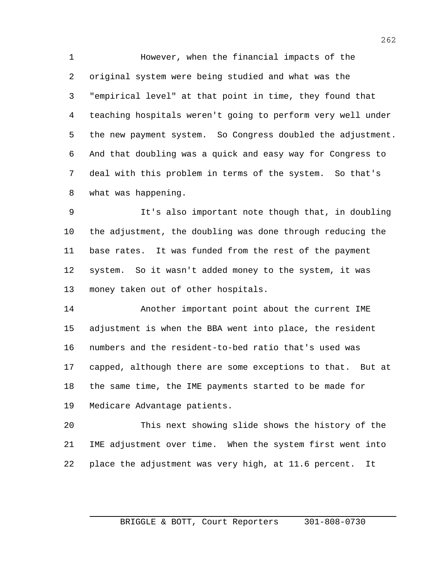However, when the financial impacts of the original system were being studied and what was the "empirical level" at that point in time, they found that teaching hospitals weren't going to perform very well under the new payment system. So Congress doubled the adjustment. And that doubling was a quick and easy way for Congress to deal with this problem in terms of the system. So that's what was happening.

 It's also important note though that, in doubling the adjustment, the doubling was done through reducing the base rates. It was funded from the rest of the payment system. So it wasn't added money to the system, it was money taken out of other hospitals.

 Another important point about the current IME adjustment is when the BBA went into place, the resident numbers and the resident-to-bed ratio that's used was capped, although there are some exceptions to that. But at the same time, the IME payments started to be made for Medicare Advantage patients.

 This next showing slide shows the history of the IME adjustment over time. When the system first went into place the adjustment was very high, at 11.6 percent. It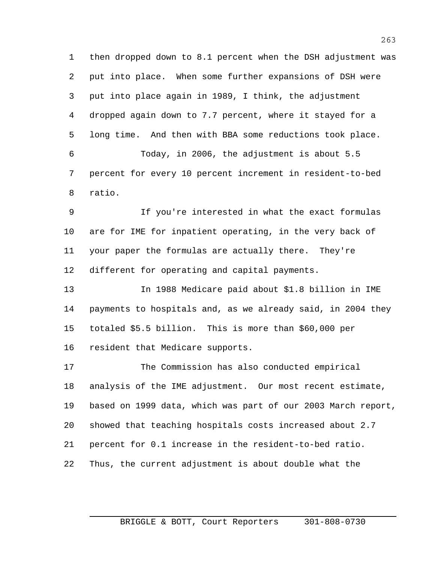then dropped down to 8.1 percent when the DSH adjustment was put into place. When some further expansions of DSH were put into place again in 1989, I think, the adjustment dropped again down to 7.7 percent, where it stayed for a long time. And then with BBA some reductions took place. Today, in 2006, the adjustment is about 5.5 percent for every 10 percent increment in resident-to-bed

ratio.

 If you're interested in what the exact formulas are for IME for inpatient operating, in the very back of your paper the formulas are actually there. They're different for operating and capital payments.

 In 1988 Medicare paid about \$1.8 billion in IME payments to hospitals and, as we already said, in 2004 they totaled \$5.5 billion. This is more than \$60,000 per resident that Medicare supports.

 The Commission has also conducted empirical analysis of the IME adjustment. Our most recent estimate, based on 1999 data, which was part of our 2003 March report, showed that teaching hospitals costs increased about 2.7 percent for 0.1 increase in the resident-to-bed ratio. Thus, the current adjustment is about double what the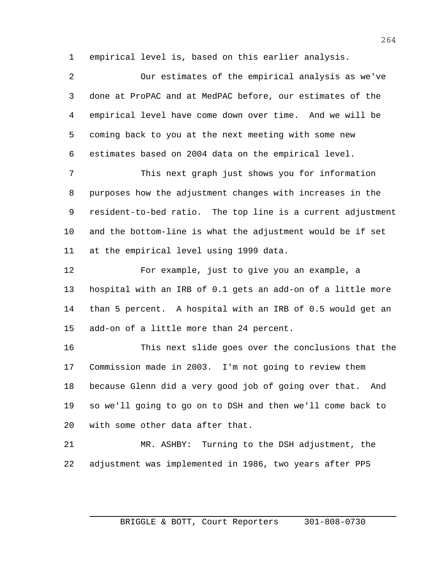empirical level is, based on this earlier analysis.

 Our estimates of the empirical analysis as we've done at ProPAC and at MedPAC before, our estimates of the empirical level have come down over time. And we will be coming back to you at the next meeting with some new estimates based on 2004 data on the empirical level. This next graph just shows you for information purposes how the adjustment changes with increases in the resident-to-bed ratio. The top line is a current adjustment and the bottom-line is what the adjustment would be if set at the empirical level using 1999 data. For example, just to give you an example, a hospital with an IRB of 0.1 gets an add-on of a little more than 5 percent. A hospital with an IRB of 0.5 would get an add-on of a little more than 24 percent. This next slide goes over the conclusions that the Commission made in 2003. I'm not going to review them because Glenn did a very good job of going over that. And

 so we'll going to go on to DSH and then we'll come back to with some other data after that.

 MR. ASHBY: Turning to the DSH adjustment, the adjustment was implemented in 1986, two years after PPS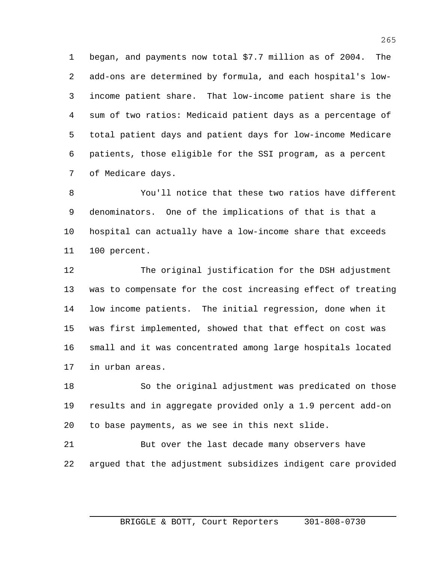began, and payments now total \$7.7 million as of 2004. The add-ons are determined by formula, and each hospital's low- income patient share. That low-income patient share is the sum of two ratios: Medicaid patient days as a percentage of total patient days and patient days for low-income Medicare patients, those eligible for the SSI program, as a percent of Medicare days.

 You'll notice that these two ratios have different denominators. One of the implications of that is that a hospital can actually have a low-income share that exceeds 100 percent.

 The original justification for the DSH adjustment was to compensate for the cost increasing effect of treating low income patients. The initial regression, done when it was first implemented, showed that that effect on cost was small and it was concentrated among large hospitals located in urban areas.

 So the original adjustment was predicated on those results and in aggregate provided only a 1.9 percent add-on to base payments, as we see in this next slide.

 But over the last decade many observers have argued that the adjustment subsidizes indigent care provided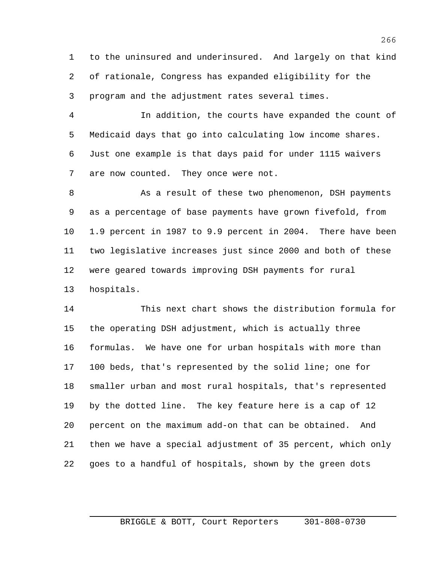to the uninsured and underinsured. And largely on that kind of rationale, Congress has expanded eligibility for the program and the adjustment rates several times.

 In addition, the courts have expanded the count of Medicaid days that go into calculating low income shares. Just one example is that days paid for under 1115 waivers are now counted. They once were not.

 As a result of these two phenomenon, DSH payments as a percentage of base payments have grown fivefold, from 1.9 percent in 1987 to 9.9 percent in 2004. There have been two legislative increases just since 2000 and both of these were geared towards improving DSH payments for rural hospitals.

 This next chart shows the distribution formula for the operating DSH adjustment, which is actually three formulas. We have one for urban hospitals with more than 100 beds, that's represented by the solid line; one for smaller urban and most rural hospitals, that's represented by the dotted line. The key feature here is a cap of 12 percent on the maximum add-on that can be obtained. And then we have a special adjustment of 35 percent, which only goes to a handful of hospitals, shown by the green dots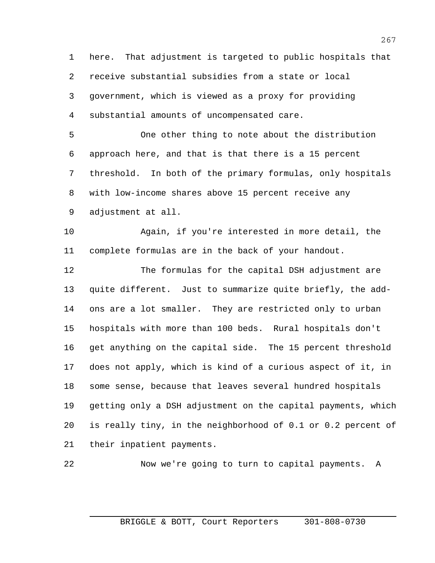here. That adjustment is targeted to public hospitals that receive substantial subsidies from a state or local government, which is viewed as a proxy for providing substantial amounts of uncompensated care.

 One other thing to note about the distribution approach here, and that is that there is a 15 percent threshold. In both of the primary formulas, only hospitals with low-income shares above 15 percent receive any adjustment at all.

 Again, if you're interested in more detail, the complete formulas are in the back of your handout.

 The formulas for the capital DSH adjustment are quite different. Just to summarize quite briefly, the add- ons are a lot smaller. They are restricted only to urban hospitals with more than 100 beds. Rural hospitals don't get anything on the capital side. The 15 percent threshold does not apply, which is kind of a curious aspect of it, in some sense, because that leaves several hundred hospitals getting only a DSH adjustment on the capital payments, which is really tiny, in the neighborhood of 0.1 or 0.2 percent of their inpatient payments.

Now we're going to turn to capital payments. A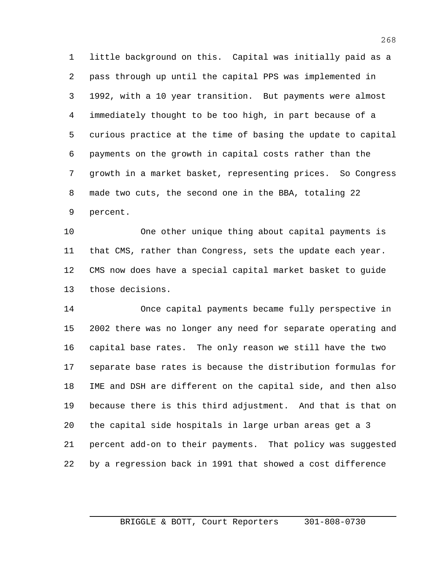little background on this. Capital was initially paid as a pass through up until the capital PPS was implemented in 1992, with a 10 year transition. But payments were almost immediately thought to be too high, in part because of a curious practice at the time of basing the update to capital payments on the growth in capital costs rather than the growth in a market basket, representing prices. So Congress made two cuts, the second one in the BBA, totaling 22 percent.

 One other unique thing about capital payments is that CMS, rather than Congress, sets the update each year. CMS now does have a special capital market basket to guide those decisions.

 Once capital payments became fully perspective in 2002 there was no longer any need for separate operating and capital base rates. The only reason we still have the two separate base rates is because the distribution formulas for IME and DSH are different on the capital side, and then also because there is this third adjustment. And that is that on the capital side hospitals in large urban areas get a 3 percent add-on to their payments. That policy was suggested by a regression back in 1991 that showed a cost difference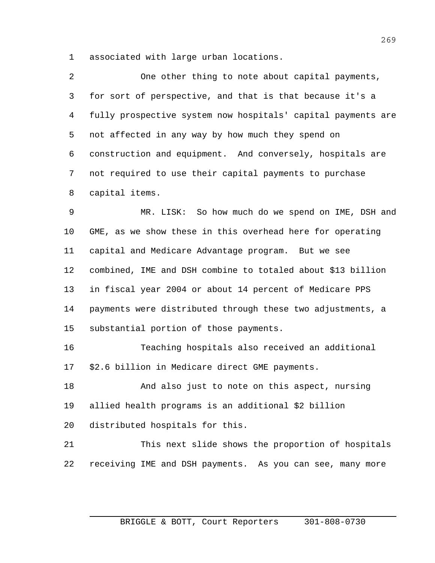associated with large urban locations.

 One other thing to note about capital payments, for sort of perspective, and that is that because it's a fully prospective system now hospitals' capital payments are not affected in any way by how much they spend on construction and equipment. And conversely, hospitals are not required to use their capital payments to purchase capital items.

 MR. LISK: So how much do we spend on IME, DSH and GME, as we show these in this overhead here for operating capital and Medicare Advantage program. But we see combined, IME and DSH combine to totaled about \$13 billion in fiscal year 2004 or about 14 percent of Medicare PPS payments were distributed through these two adjustments, a substantial portion of those payments.

 Teaching hospitals also received an additional \$2.6 billion in Medicare direct GME payments.

 And also just to note on this aspect, nursing allied health programs is an additional \$2 billion distributed hospitals for this.

 This next slide shows the proportion of hospitals receiving IME and DSH payments. As you can see, many more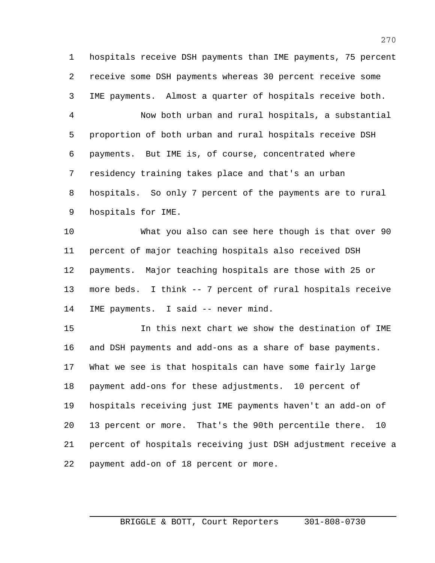hospitals receive DSH payments than IME payments, 75 percent receive some DSH payments whereas 30 percent receive some IME payments. Almost a quarter of hospitals receive both.

 Now both urban and rural hospitals, a substantial proportion of both urban and rural hospitals receive DSH payments. But IME is, of course, concentrated where residency training takes place and that's an urban hospitals. So only 7 percent of the payments are to rural hospitals for IME.

 What you also can see here though is that over 90 percent of major teaching hospitals also received DSH payments. Major teaching hospitals are those with 25 or more beds. I think -- 7 percent of rural hospitals receive IME payments. I said -- never mind.

 In this next chart we show the destination of IME and DSH payments and add-ons as a share of base payments. What we see is that hospitals can have some fairly large payment add-ons for these adjustments. 10 percent of hospitals receiving just IME payments haven't an add-on of 13 percent or more. That's the 90th percentile there. 10 percent of hospitals receiving just DSH adjustment receive a payment add-on of 18 percent or more.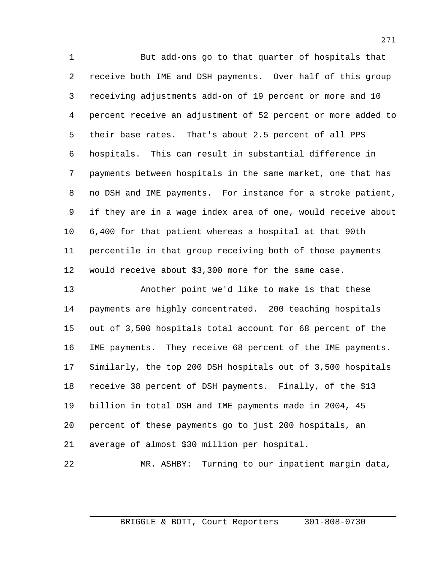But add-ons go to that quarter of hospitals that receive both IME and DSH payments. Over half of this group receiving adjustments add-on of 19 percent or more and 10 percent receive an adjustment of 52 percent or more added to their base rates. That's about 2.5 percent of all PPS hospitals. This can result in substantial difference in payments between hospitals in the same market, one that has no DSH and IME payments. For instance for a stroke patient, if they are in a wage index area of one, would receive about 6,400 for that patient whereas a hospital at that 90th percentile in that group receiving both of those payments would receive about \$3,300 more for the same case.

 Another point we'd like to make is that these payments are highly concentrated. 200 teaching hospitals out of 3,500 hospitals total account for 68 percent of the IME payments. They receive 68 percent of the IME payments. Similarly, the top 200 DSH hospitals out of 3,500 hospitals receive 38 percent of DSH payments. Finally, of the \$13 billion in total DSH and IME payments made in 2004, 45 percent of these payments go to just 200 hospitals, an average of almost \$30 million per hospital.

MR. ASHBY: Turning to our inpatient margin data,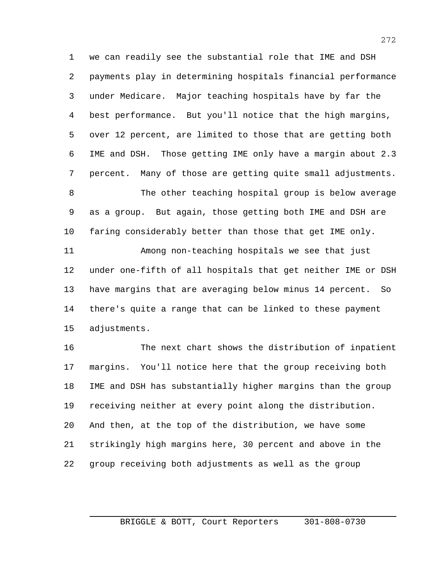we can readily see the substantial role that IME and DSH payments play in determining hospitals financial performance under Medicare. Major teaching hospitals have by far the best performance. But you'll notice that the high margins, over 12 percent, are limited to those that are getting both IME and DSH. Those getting IME only have a margin about 2.3 percent. Many of those are getting quite small adjustments.

 The other teaching hospital group is below average as a group. But again, those getting both IME and DSH are faring considerably better than those that get IME only.

 Among non-teaching hospitals we see that just under one-fifth of all hospitals that get neither IME or DSH have margins that are averaging below minus 14 percent. So there's quite a range that can be linked to these payment adjustments.

 The next chart shows the distribution of inpatient margins. You'll notice here that the group receiving both IME and DSH has substantially higher margins than the group receiving neither at every point along the distribution. And then, at the top of the distribution, we have some strikingly high margins here, 30 percent and above in the group receiving both adjustments as well as the group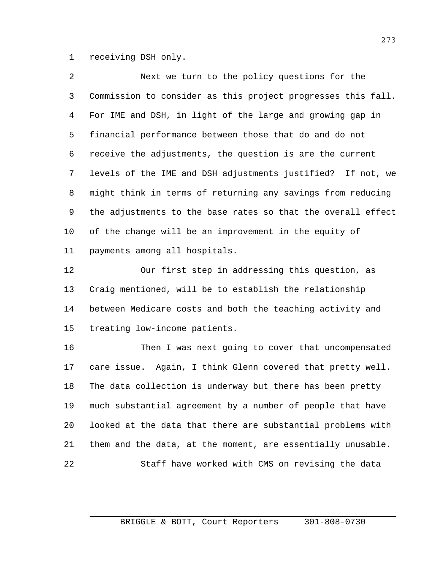receiving DSH only.

 Next we turn to the policy questions for the Commission to consider as this project progresses this fall. For IME and DSH, in light of the large and growing gap in financial performance between those that do and do not receive the adjustments, the question is are the current levels of the IME and DSH adjustments justified? If not, we might think in terms of returning any savings from reducing the adjustments to the base rates so that the overall effect of the change will be an improvement in the equity of payments among all hospitals.

 Our first step in addressing this question, as Craig mentioned, will be to establish the relationship between Medicare costs and both the teaching activity and treating low-income patients.

 Then I was next going to cover that uncompensated care issue. Again, I think Glenn covered that pretty well. The data collection is underway but there has been pretty much substantial agreement by a number of people that have looked at the data that there are substantial problems with them and the data, at the moment, are essentially unusable. Staff have worked with CMS on revising the data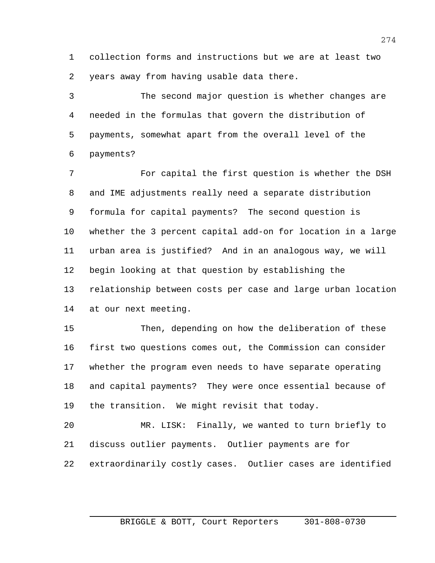collection forms and instructions but we are at least two years away from having usable data there.

 The second major question is whether changes are needed in the formulas that govern the distribution of payments, somewhat apart from the overall level of the payments?

 For capital the first question is whether the DSH and IME adjustments really need a separate distribution formula for capital payments? The second question is whether the 3 percent capital add-on for location in a large urban area is justified? And in an analogous way, we will begin looking at that question by establishing the relationship between costs per case and large urban location at our next meeting.

 Then, depending on how the deliberation of these first two questions comes out, the Commission can consider whether the program even needs to have separate operating and capital payments? They were once essential because of the transition. We might revisit that today.

 MR. LISK: Finally, we wanted to turn briefly to discuss outlier payments. Outlier payments are for extraordinarily costly cases. Outlier cases are identified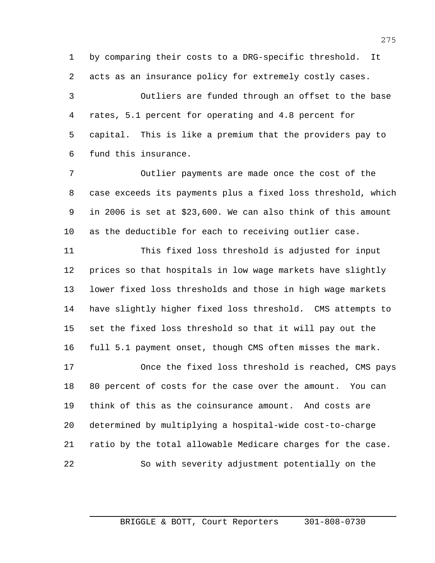by comparing their costs to a DRG-specific threshold. It acts as an insurance policy for extremely costly cases.

 Outliers are funded through an offset to the base rates, 5.1 percent for operating and 4.8 percent for capital. This is like a premium that the providers pay to fund this insurance.

 Outlier payments are made once the cost of the case exceeds its payments plus a fixed loss threshold, which in 2006 is set at \$23,600. We can also think of this amount as the deductible for each to receiving outlier case.

 This fixed loss threshold is adjusted for input prices so that hospitals in low wage markets have slightly lower fixed loss thresholds and those in high wage markets have slightly higher fixed loss threshold. CMS attempts to set the fixed loss threshold so that it will pay out the full 5.1 payment onset, though CMS often misses the mark.

 Once the fixed loss threshold is reached, CMS pays 80 percent of costs for the case over the amount. You can think of this as the coinsurance amount. And costs are determined by multiplying a hospital-wide cost-to-charge ratio by the total allowable Medicare charges for the case. So with severity adjustment potentially on the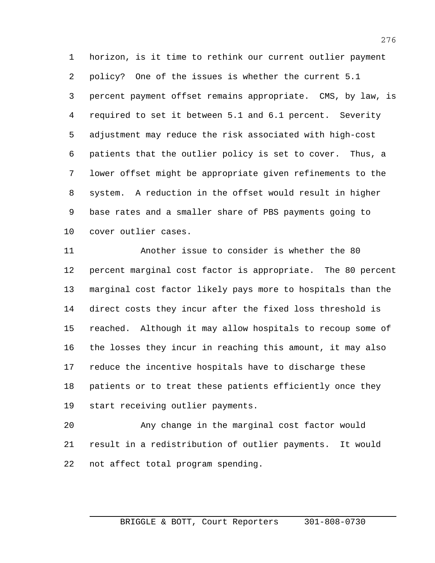horizon, is it time to rethink our current outlier payment policy? One of the issues is whether the current 5.1 percent payment offset remains appropriate. CMS, by law, is required to set it between 5.1 and 6.1 percent. Severity adjustment may reduce the risk associated with high-cost patients that the outlier policy is set to cover. Thus, a lower offset might be appropriate given refinements to the system. A reduction in the offset would result in higher base rates and a smaller share of PBS payments going to cover outlier cases.

 Another issue to consider is whether the 80 percent marginal cost factor is appropriate. The 80 percent marginal cost factor likely pays more to hospitals than the direct costs they incur after the fixed loss threshold is reached. Although it may allow hospitals to recoup some of the losses they incur in reaching this amount, it may also reduce the incentive hospitals have to discharge these patients or to treat these patients efficiently once they start receiving outlier payments.

 Any change in the marginal cost factor would result in a redistribution of outlier payments. It would not affect total program spending.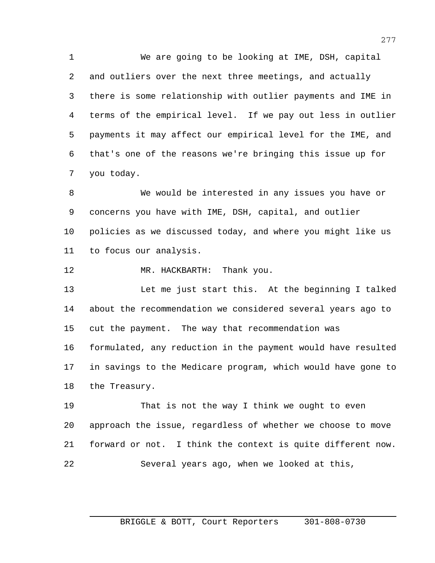We are going to be looking at IME, DSH, capital and outliers over the next three meetings, and actually there is some relationship with outlier payments and IME in terms of the empirical level. If we pay out less in outlier payments it may affect our empirical level for the IME, and that's one of the reasons we're bringing this issue up for you today.

 We would be interested in any issues you have or concerns you have with IME, DSH, capital, and outlier policies as we discussed today, and where you might like us to focus our analysis.

12 MR. HACKBARTH: Thank you.

 Let me just start this. At the beginning I talked about the recommendation we considered several years ago to cut the payment. The way that recommendation was formulated, any reduction in the payment would have resulted in savings to the Medicare program, which would have gone to the Treasury.

 That is not the way I think we ought to even approach the issue, regardless of whether we choose to move forward or not. I think the context is quite different now. Several years ago, when we looked at this,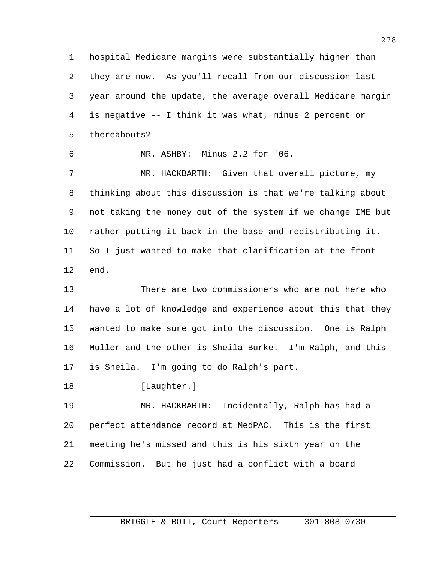hospital Medicare margins were substantially higher than they are now. As you'll recall from our discussion last year around the update, the average overall Medicare margin is negative -- I think it was what, minus 2 percent or thereabouts?

MR. ASHBY: Minus 2.2 for '06.

 MR. HACKBARTH: Given that overall picture, my thinking about this discussion is that we're talking about not taking the money out of the system if we change IME but rather putting it back in the base and redistributing it. So I just wanted to make that clarification at the front end.

 There are two commissioners who are not here who have a lot of knowledge and experience about this that they wanted to make sure got into the discussion. One is Ralph Muller and the other is Sheila Burke. I'm Ralph, and this is Sheila. I'm going to do Ralph's part.

18 [Laughter.]

 MR. HACKBARTH: Incidentally, Ralph has had a perfect attendance record at MedPAC. This is the first meeting he's missed and this is his sixth year on the Commission. But he just had a conflict with a board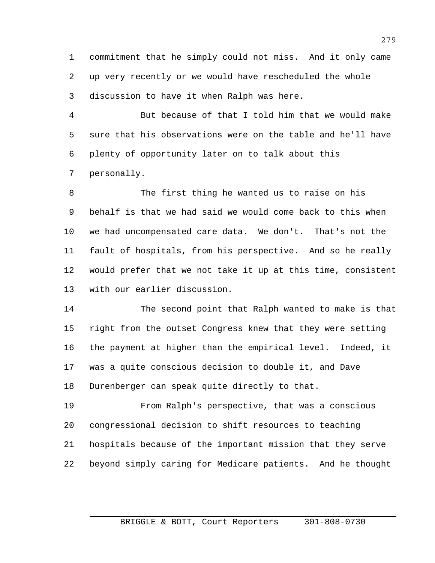commitment that he simply could not miss. And it only came up very recently or we would have rescheduled the whole discussion to have it when Ralph was here.

 But because of that I told him that we would make sure that his observations were on the table and he'll have plenty of opportunity later on to talk about this personally.

 The first thing he wanted us to raise on his behalf is that we had said we would come back to this when we had uncompensated care data. We don't. That's not the fault of hospitals, from his perspective. And so he really would prefer that we not take it up at this time, consistent with our earlier discussion.

 The second point that Ralph wanted to make is that right from the outset Congress knew that they were setting the payment at higher than the empirical level. Indeed, it was a quite conscious decision to double it, and Dave Durenberger can speak quite directly to that.

 From Ralph's perspective, that was a conscious congressional decision to shift resources to teaching hospitals because of the important mission that they serve beyond simply caring for Medicare patients. And he thought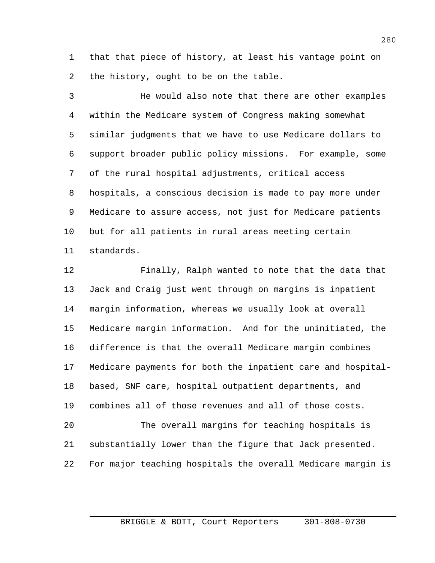that that piece of history, at least his vantage point on the history, ought to be on the table.

 He would also note that there are other examples within the Medicare system of Congress making somewhat similar judgments that we have to use Medicare dollars to support broader public policy missions. For example, some of the rural hospital adjustments, critical access hospitals, a conscious decision is made to pay more under Medicare to assure access, not just for Medicare patients but for all patients in rural areas meeting certain standards.

 Finally, Ralph wanted to note that the data that Jack and Craig just went through on margins is inpatient margin information, whereas we usually look at overall Medicare margin information. And for the uninitiated, the difference is that the overall Medicare margin combines Medicare payments for both the inpatient care and hospital- based, SNF care, hospital outpatient departments, and combines all of those revenues and all of those costs.

 The overall margins for teaching hospitals is substantially lower than the figure that Jack presented. For major teaching hospitals the overall Medicare margin is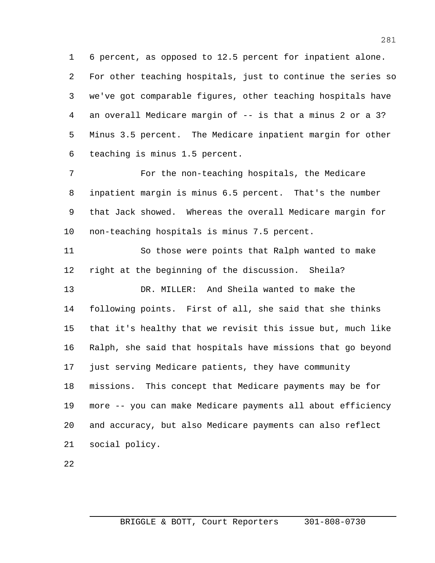6 percent, as opposed to 12.5 percent for inpatient alone. For other teaching hospitals, just to continue the series so we've got comparable figures, other teaching hospitals have an overall Medicare margin of -- is that a minus 2 or a 3? Minus 3.5 percent. The Medicare inpatient margin for other teaching is minus 1.5 percent.

 For the non-teaching hospitals, the Medicare inpatient margin is minus 6.5 percent. That's the number that Jack showed. Whereas the overall Medicare margin for non-teaching hospitals is minus 7.5 percent.

 So those were points that Ralph wanted to make right at the beginning of the discussion. Sheila? DR. MILLER: And Sheila wanted to make the following points. First of all, she said that she thinks that it's healthy that we revisit this issue but, much like Ralph, she said that hospitals have missions that go beyond just serving Medicare patients, they have community missions. This concept that Medicare payments may be for more -- you can make Medicare payments all about efficiency and accuracy, but also Medicare payments can also reflect social policy.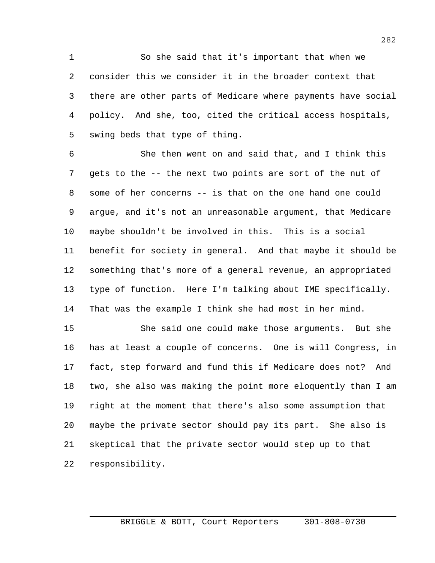So she said that it's important that when we consider this we consider it in the broader context that there are other parts of Medicare where payments have social policy. And she, too, cited the critical access hospitals, swing beds that type of thing.

 She then went on and said that, and I think this gets to the -- the next two points are sort of the nut of some of her concerns -- is that on the one hand one could argue, and it's not an unreasonable argument, that Medicare maybe shouldn't be involved in this. This is a social benefit for society in general. And that maybe it should be something that's more of a general revenue, an appropriated type of function. Here I'm talking about IME specifically. That was the example I think she had most in her mind.

 She said one could make those arguments. But she has at least a couple of concerns. One is will Congress, in fact, step forward and fund this if Medicare does not? And two, she also was making the point more eloquently than I am right at the moment that there's also some assumption that maybe the private sector should pay its part. She also is skeptical that the private sector would step up to that responsibility.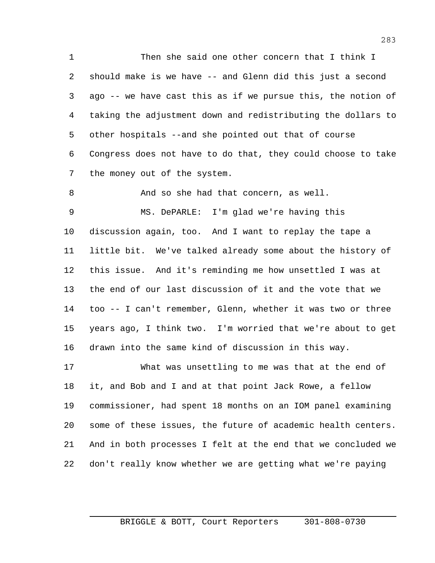Then she said one other concern that I think I should make is we have -- and Glenn did this just a second ago -- we have cast this as if we pursue this, the notion of taking the adjustment down and redistributing the dollars to other hospitals --and she pointed out that of course Congress does not have to do that, they could choose to take the money out of the system.

And so she had that concern, as well.

 MS. DePARLE: I'm glad we're having this discussion again, too. And I want to replay the tape a little bit. We've talked already some about the history of this issue. And it's reminding me how unsettled I was at the end of our last discussion of it and the vote that we too -- I can't remember, Glenn, whether it was two or three years ago, I think two. I'm worried that we're about to get drawn into the same kind of discussion in this way.

 What was unsettling to me was that at the end of it, and Bob and I and at that point Jack Rowe, a fellow commissioner, had spent 18 months on an IOM panel examining some of these issues, the future of academic health centers. And in both processes I felt at the end that we concluded we don't really know whether we are getting what we're paying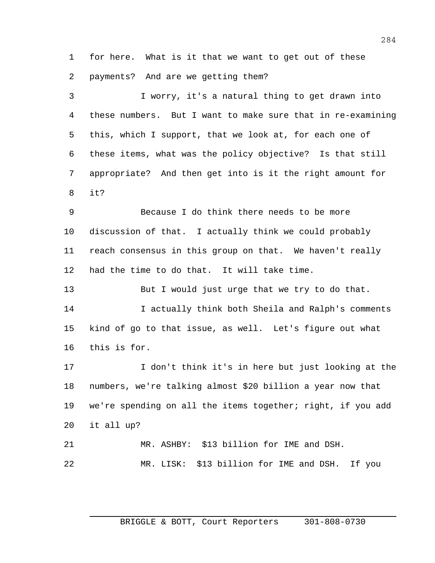for here. What is it that we want to get out of these payments? And are we getting them?

 I worry, it's a natural thing to get drawn into these numbers. But I want to make sure that in re-examining this, which I support, that we look at, for each one of these items, what was the policy objective? Is that still appropriate? And then get into is it the right amount for it?

 Because I do think there needs to be more discussion of that. I actually think we could probably reach consensus in this group on that. We haven't really had the time to do that. It will take time.

 But I would just urge that we try to do that. I actually think both Sheila and Ralph's comments kind of go to that issue, as well. Let's figure out what this is for.

 I don't think it's in here but just looking at the numbers, we're talking almost \$20 billion a year now that we're spending on all the items together; right, if you add it all up? MR. ASHBY: \$13 billion for IME and DSH.

MR. LISK: \$13 billion for IME and DSH. If you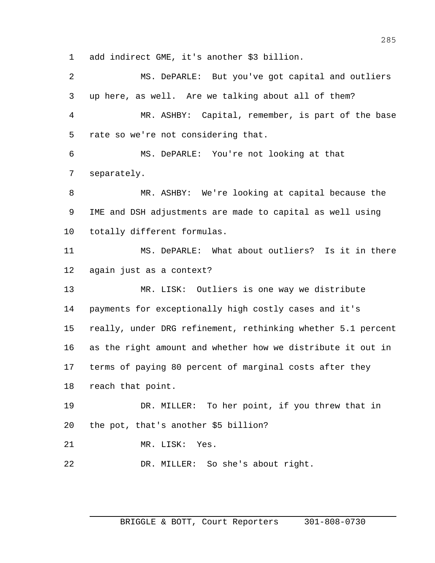add indirect GME, it's another \$3 billion.

 MS. DePARLE: But you've got capital and outliers up here, as well. Are we talking about all of them? MR. ASHBY: Capital, remember, is part of the base rate so we're not considering that. MS. DePARLE: You're not looking at that separately. MR. ASHBY: We're looking at capital because the IME and DSH adjustments are made to capital as well using totally different formulas. MS. DePARLE: What about outliers? Is it in there again just as a context? MR. LISK: Outliers is one way we distribute payments for exceptionally high costly cases and it's really, under DRG refinement, rethinking whether 5.1 percent as the right amount and whether how we distribute it out in terms of paying 80 percent of marginal costs after they reach that point. DR. MILLER: To her point, if you threw that in the pot, that's another \$5 billion? MR. LISK: Yes. DR. MILLER: So she's about right.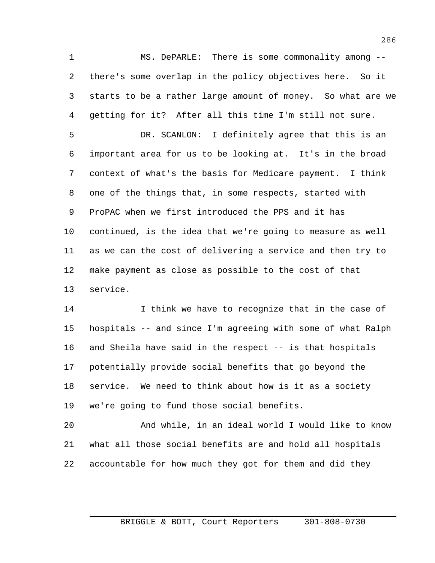MS. DePARLE: There is some commonality among -- there's some overlap in the policy objectives here. So it starts to be a rather large amount of money. So what are we getting for it? After all this time I'm still not sure.

 DR. SCANLON: I definitely agree that this is an important area for us to be looking at. It's in the broad context of what's the basis for Medicare payment. I think one of the things that, in some respects, started with ProPAC when we first introduced the PPS and it has continued, is the idea that we're going to measure as well as we can the cost of delivering a service and then try to make payment as close as possible to the cost of that service.

 I think we have to recognize that in the case of hospitals -- and since I'm agreeing with some of what Ralph and Sheila have said in the respect -- is that hospitals potentially provide social benefits that go beyond the service. We need to think about how is it as a society we're going to fund those social benefits.

 And while, in an ideal world I would like to know what all those social benefits are and hold all hospitals accountable for how much they got for them and did they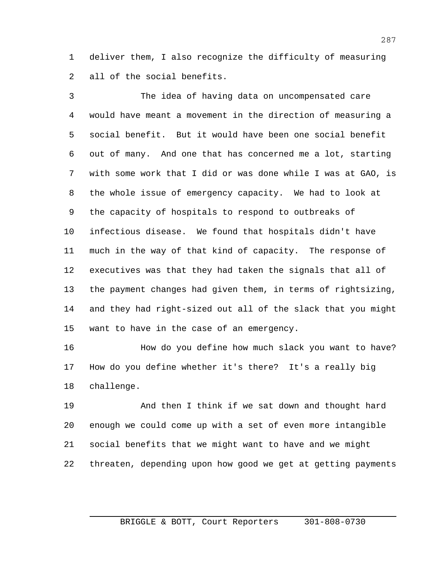deliver them, I also recognize the difficulty of measuring all of the social benefits.

 The idea of having data on uncompensated care would have meant a movement in the direction of measuring a social benefit. But it would have been one social benefit out of many. And one that has concerned me a lot, starting with some work that I did or was done while I was at GAO, is the whole issue of emergency capacity. We had to look at the capacity of hospitals to respond to outbreaks of infectious disease. We found that hospitals didn't have much in the way of that kind of capacity. The response of executives was that they had taken the signals that all of the payment changes had given them, in terms of rightsizing, and they had right-sized out all of the slack that you might want to have in the case of an emergency.

 How do you define how much slack you want to have? How do you define whether it's there? It's a really big challenge.

 And then I think if we sat down and thought hard enough we could come up with a set of even more intangible social benefits that we might want to have and we might threaten, depending upon how good we get at getting payments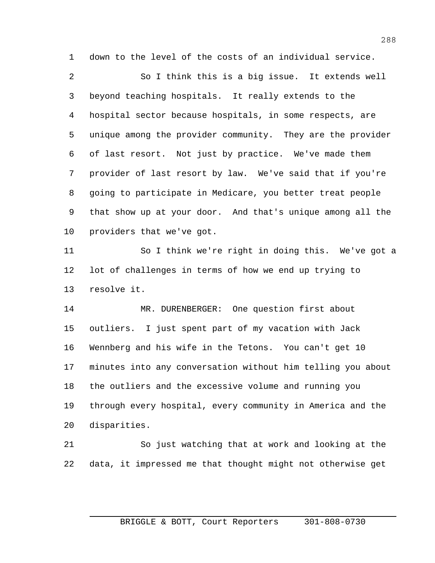down to the level of the costs of an individual service.

 So I think this is a big issue. It extends well beyond teaching hospitals. It really extends to the hospital sector because hospitals, in some respects, are unique among the provider community. They are the provider of last resort. Not just by practice. We've made them provider of last resort by law. We've said that if you're going to participate in Medicare, you better treat people that show up at your door. And that's unique among all the providers that we've got.

 So I think we're right in doing this. We've got a lot of challenges in terms of how we end up trying to resolve it.

 MR. DURENBERGER: One question first about outliers. I just spent part of my vacation with Jack Wennberg and his wife in the Tetons. You can't get 10 minutes into any conversation without him telling you about the outliers and the excessive volume and running you through every hospital, every community in America and the disparities.

 So just watching that at work and looking at the data, it impressed me that thought might not otherwise get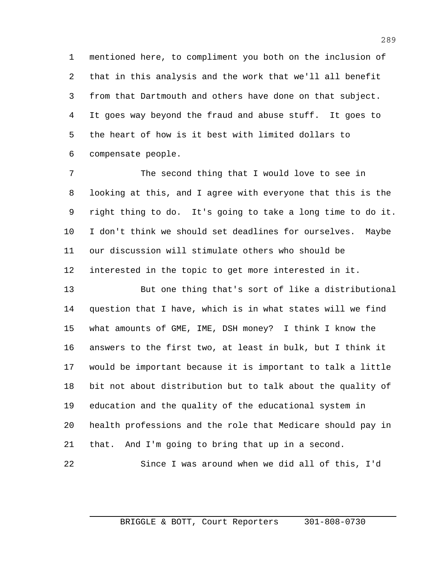mentioned here, to compliment you both on the inclusion of that in this analysis and the work that we'll all benefit from that Dartmouth and others have done on that subject. It goes way beyond the fraud and abuse stuff. It goes to the heart of how is it best with limited dollars to compensate people.

 The second thing that I would love to see in looking at this, and I agree with everyone that this is the right thing to do. It's going to take a long time to do it. I don't think we should set deadlines for ourselves. Maybe our discussion will stimulate others who should be interested in the topic to get more interested in it.

 But one thing that's sort of like a distributional question that I have, which is in what states will we find what amounts of GME, IME, DSH money? I think I know the answers to the first two, at least in bulk, but I think it would be important because it is important to talk a little bit not about distribution but to talk about the quality of education and the quality of the educational system in health professions and the role that Medicare should pay in that. And I'm going to bring that up in a second. Since I was around when we did all of this, I'd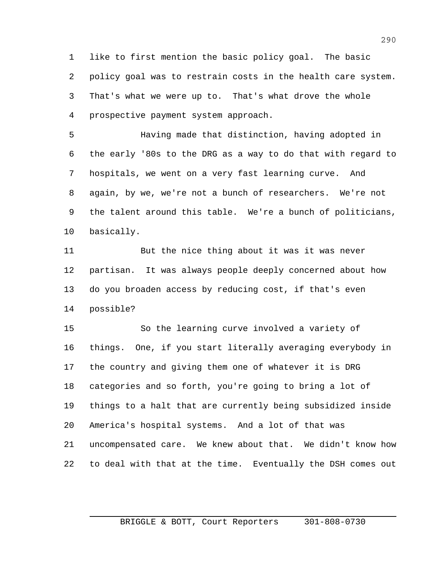like to first mention the basic policy goal. The basic policy goal was to restrain costs in the health care system. That's what we were up to. That's what drove the whole prospective payment system approach.

 Having made that distinction, having adopted in the early '80s to the DRG as a way to do that with regard to hospitals, we went on a very fast learning curve. And again, by we, we're not a bunch of researchers. We're not the talent around this table. We're a bunch of politicians, basically.

 But the nice thing about it was it was never partisan. It was always people deeply concerned about how do you broaden access by reducing cost, if that's even possible?

 So the learning curve involved a variety of things. One, if you start literally averaging everybody in the country and giving them one of whatever it is DRG categories and so forth, you're going to bring a lot of things to a halt that are currently being subsidized inside America's hospital systems. And a lot of that was uncompensated care. We knew about that. We didn't know how to deal with that at the time. Eventually the DSH comes out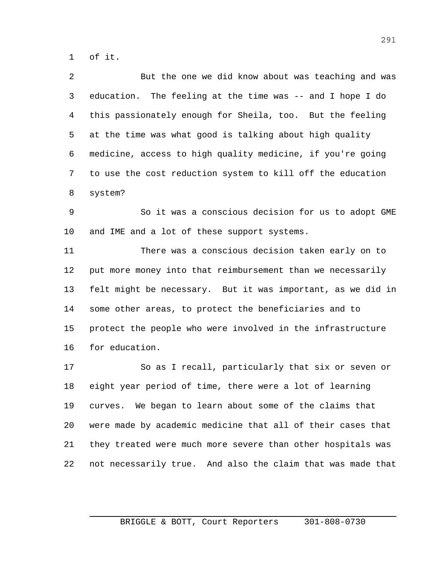of it.

 But the one we did know about was teaching and was education. The feeling at the time was -- and I hope I do this passionately enough for Sheila, too. But the feeling at the time was what good is talking about high quality medicine, access to high quality medicine, if you're going to use the cost reduction system to kill off the education system?

 So it was a conscious decision for us to adopt GME and IME and a lot of these support systems.

 There was a conscious decision taken early on to put more money into that reimbursement than we necessarily felt might be necessary. But it was important, as we did in some other areas, to protect the beneficiaries and to protect the people who were involved in the infrastructure for education.

 So as I recall, particularly that six or seven or eight year period of time, there were a lot of learning curves. We began to learn about some of the claims that were made by academic medicine that all of their cases that they treated were much more severe than other hospitals was not necessarily true. And also the claim that was made that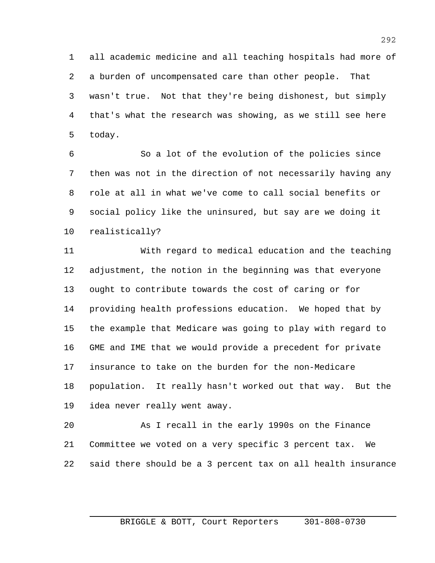all academic medicine and all teaching hospitals had more of a burden of uncompensated care than other people. That wasn't true. Not that they're being dishonest, but simply that's what the research was showing, as we still see here today.

 So a lot of the evolution of the policies since then was not in the direction of not necessarily having any role at all in what we've come to call social benefits or social policy like the uninsured, but say are we doing it realistically?

 With regard to medical education and the teaching adjustment, the notion in the beginning was that everyone ought to contribute towards the cost of caring or for providing health professions education. We hoped that by the example that Medicare was going to play with regard to GME and IME that we would provide a precedent for private insurance to take on the burden for the non-Medicare population. It really hasn't worked out that way. But the idea never really went away.

 As I recall in the early 1990s on the Finance Committee we voted on a very specific 3 percent tax. We said there should be a 3 percent tax on all health insurance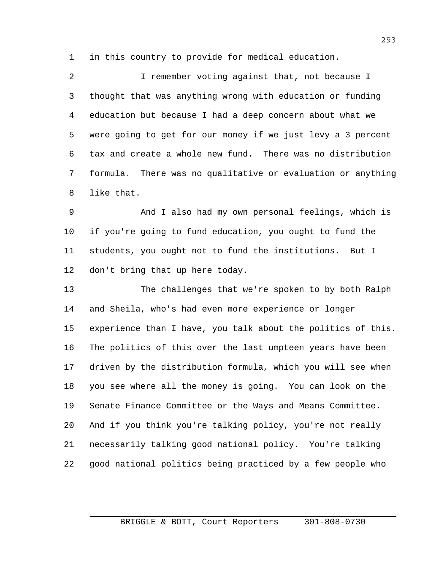in this country to provide for medical education.

 I remember voting against that, not because I thought that was anything wrong with education or funding education but because I had a deep concern about what we were going to get for our money if we just levy a 3 percent tax and create a whole new fund. There was no distribution formula. There was no qualitative or evaluation or anything like that.

 And I also had my own personal feelings, which is if you're going to fund education, you ought to fund the students, you ought not to fund the institutions. But I don't bring that up here today.

 The challenges that we're spoken to by both Ralph and Sheila, who's had even more experience or longer experience than I have, you talk about the politics of this. The politics of this over the last umpteen years have been driven by the distribution formula, which you will see when you see where all the money is going. You can look on the Senate Finance Committee or the Ways and Means Committee. And if you think you're talking policy, you're not really necessarily talking good national policy. You're talking good national politics being practiced by a few people who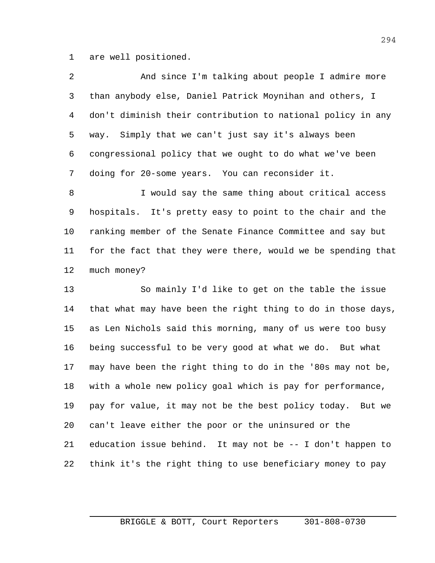are well positioned.

| 2 | And since I'm talking about people I admire more            |
|---|-------------------------------------------------------------|
| 3 | than anybody else, Daniel Patrick Moynihan and others, I    |
| 4 | don't diminish their contribution to national policy in any |
| 5 | way. Simply that we can't just say it's always been         |
| 6 | congressional policy that we ought to do what we've been    |
| 7 | doing for 20-some years. You can reconsider it.             |
| 8 | I would say the same thing about critical access            |

 hospitals. It's pretty easy to point to the chair and the ranking member of the Senate Finance Committee and say but for the fact that they were there, would we be spending that much money?

 So mainly I'd like to get on the table the issue that what may have been the right thing to do in those days, as Len Nichols said this morning, many of us were too busy being successful to be very good at what we do. But what may have been the right thing to do in the '80s may not be, with a whole new policy goal which is pay for performance, pay for value, it may not be the best policy today. But we can't leave either the poor or the uninsured or the education issue behind. It may not be -- I don't happen to think it's the right thing to use beneficiary money to pay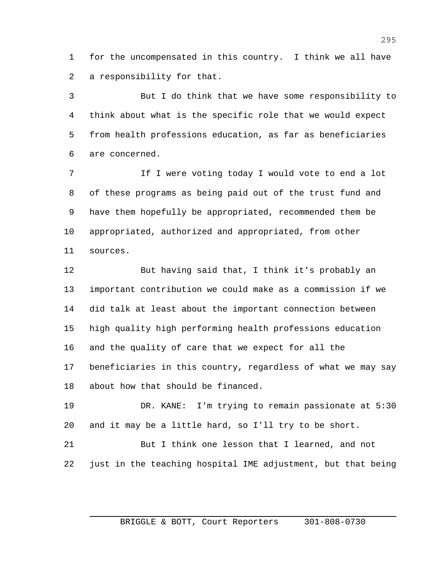for the uncompensated in this country. I think we all have a responsibility for that.

 But I do think that we have some responsibility to think about what is the specific role that we would expect from health professions education, as far as beneficiaries are concerned.

7 1 If I were voting today I would vote to end a lot of these programs as being paid out of the trust fund and have them hopefully be appropriated, recommended them be appropriated, authorized and appropriated, from other sources.

 But having said that, I think it's probably an important contribution we could make as a commission if we did talk at least about the important connection between high quality high performing health professions education and the quality of care that we expect for all the beneficiaries in this country, regardless of what we may say about how that should be financed.

 DR. KANE: I'm trying to remain passionate at 5:30 and it may be a little hard, so I'll try to be short.

 But I think one lesson that I learned, and not just in the teaching hospital IME adjustment, but that being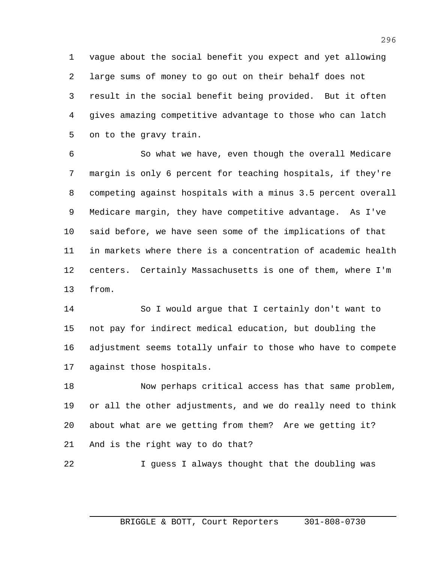vague about the social benefit you expect and yet allowing large sums of money to go out on their behalf does not result in the social benefit being provided. But it often gives amazing competitive advantage to those who can latch on to the gravy train.

 So what we have, even though the overall Medicare margin is only 6 percent for teaching hospitals, if they're competing against hospitals with a minus 3.5 percent overall Medicare margin, they have competitive advantage. As I've said before, we have seen some of the implications of that in markets where there is a concentration of academic health centers. Certainly Massachusetts is one of them, where I'm from.

 So I would argue that I certainly don't want to not pay for indirect medical education, but doubling the adjustment seems totally unfair to those who have to compete against those hospitals.

 Now perhaps critical access has that same problem, or all the other adjustments, and we do really need to think about what are we getting from them? Are we getting it? And is the right way to do that?

I guess I always thought that the doubling was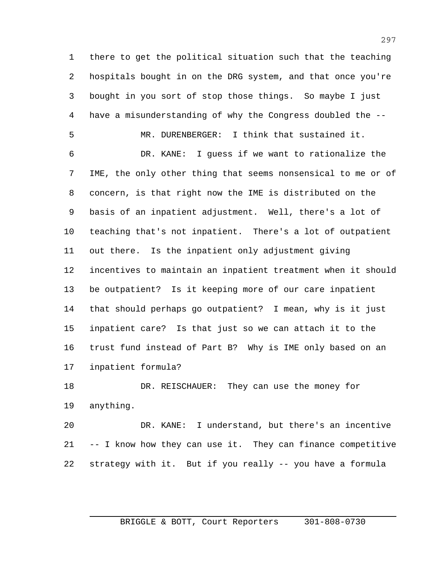there to get the political situation such that the teaching hospitals bought in on the DRG system, and that once you're bought in you sort of stop those things. So maybe I just have a misunderstanding of why the Congress doubled the --

 MR. DURENBERGER: I think that sustained it. DR. KANE: I guess if we want to rationalize the IME, the only other thing that seems nonsensical to me or of concern, is that right now the IME is distributed on the basis of an inpatient adjustment. Well, there's a lot of teaching that's not inpatient. There's a lot of outpatient out there. Is the inpatient only adjustment giving incentives to maintain an inpatient treatment when it should be outpatient? Is it keeping more of our care inpatient that should perhaps go outpatient? I mean, why is it just inpatient care? Is that just so we can attach it to the trust fund instead of Part B? Why is IME only based on an inpatient formula?

 DR. REISCHAUER: They can use the money for anything.

 DR. KANE: I understand, but there's an incentive -- I know how they can use it. They can finance competitive strategy with it. But if you really -- you have a formula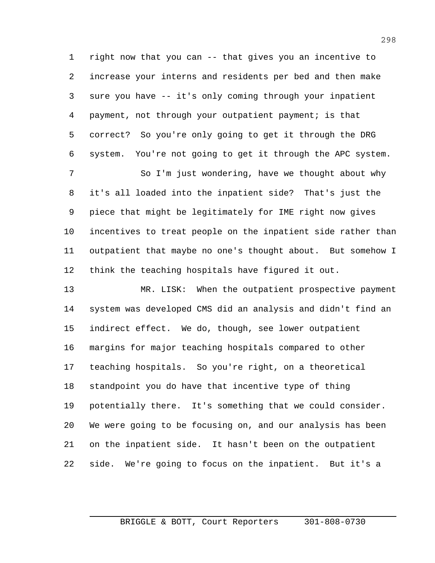right now that you can -- that gives you an incentive to increase your interns and residents per bed and then make sure you have -- it's only coming through your inpatient payment, not through your outpatient payment; is that correct? So you're only going to get it through the DRG system. You're not going to get it through the APC system.

 So I'm just wondering, have we thought about why it's all loaded into the inpatient side? That's just the piece that might be legitimately for IME right now gives incentives to treat people on the inpatient side rather than outpatient that maybe no one's thought about. But somehow I think the teaching hospitals have figured it out.

 MR. LISK: When the outpatient prospective payment system was developed CMS did an analysis and didn't find an indirect effect. We do, though, see lower outpatient margins for major teaching hospitals compared to other teaching hospitals. So you're right, on a theoretical standpoint you do have that incentive type of thing potentially there. It's something that we could consider. We were going to be focusing on, and our analysis has been on the inpatient side. It hasn't been on the outpatient side. We're going to focus on the inpatient. But it's a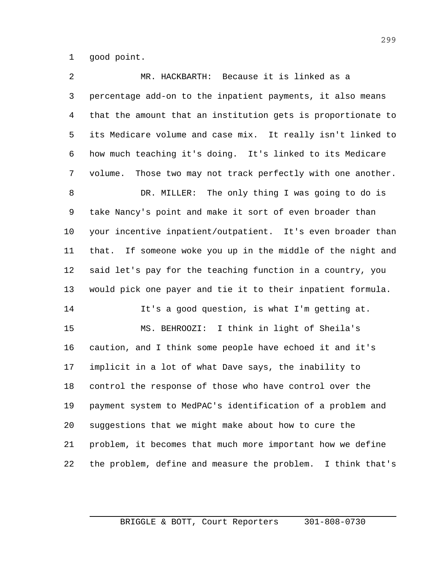good point.

| 2              | MR. HACKBARTH: Because it is linked as a                       |
|----------------|----------------------------------------------------------------|
| $\mathfrak{Z}$ | percentage add-on to the inpatient payments, it also means     |
| 4              | that the amount that an institution gets is proportionate to   |
| 5              | its Medicare volume and case mix. It really isn't linked to    |
| 6              | how much teaching it's doing. It's linked to its Medicare      |
| 7              | Those two may not track perfectly with one another.<br>volume. |
| 8              | DR. MILLER: The only thing I was going to do is                |
| 9              | take Nancy's point and make it sort of even broader than       |
| 10             | your incentive inpatient/outpatient. It's even broader than    |
| 11             | If someone woke you up in the middle of the night and<br>that. |
| 12             | said let's pay for the teaching function in a country, you     |
| 13             | would pick one payer and tie it to their inpatient formula.    |
| 14             | It's a good question, is what I'm getting at.                  |
| 15             | MS. BEHROOZI: I think in light of Sheila's                     |
| 16             | caution, and I think some people have echoed it and it's       |
| 17             | implicit in a lot of what Dave says, the inability to          |
| 18             | control the response of those who have control over the        |
| 19             | payment system to MedPAC's identification of a problem and     |
| 20             | suggestions that we might make about how to cure the           |
| 21             | problem, it becomes that much more important how we define     |
| 22             | the problem, define and measure the problem. I think that's    |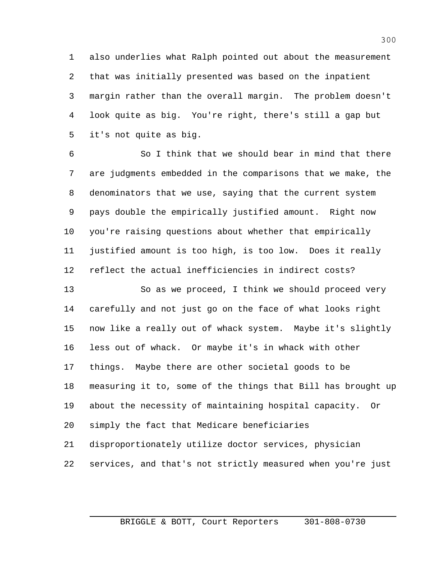also underlies what Ralph pointed out about the measurement that was initially presented was based on the inpatient margin rather than the overall margin. The problem doesn't look quite as big. You're right, there's still a gap but it's not quite as big.

 So I think that we should bear in mind that there are judgments embedded in the comparisons that we make, the denominators that we use, saying that the current system pays double the empirically justified amount. Right now you're raising questions about whether that empirically justified amount is too high, is too low. Does it really reflect the actual inefficiencies in indirect costs?

 So as we proceed, I think we should proceed very carefully and not just go on the face of what looks right now like a really out of whack system. Maybe it's slightly less out of whack. Or maybe it's in whack with other things. Maybe there are other societal goods to be measuring it to, some of the things that Bill has brought up about the necessity of maintaining hospital capacity. Or simply the fact that Medicare beneficiaries disproportionately utilize doctor services, physician services, and that's not strictly measured when you're just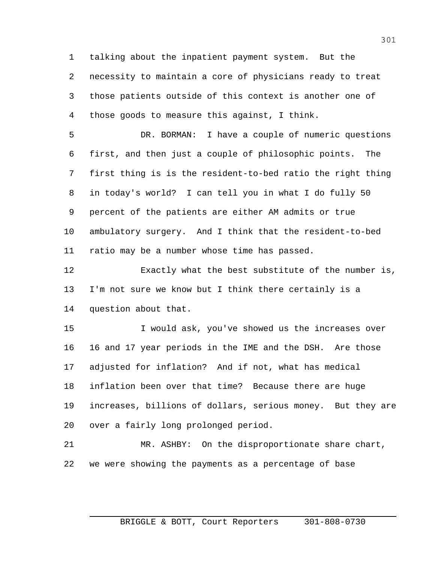talking about the inpatient payment system. But the necessity to maintain a core of physicians ready to treat those patients outside of this context is another one of those goods to measure this against, I think.

 DR. BORMAN: I have a couple of numeric questions first, and then just a couple of philosophic points. The first thing is is the resident-to-bed ratio the right thing in today's world? I can tell you in what I do fully 50 percent of the patients are either AM admits or true ambulatory surgery. And I think that the resident-to-bed ratio may be a number whose time has passed.

 Exactly what the best substitute of the number is, I'm not sure we know but I think there certainly is a question about that.

 I would ask, you've showed us the increases over 16 and 17 year periods in the IME and the DSH. Are those adjusted for inflation? And if not, what has medical inflation been over that time? Because there are huge increases, billions of dollars, serious money. But they are over a fairly long prolonged period.

 MR. ASHBY: On the disproportionate share chart, we were showing the payments as a percentage of base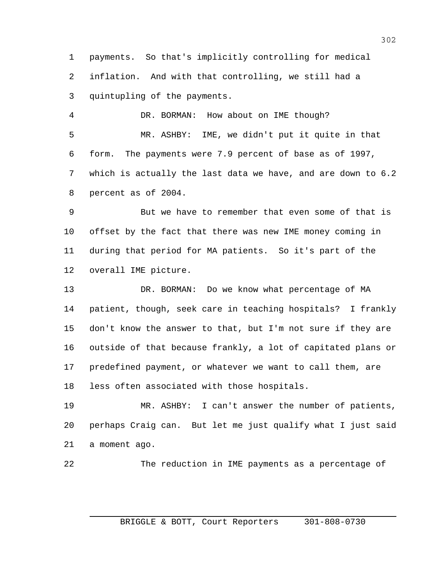payments. So that's implicitly controlling for medical inflation. And with that controlling, we still had a quintupling of the payments.

 DR. BORMAN: How about on IME though? MR. ASHBY: IME, we didn't put it quite in that form. The payments were 7.9 percent of base as of 1997, which is actually the last data we have, and are down to 6.2 percent as of 2004.

 But we have to remember that even some of that is offset by the fact that there was new IME money coming in during that period for MA patients. So it's part of the overall IME picture.

 DR. BORMAN: Do we know what percentage of MA patient, though, seek care in teaching hospitals? I frankly don't know the answer to that, but I'm not sure if they are outside of that because frankly, a lot of capitated plans or predefined payment, or whatever we want to call them, are less often associated with those hospitals.

 MR. ASHBY: I can't answer the number of patients, perhaps Craig can. But let me just qualify what I just said a moment ago.

The reduction in IME payments as a percentage of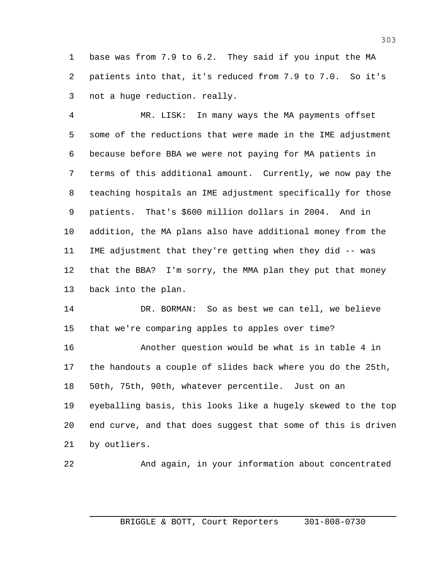base was from 7.9 to 6.2. They said if you input the MA patients into that, it's reduced from 7.9 to 7.0. So it's not a huge reduction. really.

 MR. LISK: In many ways the MA payments offset some of the reductions that were made in the IME adjustment because before BBA we were not paying for MA patients in terms of this additional amount. Currently, we now pay the teaching hospitals an IME adjustment specifically for those patients. That's \$600 million dollars in 2004. And in addition, the MA plans also have additional money from the IME adjustment that they're getting when they did -- was that the BBA? I'm sorry, the MMA plan they put that money back into the plan.

 DR. BORMAN: So as best we can tell, we believe that we're comparing apples to apples over time?

 Another question would be what is in table 4 in the handouts a couple of slides back where you do the 25th, 50th, 75th, 90th, whatever percentile. Just on an eyeballing basis, this looks like a hugely skewed to the top end curve, and that does suggest that some of this is driven by outliers.

And again, in your information about concentrated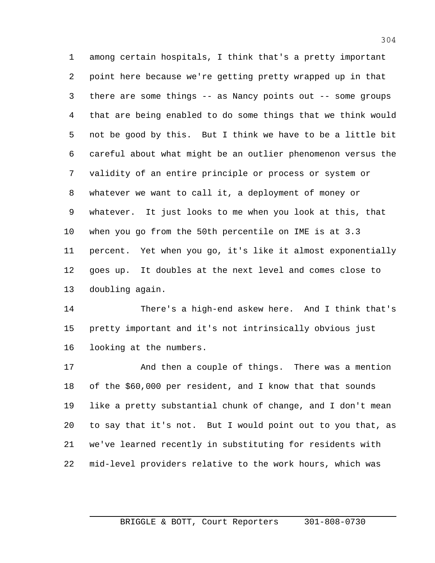among certain hospitals, I think that's a pretty important point here because we're getting pretty wrapped up in that there are some things -- as Nancy points out -- some groups that are being enabled to do some things that we think would not be good by this. But I think we have to be a little bit careful about what might be an outlier phenomenon versus the validity of an entire principle or process or system or whatever we want to call it, a deployment of money or whatever. It just looks to me when you look at this, that when you go from the 50th percentile on IME is at 3.3 percent. Yet when you go, it's like it almost exponentially goes up. It doubles at the next level and comes close to doubling again.

 There's a high-end askew here. And I think that's pretty important and it's not intrinsically obvious just looking at the numbers.

 And then a couple of things. There was a mention of the \$60,000 per resident, and I know that that sounds like a pretty substantial chunk of change, and I don't mean to say that it's not. But I would point out to you that, as we've learned recently in substituting for residents with mid-level providers relative to the work hours, which was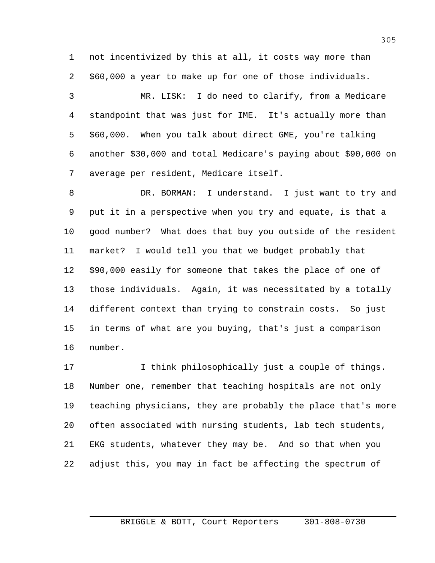not incentivized by this at all, it costs way more than \$60,000 a year to make up for one of those individuals.

 MR. LISK: I do need to clarify, from a Medicare standpoint that was just for IME. It's actually more than \$60,000. When you talk about direct GME, you're talking another \$30,000 and total Medicare's paying about \$90,000 on average per resident, Medicare itself.

 DR. BORMAN: I understand. I just want to try and put it in a perspective when you try and equate, is that a good number? What does that buy you outside of the resident market? I would tell you that we budget probably that \$90,000 easily for someone that takes the place of one of those individuals. Again, it was necessitated by a totally different context than trying to constrain costs. So just in terms of what are you buying, that's just a comparison number.

17 10 I think philosophically just a couple of things. Number one, remember that teaching hospitals are not only teaching physicians, they are probably the place that's more often associated with nursing students, lab tech students, EKG students, whatever they may be. And so that when you adjust this, you may in fact be affecting the spectrum of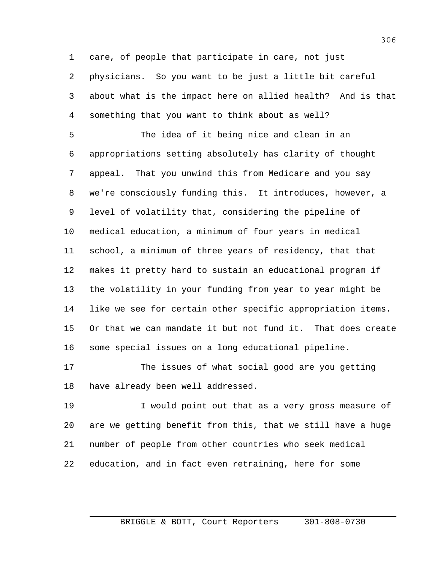care, of people that participate in care, not just physicians. So you want to be just a little bit careful about what is the impact here on allied health? And is that something that you want to think about as well?

 The idea of it being nice and clean in an appropriations setting absolutely has clarity of thought appeal. That you unwind this from Medicare and you say we're consciously funding this. It introduces, however, a level of volatility that, considering the pipeline of medical education, a minimum of four years in medical school, a minimum of three years of residency, that that makes it pretty hard to sustain an educational program if the volatility in your funding from year to year might be like we see for certain other specific appropriation items. Or that we can mandate it but not fund it. That does create some special issues on a long educational pipeline.

 The issues of what social good are you getting have already been well addressed.

 I would point out that as a very gross measure of are we getting benefit from this, that we still have a huge number of people from other countries who seek medical education, and in fact even retraining, here for some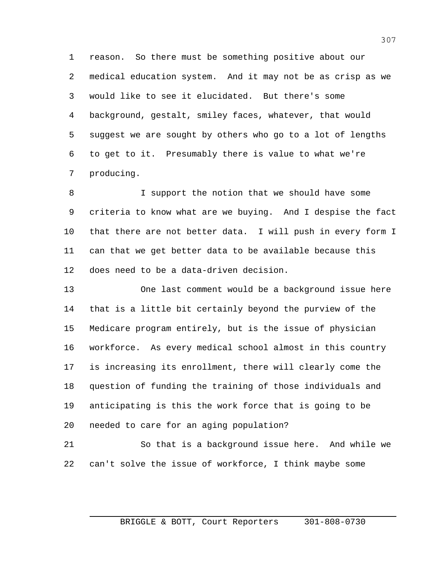reason. So there must be something positive about our medical education system. And it may not be as crisp as we would like to see it elucidated. But there's some background, gestalt, smiley faces, whatever, that would suggest we are sought by others who go to a lot of lengths to get to it. Presumably there is value to what we're producing.

 I support the notion that we should have some criteria to know what are we buying. And I despise the fact that there are not better data. I will push in every form I can that we get better data to be available because this does need to be a data-driven decision.

 One last comment would be a background issue here that is a little bit certainly beyond the purview of the Medicare program entirely, but is the issue of physician workforce. As every medical school almost in this country is increasing its enrollment, there will clearly come the question of funding the training of those individuals and anticipating is this the work force that is going to be needed to care for an aging population?

 So that is a background issue here. And while we can't solve the issue of workforce, I think maybe some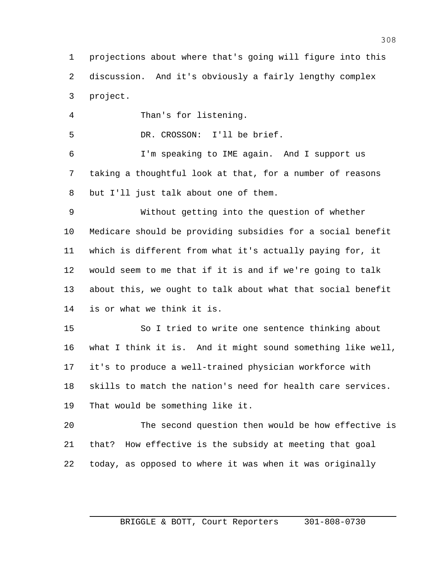projections about where that's going will figure into this discussion. And it's obviously a fairly lengthy complex project.

Than's for listening.

DR. CROSSON: I'll be brief.

 I'm speaking to IME again. And I support us taking a thoughtful look at that, for a number of reasons but I'll just talk about one of them.

 Without getting into the question of whether Medicare should be providing subsidies for a social benefit which is different from what it's actually paying for, it would seem to me that if it is and if we're going to talk about this, we ought to talk about what that social benefit is or what we think it is.

 So I tried to write one sentence thinking about what I think it is. And it might sound something like well, it's to produce a well-trained physician workforce with skills to match the nation's need for health care services. That would be something like it.

 The second question then would be how effective is that? How effective is the subsidy at meeting that goal today, as opposed to where it was when it was originally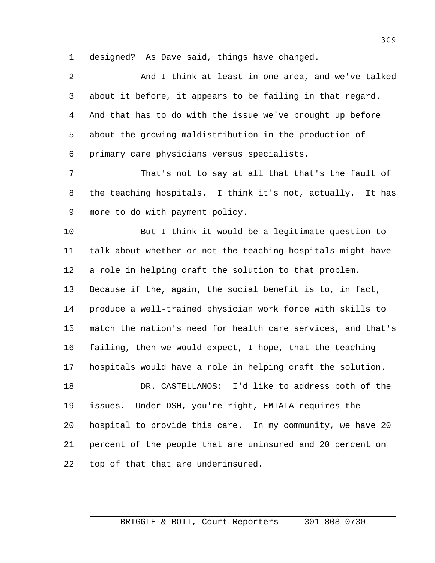designed? As Dave said, things have changed.

 And I think at least in one area, and we've talked about it before, it appears to be failing in that regard. And that has to do with the issue we've brought up before about the growing maldistribution in the production of primary care physicians versus specialists.

 That's not to say at all that that's the fault of the teaching hospitals. I think it's not, actually. It has more to do with payment policy.

 But I think it would be a legitimate question to talk about whether or not the teaching hospitals might have a role in helping craft the solution to that problem. Because if the, again, the social benefit is to, in fact, produce a well-trained physician work force with skills to match the nation's need for health care services, and that's failing, then we would expect, I hope, that the teaching hospitals would have a role in helping craft the solution.

 DR. CASTELLANOS: I'd like to address both of the issues. Under DSH, you're right, EMTALA requires the hospital to provide this care. In my community, we have 20 percent of the people that are uninsured and 20 percent on top of that that are underinsured.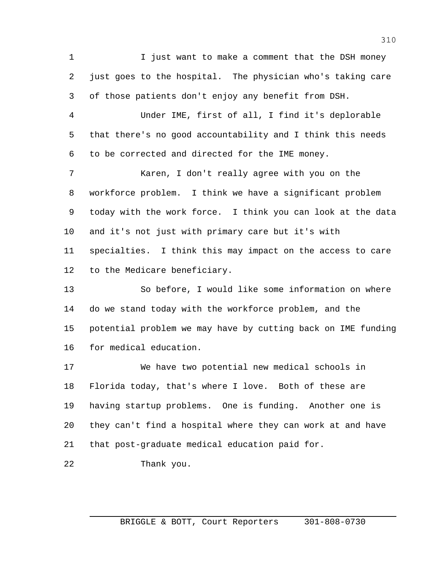1 1 I just want to make a comment that the DSH money just goes to the hospital. The physician who's taking care of those patients don't enjoy any benefit from DSH. Under IME, first of all, I find it's deplorable that there's no good accountability and I think this needs to be corrected and directed for the IME money. Karen, I don't really agree with you on the workforce problem. I think we have a significant problem today with the work force. I think you can look at the data and it's not just with primary care but it's with specialties. I think this may impact on the access to care to the Medicare beneficiary. So before, I would like some information on where do we stand today with the workforce problem, and the

 potential problem we may have by cutting back on IME funding for medical education.

 We have two potential new medical schools in Florida today, that's where I love. Both of these are having startup problems. One is funding. Another one is they can't find a hospital where they can work at and have that post-graduate medical education paid for.

Thank you.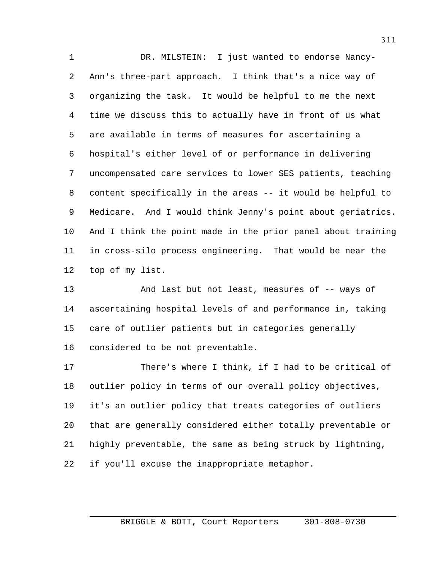DR. MILSTEIN: I just wanted to endorse Nancy- Ann's three-part approach. I think that's a nice way of organizing the task. It would be helpful to me the next time we discuss this to actually have in front of us what are available in terms of measures for ascertaining a hospital's either level of or performance in delivering uncompensated care services to lower SES patients, teaching content specifically in the areas -- it would be helpful to Medicare. And I would think Jenny's point about geriatrics. And I think the point made in the prior panel about training in cross-silo process engineering. That would be near the top of my list.

 And last but not least, measures of -- ways of ascertaining hospital levels of and performance in, taking care of outlier patients but in categories generally considered to be not preventable.

 There's where I think, if I had to be critical of outlier policy in terms of our overall policy objectives, it's an outlier policy that treats categories of outliers that are generally considered either totally preventable or highly preventable, the same as being struck by lightning, if you'll excuse the inappropriate metaphor.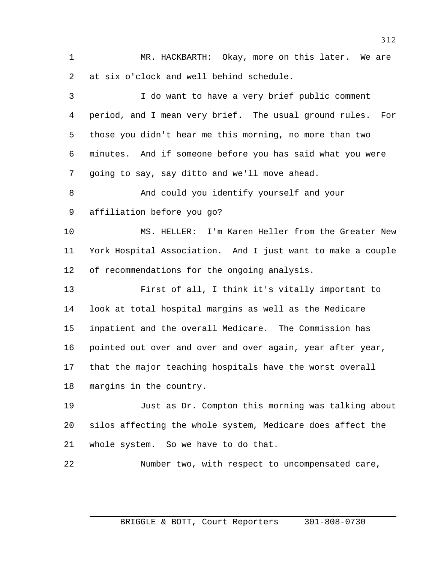MR. HACKBARTH: Okay, more on this later. We are at six o'clock and well behind schedule.

 I do want to have a very brief public comment period, and I mean very brief. The usual ground rules. For those you didn't hear me this morning, no more than two minutes. And if someone before you has said what you were going to say, say ditto and we'll move ahead. And could you identify yourself and your affiliation before you go? MS. HELLER: I'm Karen Heller from the Greater New York Hospital Association. And I just want to make a couple of recommendations for the ongoing analysis. First of all, I think it's vitally important to look at total hospital margins as well as the Medicare inpatient and the overall Medicare. The Commission has pointed out over and over and over again, year after year, that the major teaching hospitals have the worst overall margins in the country. Just as Dr. Compton this morning was talking about silos affecting the whole system, Medicare does affect the whole system. So we have to do that.

Number two, with respect to uncompensated care,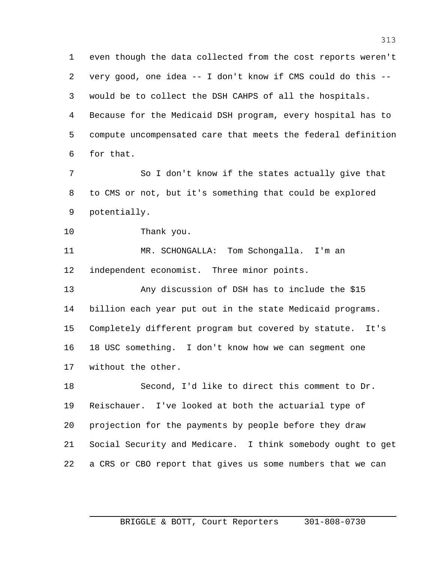even though the data collected from the cost reports weren't very good, one idea -- I don't know if CMS could do this -- would be to collect the DSH CAHPS of all the hospitals. Because for the Medicaid DSH program, every hospital has to compute uncompensated care that meets the federal definition for that.

 So I don't know if the states actually give that to CMS or not, but it's something that could be explored potentially.

Thank you.

 MR. SCHONGALLA: Tom Schongalla. I'm an independent economist. Three minor points.

 Any discussion of DSH has to include the \$15 billion each year put out in the state Medicaid programs. Completely different program but covered by statute. It's 18 USC something. I don't know how we can segment one without the other.

 Second, I'd like to direct this comment to Dr. Reischauer. I've looked at both the actuarial type of projection for the payments by people before they draw Social Security and Medicare. I think somebody ought to get a CRS or CBO report that gives us some numbers that we can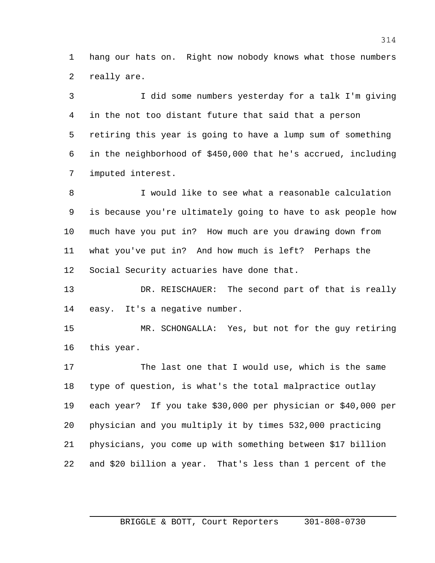hang our hats on. Right now nobody knows what those numbers really are.

 I did some numbers yesterday for a talk I'm giving in the not too distant future that said that a person retiring this year is going to have a lump sum of something in the neighborhood of \$450,000 that he's accrued, including imputed interest.

 I would like to see what a reasonable calculation is because you're ultimately going to have to ask people how much have you put in? How much are you drawing down from what you've put in? And how much is left? Perhaps the Social Security actuaries have done that.

 DR. REISCHAUER: The second part of that is really easy. It's a negative number.

 MR. SCHONGALLA: Yes, but not for the guy retiring this year.

 The last one that I would use, which is the same type of question, is what's the total malpractice outlay each year? If you take \$30,000 per physician or \$40,000 per physician and you multiply it by times 532,000 practicing physicians, you come up with something between \$17 billion and \$20 billion a year. That's less than 1 percent of the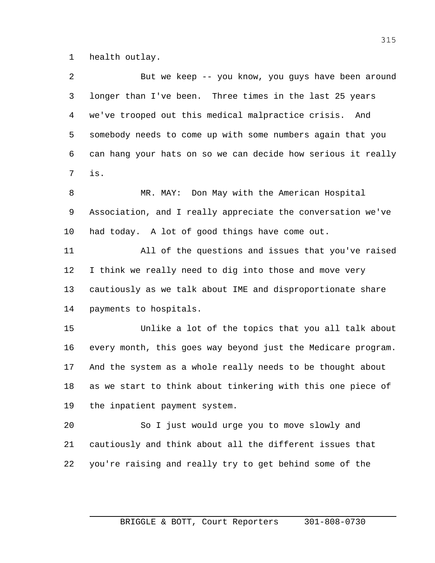health outlay.

| 2  | But we keep -- you know, you guys have been around           |
|----|--------------------------------------------------------------|
| 3  | longer than I've been. Three times in the last 25 years      |
| 4  | we've trooped out this medical malpractice crisis. And       |
| 5  | somebody needs to come up with some numbers again that you   |
| 6  | can hang your hats on so we can decide how serious it really |
| 7  | is.                                                          |
| 8  | MR. MAY: Don May with the American Hospital                  |
| 9  | Association, and I really appreciate the conversation we've  |
| 10 | had today. A lot of good things have come out.               |
| 11 | All of the questions and issues that you've raised           |
| 12 | I think we really need to dig into those and move very       |
| 13 | cautiously as we talk about IME and disproportionate share   |
| 14 | payments to hospitals.                                       |
| 15 | Unlike a lot of the topics that you all talk about           |
| 16 | every month, this goes way beyond just the Medicare program. |
| 17 | And the system as a whole really needs to be thought about   |
| 18 | as we start to think about tinkering with this one piece of  |
| 19 | the inpatient payment system.                                |
| 20 | So I just would urge you to move slowly and                  |
| 21 | cautiously and think about all the different issues that     |
| 22 | you're raising and really try to get behind some of the      |
|    |                                                              |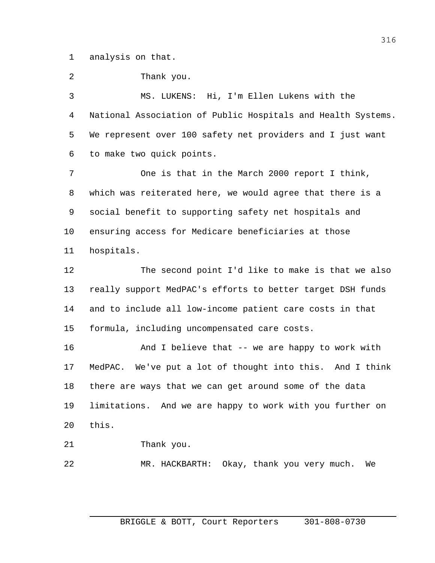analysis on that.

Thank you.

 MS. LUKENS: Hi, I'm Ellen Lukens with the National Association of Public Hospitals and Health Systems. We represent over 100 safety net providers and I just want to make two quick points.

 One is that in the March 2000 report I think, which was reiterated here, we would agree that there is a social benefit to supporting safety net hospitals and ensuring access for Medicare beneficiaries at those hospitals.

 The second point I'd like to make is that we also really support MedPAC's efforts to better target DSH funds and to include all low-income patient care costs in that formula, including uncompensated care costs.

 And I believe that -- we are happy to work with MedPAC. We've put a lot of thought into this. And I think there are ways that we can get around some of the data limitations. And we are happy to work with you further on this.

Thank you.

MR. HACKBARTH: Okay, thank you very much. We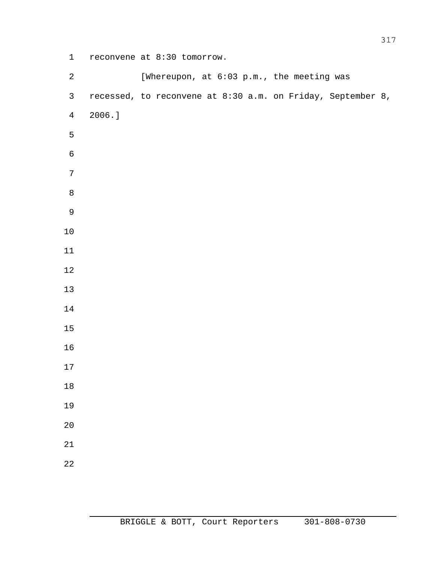reconvene at 8:30 tomorrow.

| $\sqrt{2}$     |           | [Whereupon, at 6:03 p.m., the meeting was |  |  |                                                             |  |
|----------------|-----------|-------------------------------------------|--|--|-------------------------------------------------------------|--|
| $\mathsf{3}$   |           |                                           |  |  | recessed, to reconvene at 8:30 a.m. on Friday, September 8, |  |
| $\overline{4}$ | $2006.$ ] |                                           |  |  |                                                             |  |
| 5              |           |                                           |  |  |                                                             |  |
| $\sqrt{6}$     |           |                                           |  |  |                                                             |  |
| $\sqrt{ }$     |           |                                           |  |  |                                                             |  |
| $\, 8$         |           |                                           |  |  |                                                             |  |
| $\mathsf 9$    |           |                                           |  |  |                                                             |  |
| $10$           |           |                                           |  |  |                                                             |  |
| 11             |           |                                           |  |  |                                                             |  |
| 12             |           |                                           |  |  |                                                             |  |
| 13             |           |                                           |  |  |                                                             |  |
| 14             |           |                                           |  |  |                                                             |  |
| 15             |           |                                           |  |  |                                                             |  |
| 16             |           |                                           |  |  |                                                             |  |
| 17             |           |                                           |  |  |                                                             |  |
| 18             |           |                                           |  |  |                                                             |  |
| 19             |           |                                           |  |  |                                                             |  |
| 20             |           |                                           |  |  |                                                             |  |
| 21             |           |                                           |  |  |                                                             |  |
| 22             |           |                                           |  |  |                                                             |  |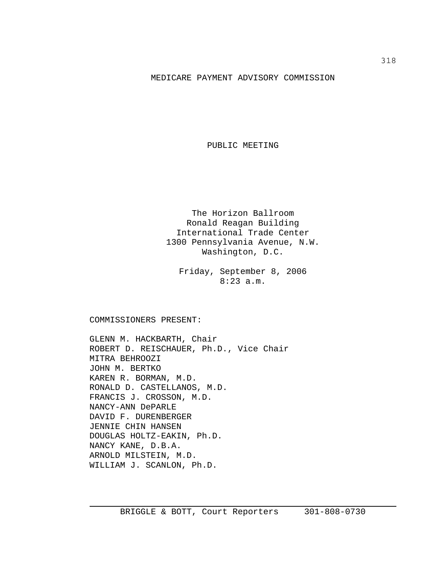## MEDICARE PAYMENT ADVISORY COMMISSION

PUBLIC MEETING

The Horizon Ballroom Ronald Reagan Building International Trade Center 1300 Pennsylvania Avenue, N.W. Washington, D.C.

Friday, September 8, 2006 8:23 a.m.

COMMISSIONERS PRESENT:

GLENN M. HACKBARTH, Chair ROBERT D. REISCHAUER, Ph.D., Vice Chair MITRA BEHROOZI JOHN M. BERTKO KAREN R. BORMAN, M.D. RONALD D. CASTELLANOS, M.D. FRANCIS J. CROSSON, M.D. NANCY-ANN DePARLE DAVID F. DURENBERGER JENNIE CHIN HANSEN DOUGLAS HOLTZ-EAKIN, Ph.D. NANCY KANE, D.B.A. ARNOLD MILSTEIN, M.D. WILLIAM J. SCANLON, Ph.D.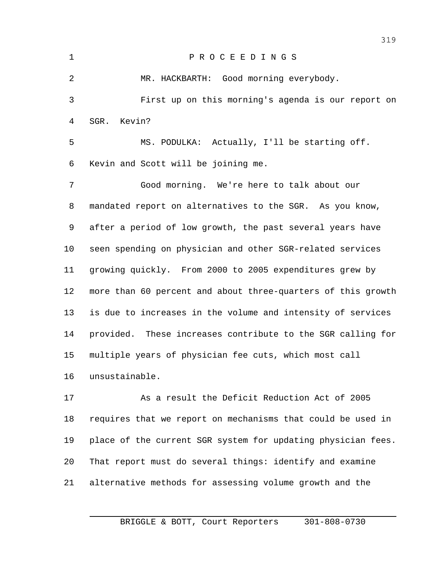| 1  | PROCEEDINGS                                                  |
|----|--------------------------------------------------------------|
| 2  | MR. HACKBARTH: Good morning everybody.                       |
| 3  | First up on this morning's agenda is our report on           |
| 4  | SGR. Kevin?                                                  |
| 5  | MS. PODULKA: Actually, I'll be starting off.                 |
| 6  | Kevin and Scott will be joining me.                          |
| 7  | Good morning. We're here to talk about our                   |
| 8  | mandated report on alternatives to the SGR. As you know,     |
| 9  | after a period of low growth, the past several years have    |
| 10 | seen spending on physician and other SGR-related services    |
| 11 | growing quickly. From 2000 to 2005 expenditures grew by      |
| 12 | more than 60 percent and about three-quarters of this growth |
| 13 | is due to increases in the volume and intensity of services  |
| 14 | provided. These increases contribute to the SGR calling for  |
| 15 | multiple years of physician fee cuts, which most call        |
| 16 | unsustainable.                                               |
| 17 | As a result the Deficit Reduction Act of 2005                |
| 18 | requires that we report on mechanisms that could be used in  |
| 19 | place of the current SGR system for updating physician fees. |

That report must do several things: identify and examine

alternative methods for assessing volume growth and the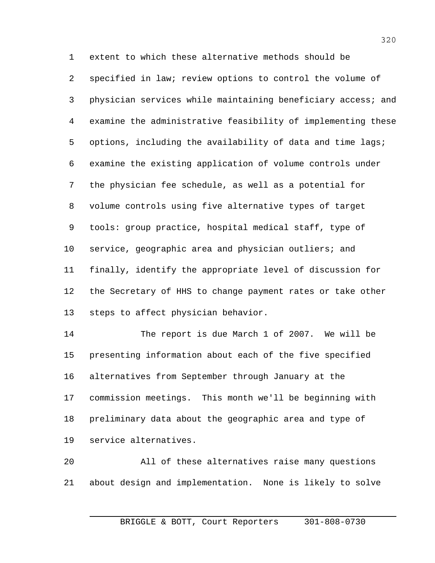extent to which these alternative methods should be specified in law; review options to control the volume of physician services while maintaining beneficiary access; and examine the administrative feasibility of implementing these options, including the availability of data and time lags; examine the existing application of volume controls under the physician fee schedule, as well as a potential for volume controls using five alternative types of target tools: group practice, hospital medical staff, type of 10 service, geographic area and physician outliers; and finally, identify the appropriate level of discussion for the Secretary of HHS to change payment rates or take other steps to affect physician behavior.

 The report is due March 1 of 2007. We will be presenting information about each of the five specified alternatives from September through January at the commission meetings. This month we'll be beginning with preliminary data about the geographic area and type of service alternatives.

 All of these alternatives raise many questions about design and implementation. None is likely to solve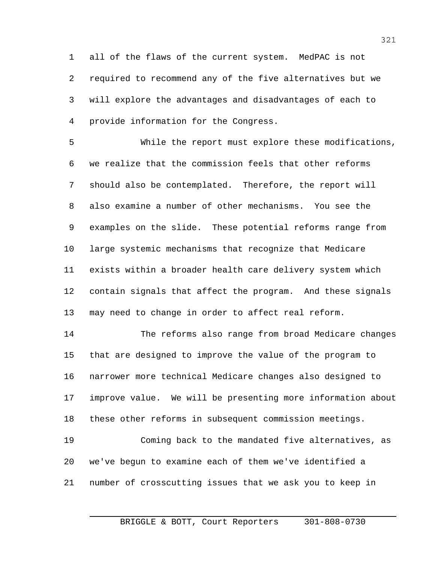all of the flaws of the current system. MedPAC is not required to recommend any of the five alternatives but we will explore the advantages and disadvantages of each to provide information for the Congress.

 While the report must explore these modifications, we realize that the commission feels that other reforms should also be contemplated. Therefore, the report will also examine a number of other mechanisms. You see the examples on the slide. These potential reforms range from large systemic mechanisms that recognize that Medicare exists within a broader health care delivery system which contain signals that affect the program. And these signals may need to change in order to affect real reform.

 The reforms also range from broad Medicare changes that are designed to improve the value of the program to narrower more technical Medicare changes also designed to improve value. We will be presenting more information about these other reforms in subsequent commission meetings. Coming back to the mandated five alternatives, as we've begun to examine each of them we've identified a number of crosscutting issues that we ask you to keep in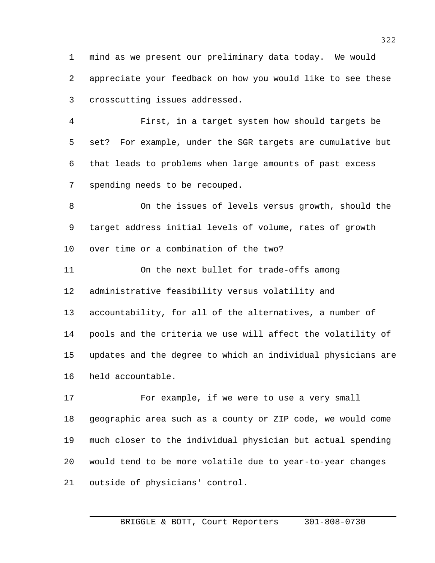mind as we present our preliminary data today. We would appreciate your feedback on how you would like to see these crosscutting issues addressed.

 First, in a target system how should targets be set? For example, under the SGR targets are cumulative but that leads to problems when large amounts of past excess spending needs to be recouped.

 On the issues of levels versus growth, should the target address initial levels of volume, rates of growth over time or a combination of the two?

 On the next bullet for trade-offs among administrative feasibility versus volatility and accountability, for all of the alternatives, a number of pools and the criteria we use will affect the volatility of updates and the degree to which an individual physicians are held accountable.

17 For example, if we were to use a very small geographic area such as a county or ZIP code, we would come much closer to the individual physician but actual spending would tend to be more volatile due to year-to-year changes outside of physicians' control.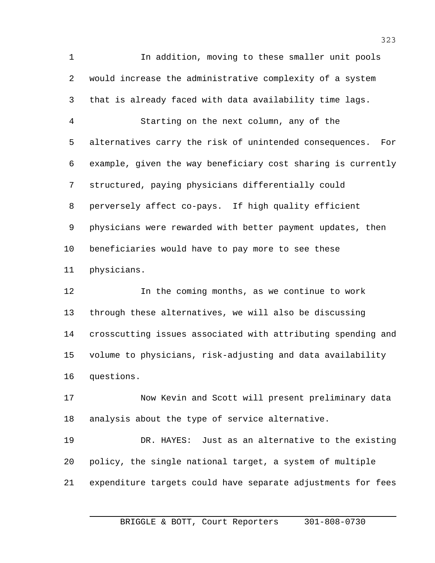In addition, moving to these smaller unit pools would increase the administrative complexity of a system that is already faced with data availability time lags. Starting on the next column, any of the alternatives carry the risk of unintended consequences. For example, given the way beneficiary cost sharing is currently structured, paying physicians differentially could perversely affect co-pays. If high quality efficient physicians were rewarded with better payment updates, then beneficiaries would have to pay more to see these physicians.

 In the coming months, as we continue to work through these alternatives, we will also be discussing crosscutting issues associated with attributing spending and volume to physicians, risk-adjusting and data availability questions.

 Now Kevin and Scott will present preliminary data analysis about the type of service alternative.

 DR. HAYES: Just as an alternative to the existing policy, the single national target, a system of multiple expenditure targets could have separate adjustments for fees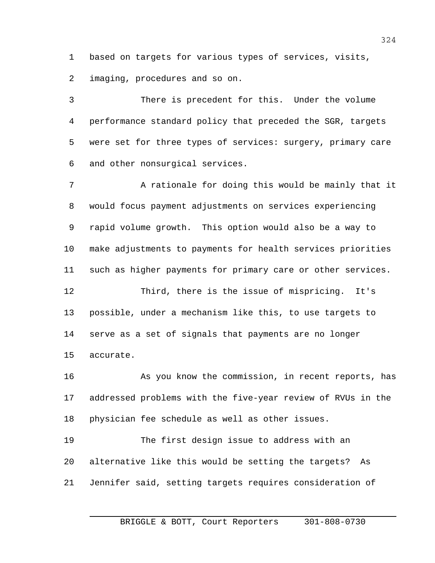based on targets for various types of services, visits,

imaging, procedures and so on.

 There is precedent for this. Under the volume performance standard policy that preceded the SGR, targets were set for three types of services: surgery, primary care and other nonsurgical services.

7 A rationale for doing this would be mainly that it would focus payment adjustments on services experiencing rapid volume growth. This option would also be a way to make adjustments to payments for health services priorities such as higher payments for primary care or other services.

 Third, there is the issue of mispricing. It's possible, under a mechanism like this, to use targets to serve as a set of signals that payments are no longer accurate.

 As you know the commission, in recent reports, has addressed problems with the five-year review of RVUs in the physician fee schedule as well as other issues.

 The first design issue to address with an alternative like this would be setting the targets? As Jennifer said, setting targets requires consideration of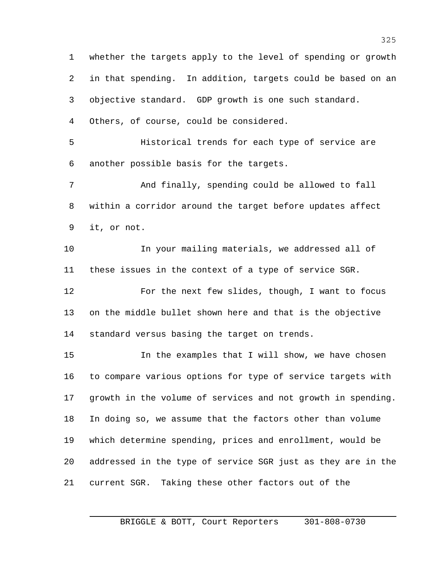whether the targets apply to the level of spending or growth in that spending. In addition, targets could be based on an objective standard. GDP growth is one such standard. Others, of course, could be considered. Historical trends for each type of service are another possible basis for the targets. And finally, spending could be allowed to fall within a corridor around the target before updates affect it, or not. In your mailing materials, we addressed all of these issues in the context of a type of service SGR. For the next few slides, though, I want to focus on the middle bullet shown here and that is the objective standard versus basing the target on trends. In the examples that I will show, we have chosen to compare various options for type of service targets with growth in the volume of services and not growth in spending. In doing so, we assume that the factors other than volume which determine spending, prices and enrollment, would be addressed in the type of service SGR just as they are in the current SGR. Taking these other factors out of the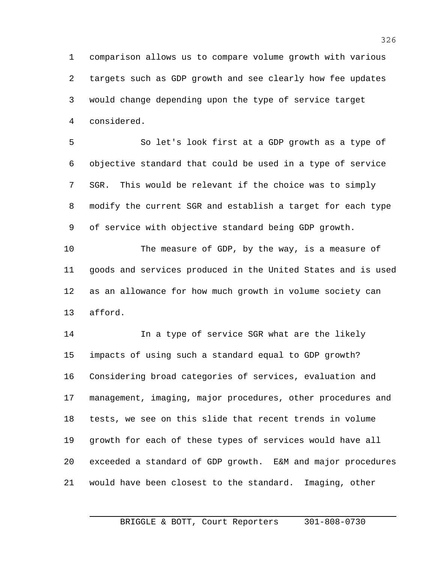comparison allows us to compare volume growth with various targets such as GDP growth and see clearly how fee updates would change depending upon the type of service target considered.

 So let's look first at a GDP growth as a type of objective standard that could be used in a type of service SGR. This would be relevant if the choice was to simply modify the current SGR and establish a target for each type of service with objective standard being GDP growth.

 The measure of GDP, by the way, is a measure of goods and services produced in the United States and is used as an allowance for how much growth in volume society can afford.

 In a type of service SGR what are the likely impacts of using such a standard equal to GDP growth? Considering broad categories of services, evaluation and management, imaging, major procedures, other procedures and tests, we see on this slide that recent trends in volume growth for each of these types of services would have all exceeded a standard of GDP growth. E&M and major procedures would have been closest to the standard. Imaging, other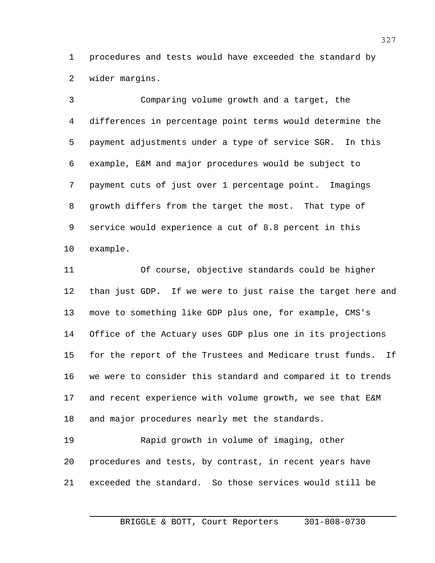procedures and tests would have exceeded the standard by wider margins.

 Comparing volume growth and a target, the differences in percentage point terms would determine the payment adjustments under a type of service SGR. In this example, E&M and major procedures would be subject to payment cuts of just over 1 percentage point. Imagings growth differs from the target the most. That type of service would experience a cut of 8.8 percent in this example.

 Of course, objective standards could be higher than just GDP. If we were to just raise the target here and move to something like GDP plus one, for example, CMS's Office of the Actuary uses GDP plus one in its projections for the report of the Trustees and Medicare trust funds. If we were to consider this standard and compared it to trends and recent experience with volume growth, we see that E&M and major procedures nearly met the standards.

 Rapid growth in volume of imaging, other procedures and tests, by contrast, in recent years have exceeded the standard. So those services would still be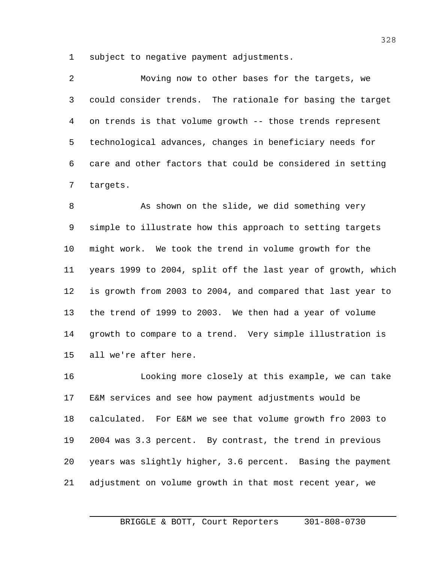subject to negative payment adjustments.

| $\overline{2}$ | Moving now to other bases for the targets, we              |
|----------------|------------------------------------------------------------|
| $\mathbf{3}$   | could consider trends. The rationale for basing the target |
| 4              | on trends is that volume growth -- those trends represent  |
| 5              | technological advances, changes in beneficiary needs for   |
| 6              | care and other factors that could be considered in setting |
|                | targets.                                                   |

8 As shown on the slide, we did something very simple to illustrate how this approach to setting targets might work. We took the trend in volume growth for the years 1999 to 2004, split off the last year of growth, which is growth from 2003 to 2004, and compared that last year to the trend of 1999 to 2003. We then had a year of volume growth to compare to a trend. Very simple illustration is all we're after here.

 Looking more closely at this example, we can take E&M services and see how payment adjustments would be calculated. For E&M we see that volume growth fro 2003 to 2004 was 3.3 percent. By contrast, the trend in previous years was slightly higher, 3.6 percent. Basing the payment adjustment on volume growth in that most recent year, we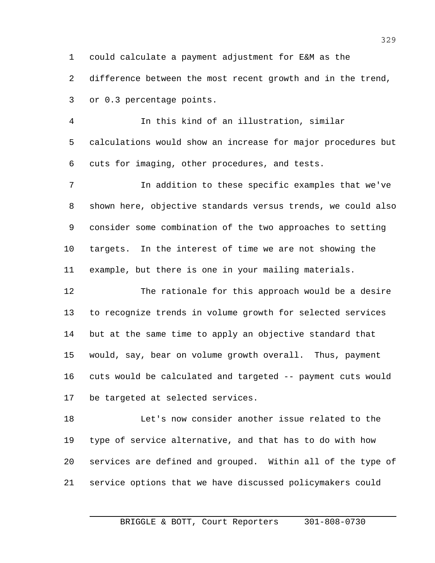could calculate a payment adjustment for E&M as the

2 difference between the most recent growth and in the trend,

or 0.3 percentage points.

 In this kind of an illustration, similar calculations would show an increase for major procedures but cuts for imaging, other procedures, and tests.

 In addition to these specific examples that we've shown here, objective standards versus trends, we could also consider some combination of the two approaches to setting targets. In the interest of time we are not showing the example, but there is one in your mailing materials.

 The rationale for this approach would be a desire to recognize trends in volume growth for selected services but at the same time to apply an objective standard that would, say, bear on volume growth overall. Thus, payment cuts would be calculated and targeted -- payment cuts would be targeted at selected services.

 Let's now consider another issue related to the type of service alternative, and that has to do with how services are defined and grouped. Within all of the type of service options that we have discussed policymakers could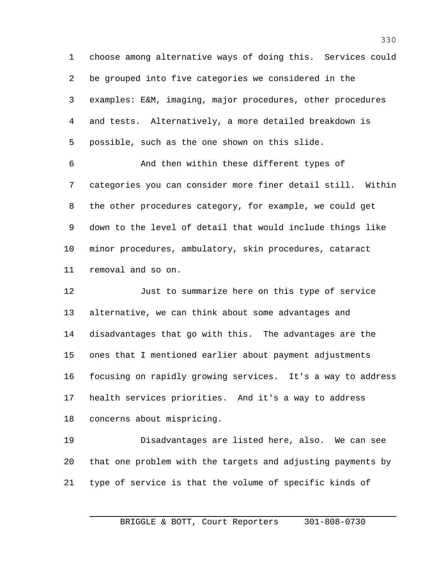choose among alternative ways of doing this. Services could be grouped into five categories we considered in the examples: E&M, imaging, major procedures, other procedures and tests. Alternatively, a more detailed breakdown is possible, such as the one shown on this slide.

 And then within these different types of categories you can consider more finer detail still. Within the other procedures category, for example, we could get down to the level of detail that would include things like minor procedures, ambulatory, skin procedures, cataract removal and so on.

 Just to summarize here on this type of service alternative, we can think about some advantages and disadvantages that go with this. The advantages are the ones that I mentioned earlier about payment adjustments focusing on rapidly growing services. It's a way to address health services priorities. And it's a way to address concerns about mispricing.

 Disadvantages are listed here, also. We can see that one problem with the targets and adjusting payments by type of service is that the volume of specific kinds of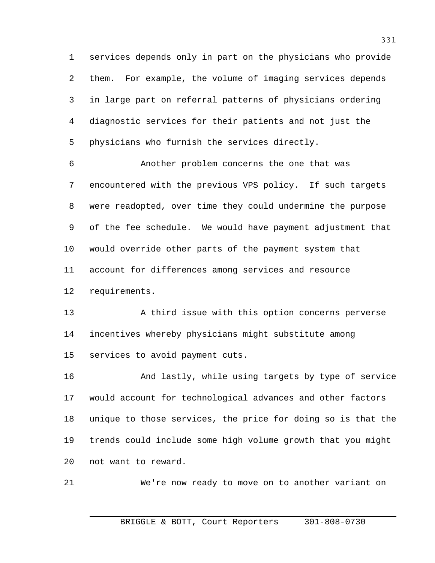services depends only in part on the physicians who provide them. For example, the volume of imaging services depends in large part on referral patterns of physicians ordering diagnostic services for their patients and not just the physicians who furnish the services directly.

 Another problem concerns the one that was encountered with the previous VPS policy. If such targets were readopted, over time they could undermine the purpose of the fee schedule. We would have payment adjustment that would override other parts of the payment system that account for differences among services and resource requirements.

13 A third issue with this option concerns perverse incentives whereby physicians might substitute among services to avoid payment cuts.

 And lastly, while using targets by type of service would account for technological advances and other factors unique to those services, the price for doing so is that the trends could include some high volume growth that you might not want to reward.

We're now ready to move on to another variant on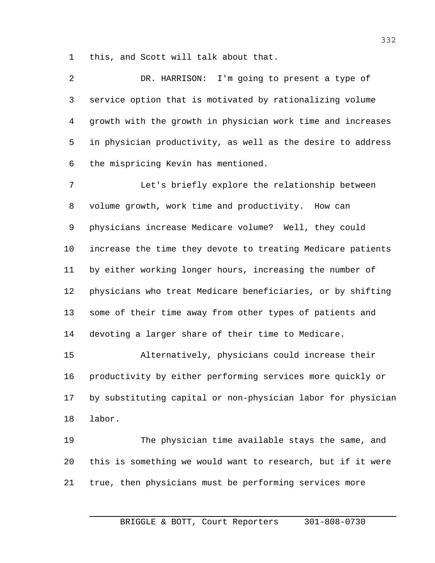this, and Scott will talk about that.

 DR. HARRISON: I'm going to present a type of service option that is motivated by rationalizing volume growth with the growth in physician work time and increases in physician productivity, as well as the desire to address the mispricing Kevin has mentioned.

 Let's briefly explore the relationship between volume growth, work time and productivity. How can physicians increase Medicare volume? Well, they could increase the time they devote to treating Medicare patients by either working longer hours, increasing the number of physicians who treat Medicare beneficiaries, or by shifting some of their time away from other types of patients and devoting a larger share of their time to Medicare.

 Alternatively, physicians could increase their productivity by either performing services more quickly or by substituting capital or non-physician labor for physician labor.

 The physician time available stays the same, and this is something we would want to research, but if it were true, then physicians must be performing services more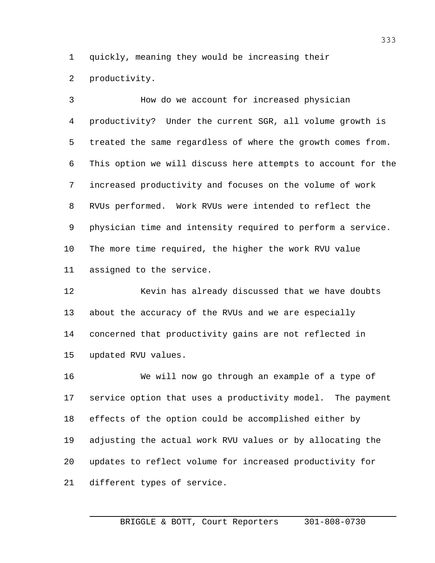quickly, meaning they would be increasing their

productivity.

 How do we account for increased physician productivity? Under the current SGR, all volume growth is treated the same regardless of where the growth comes from. This option we will discuss here attempts to account for the increased productivity and focuses on the volume of work RVUs performed. Work RVUs were intended to reflect the physician time and intensity required to perform a service. The more time required, the higher the work RVU value assigned to the service.

 Kevin has already discussed that we have doubts about the accuracy of the RVUs and we are especially concerned that productivity gains are not reflected in updated RVU values.

 We will now go through an example of a type of service option that uses a productivity model. The payment effects of the option could be accomplished either by adjusting the actual work RVU values or by allocating the updates to reflect volume for increased productivity for different types of service.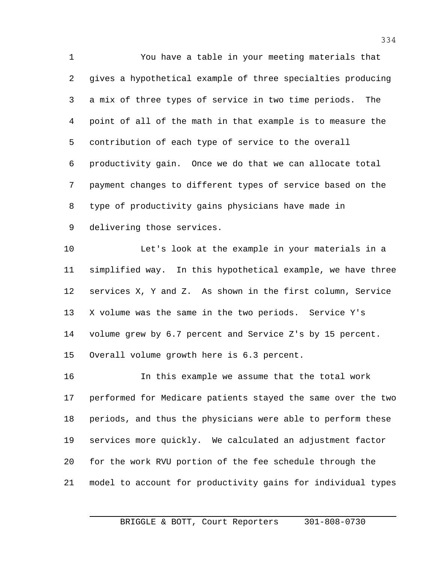You have a table in your meeting materials that gives a hypothetical example of three specialties producing a mix of three types of service in two time periods. The point of all of the math in that example is to measure the contribution of each type of service to the overall productivity gain. Once we do that we can allocate total payment changes to different types of service based on the type of productivity gains physicians have made in delivering those services. Let's look at the example in your materials in a

 simplified way. In this hypothetical example, we have three services X, Y and Z. As shown in the first column, Service X volume was the same in the two periods. Service Y's volume grew by 6.7 percent and Service Z's by 15 percent. Overall volume growth here is 6.3 percent.

 In this example we assume that the total work performed for Medicare patients stayed the same over the two periods, and thus the physicians were able to perform these services more quickly. We calculated an adjustment factor for the work RVU portion of the fee schedule through the model to account for productivity gains for individual types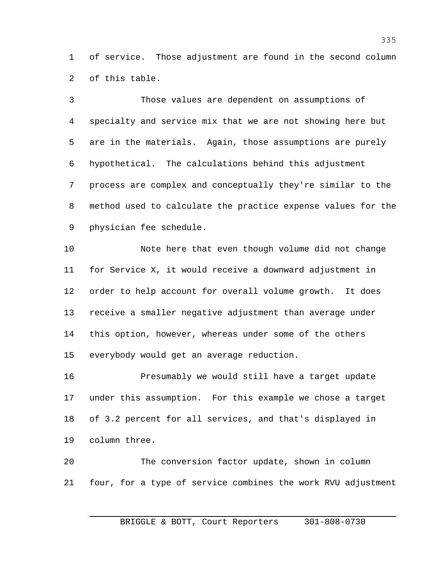of service. Those adjustment are found in the second column of this table.

 Those values are dependent on assumptions of specialty and service mix that we are not showing here but are in the materials. Again, those assumptions are purely hypothetical. The calculations behind this adjustment process are complex and conceptually they're similar to the method used to calculate the practice expense values for the physician fee schedule.

 Note here that even though volume did not change for Service X, it would receive a downward adjustment in order to help account for overall volume growth. It does receive a smaller negative adjustment than average under this option, however, whereas under some of the others everybody would get an average reduction.

 Presumably we would still have a target update under this assumption. For this example we chose a target of 3.2 percent for all services, and that's displayed in column three.

 The conversion factor update, shown in column four, for a type of service combines the work RVU adjustment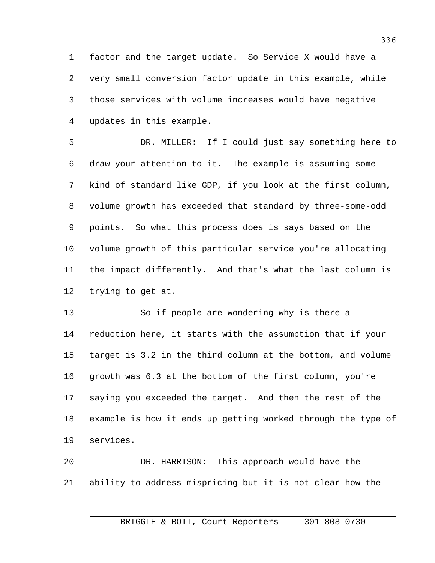factor and the target update. So Service X would have a very small conversion factor update in this example, while those services with volume increases would have negative updates in this example.

 DR. MILLER: If I could just say something here to draw your attention to it. The example is assuming some kind of standard like GDP, if you look at the first column, volume growth has exceeded that standard by three-some-odd points. So what this process does is says based on the volume growth of this particular service you're allocating the impact differently. And that's what the last column is trying to get at.

 So if people are wondering why is there a reduction here, it starts with the assumption that if your target is 3.2 in the third column at the bottom, and volume growth was 6.3 at the bottom of the first column, you're saying you exceeded the target. And then the rest of the example is how it ends up getting worked through the type of services.

 DR. HARRISON: This approach would have the ability to address mispricing but it is not clear how the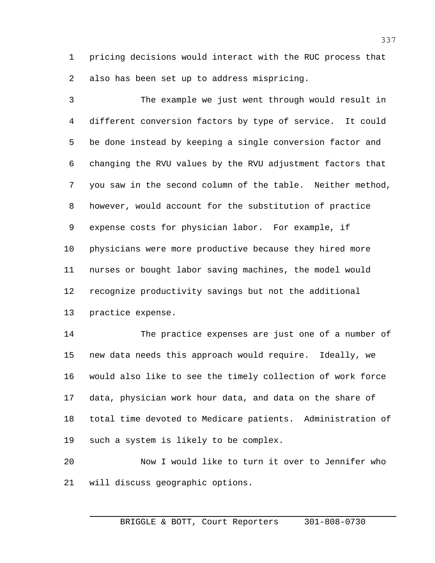pricing decisions would interact with the RUC process that also has been set up to address mispricing.

 The example we just went through would result in different conversion factors by type of service. It could be done instead by keeping a single conversion factor and changing the RVU values by the RVU adjustment factors that you saw in the second column of the table. Neither method, however, would account for the substitution of practice expense costs for physician labor. For example, if physicians were more productive because they hired more nurses or bought labor saving machines, the model would recognize productivity savings but not the additional practice expense.

 The practice expenses are just one of a number of new data needs this approach would require. Ideally, we would also like to see the timely collection of work force data, physician work hour data, and data on the share of total time devoted to Medicare patients. Administration of such a system is likely to be complex.

 Now I would like to turn it over to Jennifer who will discuss geographic options.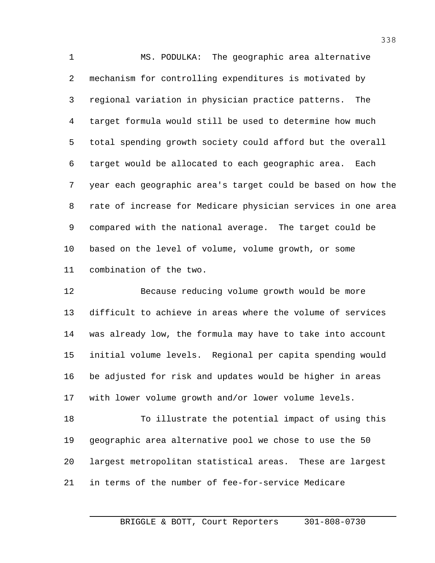MS. PODULKA: The geographic area alternative mechanism for controlling expenditures is motivated by regional variation in physician practice patterns. The target formula would still be used to determine how much total spending growth society could afford but the overall target would be allocated to each geographic area. Each year each geographic area's target could be based on how the rate of increase for Medicare physician services in one area compared with the national average. The target could be based on the level of volume, volume growth, or some combination of the two.

 Because reducing volume growth would be more difficult to achieve in areas where the volume of services was already low, the formula may have to take into account initial volume levels. Regional per capita spending would be adjusted for risk and updates would be higher in areas with lower volume growth and/or lower volume levels.

 To illustrate the potential impact of using this geographic area alternative pool we chose to use the 50 largest metropolitan statistical areas. These are largest in terms of the number of fee-for-service Medicare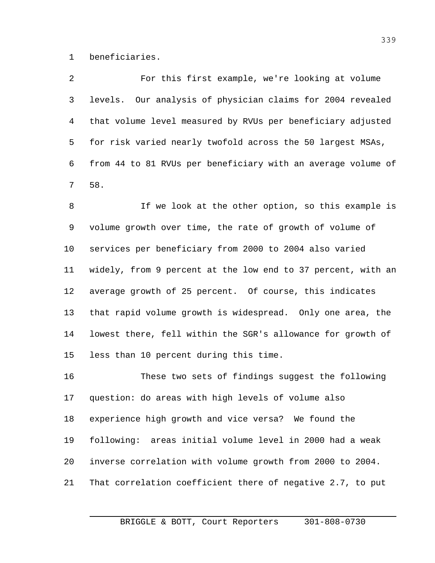beneficiaries.

 For this first example, we're looking at volume levels. Our analysis of physician claims for 2004 revealed that volume level measured by RVUs per beneficiary adjusted for risk varied nearly twofold across the 50 largest MSAs, from 44 to 81 RVUs per beneficiary with an average volume of 58.

8 If we look at the other option, so this example is volume growth over time, the rate of growth of volume of services per beneficiary from 2000 to 2004 also varied widely, from 9 percent at the low end to 37 percent, with an average growth of 25 percent. Of course, this indicates that rapid volume growth is widespread. Only one area, the lowest there, fell within the SGR's allowance for growth of less than 10 percent during this time.

 These two sets of findings suggest the following question: do areas with high levels of volume also experience high growth and vice versa? We found the following: areas initial volume level in 2000 had a weak inverse correlation with volume growth from 2000 to 2004. That correlation coefficient there of negative 2.7, to put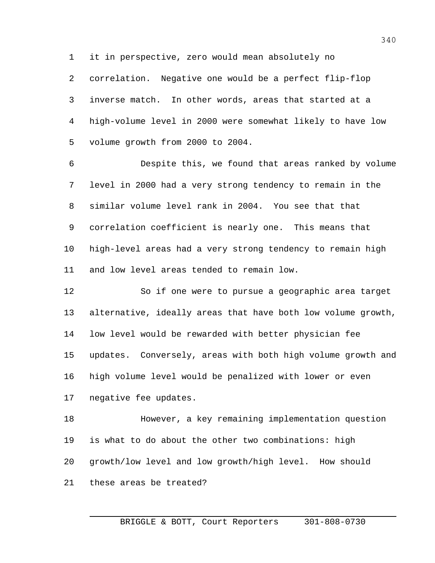it in perspective, zero would mean absolutely no

 correlation. Negative one would be a perfect flip-flop inverse match. In other words, areas that started at a high-volume level in 2000 were somewhat likely to have low volume growth from 2000 to 2004.

 Despite this, we found that areas ranked by volume level in 2000 had a very strong tendency to remain in the similar volume level rank in 2004. You see that that correlation coefficient is nearly one. This means that high-level areas had a very strong tendency to remain high and low level areas tended to remain low.

 So if one were to pursue a geographic area target alternative, ideally areas that have both low volume growth, low level would be rewarded with better physician fee updates. Conversely, areas with both high volume growth and high volume level would be penalized with lower or even negative fee updates.

 However, a key remaining implementation question is what to do about the other two combinations: high growth/low level and low growth/high level. How should these areas be treated?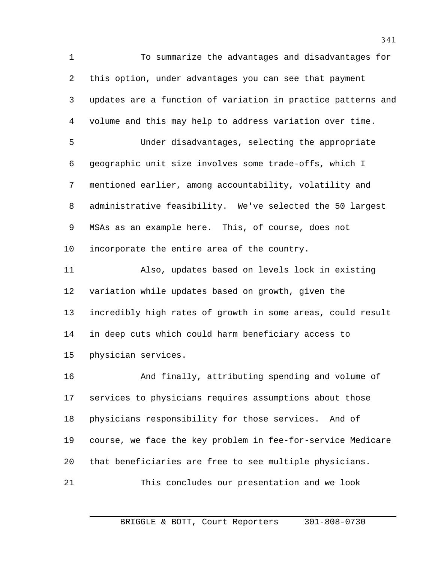To summarize the advantages and disadvantages for this option, under advantages you can see that payment updates are a function of variation in practice patterns and volume and this may help to address variation over time. Under disadvantages, selecting the appropriate geographic unit size involves some trade-offs, which I mentioned earlier, among accountability, volatility and administrative feasibility. We've selected the 50 largest MSAs as an example here. This, of course, does not incorporate the entire area of the country. Also, updates based on levels lock in existing variation while updates based on growth, given the incredibly high rates of growth in some areas, could result in deep cuts which could harm beneficiary access to physician services. And finally, attributing spending and volume of services to physicians requires assumptions about those physicians responsibility for those services. And of

 course, we face the key problem in fee-for-service Medicare that beneficiaries are free to see multiple physicians.

This concludes our presentation and we look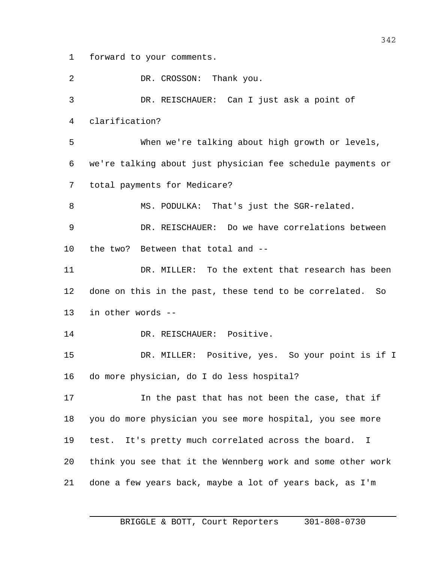forward to your comments.

2 DR. CROSSON: Thank you. DR. REISCHAUER: Can I just ask a point of clarification? When we're talking about high growth or levels, we're talking about just physician fee schedule payments or total payments for Medicare? MS. PODULKA: That's just the SGR-related. DR. REISCHAUER: Do we have correlations between the two? Between that total and -- DR. MILLER: To the extent that research has been done on this in the past, these tend to be correlated. So in other words -- 14 DR. REISCHAUER: Positive. DR. MILLER: Positive, yes. So your point is if I do more physician, do I do less hospital? In the past that has not been the case, that if you do more physician you see more hospital, you see more test. It's pretty much correlated across the board. I think you see that it the Wennberg work and some other work done a few years back, maybe a lot of years back, as I'm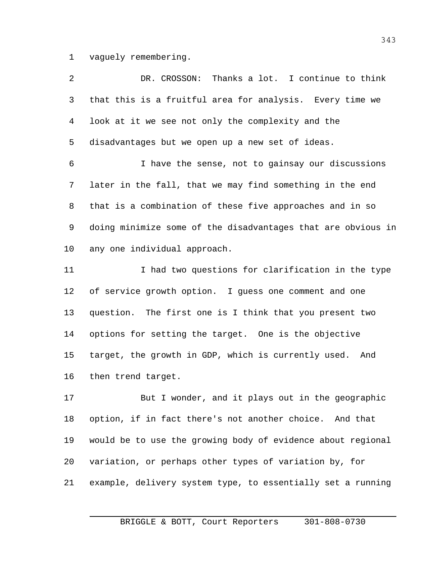vaguely remembering.

| 2  | DR. CROSSON: Thanks a lot. I continue to think               |
|----|--------------------------------------------------------------|
| 3  | that this is a fruitful area for analysis. Every time we     |
| 4  | look at it we see not only the complexity and the            |
| 5  | disadvantages but we open up a new set of ideas.             |
| 6  | I have the sense, not to gainsay our discussions             |
| 7  | later in the fall, that we may find something in the end     |
| 8  | that is a combination of these five approaches and in so     |
| 9  | doing minimize some of the disadvantages that are obvious in |
| 10 | any one individual approach.                                 |
| 11 | I had two questions for clarification in the type            |
| 12 | of service growth option. I guess one comment and one        |
| 13 | question. The first one is I think that you present two      |
| 14 | options for setting the target. One is the objective         |
| 15 | target, the growth in GDP, which is currently used. And      |
| 16 | then trend target.                                           |
| 17 | But I wonder, and it plays out in the geographic             |
| 18 | option, if in fact there's not another choice. And that      |
|    |                                                              |

variation, or perhaps other types of variation by, for

would be to use the growing body of evidence about regional

example, delivery system type, to essentially set a running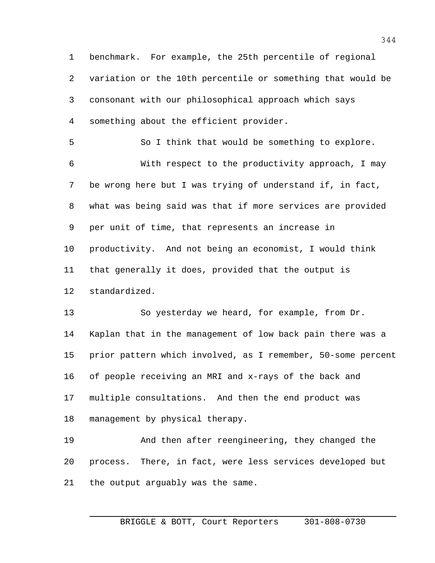benchmark. For example, the 25th percentile of regional variation or the 10th percentile or something that would be consonant with our philosophical approach which says something about the efficient provider.

 So I think that would be something to explore. With respect to the productivity approach, I may be wrong here but I was trying of understand if, in fact, what was being said was that if more services are provided per unit of time, that represents an increase in productivity. And not being an economist, I would think that generally it does, provided that the output is standardized.

 So yesterday we heard, for example, from Dr. Kaplan that in the management of low back pain there was a prior pattern which involved, as I remember, 50-some percent of people receiving an MRI and x-rays of the back and multiple consultations. And then the end product was management by physical therapy.

 And then after reengineering, they changed the process. There, in fact, were less services developed but the output arguably was the same.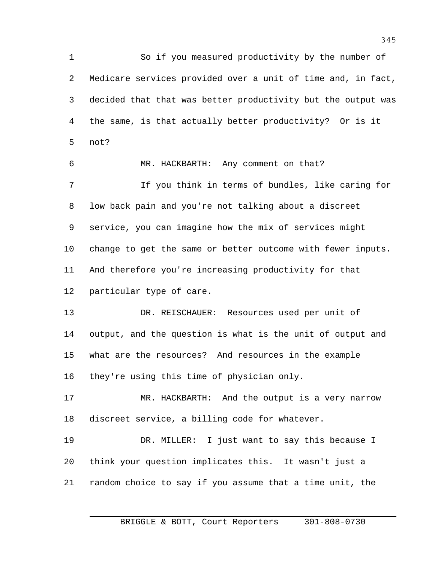So if you measured productivity by the number of Medicare services provided over a unit of time and, in fact, decided that that was better productivity but the output was the same, is that actually better productivity? Or is it not?

 MR. HACKBARTH: Any comment on that? If you think in terms of bundles, like caring for low back pain and you're not talking about a discreet service, you can imagine how the mix of services might change to get the same or better outcome with fewer inputs. And therefore you're increasing productivity for that particular type of care.

 DR. REISCHAUER: Resources used per unit of output, and the question is what is the unit of output and what are the resources? And resources in the example they're using this time of physician only.

 MR. HACKBARTH: And the output is a very narrow discreet service, a billing code for whatever.

 DR. MILLER: I just want to say this because I think your question implicates this. It wasn't just a random choice to say if you assume that a time unit, the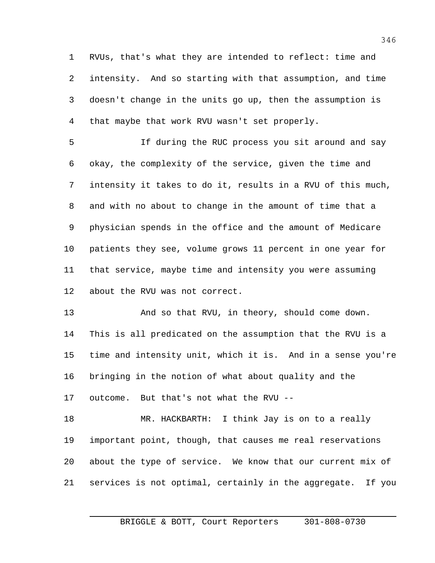RVUs, that's what they are intended to reflect: time and intensity. And so starting with that assumption, and time doesn't change in the units go up, then the assumption is that maybe that work RVU wasn't set properly.

 If during the RUC process you sit around and say okay, the complexity of the service, given the time and intensity it takes to do it, results in a RVU of this much, and with no about to change in the amount of time that a physician spends in the office and the amount of Medicare patients they see, volume grows 11 percent in one year for that service, maybe time and intensity you were assuming about the RVU was not correct.

13 And so that RVU, in theory, should come down. This is all predicated on the assumption that the RVU is a time and intensity unit, which it is. And in a sense you're bringing in the notion of what about quality and the outcome. But that's not what the RVU --

 MR. HACKBARTH: I think Jay is on to a really important point, though, that causes me real reservations about the type of service. We know that our current mix of services is not optimal, certainly in the aggregate. If you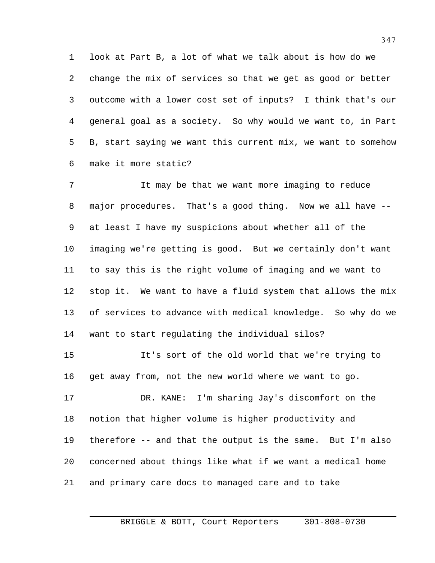look at Part B, a lot of what we talk about is how do we change the mix of services so that we get as good or better outcome with a lower cost set of inputs? I think that's our general goal as a society. So why would we want to, in Part B, start saying we want this current mix, we want to somehow make it more static?

 It may be that we want more imaging to reduce major procedures. That's a good thing. Now we all have -- at least I have my suspicions about whether all of the imaging we're getting is good. But we certainly don't want to say this is the right volume of imaging and we want to stop it. We want to have a fluid system that allows the mix of services to advance with medical knowledge. So why do we want to start regulating the individual silos? It's sort of the old world that we're trying to get away from, not the new world where we want to go. DR. KANE: I'm sharing Jay's discomfort on the notion that higher volume is higher productivity and therefore -- and that the output is the same. But I'm also concerned about things like what if we want a medical home and primary care docs to managed care and to take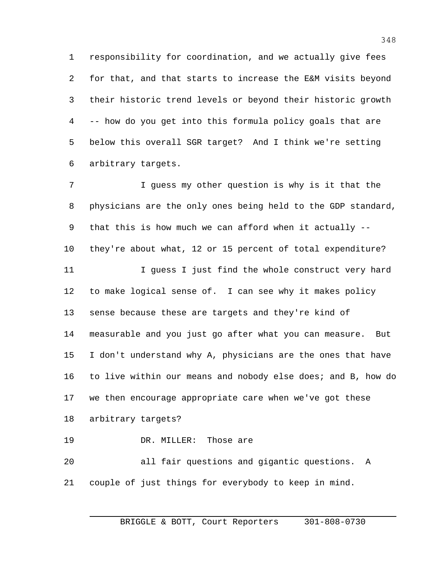responsibility for coordination, and we actually give fees for that, and that starts to increase the E&M visits beyond their historic trend levels or beyond their historic growth -- how do you get into this formula policy goals that are below this overall SGR target? And I think we're setting arbitrary targets.

 I guess my other question is why is it that the physicians are the only ones being held to the GDP standard, that this is how much we can afford when it actually -- they're about what, 12 or 15 percent of total expenditure? 11 I guess I just find the whole construct very hard to make logical sense of. I can see why it makes policy sense because these are targets and they're kind of measurable and you just go after what you can measure. But I don't understand why A, physicians are the ones that have to live within our means and nobody else does; and B, how do we then encourage appropriate care when we've got these arbitrary targets? DR. MILLER: Those are all fair questions and gigantic questions. A

couple of just things for everybody to keep in mind.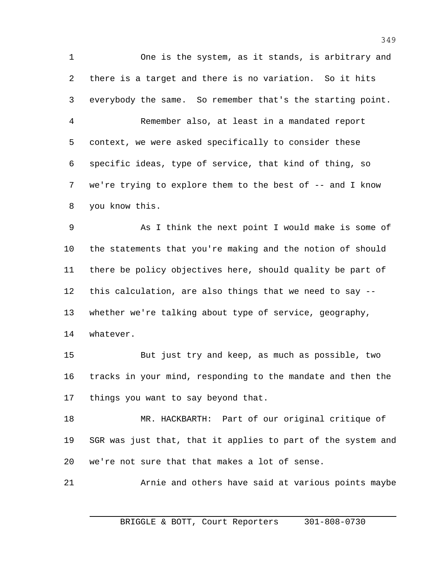One is the system, as it stands, is arbitrary and there is a target and there is no variation. So it hits everybody the same. So remember that's the starting point. Remember also, at least in a mandated report context, we were asked specifically to consider these specific ideas, type of service, that kind of thing, so we're trying to explore them to the best of -- and I know you know this.

 As I think the next point I would make is some of the statements that you're making and the notion of should there be policy objectives here, should quality be part of this calculation, are also things that we need to say -- whether we're talking about type of service, geography, whatever.

 But just try and keep, as much as possible, two tracks in your mind, responding to the mandate and then the things you want to say beyond that.

 MR. HACKBARTH: Part of our original critique of SGR was just that, that it applies to part of the system and we're not sure that that makes a lot of sense.

Arnie and others have said at various points maybe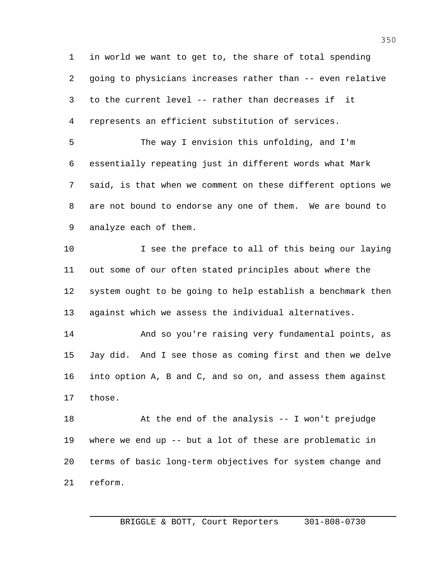in world we want to get to, the share of total spending going to physicians increases rather than -- even relative to the current level -- rather than decreases if it represents an efficient substitution of services.

 The way I envision this unfolding, and I'm essentially repeating just in different words what Mark said, is that when we comment on these different options we are not bound to endorse any one of them. We are bound to analyze each of them.

10 I see the preface to all of this being our laying out some of our often stated principles about where the system ought to be going to help establish a benchmark then against which we assess the individual alternatives.

 And so you're raising very fundamental points, as Jay did. And I see those as coming first and then we delve into option A, B and C, and so on, and assess them against those.

 At the end of the analysis -- I won't prejudge where we end up -- but a lot of these are problematic in terms of basic long-term objectives for system change and reform.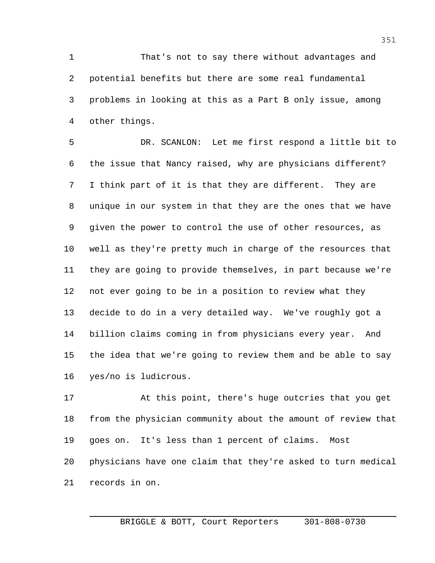That's not to say there without advantages and potential benefits but there are some real fundamental problems in looking at this as a Part B only issue, among other things.

 DR. SCANLON: Let me first respond a little bit to the issue that Nancy raised, why are physicians different? I think part of it is that they are different. They are unique in our system in that they are the ones that we have given the power to control the use of other resources, as well as they're pretty much in charge of the resources that they are going to provide themselves, in part because we're not ever going to be in a position to review what they decide to do in a very detailed way. We've roughly got a billion claims coming in from physicians every year. And the idea that we're going to review them and be able to say yes/no is ludicrous.

 At this point, there's huge outcries that you get from the physician community about the amount of review that goes on. It's less than 1 percent of claims. Most physicians have one claim that they're asked to turn medical records in on.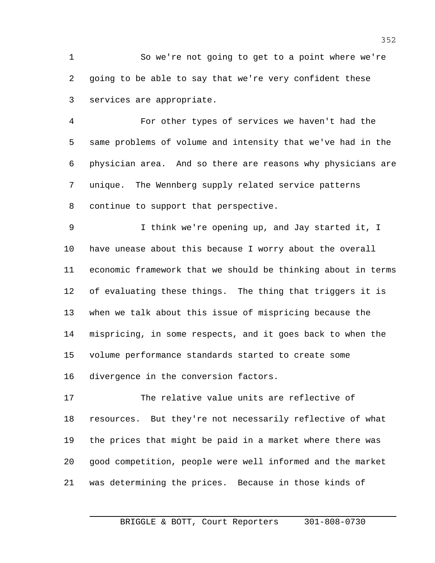So we're not going to get to a point where we're going to be able to say that we're very confident these services are appropriate.

 For other types of services we haven't had the same problems of volume and intensity that we've had in the physician area. And so there are reasons why physicians are unique. The Wennberg supply related service patterns continue to support that perspective.

 I think we're opening up, and Jay started it, I have unease about this because I worry about the overall economic framework that we should be thinking about in terms of evaluating these things. The thing that triggers it is when we talk about this issue of mispricing because the mispricing, in some respects, and it goes back to when the volume performance standards started to create some divergence in the conversion factors.

 The relative value units are reflective of resources. But they're not necessarily reflective of what the prices that might be paid in a market where there was good competition, people were well informed and the market was determining the prices. Because in those kinds of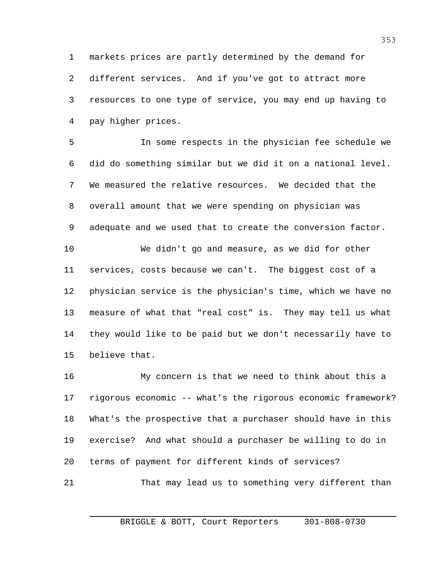markets prices are partly determined by the demand for different services. And if you've got to attract more resources to one type of service, you may end up having to pay higher prices.

 In some respects in the physician fee schedule we did do something similar but we did it on a national level. We measured the relative resources. We decided that the overall amount that we were spending on physician was adequate and we used that to create the conversion factor. We didn't go and measure, as we did for other services, costs because we can't. The biggest cost of a physician service is the physician's time, which we have no measure of what that "real cost" is. They may tell us what they would like to be paid but we don't necessarily have to

believe that.

 My concern is that we need to think about this a rigorous economic -- what's the rigorous economic framework? What's the prospective that a purchaser should have in this exercise? And what should a purchaser be willing to do in terms of payment for different kinds of services?

That may lead us to something very different than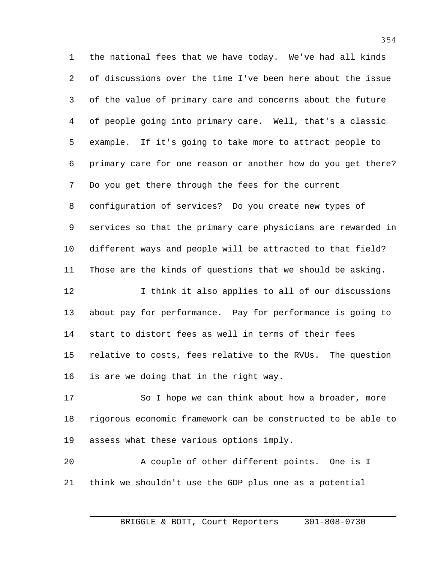the national fees that we have today. We've had all kinds of discussions over the time I've been here about the issue of the value of primary care and concerns about the future of people going into primary care. Well, that's a classic example. If it's going to take more to attract people to primary care for one reason or another how do you get there? Do you get there through the fees for the current configuration of services? Do you create new types of services so that the primary care physicians are rewarded in different ways and people will be attracted to that field? Those are the kinds of questions that we should be asking. 12 12 I think it also applies to all of our discussions about pay for performance. Pay for performance is going to start to distort fees as well in terms of their fees

is are we doing that in the right way.

17 So I hope we can think about how a broader, more rigorous economic framework can be constructed to be able to assess what these various options imply.

relative to costs, fees relative to the RVUs. The question

 A couple of other different points. One is I think we shouldn't use the GDP plus one as a potential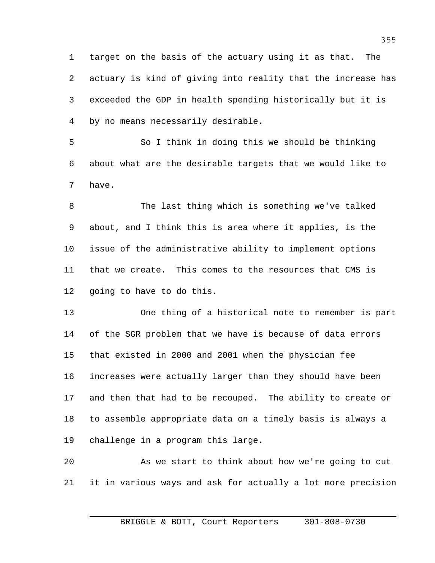target on the basis of the actuary using it as that. The actuary is kind of giving into reality that the increase has exceeded the GDP in health spending historically but it is by no means necessarily desirable.

 So I think in doing this we should be thinking about what are the desirable targets that we would like to have.

 The last thing which is something we've talked about, and I think this is area where it applies, is the issue of the administrative ability to implement options that we create. This comes to the resources that CMS is going to have to do this.

 One thing of a historical note to remember is part of the SGR problem that we have is because of data errors that existed in 2000 and 2001 when the physician fee increases were actually larger than they should have been and then that had to be recouped. The ability to create or to assemble appropriate data on a timely basis is always a challenge in a program this large.

 As we start to think about how we're going to cut it in various ways and ask for actually a lot more precision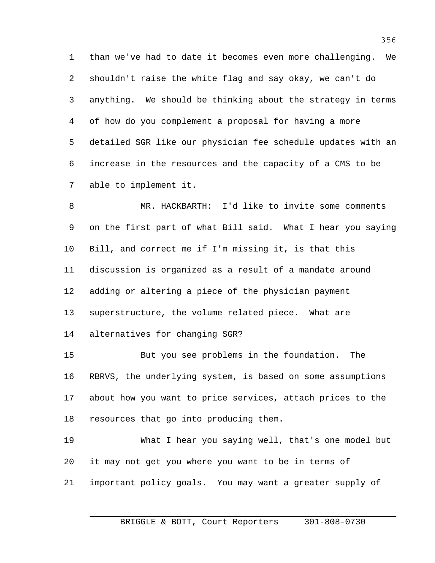than we've had to date it becomes even more challenging. We shouldn't raise the white flag and say okay, we can't do anything. We should be thinking about the strategy in terms of how do you complement a proposal for having a more detailed SGR like our physician fee schedule updates with an increase in the resources and the capacity of a CMS to be able to implement it.

 MR. HACKBARTH: I'd like to invite some comments on the first part of what Bill said. What I hear you saying Bill, and correct me if I'm missing it, is that this discussion is organized as a result of a mandate around adding or altering a piece of the physician payment superstructure, the volume related piece. What are alternatives for changing SGR?

 But you see problems in the foundation. The RBRVS, the underlying system, is based on some assumptions about how you want to price services, attach prices to the resources that go into producing them.

 What I hear you saying well, that's one model but it may not get you where you want to be in terms of important policy goals. You may want a greater supply of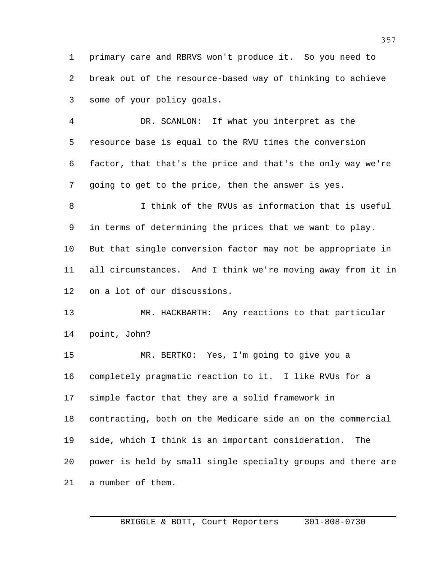primary care and RBRVS won't produce it. So you need to break out of the resource-based way of thinking to achieve some of your policy goals.

 DR. SCANLON: If what you interpret as the resource base is equal to the RVU times the conversion factor, that that's the price and that's the only way we're going to get to the price, then the answer is yes.

 I think of the RVUs as information that is useful in terms of determining the prices that we want to play. But that single conversion factor may not be appropriate in all circumstances. And I think we're moving away from it in on a lot of our discussions.

 MR. HACKBARTH: Any reactions to that particular point, John?

 MR. BERTKO: Yes, I'm going to give you a completely pragmatic reaction to it. I like RVUs for a simple factor that they are a solid framework in contracting, both on the Medicare side an on the commercial side, which I think is an important consideration. The power is held by small single specialty groups and there are a number of them.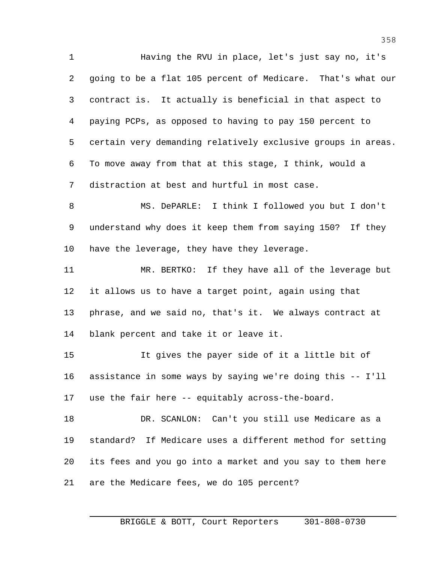Having the RVU in place, let's just say no, it's going to be a flat 105 percent of Medicare. That's what our contract is. It actually is beneficial in that aspect to paying PCPs, as opposed to having to pay 150 percent to certain very demanding relatively exclusive groups in areas. To move away from that at this stage, I think, would a distraction at best and hurtful in most case. MS. DePARLE: I think I followed you but I don't understand why does it keep them from saying 150? If they have the leverage, they have they leverage. MR. BERTKO: If they have all of the leverage but it allows us to have a target point, again using that phrase, and we said no, that's it. We always contract at

blank percent and take it or leave it.

 It gives the payer side of it a little bit of assistance in some ways by saying we're doing this -- I'll use the fair here -- equitably across-the-board.

 DR. SCANLON: Can't you still use Medicare as a standard? If Medicare uses a different method for setting its fees and you go into a market and you say to them here are the Medicare fees, we do 105 percent?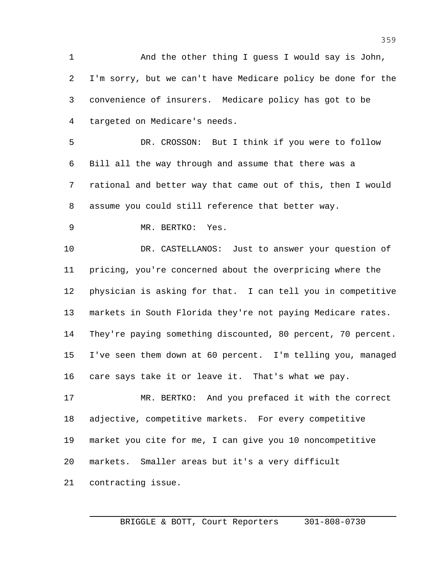1 And the other thing I guess I would say is John, I'm sorry, but we can't have Medicare policy be done for the convenience of insurers. Medicare policy has got to be targeted on Medicare's needs.

 DR. CROSSON: But I think if you were to follow Bill all the way through and assume that there was a rational and better way that came out of this, then I would assume you could still reference that better way.

MR. BERTKO: Yes.

 DR. CASTELLANOS: Just to answer your question of pricing, you're concerned about the overpricing where the physician is asking for that. I can tell you in competitive markets in South Florida they're not paying Medicare rates. They're paying something discounted, 80 percent, 70 percent. I've seen them down at 60 percent. I'm telling you, managed care says take it or leave it. That's what we pay.

 MR. BERTKO: And you prefaced it with the correct adjective, competitive markets. For every competitive market you cite for me, I can give you 10 noncompetitive markets. Smaller areas but it's a very difficult

contracting issue.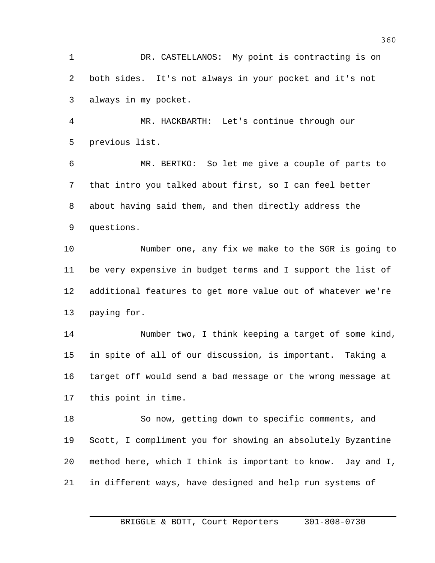DR. CASTELLANOS: My point is contracting is on both sides. It's not always in your pocket and it's not always in my pocket.

 MR. HACKBARTH: Let's continue through our previous list.

 MR. BERTKO: So let me give a couple of parts to that intro you talked about first, so I can feel better about having said them, and then directly address the questions.

 Number one, any fix we make to the SGR is going to be very expensive in budget terms and I support the list of additional features to get more value out of whatever we're paying for.

 Number two, I think keeping a target of some kind, in spite of all of our discussion, is important. Taking a target off would send a bad message or the wrong message at this point in time.

 So now, getting down to specific comments, and Scott, I compliment you for showing an absolutely Byzantine method here, which I think is important to know. Jay and I, in different ways, have designed and help run systems of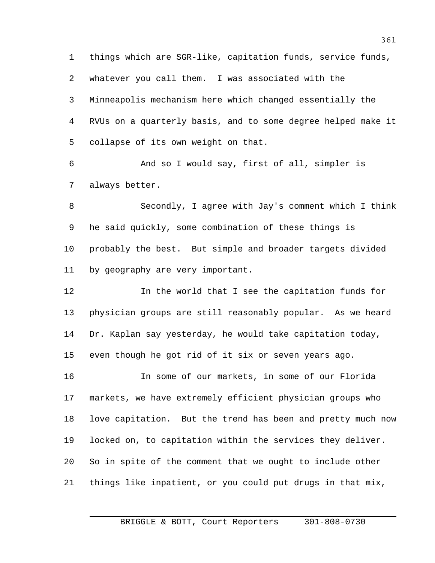things which are SGR-like, capitation funds, service funds, whatever you call them. I was associated with the Minneapolis mechanism here which changed essentially the RVUs on a quarterly basis, and to some degree helped make it collapse of its own weight on that.

 And so I would say, first of all, simpler is always better.

 Secondly, I agree with Jay's comment which I think he said quickly, some combination of these things is probably the best. But simple and broader targets divided by geography are very important.

 In the world that I see the capitation funds for physician groups are still reasonably popular. As we heard Dr. Kaplan say yesterday, he would take capitation today, even though he got rid of it six or seven years ago.

 In some of our markets, in some of our Florida markets, we have extremely efficient physician groups who love capitation. But the trend has been and pretty much now locked on, to capitation within the services they deliver. So in spite of the comment that we ought to include other things like inpatient, or you could put drugs in that mix,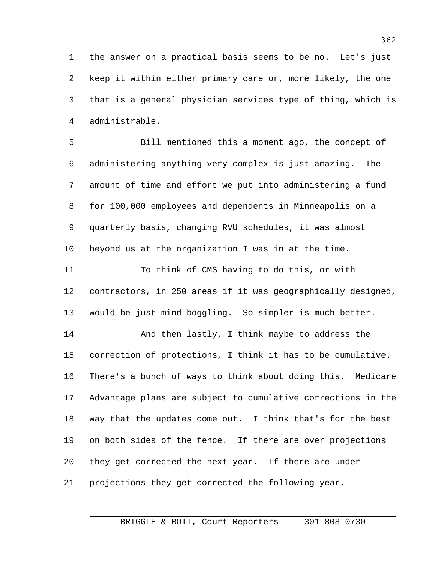the answer on a practical basis seems to be no. Let's just keep it within either primary care or, more likely, the one that is a general physician services type of thing, which is administrable.

 Bill mentioned this a moment ago, the concept of administering anything very complex is just amazing. The amount of time and effort we put into administering a fund for 100,000 employees and dependents in Minneapolis on a quarterly basis, changing RVU schedules, it was almost beyond us at the organization I was in at the time.

 To think of CMS having to do this, or with contractors, in 250 areas if it was geographically designed, would be just mind boggling. So simpler is much better.

14 And then lastly, I think maybe to address the correction of protections, I think it has to be cumulative. There's a bunch of ways to think about doing this. Medicare Advantage plans are subject to cumulative corrections in the way that the updates come out. I think that's for the best on both sides of the fence. If there are over projections they get corrected the next year. If there are under projections they get corrected the following year.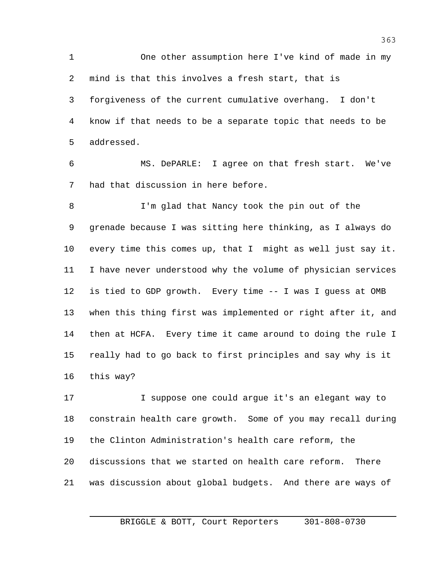One other assumption here I've kind of made in my mind is that this involves a fresh start, that is forgiveness of the current cumulative overhang. I don't know if that needs to be a separate topic that needs to be addressed.

 MS. DePARLE: I agree on that fresh start. We've had that discussion in here before.

8 I'm glad that Nancy took the pin out of the grenade because I was sitting here thinking, as I always do every time this comes up, that I might as well just say it. I have never understood why the volume of physician services is tied to GDP growth. Every time -- I was I guess at OMB when this thing first was implemented or right after it, and then at HCFA. Every time it came around to doing the rule I really had to go back to first principles and say why is it this way?

 I suppose one could argue it's an elegant way to constrain health care growth. Some of you may recall during the Clinton Administration's health care reform, the discussions that we started on health care reform. There was discussion about global budgets. And there are ways of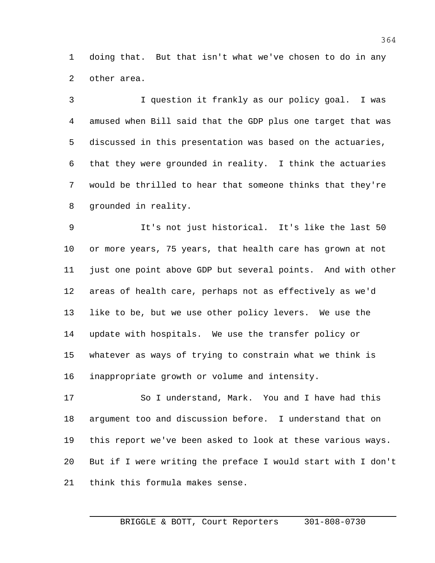doing that. But that isn't what we've chosen to do in any other area.

 I question it frankly as our policy goal. I was amused when Bill said that the GDP plus one target that was discussed in this presentation was based on the actuaries, that they were grounded in reality. I think the actuaries would be thrilled to hear that someone thinks that they're grounded in reality.

 It's not just historical. It's like the last 50 or more years, 75 years, that health care has grown at not just one point above GDP but several points. And with other areas of health care, perhaps not as effectively as we'd like to be, but we use other policy levers. We use the update with hospitals. We use the transfer policy or whatever as ways of trying to constrain what we think is inappropriate growth or volume and intensity.

 So I understand, Mark. You and I have had this argument too and discussion before. I understand that on this report we've been asked to look at these various ways. But if I were writing the preface I would start with I don't think this formula makes sense.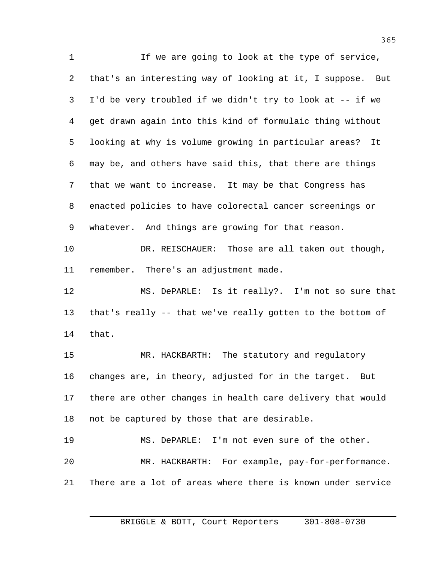If we are going to look at the type of service, that's an interesting way of looking at it, I suppose. But I'd be very troubled if we didn't try to look at -- if we get drawn again into this kind of formulaic thing without looking at why is volume growing in particular areas? It may be, and others have said this, that there are things that we want to increase. It may be that Congress has enacted policies to have colorectal cancer screenings or whatever. And things are growing for that reason. DR. REISCHAUER: Those are all taken out though, remember. There's an adjustment made. MS. DePARLE: Is it really?. I'm not so sure that that's really -- that we've really gotten to the bottom of that. MR. HACKBARTH: The statutory and regulatory changes are, in theory, adjusted for in the target. But there are other changes in health care delivery that would not be captured by those that are desirable. MS. DePARLE: I'm not even sure of the other. MR. HACKBARTH: For example, pay-for-performance. There are a lot of areas where there is known under service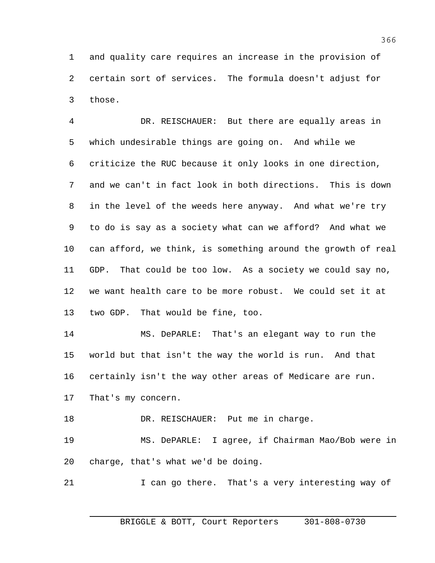and quality care requires an increase in the provision of certain sort of services. The formula doesn't adjust for those.

 DR. REISCHAUER: But there are equally areas in which undesirable things are going on. And while we criticize the RUC because it only looks in one direction, and we can't in fact look in both directions. This is down in the level of the weeds here anyway. And what we're try to do is say as a society what can we afford? And what we can afford, we think, is something around the growth of real GDP. That could be too low. As a society we could say no, we want health care to be more robust. We could set it at two GDP. That would be fine, too.

 MS. DePARLE: That's an elegant way to run the world but that isn't the way the world is run. And that certainly isn't the way other areas of Medicare are run. That's my concern.

18 DR. REISCHAUER: Put me in charge.

 MS. DePARLE: I agree, if Chairman Mao/Bob were in charge, that's what we'd be doing.

21 I can go there. That's a very interesting way of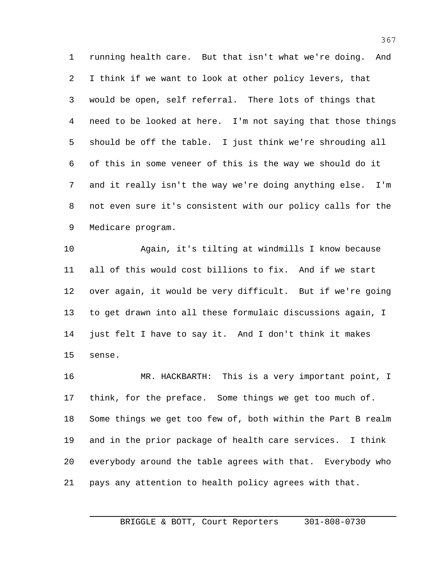running health care. But that isn't what we're doing. And I think if we want to look at other policy levers, that would be open, self referral. There lots of things that need to be looked at here. I'm not saying that those things should be off the table. I just think we're shrouding all of this in some veneer of this is the way we should do it and it really isn't the way we're doing anything else. I'm not even sure it's consistent with our policy calls for the Medicare program.

 Again, it's tilting at windmills I know because all of this would cost billions to fix. And if we start over again, it would be very difficult. But if we're going to get drawn into all these formulaic discussions again, I just felt I have to say it. And I don't think it makes sense.

 MR. HACKBARTH: This is a very important point, I think, for the preface. Some things we get too much of. Some things we get too few of, both within the Part B realm and in the prior package of health care services. I think everybody around the table agrees with that. Everybody who pays any attention to health policy agrees with that.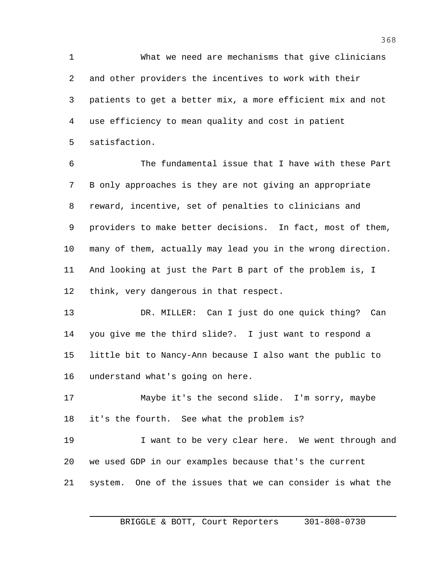What we need are mechanisms that give clinicians and other providers the incentives to work with their patients to get a better mix, a more efficient mix and not use efficiency to mean quality and cost in patient satisfaction.

 The fundamental issue that I have with these Part B only approaches is they are not giving an appropriate reward, incentive, set of penalties to clinicians and providers to make better decisions. In fact, most of them, many of them, actually may lead you in the wrong direction. And looking at just the Part B part of the problem is, I think, very dangerous in that respect.

 DR. MILLER: Can I just do one quick thing? Can you give me the third slide?. I just want to respond a little bit to Nancy-Ann because I also want the public to understand what's going on here.

 Maybe it's the second slide. I'm sorry, maybe it's the fourth. See what the problem is?

19 19 I want to be very clear here. We went through and we used GDP in our examples because that's the current system. One of the issues that we can consider is what the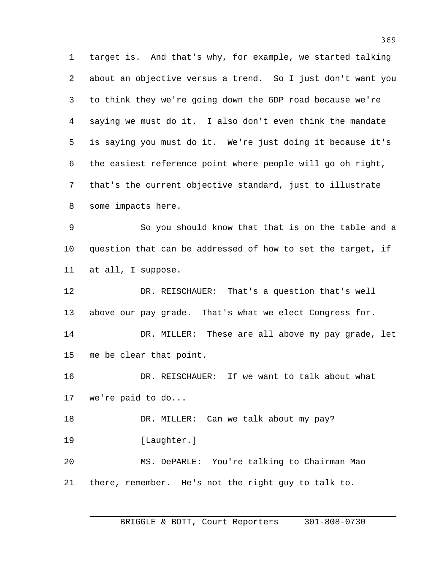target is. And that's why, for example, we started talking about an objective versus a trend. So I just don't want you to think they we're going down the GDP road because we're saying we must do it. I also don't even think the mandate is saying you must do it. We're just doing it because it's the easiest reference point where people will go oh right, that's the current objective standard, just to illustrate some impacts here.

 So you should know that that is on the table and a question that can be addressed of how to set the target, if at all, I suppose.

 DR. REISCHAUER: That's a question that's well above our pay grade. That's what we elect Congress for. DR. MILLER: These are all above my pay grade, let me be clear that point.

 DR. REISCHAUER: If we want to talk about what we're paid to do...

 DR. MILLER: Can we talk about my pay? [Laughter.] MS. DePARLE: You're talking to Chairman Mao there, remember. He's not the right guy to talk to.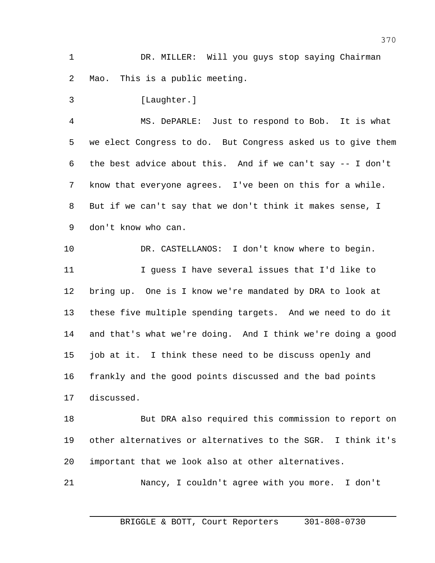DR. MILLER: Will you guys stop saying Chairman Mao. This is a public meeting.

3 [Laughter.] MS. DePARLE: Just to respond to Bob. It is what we elect Congress to do. But Congress asked us to give them the best advice about this. And if we can't say -- I don't know that everyone agrees. I've been on this for a while. But if we can't say that we don't think it makes sense, I don't know who can.

 DR. CASTELLANOS: I don't know where to begin. I guess I have several issues that I'd like to bring up. One is I know we're mandated by DRA to look at these five multiple spending targets. And we need to do it and that's what we're doing. And I think we're doing a good job at it. I think these need to be discuss openly and frankly and the good points discussed and the bad points discussed.

 But DRA also required this commission to report on other alternatives or alternatives to the SGR. I think it's important that we look also at other alternatives.

Nancy, I couldn't agree with you more. I don't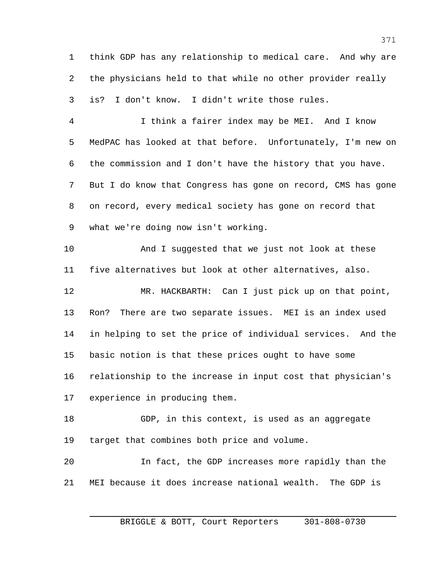think GDP has any relationship to medical care. And why are the physicians held to that while no other provider really is? I don't know. I didn't write those rules.

 I think a fairer index may be MEI. And I know MedPAC has looked at that before. Unfortunately, I'm new on the commission and I don't have the history that you have. But I do know that Congress has gone on record, CMS has gone on record, every medical society has gone on record that what we're doing now isn't working.

 And I suggested that we just not look at these five alternatives but look at other alternatives, also.

 MR. HACKBARTH: Can I just pick up on that point, Ron? There are two separate issues. MEI is an index used in helping to set the price of individual services. And the basic notion is that these prices ought to have some relationship to the increase in input cost that physician's experience in producing them.

 GDP, in this context, is used as an aggregate target that combines both price and volume.

 In fact, the GDP increases more rapidly than the MEI because it does increase national wealth. The GDP is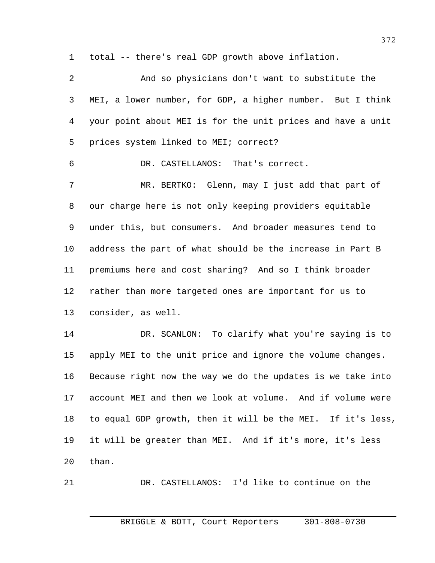total -- there's real GDP growth above inflation.

| 2              | And so physicians don't want to substitute the              |
|----------------|-------------------------------------------------------------|
| 3              | MEI, a lower number, for GDP, a higher number. But I think  |
| $\overline{4}$ | your point about MEI is for the unit prices and have a unit |
| 5              | prices system linked to MEI; correct?                       |
| 6              | DR. CASTELLANOS: That's correct.                            |
| 7              | MR. BERTKO: Glenn, may I just add that part of              |
| 8              | our charge here is not only keeping providers equitable     |
| 9              | under this, but consumers. And broader measures tend to     |
| $10 \,$        | address the part of what should be the increase in Part B   |
| 11             | premiums here and cost sharing? And so I think broader      |
| 12             | rather than more targeted ones are important for us to      |
| 13             | consider, as well.                                          |
| 14             | DR. SCANLON: To clarify what you're saying is to            |
| 15             | apply MEI to the unit price and ignore the volume changes.  |
| 16             | Because right now the way we do the updates is we take into |
| 17             | account MEI and then we look at volume. And if volume were  |
| 18             | to equal GDP growth, then it will be the MEI. If it's less, |
| 19             | it will be greater than MEI. And if it's more, it's less    |
| 20             | than.                                                       |
|                |                                                             |

DR. CASTELLANOS: I'd like to continue on the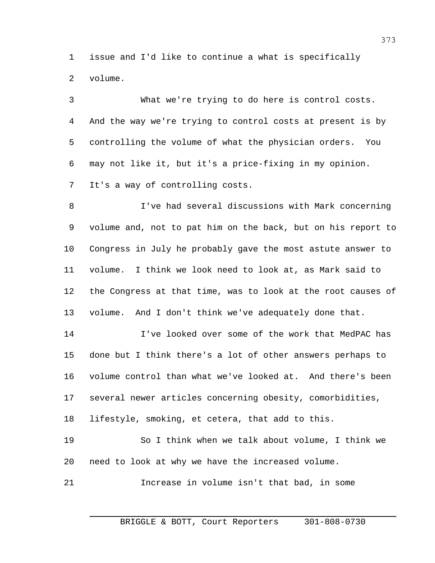issue and I'd like to continue a what is specifically volume.

 What we're trying to do here is control costs. And the way we're trying to control costs at present is by controlling the volume of what the physician orders. You may not like it, but it's a price-fixing in my opinion. It's a way of controlling costs. I've had several discussions with Mark concerning volume and, not to pat him on the back, but on his report to Congress in July he probably gave the most astute answer to

 volume. I think we look need to look at, as Mark said to the Congress at that time, was to look at the root causes of volume. And I don't think we've adequately done that.

 I've looked over some of the work that MedPAC has done but I think there's a lot of other answers perhaps to volume control than what we've looked at. And there's been several newer articles concerning obesity, comorbidities, lifestyle, smoking, et cetera, that add to this.

 So I think when we talk about volume, I think we need to look at why we have the increased volume.

Increase in volume isn't that bad, in some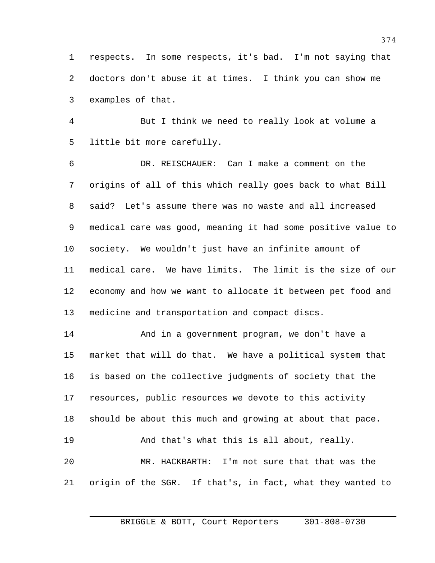respects. In some respects, it's bad. I'm not saying that doctors don't abuse it at times. I think you can show me examples of that.

 But I think we need to really look at volume a little bit more carefully.

 DR. REISCHAUER: Can I make a comment on the origins of all of this which really goes back to what Bill said? Let's assume there was no waste and all increased medical care was good, meaning it had some positive value to society. We wouldn't just have an infinite amount of medical care. We have limits. The limit is the size of our economy and how we want to allocate it between pet food and medicine and transportation and compact discs.

 And in a government program, we don't have a market that will do that. We have a political system that is based on the collective judgments of society that the resources, public resources we devote to this activity should be about this much and growing at about that pace. And that's what this is all about, really. MR. HACKBARTH: I'm not sure that that was the origin of the SGR. If that's, in fact, what they wanted to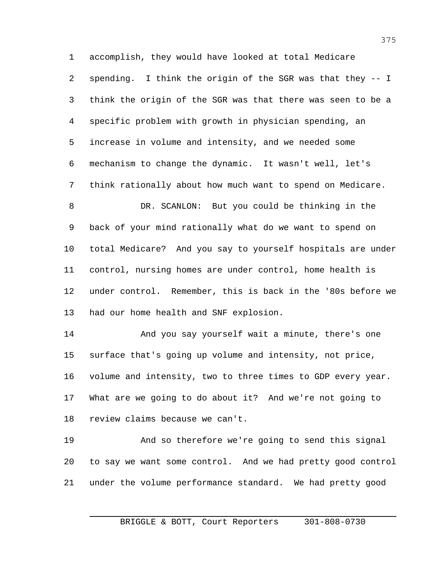accomplish, they would have looked at total Medicare spending. I think the origin of the SGR was that they -- I think the origin of the SGR was that there was seen to be a specific problem with growth in physician spending, an increase in volume and intensity, and we needed some mechanism to change the dynamic. It wasn't well, let's think rationally about how much want to spend on Medicare. DR. SCANLON: But you could be thinking in the back of your mind rationally what do we want to spend on total Medicare? And you say to yourself hospitals are under control, nursing homes are under control, home health is under control. Remember, this is back in the '80s before we had our home health and SNF explosion. And you say yourself wait a minute, there's one surface that's going up volume and intensity, not price, volume and intensity, two to three times to GDP every year. What are we going to do about it? And we're not going to review claims because we can't.

 And so therefore we're going to send this signal to say we want some control. And we had pretty good control under the volume performance standard. We had pretty good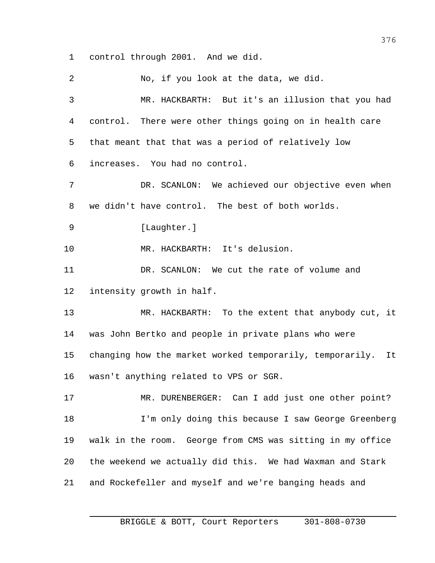control through 2001. And we did.

 No, if you look at the data, we did. MR. HACKBARTH: But it's an illusion that you had control. There were other things going on in health care that meant that that was a period of relatively low increases. You had no control. DR. SCANLON: We achieved our objective even when we didn't have control. The best of both worlds. 9 [Laughter.] MR. HACKBARTH: It's delusion. DR. SCANLON: We cut the rate of volume and intensity growth in half. MR. HACKBARTH: To the extent that anybody cut, it was John Bertko and people in private plans who were changing how the market worked temporarily, temporarily. It wasn't anything related to VPS or SGR. MR. DURENBERGER: Can I add just one other point? I'm only doing this because I saw George Greenberg walk in the room. George from CMS was sitting in my office the weekend we actually did this. We had Waxman and Stark and Rockefeller and myself and we're banging heads and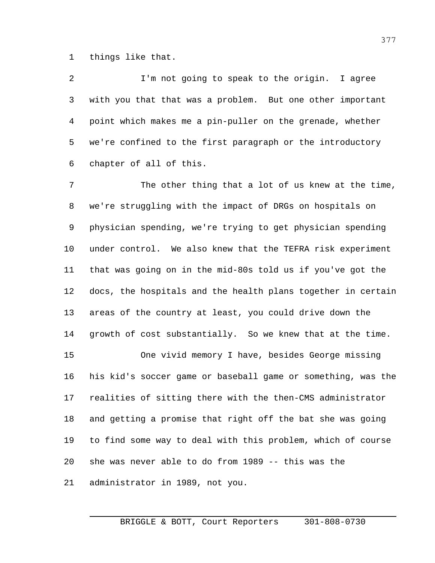things like that.

 I'm not going to speak to the origin. I agree with you that that was a problem. But one other important point which makes me a pin-puller on the grenade, whether we're confined to the first paragraph or the introductory chapter of all of this.

 The other thing that a lot of us knew at the time, we're struggling with the impact of DRGs on hospitals on physician spending, we're trying to get physician spending under control. We also knew that the TEFRA risk experiment that was going on in the mid-80s told us if you've got the docs, the hospitals and the health plans together in certain areas of the country at least, you could drive down the growth of cost substantially. So we knew that at the time. One vivid memory I have, besides George missing his kid's soccer game or baseball game or something, was the realities of sitting there with the then-CMS administrator and getting a promise that right off the bat she was going to find some way to deal with this problem, which of course she was never able to do from 1989 -- this was the administrator in 1989, not you.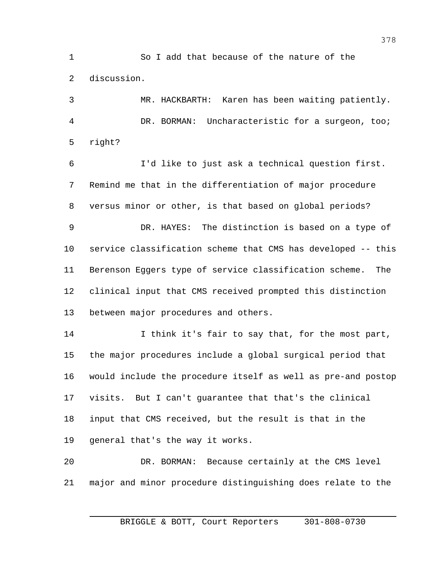So I add that because of the nature of the discussion.

 MR. HACKBARTH: Karen has been waiting patiently. DR. BORMAN: Uncharacteristic for a surgeon, too; right?

 I'd like to just ask a technical question first. Remind me that in the differentiation of major procedure versus minor or other, is that based on global periods? DR. HAYES: The distinction is based on a type of service classification scheme that CMS has developed -- this Berenson Eggers type of service classification scheme. The clinical input that CMS received prompted this distinction between major procedures and others.

 I think it's fair to say that, for the most part, the major procedures include a global surgical period that would include the procedure itself as well as pre-and postop visits. But I can't guarantee that that's the clinical input that CMS received, but the result is that in the general that's the way it works.

 DR. BORMAN: Because certainly at the CMS level major and minor procedure distinguishing does relate to the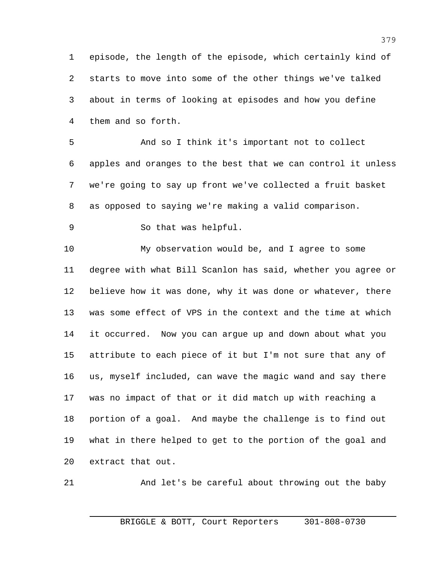episode, the length of the episode, which certainly kind of starts to move into some of the other things we've talked about in terms of looking at episodes and how you define them and so forth.

 And so I think it's important not to collect apples and oranges to the best that we can control it unless we're going to say up front we've collected a fruit basket as opposed to saying we're making a valid comparison.

So that was helpful.

 My observation would be, and I agree to some degree with what Bill Scanlon has said, whether you agree or believe how it was done, why it was done or whatever, there was some effect of VPS in the context and the time at which it occurred. Now you can argue up and down about what you attribute to each piece of it but I'm not sure that any of us, myself included, can wave the magic wand and say there was no impact of that or it did match up with reaching a portion of a goal. And maybe the challenge is to find out what in there helped to get to the portion of the goal and extract that out.

And let's be careful about throwing out the baby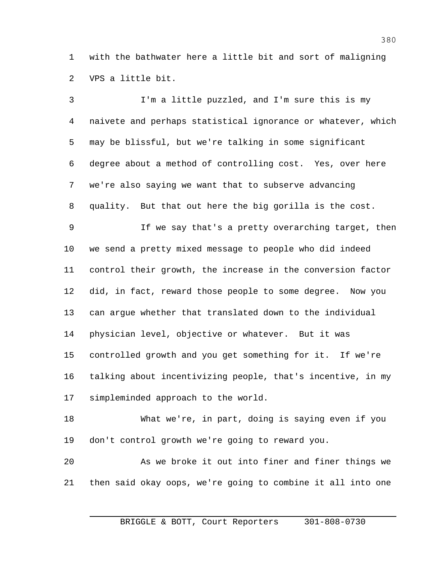with the bathwater here a little bit and sort of maligning VPS a little bit.

 I'm a little puzzled, and I'm sure this is my naivete and perhaps statistical ignorance or whatever, which may be blissful, but we're talking in some significant degree about a method of controlling cost. Yes, over here we're also saying we want that to subserve advancing quality. But that out here the big gorilla is the cost. If we say that's a pretty overarching target, then we send a pretty mixed message to people who did indeed control their growth, the increase in the conversion factor did, in fact, reward those people to some degree. Now you can argue whether that translated down to the individual physician level, objective or whatever. But it was controlled growth and you get something for it. If we're talking about incentivizing people, that's incentive, in my simpleminded approach to the world. What we're, in part, doing is saying even if you don't control growth we're going to reward you. As we broke it out into finer and finer things we

then said okay oops, we're going to combine it all into one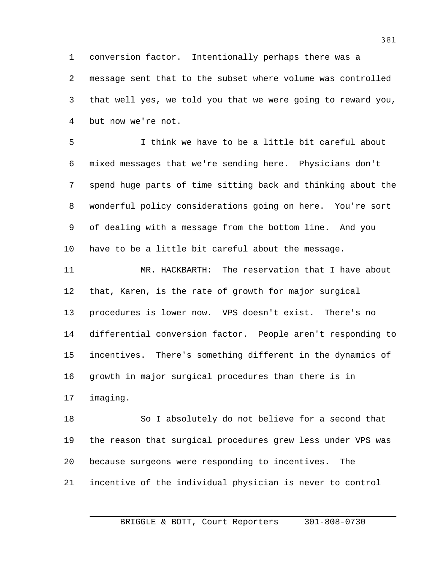conversion factor. Intentionally perhaps there was a message sent that to the subset where volume was controlled that well yes, we told you that we were going to reward you, but now we're not.

 I think we have to be a little bit careful about mixed messages that we're sending here. Physicians don't spend huge parts of time sitting back and thinking about the wonderful policy considerations going on here. You're sort of dealing with a message from the bottom line. And you have to be a little bit careful about the message.

 MR. HACKBARTH: The reservation that I have about that, Karen, is the rate of growth for major surgical procedures is lower now. VPS doesn't exist. There's no differential conversion factor. People aren't responding to incentives. There's something different in the dynamics of growth in major surgical procedures than there is in imaging.

 So I absolutely do not believe for a second that the reason that surgical procedures grew less under VPS was because surgeons were responding to incentives. The incentive of the individual physician is never to control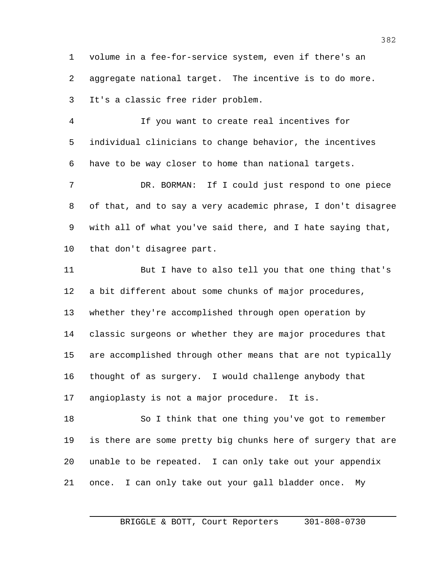volume in a fee-for-service system, even if there's an aggregate national target. The incentive is to do more. It's a classic free rider problem.

 If you want to create real incentives for individual clinicians to change behavior, the incentives have to be way closer to home than national targets.

 DR. BORMAN: If I could just respond to one piece of that, and to say a very academic phrase, I don't disagree with all of what you've said there, and I hate saying that, that don't disagree part.

11 But I have to also tell you that one thing that's a bit different about some chunks of major procedures, whether they're accomplished through open operation by classic surgeons or whether they are major procedures that are accomplished through other means that are not typically thought of as surgery. I would challenge anybody that angioplasty is not a major procedure. It is.

 So I think that one thing you've got to remember is there are some pretty big chunks here of surgery that are unable to be repeated. I can only take out your appendix once. I can only take out your gall bladder once. My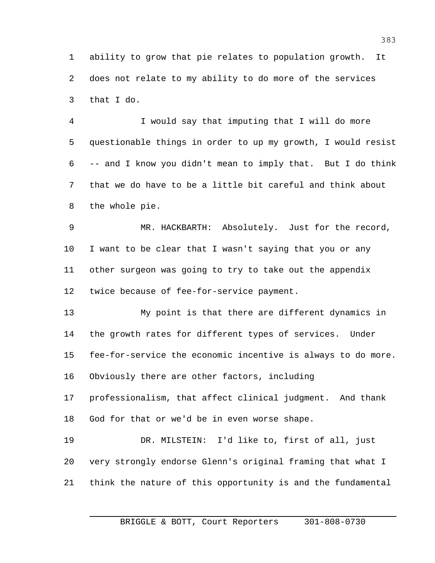ability to grow that pie relates to population growth. It does not relate to my ability to do more of the services that I do.

 I would say that imputing that I will do more questionable things in order to up my growth, I would resist -- and I know you didn't mean to imply that. But I do think that we do have to be a little bit careful and think about the whole pie.

 MR. HACKBARTH: Absolutely. Just for the record, I want to be clear that I wasn't saying that you or any other surgeon was going to try to take out the appendix twice because of fee-for-service payment.

 My point is that there are different dynamics in the growth rates for different types of services. Under fee-for-service the economic incentive is always to do more. Obviously there are other factors, including

 professionalism, that affect clinical judgment. And thank God for that or we'd be in even worse shape.

 DR. MILSTEIN: I'd like to, first of all, just very strongly endorse Glenn's original framing that what I think the nature of this opportunity is and the fundamental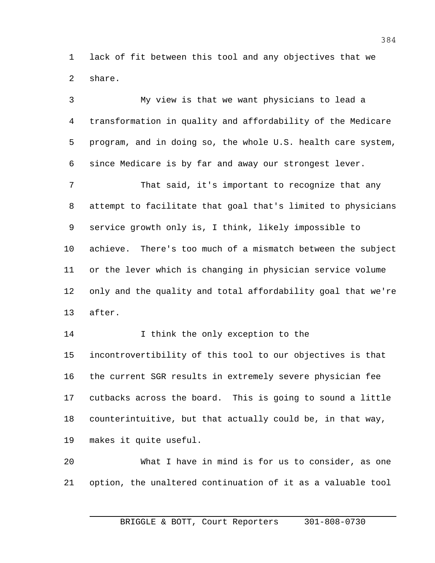lack of fit between this tool and any objectives that we share.

 My view is that we want physicians to lead a transformation in quality and affordability of the Medicare program, and in doing so, the whole U.S. health care system, since Medicare is by far and away our strongest lever. That said, it's important to recognize that any attempt to facilitate that goal that's limited to physicians service growth only is, I think, likely impossible to achieve. There's too much of a mismatch between the subject or the lever which is changing in physician service volume only and the quality and total affordability goal that we're after. 14 I think the only exception to the incontrovertibility of this tool to our objectives is that the current SGR results in extremely severe physician fee cutbacks across the board. This is going to sound a little counterintuitive, but that actually could be, in that way, makes it quite useful. What I have in mind is for us to consider, as one option, the unaltered continuation of it as a valuable tool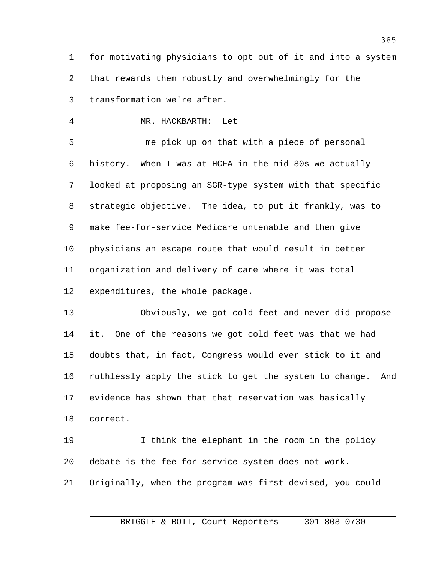for motivating physicians to opt out of it and into a system that rewards them robustly and overwhelmingly for the transformation we're after.

MR. HACKBARTH: Let

5 me pick up on that with a piece of personal history. When I was at HCFA in the mid-80s we actually looked at proposing an SGR-type system with that specific strategic objective. The idea, to put it frankly, was to make fee-for-service Medicare untenable and then give physicians an escape route that would result in better organization and delivery of care where it was total expenditures, the whole package.

 Obviously, we got cold feet and never did propose it. One of the reasons we got cold feet was that we had doubts that, in fact, Congress would ever stick to it and ruthlessly apply the stick to get the system to change. And evidence has shown that that reservation was basically correct.

 I think the elephant in the room in the policy debate is the fee-for-service system does not work. Originally, when the program was first devised, you could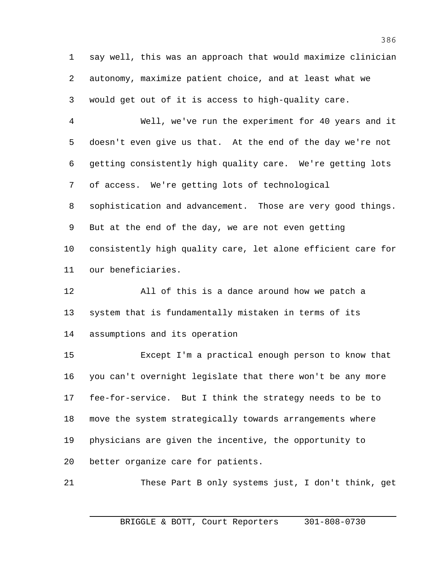say well, this was an approach that would maximize clinician autonomy, maximize patient choice, and at least what we would get out of it is access to high-quality care.

 Well, we've run the experiment for 40 years and it doesn't even give us that. At the end of the day we're not getting consistently high quality care. We're getting lots of access. We're getting lots of technological sophistication and advancement. Those are very good things. But at the end of the day, we are not even getting consistently high quality care, let alone efficient care for our beneficiaries.

 All of this is a dance around how we patch a system that is fundamentally mistaken in terms of its assumptions and its operation

 Except I'm a practical enough person to know that you can't overnight legislate that there won't be any more fee-for-service. But I think the strategy needs to be to move the system strategically towards arrangements where physicians are given the incentive, the opportunity to better organize care for patients.

These Part B only systems just, I don't think, get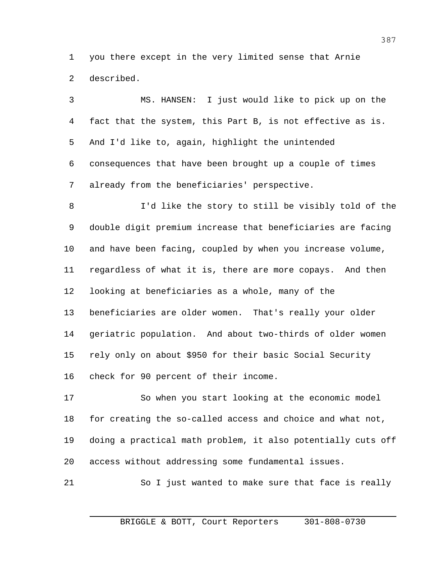you there except in the very limited sense that Arnie described.

 MS. HANSEN: I just would like to pick up on the fact that the system, this Part B, is not effective as is. And I'd like to, again, highlight the unintended consequences that have been brought up a couple of times already from the beneficiaries' perspective. I'd like the story to still be visibly told of the double digit premium increase that beneficiaries are facing and have been facing, coupled by when you increase volume, regardless of what it is, there are more copays. And then looking at beneficiaries as a whole, many of the beneficiaries are older women. That's really your older geriatric population. And about two-thirds of older women rely only on about \$950 for their basic Social Security check for 90 percent of their income.

 So when you start looking at the economic model for creating the so-called access and choice and what not, doing a practical math problem, it also potentially cuts off access without addressing some fundamental issues.

So I just wanted to make sure that face is really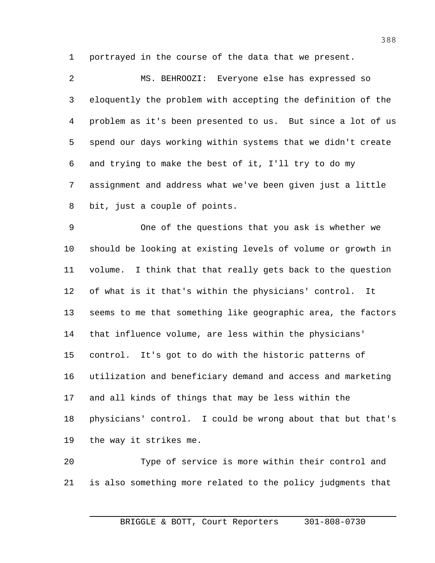portrayed in the course of the data that we present.

 MS. BEHROOZI: Everyone else has expressed so eloquently the problem with accepting the definition of the problem as it's been presented to us. But since a lot of us spend our days working within systems that we didn't create and trying to make the best of it, I'll try to do my assignment and address what we've been given just a little bit, just a couple of points.

 One of the questions that you ask is whether we should be looking at existing levels of volume or growth in volume. I think that that really gets back to the question of what is it that's within the physicians' control. It seems to me that something like geographic area, the factors that influence volume, are less within the physicians' control. It's got to do with the historic patterns of utilization and beneficiary demand and access and marketing and all kinds of things that may be less within the physicians' control. I could be wrong about that but that's the way it strikes me.

 Type of service is more within their control and is also something more related to the policy judgments that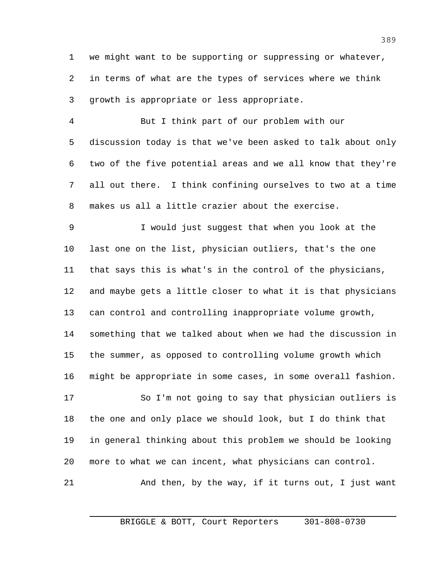we might want to be supporting or suppressing or whatever, in terms of what are the types of services where we think growth is appropriate or less appropriate.

 But I think part of our problem with our discussion today is that we've been asked to talk about only two of the five potential areas and we all know that they're all out there. I think confining ourselves to two at a time makes us all a little crazier about the exercise.

 I would just suggest that when you look at the last one on the list, physician outliers, that's the one that says this is what's in the control of the physicians, and maybe gets a little closer to what it is that physicians can control and controlling inappropriate volume growth, something that we talked about when we had the discussion in the summer, as opposed to controlling volume growth which might be appropriate in some cases, in some overall fashion.

 So I'm not going to say that physician outliers is the one and only place we should look, but I do think that in general thinking about this problem we should be looking more to what we can incent, what physicians can control. 21 And then, by the way, if it turns out, I just want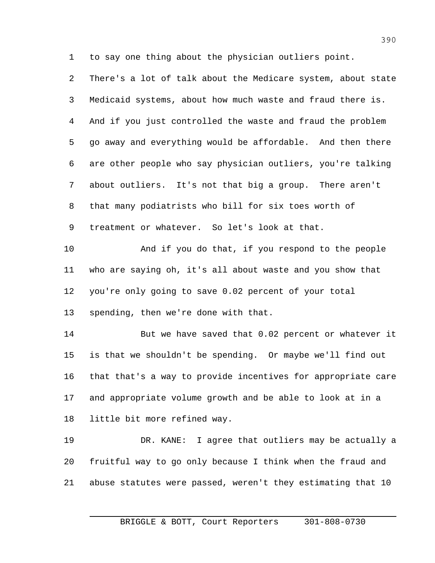to say one thing about the physician outliers point.

 There's a lot of talk about the Medicare system, about state Medicaid systems, about how much waste and fraud there is. And if you just controlled the waste and fraud the problem go away and everything would be affordable. And then there are other people who say physician outliers, you're talking about outliers. It's not that big a group. There aren't that many podiatrists who bill for six toes worth of treatment or whatever. So let's look at that. And if you do that, if you respond to the people who are saying oh, it's all about waste and you show that you're only going to save 0.02 percent of your total spending, then we're done with that. But we have saved that 0.02 percent or whatever it is that we shouldn't be spending. Or maybe we'll find out that that's a way to provide incentives for appropriate care and appropriate volume growth and be able to look at in a little bit more refined way. DR. KANE: I agree that outliers may be actually a fruitful way to go only because I think when the fraud and abuse statutes were passed, weren't they estimating that 10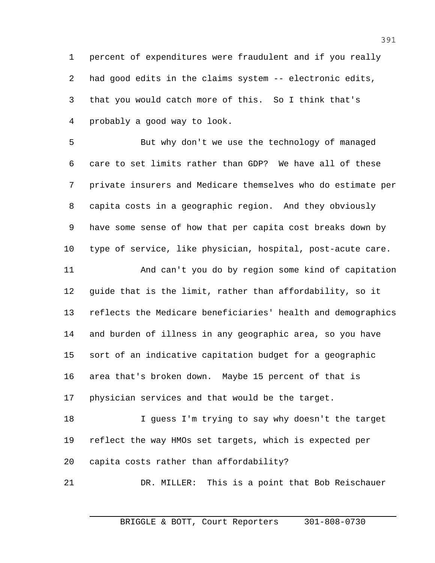percent of expenditures were fraudulent and if you really had good edits in the claims system -- electronic edits, that you would catch more of this. So I think that's probably a good way to look.

 But why don't we use the technology of managed care to set limits rather than GDP? We have all of these private insurers and Medicare themselves who do estimate per capita costs in a geographic region. And they obviously have some sense of how that per capita cost breaks down by type of service, like physician, hospital, post-acute care.

 And can't you do by region some kind of capitation guide that is the limit, rather than affordability, so it reflects the Medicare beneficiaries' health and demographics and burden of illness in any geographic area, so you have sort of an indicative capitation budget for a geographic area that's broken down. Maybe 15 percent of that is physician services and that would be the target.

 I guess I'm trying to say why doesn't the target reflect the way HMOs set targets, which is expected per capita costs rather than affordability?

DR. MILLER: This is a point that Bob Reischauer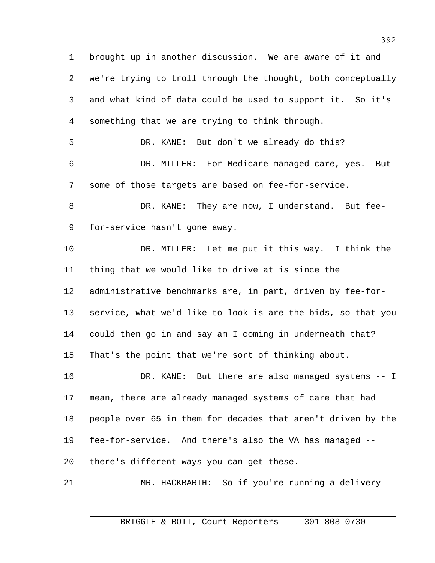brought up in another discussion. We are aware of it and we're trying to troll through the thought, both conceptually and what kind of data could be used to support it. So it's something that we are trying to think through. DR. KANE: But don't we already do this? DR. MILLER: For Medicare managed care, yes. But some of those targets are based on fee-for-service. 8 DR. KANE: They are now, I understand. But fee- for-service hasn't gone away. DR. MILLER: Let me put it this way. I think the thing that we would like to drive at is since the administrative benchmarks are, in part, driven by fee-for- service, what we'd like to look is are the bids, so that you could then go in and say am I coming in underneath that? That's the point that we're sort of thinking about. DR. KANE: But there are also managed systems -- I mean, there are already managed systems of care that had people over 65 in them for decades that aren't driven by the fee-for-service. And there's also the VA has managed -- there's different ways you can get these. MR. HACKBARTH: So if you're running a delivery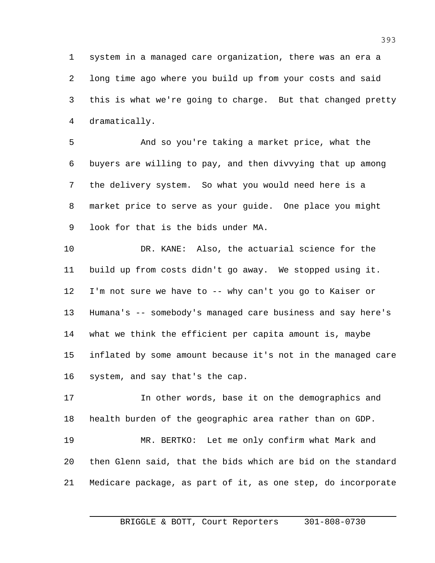system in a managed care organization, there was an era a long time ago where you build up from your costs and said this is what we're going to charge. But that changed pretty dramatically.

 And so you're taking a market price, what the buyers are willing to pay, and then divvying that up among the delivery system. So what you would need here is a market price to serve as your guide. One place you might look for that is the bids under MA.

 DR. KANE: Also, the actuarial science for the build up from costs didn't go away. We stopped using it. I'm not sure we have to -- why can't you go to Kaiser or Humana's -- somebody's managed care business and say here's what we think the efficient per capita amount is, maybe inflated by some amount because it's not in the managed care system, and say that's the cap.

 In other words, base it on the demographics and health burden of the geographic area rather than on GDP. MR. BERTKO: Let me only confirm what Mark and then Glenn said, that the bids which are bid on the standard Medicare package, as part of it, as one step, do incorporate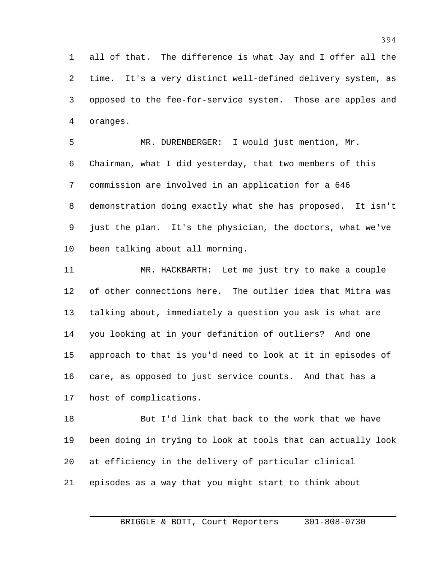all of that. The difference is what Jay and I offer all the time. It's a very distinct well-defined delivery system, as opposed to the fee-for-service system. Those are apples and oranges.

 MR. DURENBERGER: I would just mention, Mr. Chairman, what I did yesterday, that two members of this commission are involved in an application for a 646 demonstration doing exactly what she has proposed. It isn't just the plan. It's the physician, the doctors, what we've been talking about all morning.

 MR. HACKBARTH: Let me just try to make a couple of other connections here. The outlier idea that Mitra was talking about, immediately a question you ask is what are you looking at in your definition of outliers? And one approach to that is you'd need to look at it in episodes of care, as opposed to just service counts. And that has a host of complications.

 But I'd link that back to the work that we have been doing in trying to look at tools that can actually look at efficiency in the delivery of particular clinical episodes as a way that you might start to think about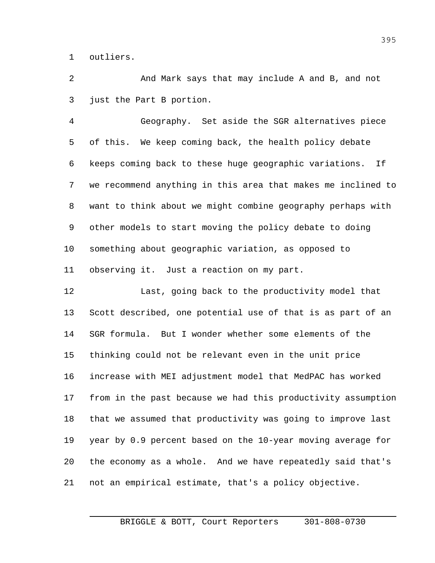outliers.

 And Mark says that may include A and B, and not just the Part B portion.

 Geography. Set aside the SGR alternatives piece of this. We keep coming back, the health policy debate keeps coming back to these huge geographic variations. If we recommend anything in this area that makes me inclined to want to think about we might combine geography perhaps with other models to start moving the policy debate to doing something about geographic variation, as opposed to observing it. Just a reaction on my part.

 Last, going back to the productivity model that Scott described, one potential use of that is as part of an SGR formula. But I wonder whether some elements of the thinking could not be relevant even in the unit price increase with MEI adjustment model that MedPAC has worked from in the past because we had this productivity assumption that we assumed that productivity was going to improve last year by 0.9 percent based on the 10-year moving average for the economy as a whole. And we have repeatedly said that's not an empirical estimate, that's a policy objective.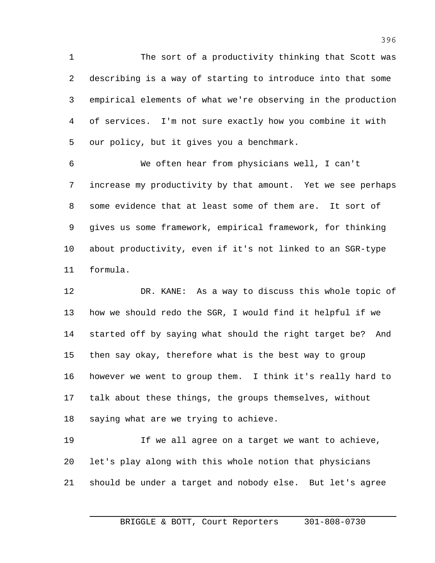The sort of a productivity thinking that Scott was describing is a way of starting to introduce into that some empirical elements of what we're observing in the production of services. I'm not sure exactly how you combine it with our policy, but it gives you a benchmark.

 We often hear from physicians well, I can't increase my productivity by that amount. Yet we see perhaps some evidence that at least some of them are. It sort of gives us some framework, empirical framework, for thinking about productivity, even if it's not linked to an SGR-type formula.

 DR. KANE: As a way to discuss this whole topic of how we should redo the SGR, I would find it helpful if we started off by saying what should the right target be? And then say okay, therefore what is the best way to group however we went to group them. I think it's really hard to talk about these things, the groups themselves, without saying what are we trying to achieve.

 If we all agree on a target we want to achieve, let's play along with this whole notion that physicians should be under a target and nobody else. But let's agree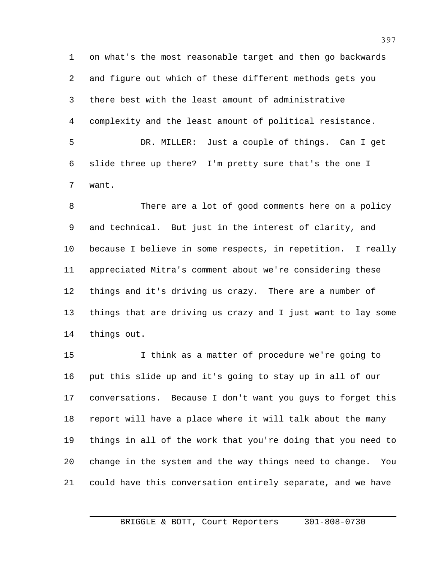on what's the most reasonable target and then go backwards and figure out which of these different methods gets you there best with the least amount of administrative complexity and the least amount of political resistance. DR. MILLER: Just a couple of things. Can I get slide three up there? I'm pretty sure that's the one I

want.

 There are a lot of good comments here on a policy and technical. But just in the interest of clarity, and because I believe in some respects, in repetition. I really appreciated Mitra's comment about we're considering these things and it's driving us crazy. There are a number of things that are driving us crazy and I just want to lay some things out.

 I think as a matter of procedure we're going to put this slide up and it's going to stay up in all of our conversations. Because I don't want you guys to forget this report will have a place where it will talk about the many things in all of the work that you're doing that you need to change in the system and the way things need to change. You could have this conversation entirely separate, and we have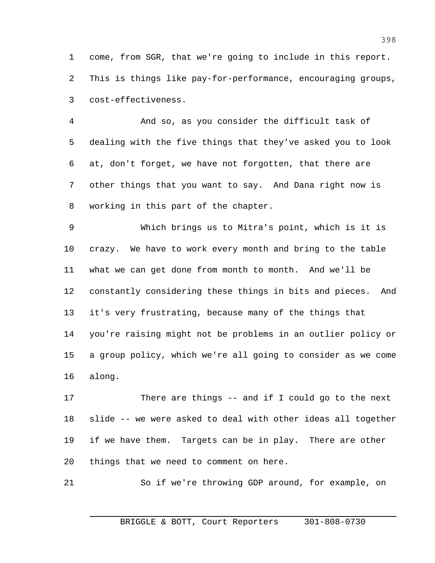come, from SGR, that we're going to include in this report. This is things like pay-for-performance, encouraging groups, cost-effectiveness.

 And so, as you consider the difficult task of dealing with the five things that they've asked you to look at, don't forget, we have not forgotten, that there are other things that you want to say. And Dana right now is working in this part of the chapter.

 Which brings us to Mitra's point, which is it is crazy. We have to work every month and bring to the table what we can get done from month to month. And we'll be constantly considering these things in bits and pieces. And it's very frustrating, because many of the things that you're raising might not be problems in an outlier policy or a group policy, which we're all going to consider as we come along.

 There are things -- and if I could go to the next slide -- we were asked to deal with other ideas all together if we have them. Targets can be in play. There are other things that we need to comment on here.

So if we're throwing GDP around, for example, on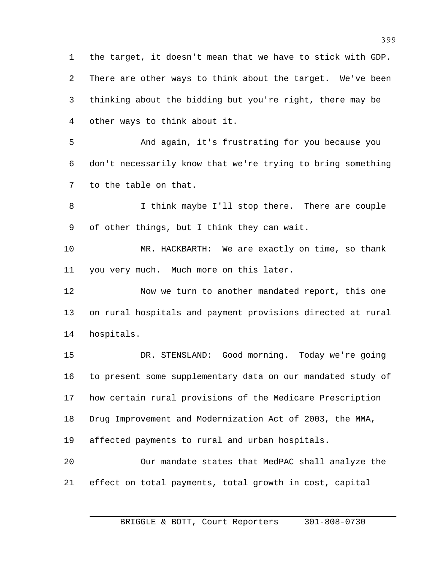the target, it doesn't mean that we have to stick with GDP. There are other ways to think about the target. We've been thinking about the bidding but you're right, there may be other ways to think about it.

 And again, it's frustrating for you because you don't necessarily know that we're trying to bring something to the table on that.

8 I think maybe I'll stop there. There are couple of other things, but I think they can wait.

 MR. HACKBARTH: We are exactly on time, so thank you very much. Much more on this later.

 Now we turn to another mandated report, this one on rural hospitals and payment provisions directed at rural hospitals.

 DR. STENSLAND: Good morning. Today we're going to present some supplementary data on our mandated study of how certain rural provisions of the Medicare Prescription Drug Improvement and Modernization Act of 2003, the MMA, affected payments to rural and urban hospitals. Our mandate states that MedPAC shall analyze the effect on total payments, total growth in cost, capital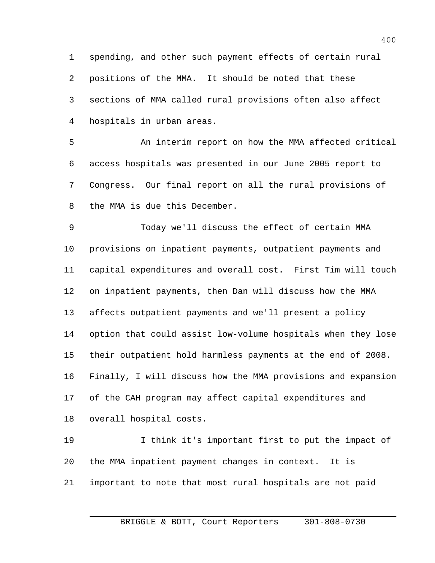spending, and other such payment effects of certain rural positions of the MMA. It should be noted that these sections of MMA called rural provisions often also affect hospitals in urban areas.

 An interim report on how the MMA affected critical access hospitals was presented in our June 2005 report to Congress. Our final report on all the rural provisions of the MMA is due this December.

 Today we'll discuss the effect of certain MMA provisions on inpatient payments, outpatient payments and capital expenditures and overall cost. First Tim will touch on inpatient payments, then Dan will discuss how the MMA affects outpatient payments and we'll present a policy option that could assist low-volume hospitals when they lose their outpatient hold harmless payments at the end of 2008. Finally, I will discuss how the MMA provisions and expansion of the CAH program may affect capital expenditures and overall hospital costs.

 I think it's important first to put the impact of the MMA inpatient payment changes in context. It is important to note that most rural hospitals are not paid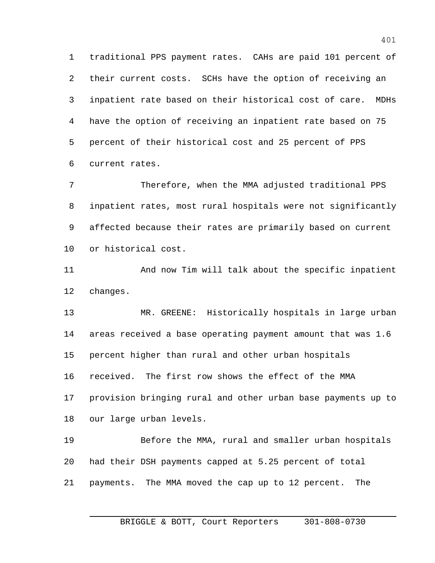traditional PPS payment rates. CAHs are paid 101 percent of their current costs. SCHs have the option of receiving an inpatient rate based on their historical cost of care. MDHs have the option of receiving an inpatient rate based on 75 percent of their historical cost and 25 percent of PPS current rates.

 Therefore, when the MMA adjusted traditional PPS inpatient rates, most rural hospitals were not significantly affected because their rates are primarily based on current or historical cost.

 And now Tim will talk about the specific inpatient changes.

 MR. GREENE: Historically hospitals in large urban areas received a base operating payment amount that was 1.6 percent higher than rural and other urban hospitals received. The first row shows the effect of the MMA provision bringing rural and other urban base payments up to our large urban levels.

 Before the MMA, rural and smaller urban hospitals had their DSH payments capped at 5.25 percent of total payments. The MMA moved the cap up to 12 percent. The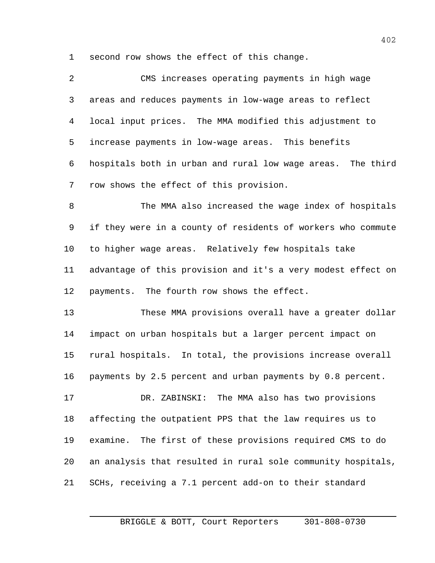second row shows the effect of this change.

| 2              | CMS increases operating payments in high wage                |
|----------------|--------------------------------------------------------------|
| 3              | areas and reduces payments in low-wage areas to reflect      |
| $\overline{4}$ | local input prices. The MMA modified this adjustment to      |
| 5              | increase payments in low-wage areas. This benefits           |
| 6              | hospitals both in urban and rural low wage areas. The third  |
| 7              | row shows the effect of this provision.                      |
| 8              | The MMA also increased the wage index of hospitals           |
| 9              | if they were in a county of residents of workers who commute |
| 10             | to higher wage areas. Relatively few hospitals take          |
| 11             | advantage of this provision and it's a very modest effect on |
| 12             | payments. The fourth row shows the effect.                   |
| 13             | These MMA provisions overall have a greater dollar           |
| 14             | impact on urban hospitals but a larger percent impact on     |
| 15             | rural hospitals. In total, the provisions increase overall   |
| 16             | payments by 2.5 percent and urban payments by 0.8 percent.   |
| 17             | DR. ZABINSKI: The MMA also has two provisions                |
| 18             | affecting the outpatient PPS that the law requires us to     |
| 19             | examine. The first of these provisions required CMS to do    |
| 20             | an analysis that resulted in rural sole community hospitals, |
| 21             | SCHs, receiving a 7.1 percent add-on to their standard       |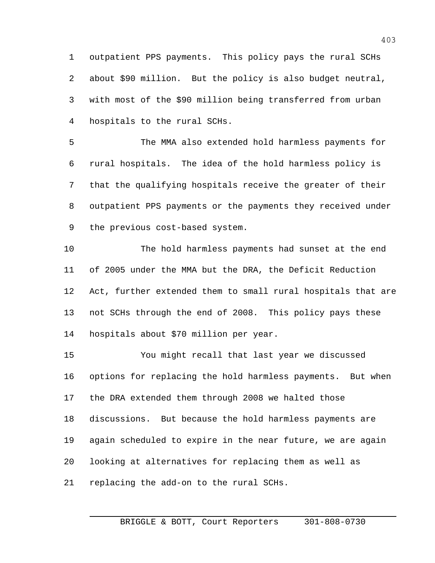outpatient PPS payments. This policy pays the rural SCHs about \$90 million. But the policy is also budget neutral, with most of the \$90 million being transferred from urban hospitals to the rural SCHs.

 The MMA also extended hold harmless payments for rural hospitals. The idea of the hold harmless policy is that the qualifying hospitals receive the greater of their outpatient PPS payments or the payments they received under the previous cost-based system.

 The hold harmless payments had sunset at the end of 2005 under the MMA but the DRA, the Deficit Reduction Act, further extended them to small rural hospitals that are not SCHs through the end of 2008. This policy pays these hospitals about \$70 million per year.

 You might recall that last year we discussed options for replacing the hold harmless payments. But when the DRA extended them through 2008 we halted those discussions. But because the hold harmless payments are again scheduled to expire in the near future, we are again looking at alternatives for replacing them as well as replacing the add-on to the rural SCHs.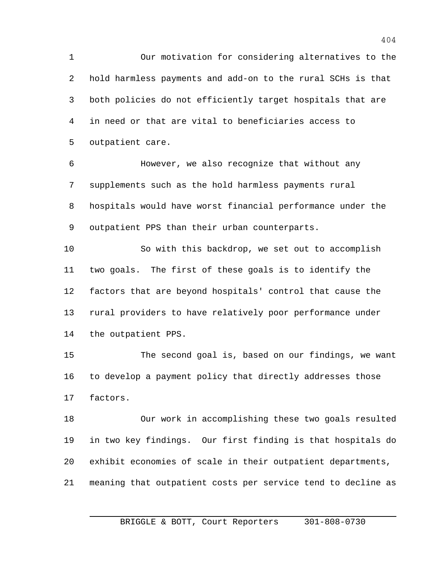Our motivation for considering alternatives to the hold harmless payments and add-on to the rural SCHs is that both policies do not efficiently target hospitals that are in need or that are vital to beneficiaries access to outpatient care.

 However, we also recognize that without any supplements such as the hold harmless payments rural hospitals would have worst financial performance under the outpatient PPS than their urban counterparts.

 So with this backdrop, we set out to accomplish two goals. The first of these goals is to identify the factors that are beyond hospitals' control that cause the rural providers to have relatively poor performance under the outpatient PPS.

 The second goal is, based on our findings, we want to develop a payment policy that directly addresses those factors.

 Our work in accomplishing these two goals resulted in two key findings. Our first finding is that hospitals do exhibit economies of scale in their outpatient departments, meaning that outpatient costs per service tend to decline as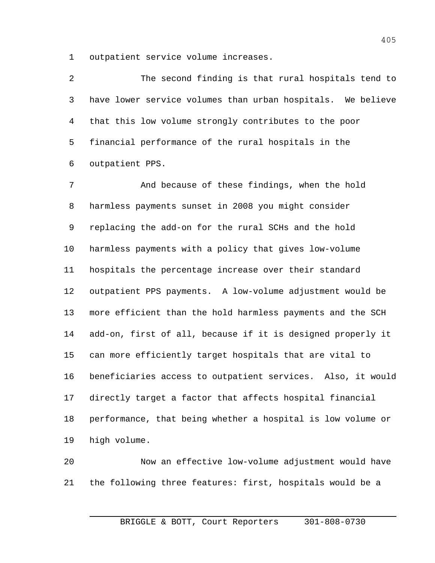outpatient service volume increases.

 The second finding is that rural hospitals tend to have lower service volumes than urban hospitals. We believe that this low volume strongly contributes to the poor financial performance of the rural hospitals in the outpatient PPS.

 And because of these findings, when the hold harmless payments sunset in 2008 you might consider replacing the add-on for the rural SCHs and the hold harmless payments with a policy that gives low-volume hospitals the percentage increase over their standard outpatient PPS payments. A low-volume adjustment would be more efficient than the hold harmless payments and the SCH add-on, first of all, because if it is designed properly it can more efficiently target hospitals that are vital to beneficiaries access to outpatient services. Also, it would directly target a factor that affects hospital financial performance, that being whether a hospital is low volume or high volume.

 Now an effective low-volume adjustment would have the following three features: first, hospitals would be a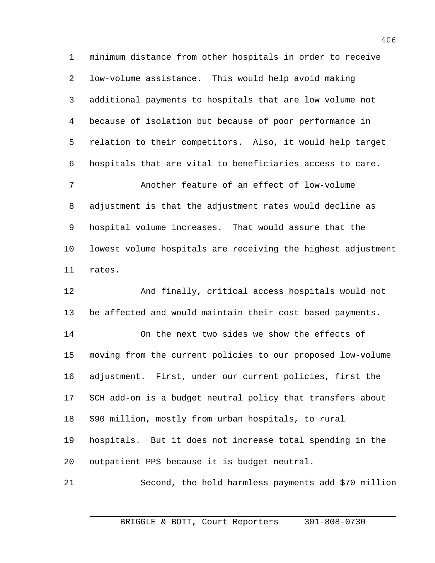minimum distance from other hospitals in order to receive low-volume assistance. This would help avoid making additional payments to hospitals that are low volume not because of isolation but because of poor performance in relation to their competitors. Also, it would help target hospitals that are vital to beneficiaries access to care. Another feature of an effect of low-volume adjustment is that the adjustment rates would decline as hospital volume increases. That would assure that the lowest volume hospitals are receiving the highest adjustment rates. And finally, critical access hospitals would not be affected and would maintain their cost based payments. On the next two sides we show the effects of moving from the current policies to our proposed low-volume adjustment. First, under our current policies, first the SCH add-on is a budget neutral policy that transfers about \$90 million, mostly from urban hospitals, to rural hospitals. But it does not increase total spending in the

outpatient PPS because it is budget neutral.

Second, the hold harmless payments add \$70 million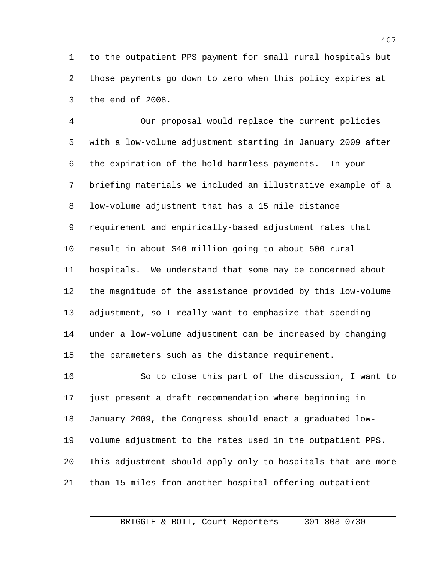to the outpatient PPS payment for small rural hospitals but those payments go down to zero when this policy expires at the end of 2008.

 Our proposal would replace the current policies with a low-volume adjustment starting in January 2009 after the expiration of the hold harmless payments. In your briefing materials we included an illustrative example of a low-volume adjustment that has a 15 mile distance requirement and empirically-based adjustment rates that result in about \$40 million going to about 500 rural hospitals. We understand that some may be concerned about the magnitude of the assistance provided by this low-volume adjustment, so I really want to emphasize that spending under a low-volume adjustment can be increased by changing the parameters such as the distance requirement.

 So to close this part of the discussion, I want to just present a draft recommendation where beginning in January 2009, the Congress should enact a graduated low- volume adjustment to the rates used in the outpatient PPS. This adjustment should apply only to hospitals that are more than 15 miles from another hospital offering outpatient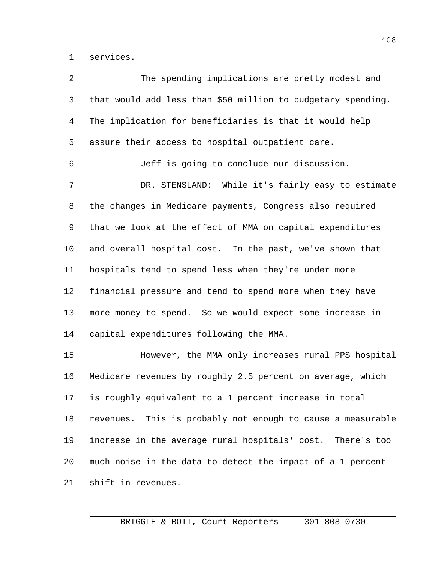services.

| 2  | The spending implications are pretty modest and              |
|----|--------------------------------------------------------------|
| 3  | that would add less than \$50 million to budgetary spending. |
| 4  | The implication for beneficiaries is that it would help      |
| 5  | assure their access to hospital outpatient care.             |
| 6  | Jeff is going to conclude our discussion.                    |
| 7  | DR. STENSLAND: While it's fairly easy to estimate            |
| 8  | the changes in Medicare payments, Congress also required     |
| 9  | that we look at the effect of MMA on capital expenditures    |
| 10 | and overall hospital cost. In the past, we've shown that     |
| 11 | hospitals tend to spend less when they're under more         |
| 12 | financial pressure and tend to spend more when they have     |
| 13 | more money to spend. So we would expect some increase in     |
| 14 | capital expenditures following the MMA.                      |
| 15 | However, the MMA only increases rural PPS hospital           |
| 16 | Medicare revenues by roughly 2.5 percent on average, which   |
| 17 | is roughly equivalent to a 1 percent increase in total       |
| 18 | revenues. This is probably not enough to cause a measurable  |
| 19 | increase in the average rural hospitals' cost. There's too   |
| 20 | much noise in the data to detect the impact of a 1 percent   |
| 21 | shift in revenues.                                           |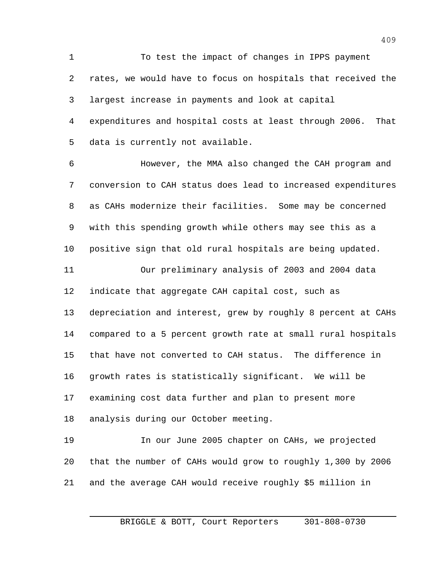To test the impact of changes in IPPS payment rates, we would have to focus on hospitals that received the largest increase in payments and look at capital expenditures and hospital costs at least through 2006. That data is currently not available.

 However, the MMA also changed the CAH program and conversion to CAH status does lead to increased expenditures as CAHs modernize their facilities. Some may be concerned with this spending growth while others may see this as a positive sign that old rural hospitals are being updated. Our preliminary analysis of 2003 and 2004 data indicate that aggregate CAH capital cost, such as depreciation and interest, grew by roughly 8 percent at CAHs compared to a 5 percent growth rate at small rural hospitals that have not converted to CAH status. The difference in growth rates is statistically significant. We will be examining cost data further and plan to present more analysis during our October meeting. In our June 2005 chapter on CAHs, we projected

and the average CAH would receive roughly \$5 million in

that the number of CAHs would grow to roughly 1,300 by 2006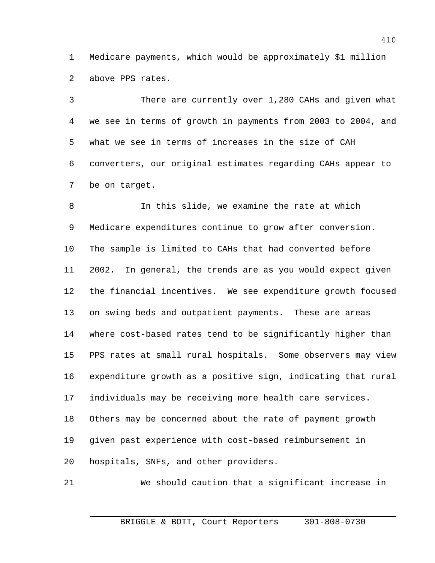Medicare payments, which would be approximately \$1 million above PPS rates.

 There are currently over 1,280 CAHs and given what we see in terms of growth in payments from 2003 to 2004, and what we see in terms of increases in the size of CAH converters, our original estimates regarding CAHs appear to be on target.

 In this slide, we examine the rate at which Medicare expenditures continue to grow after conversion. The sample is limited to CAHs that had converted before 2002. In general, the trends are as you would expect given the financial incentives. We see expenditure growth focused on swing beds and outpatient payments. These are areas where cost-based rates tend to be significantly higher than PPS rates at small rural hospitals. Some observers may view expenditure growth as a positive sign, indicating that rural individuals may be receiving more health care services. Others may be concerned about the rate of payment growth given past experience with cost-based reimbursement in hospitals, SNFs, and other providers.

We should caution that a significant increase in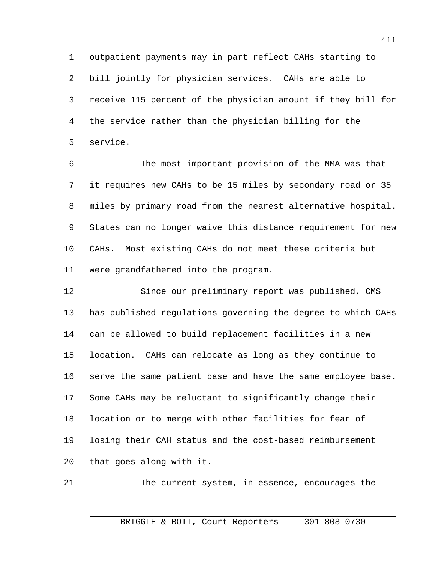outpatient payments may in part reflect CAHs starting to bill jointly for physician services. CAHs are able to receive 115 percent of the physician amount if they bill for the service rather than the physician billing for the service.

 The most important provision of the MMA was that it requires new CAHs to be 15 miles by secondary road or 35 miles by primary road from the nearest alternative hospital. States can no longer waive this distance requirement for new CAHs. Most existing CAHs do not meet these criteria but were grandfathered into the program.

 Since our preliminary report was published, CMS has published regulations governing the degree to which CAHs can be allowed to build replacement facilities in a new location. CAHs can relocate as long as they continue to serve the same patient base and have the same employee base. Some CAHs may be reluctant to significantly change their location or to merge with other facilities for fear of losing their CAH status and the cost-based reimbursement that goes along with it.

The current system, in essence, encourages the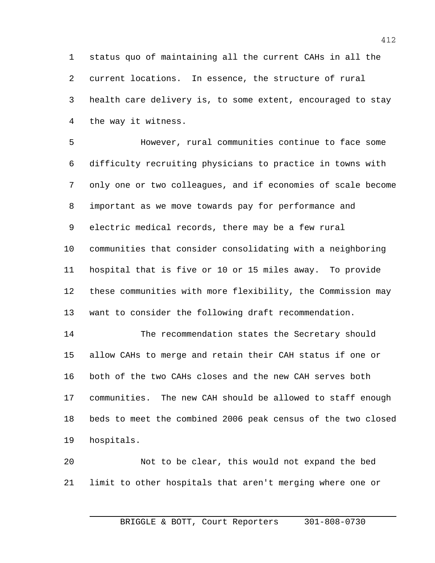status quo of maintaining all the current CAHs in all the current locations. In essence, the structure of rural health care delivery is, to some extent, encouraged to stay the way it witness.

 However, rural communities continue to face some difficulty recruiting physicians to practice in towns with only one or two colleagues, and if economies of scale become important as we move towards pay for performance and electric medical records, there may be a few rural communities that consider consolidating with a neighboring hospital that is five or 10 or 15 miles away. To provide these communities with more flexibility, the Commission may want to consider the following draft recommendation. The recommendation states the Secretary should

 allow CAHs to merge and retain their CAH status if one or both of the two CAHs closes and the new CAH serves both communities. The new CAH should be allowed to staff enough beds to meet the combined 2006 peak census of the two closed hospitals.

 Not to be clear, this would not expand the bed limit to other hospitals that aren't merging where one or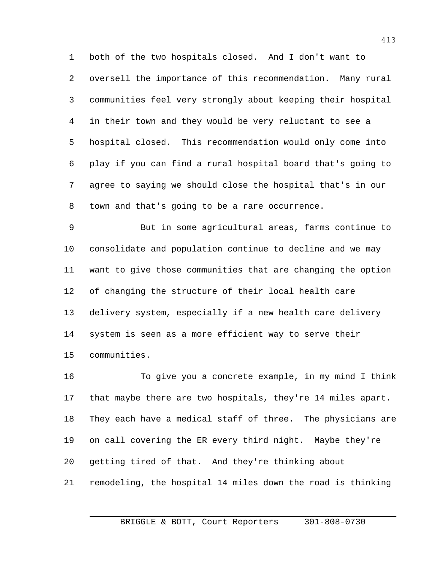both of the two hospitals closed. And I don't want to oversell the importance of this recommendation. Many rural communities feel very strongly about keeping their hospital in their town and they would be very reluctant to see a hospital closed. This recommendation would only come into play if you can find a rural hospital board that's going to agree to saying we should close the hospital that's in our town and that's going to be a rare occurrence.

 But in some agricultural areas, farms continue to consolidate and population continue to decline and we may want to give those communities that are changing the option of changing the structure of their local health care delivery system, especially if a new health care delivery system is seen as a more efficient way to serve their communities.

 To give you a concrete example, in my mind I think that maybe there are two hospitals, they're 14 miles apart. They each have a medical staff of three. The physicians are on call covering the ER every third night. Maybe they're getting tired of that. And they're thinking about remodeling, the hospital 14 miles down the road is thinking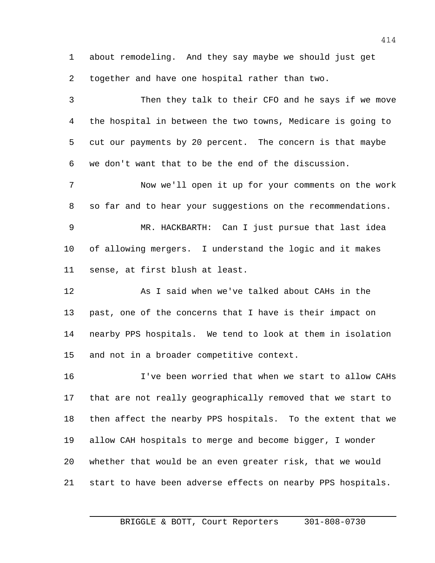about remodeling. And they say maybe we should just get together and have one hospital rather than two.

 Then they talk to their CFO and he says if we move the hospital in between the two towns, Medicare is going to cut our payments by 20 percent. The concern is that maybe we don't want that to be the end of the discussion. Now we'll open it up for your comments on the work so far and to hear your suggestions on the recommendations. MR. HACKBARTH: Can I just pursue that last idea of allowing mergers. I understand the logic and it makes sense, at first blush at least. As I said when we've talked about CAHs in the past, one of the concerns that I have is their impact on nearby PPS hospitals. We tend to look at them in isolation and not in a broader competitive context. I've been worried that when we start to allow CAHs that are not really geographically removed that we start to then affect the nearby PPS hospitals. To the extent that we allow CAH hospitals to merge and become bigger, I wonder whether that would be an even greater risk, that we would start to have been adverse effects on nearby PPS hospitals.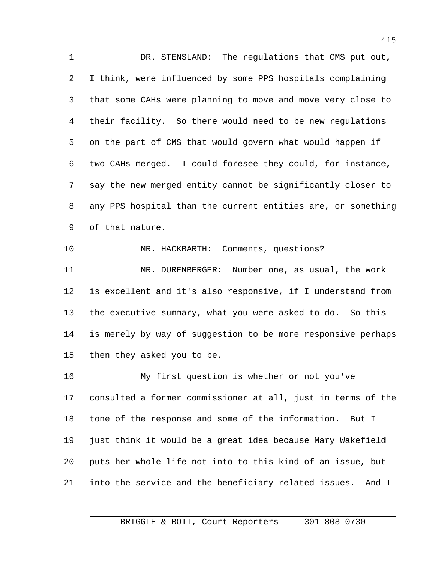DR. STENSLAND: The regulations that CMS put out, I think, were influenced by some PPS hospitals complaining that some CAHs were planning to move and move very close to their facility. So there would need to be new regulations on the part of CMS that would govern what would happen if two CAHs merged. I could foresee they could, for instance, say the new merged entity cannot be significantly closer to any PPS hospital than the current entities are, or something of that nature. MR. HACKBARTH: Comments, questions?

 MR. DURENBERGER: Number one, as usual, the work is excellent and it's also responsive, if I understand from the executive summary, what you were asked to do. So this is merely by way of suggestion to be more responsive perhaps then they asked you to be.

 My first question is whether or not you've consulted a former commissioner at all, just in terms of the tone of the response and some of the information. But I just think it would be a great idea because Mary Wakefield puts her whole life not into to this kind of an issue, but into the service and the beneficiary-related issues. And I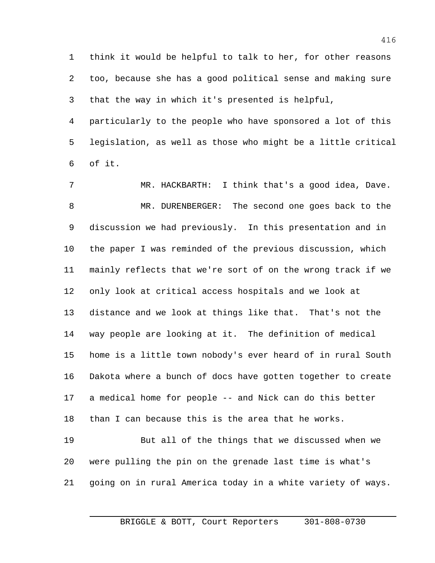think it would be helpful to talk to her, for other reasons too, because she has a good political sense and making sure that the way in which it's presented is helpful,

 particularly to the people who have sponsored a lot of this legislation, as well as those who might be a little critical of it.

 MR. HACKBARTH: I think that's a good idea, Dave. MR. DURENBERGER: The second one goes back to the discussion we had previously. In this presentation and in the paper I was reminded of the previous discussion, which mainly reflects that we're sort of on the wrong track if we only look at critical access hospitals and we look at distance and we look at things like that. That's not the way people are looking at it. The definition of medical home is a little town nobody's ever heard of in rural South Dakota where a bunch of docs have gotten together to create a medical home for people -- and Nick can do this better than I can because this is the area that he works. But all of the things that we discussed when we were pulling the pin on the grenade last time is what's

going on in rural America today in a white variety of ways.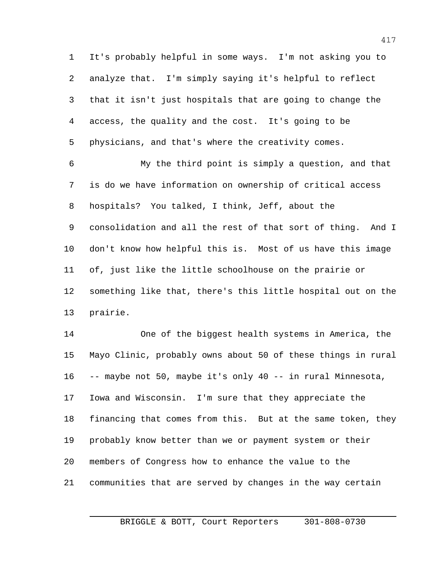It's probably helpful in some ways. I'm not asking you to analyze that. I'm simply saying it's helpful to reflect that it isn't just hospitals that are going to change the access, the quality and the cost. It's going to be physicians, and that's where the creativity comes.

 My the third point is simply a question, and that is do we have information on ownership of critical access hospitals? You talked, I think, Jeff, about the consolidation and all the rest of that sort of thing. And I don't know how helpful this is. Most of us have this image of, just like the little schoolhouse on the prairie or something like that, there's this little hospital out on the prairie.

 One of the biggest health systems in America, the Mayo Clinic, probably owns about 50 of these things in rural -- maybe not 50, maybe it's only 40 -- in rural Minnesota, Iowa and Wisconsin. I'm sure that they appreciate the financing that comes from this. But at the same token, they probably know better than we or payment system or their members of Congress how to enhance the value to the communities that are served by changes in the way certain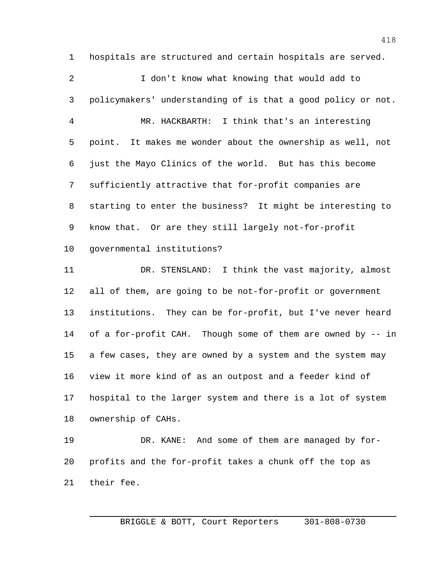hospitals are structured and certain hospitals are served. I don't know what knowing that would add to policymakers' understanding of is that a good policy or not. MR. HACKBARTH: I think that's an interesting point. It makes me wonder about the ownership as well, not just the Mayo Clinics of the world. But has this become sufficiently attractive that for-profit companies are starting to enter the business? It might be interesting to know that. Or are they still largely not-for-profit governmental institutions?

 DR. STENSLAND: I think the vast majority, almost all of them, are going to be not-for-profit or government institutions. They can be for-profit, but I've never heard of a for-profit CAH. Though some of them are owned by -- in a few cases, they are owned by a system and the system may view it more kind of as an outpost and a feeder kind of hospital to the larger system and there is a lot of system ownership of CAHs.

 DR. KANE: And some of them are managed by for- profits and the for-profit takes a chunk off the top as their fee.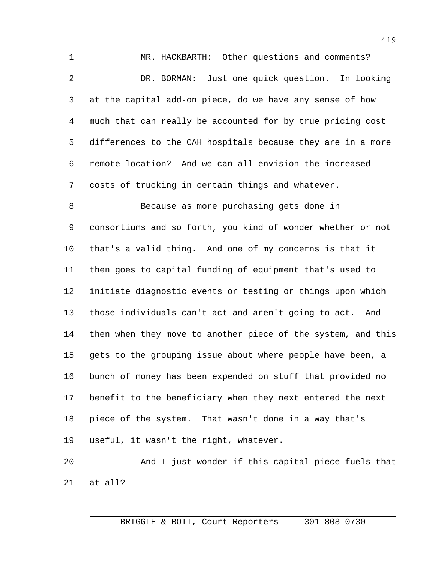MR. HACKBARTH: Other questions and comments? DR. BORMAN: Just one quick question. In looking at the capital add-on piece, do we have any sense of how much that can really be accounted for by true pricing cost differences to the CAH hospitals because they are in a more remote location? And we can all envision the increased costs of trucking in certain things and whatever. Because as more purchasing gets done in consortiums and so forth, you kind of wonder whether or not that's a valid thing. And one of my concerns is that it

 then goes to capital funding of equipment that's used to initiate diagnostic events or testing or things upon which those individuals can't act and aren't going to act. And then when they move to another piece of the system, and this gets to the grouping issue about where people have been, a bunch of money has been expended on stuff that provided no benefit to the beneficiary when they next entered the next piece of the system. That wasn't done in a way that's useful, it wasn't the right, whatever.

 And I just wonder if this capital piece fuels that at all?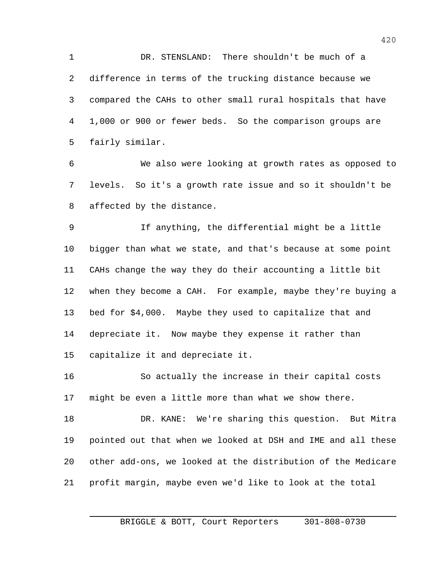DR. STENSLAND: There shouldn't be much of a difference in terms of the trucking distance because we compared the CAHs to other small rural hospitals that have 1,000 or 900 or fewer beds. So the comparison groups are fairly similar.

 We also were looking at growth rates as opposed to levels. So it's a growth rate issue and so it shouldn't be affected by the distance.

 If anything, the differential might be a little bigger than what we state, and that's because at some point CAHs change the way they do their accounting a little bit when they become a CAH. For example, maybe they're buying a bed for \$4,000. Maybe they used to capitalize that and depreciate it. Now maybe they expense it rather than capitalize it and depreciate it.

 So actually the increase in their capital costs might be even a little more than what we show there.

 DR. KANE: We're sharing this question. But Mitra pointed out that when we looked at DSH and IME and all these other add-ons, we looked at the distribution of the Medicare profit margin, maybe even we'd like to look at the total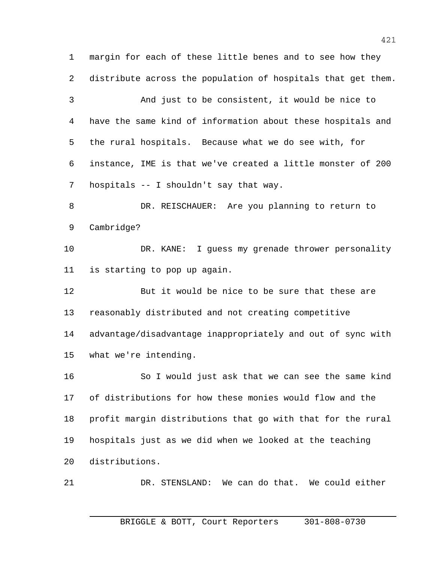margin for each of these little benes and to see how they distribute across the population of hospitals that get them. And just to be consistent, it would be nice to have the same kind of information about these hospitals and the rural hospitals. Because what we do see with, for instance, IME is that we've created a little monster of 200 hospitals -- I shouldn't say that way. DR. REISCHAUER: Are you planning to return to Cambridge? DR. KANE: I guess my grenade thrower personality is starting to pop up again. But it would be nice to be sure that these are reasonably distributed and not creating competitive advantage/disadvantage inappropriately and out of sync with

what we're intending.

 So I would just ask that we can see the same kind of distributions for how these monies would flow and the profit margin distributions that go with that for the rural hospitals just as we did when we looked at the teaching distributions.

DR. STENSLAND: We can do that. We could either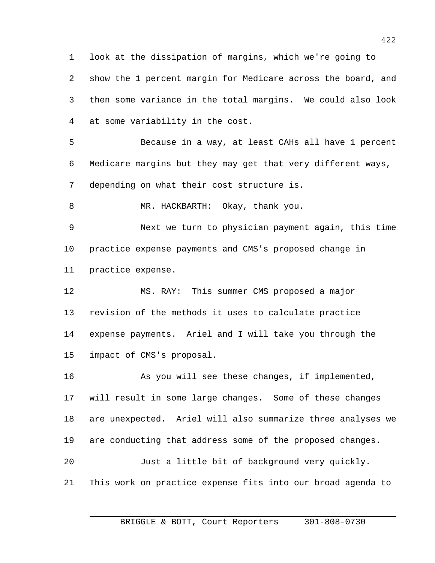look at the dissipation of margins, which we're going to show the 1 percent margin for Medicare across the board, and then some variance in the total margins. We could also look at some variability in the cost.

 Because in a way, at least CAHs all have 1 percent Medicare margins but they may get that very different ways, depending on what their cost structure is.

8 MR. HACKBARTH: Okay, thank you.

 Next we turn to physician payment again, this time practice expense payments and CMS's proposed change in practice expense.

 MS. RAY: This summer CMS proposed a major revision of the methods it uses to calculate practice expense payments. Ariel and I will take you through the impact of CMS's proposal.

 As you will see these changes, if implemented, will result in some large changes. Some of these changes are unexpected. Ariel will also summarize three analyses we are conducting that address some of the proposed changes. Just a little bit of background very quickly. This work on practice expense fits into our broad agenda to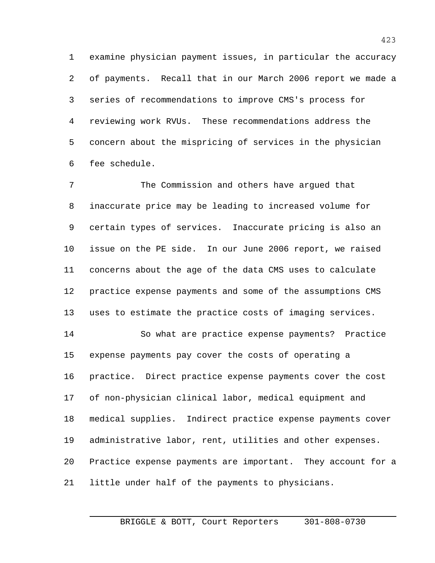examine physician payment issues, in particular the accuracy of payments. Recall that in our March 2006 report we made a series of recommendations to improve CMS's process for reviewing work RVUs. These recommendations address the concern about the mispricing of services in the physician fee schedule.

 The Commission and others have argued that inaccurate price may be leading to increased volume for certain types of services. Inaccurate pricing is also an issue on the PE side. In our June 2006 report, we raised concerns about the age of the data CMS uses to calculate practice expense payments and some of the assumptions CMS uses to estimate the practice costs of imaging services.

 So what are practice expense payments? Practice expense payments pay cover the costs of operating a practice. Direct practice expense payments cover the cost of non-physician clinical labor, medical equipment and medical supplies. Indirect practice expense payments cover administrative labor, rent, utilities and other expenses. Practice expense payments are important. They account for a little under half of the payments to physicians.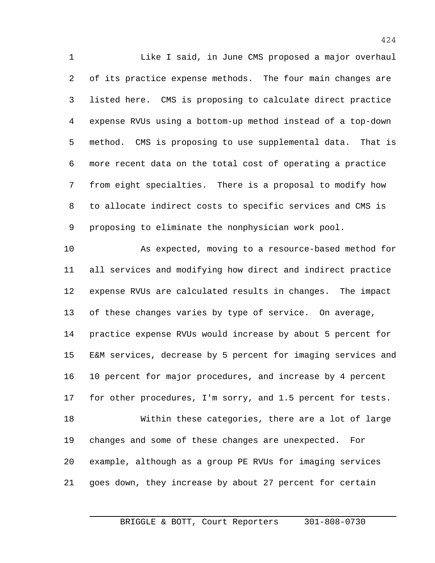Like I said, in June CMS proposed a major overhaul of its practice expense methods. The four main changes are listed here. CMS is proposing to calculate direct practice expense RVUs using a bottom-up method instead of a top-down method. CMS is proposing to use supplemental data. That is more recent data on the total cost of operating a practice from eight specialties. There is a proposal to modify how to allocate indirect costs to specific services and CMS is proposing to eliminate the nonphysician work pool.

 As expected, moving to a resource-based method for all services and modifying how direct and indirect practice expense RVUs are calculated results in changes. The impact of these changes varies by type of service. On average, practice expense RVUs would increase by about 5 percent for E&M services, decrease by 5 percent for imaging services and 10 percent for major procedures, and increase by 4 percent 17 for other procedures, I'm sorry, and 1.5 percent for tests. Within these categories, there are a lot of large changes and some of these changes are unexpected. For example, although as a group PE RVUs for imaging services goes down, they increase by about 27 percent for certain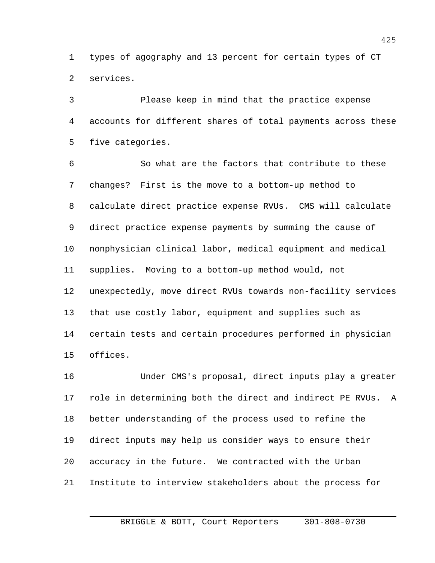types of agography and 13 percent for certain types of CT services.

 Please keep in mind that the practice expense accounts for different shares of total payments across these five categories.

 So what are the factors that contribute to these changes? First is the move to a bottom-up method to calculate direct practice expense RVUs. CMS will calculate direct practice expense payments by summing the cause of nonphysician clinical labor, medical equipment and medical supplies. Moving to a bottom-up method would, not unexpectedly, move direct RVUs towards non-facility services that use costly labor, equipment and supplies such as certain tests and certain procedures performed in physician offices.

 Under CMS's proposal, direct inputs play a greater role in determining both the direct and indirect PE RVUs. A better understanding of the process used to refine the direct inputs may help us consider ways to ensure their accuracy in the future. We contracted with the Urban Institute to interview stakeholders about the process for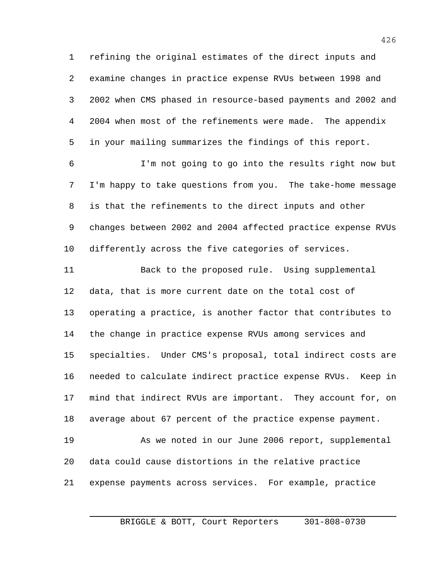refining the original estimates of the direct inputs and examine changes in practice expense RVUs between 1998 and 2002 when CMS phased in resource-based payments and 2002 and 2004 when most of the refinements were made. The appendix in your mailing summarizes the findings of this report.

 I'm not going to go into the results right now but I'm happy to take questions from you. The take-home message is that the refinements to the direct inputs and other changes between 2002 and 2004 affected practice expense RVUs differently across the five categories of services.

 Back to the proposed rule. Using supplemental data, that is more current date on the total cost of operating a practice, is another factor that contributes to the change in practice expense RVUs among services and specialties. Under CMS's proposal, total indirect costs are needed to calculate indirect practice expense RVUs. Keep in mind that indirect RVUs are important. They account for, on average about 67 percent of the practice expense payment.

 As we noted in our June 2006 report, supplemental data could cause distortions in the relative practice expense payments across services. For example, practice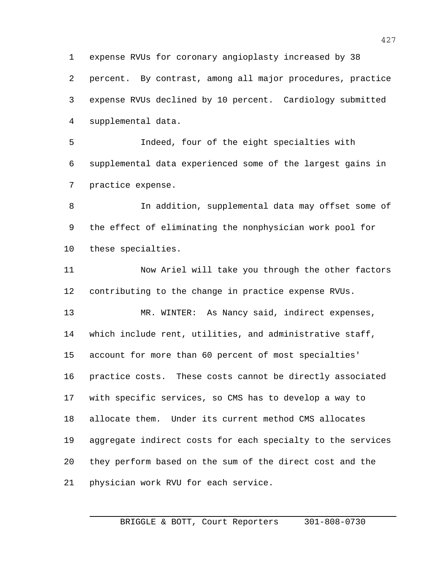expense RVUs for coronary angioplasty increased by 38 percent. By contrast, among all major procedures, practice expense RVUs declined by 10 percent. Cardiology submitted supplemental data.

 Indeed, four of the eight specialties with supplemental data experienced some of the largest gains in practice expense.

 In addition, supplemental data may offset some of the effect of eliminating the nonphysician work pool for these specialties.

 Now Ariel will take you through the other factors contributing to the change in practice expense RVUs.

 MR. WINTER: As Nancy said, indirect expenses, which include rent, utilities, and administrative staff, account for more than 60 percent of most specialties' practice costs. These costs cannot be directly associated with specific services, so CMS has to develop a way to allocate them. Under its current method CMS allocates aggregate indirect costs for each specialty to the services they perform based on the sum of the direct cost and the physician work RVU for each service.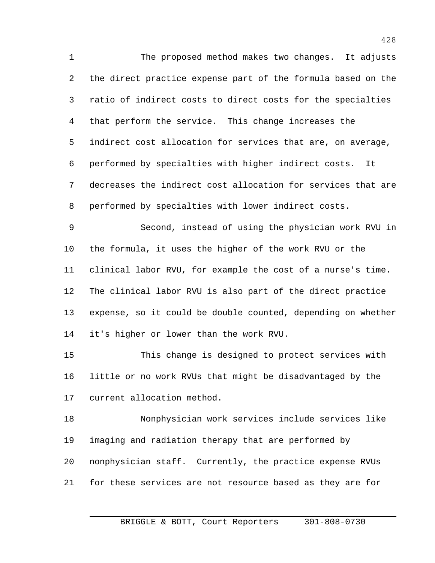The proposed method makes two changes. It adjusts the direct practice expense part of the formula based on the ratio of indirect costs to direct costs for the specialties that perform the service. This change increases the indirect cost allocation for services that are, on average, performed by specialties with higher indirect costs. It decreases the indirect cost allocation for services that are performed by specialties with lower indirect costs. Second, instead of using the physician work RVU in the formula, it uses the higher of the work RVU or the clinical labor RVU, for example the cost of a nurse's time. The clinical labor RVU is also part of the direct practice expense, so it could be double counted, depending on whether it's higher or lower than the work RVU. This change is designed to protect services with little or no work RVUs that might be disadvantaged by the current allocation method. Nonphysician work services include services like

 imaging and radiation therapy that are performed by nonphysician staff. Currently, the practice expense RVUs for these services are not resource based as they are for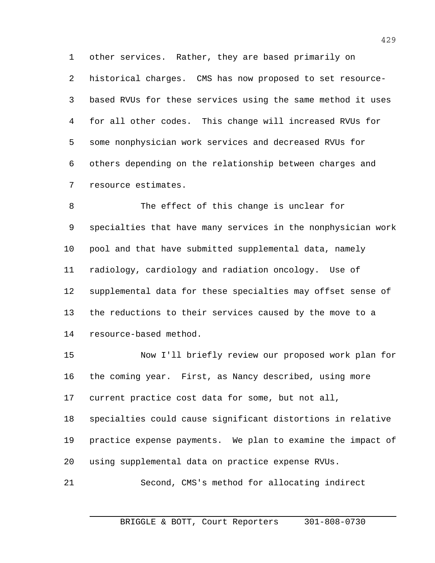historical charges. CMS has now proposed to set resource- based RVUs for these services using the same method it uses for all other codes. This change will increased RVUs for some nonphysician work services and decreased RVUs for others depending on the relationship between charges and resource estimates.

other services. Rather, they are based primarily on

 The effect of this change is unclear for specialties that have many services in the nonphysician work pool and that have submitted supplemental data, namely radiology, cardiology and radiation oncology. Use of supplemental data for these specialties may offset sense of the reductions to their services caused by the move to a resource-based method.

 Now I'll briefly review our proposed work plan for the coming year. First, as Nancy described, using more current practice cost data for some, but not all, specialties could cause significant distortions in relative practice expense payments. We plan to examine the impact of using supplemental data on practice expense RVUs.

Second, CMS's method for allocating indirect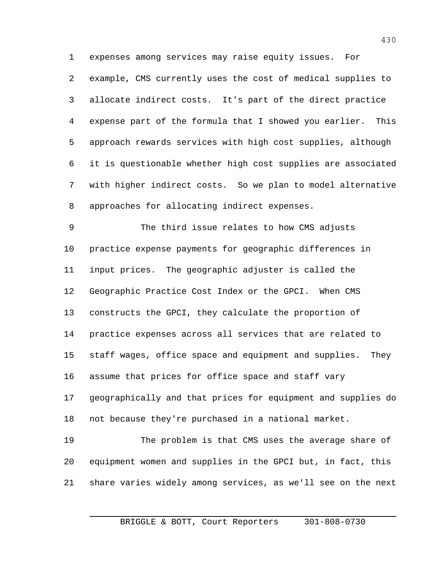expenses among services may raise equity issues. For example, CMS currently uses the cost of medical supplies to allocate indirect costs. It's part of the direct practice expense part of the formula that I showed you earlier. This approach rewards services with high cost supplies, although it is questionable whether high cost supplies are associated with higher indirect costs. So we plan to model alternative approaches for allocating indirect expenses.

 The third issue relates to how CMS adjusts practice expense payments for geographic differences in input prices. The geographic adjuster is called the Geographic Practice Cost Index or the GPCI. When CMS constructs the GPCI, they calculate the proportion of practice expenses across all services that are related to staff wages, office space and equipment and supplies. They assume that prices for office space and staff vary geographically and that prices for equipment and supplies do not because they're purchased in a national market. The problem is that CMS uses the average share of equipment women and supplies in the GPCI but, in fact, this

share varies widely among services, as we'll see on the next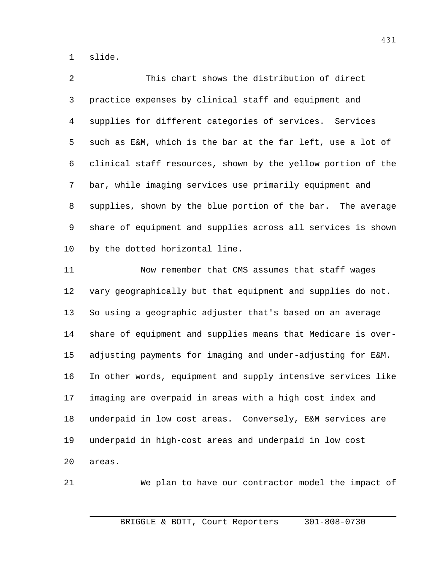slide.

2 This chart shows the distribution of direct practice expenses by clinical staff and equipment and supplies for different categories of services. Services such as E&M, which is the bar at the far left, use a lot of clinical staff resources, shown by the yellow portion of the bar, while imaging services use primarily equipment and supplies, shown by the blue portion of the bar. The average share of equipment and supplies across all services is shown by the dotted horizontal line.

 Now remember that CMS assumes that staff wages vary geographically but that equipment and supplies do not. So using a geographic adjuster that's based on an average share of equipment and supplies means that Medicare is over- adjusting payments for imaging and under-adjusting for E&M. In other words, equipment and supply intensive services like imaging are overpaid in areas with a high cost index and underpaid in low cost areas. Conversely, E&M services are underpaid in high-cost areas and underpaid in low cost areas.

We plan to have our contractor model the impact of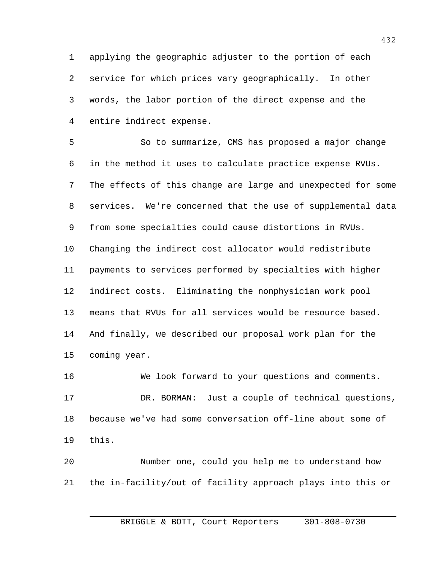applying the geographic adjuster to the portion of each service for which prices vary geographically. In other words, the labor portion of the direct expense and the entire indirect expense.

 So to summarize, CMS has proposed a major change in the method it uses to calculate practice expense RVUs. The effects of this change are large and unexpected for some services. We're concerned that the use of supplemental data from some specialties could cause distortions in RVUs. Changing the indirect cost allocator would redistribute payments to services performed by specialties with higher indirect costs. Eliminating the nonphysician work pool means that RVUs for all services would be resource based. And finally, we described our proposal work plan for the coming year.

 We look forward to your questions and comments. DR. BORMAN: Just a couple of technical questions, because we've had some conversation off-line about some of this.

 Number one, could you help me to understand how the in-facility/out of facility approach plays into this or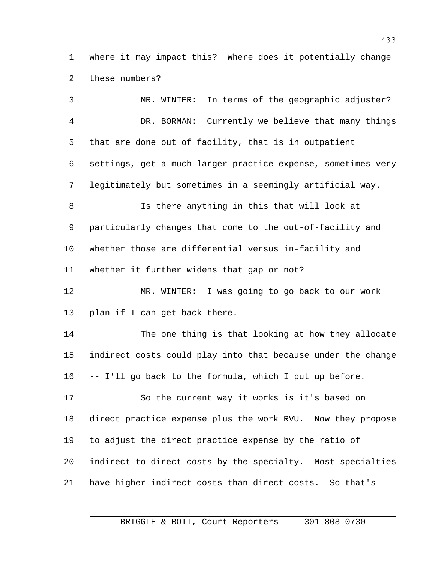where it may impact this? Where does it potentially change these numbers?

 MR. WINTER: In terms of the geographic adjuster? DR. BORMAN: Currently we believe that many things that are done out of facility, that is in outpatient settings, get a much larger practice expense, sometimes very legitimately but sometimes in a seemingly artificial way. Is there anything in this that will look at particularly changes that come to the out-of-facility and whether those are differential versus in-facility and whether it further widens that gap or not? MR. WINTER: I was going to go back to our work plan if I can get back there. The one thing is that looking at how they allocate indirect costs could play into that because under the change -- I'll go back to the formula, which I put up before. So the current way it works is it's based on direct practice expense plus the work RVU. Now they propose to adjust the direct practice expense by the ratio of indirect to direct costs by the specialty. Most specialties have higher indirect costs than direct costs. So that's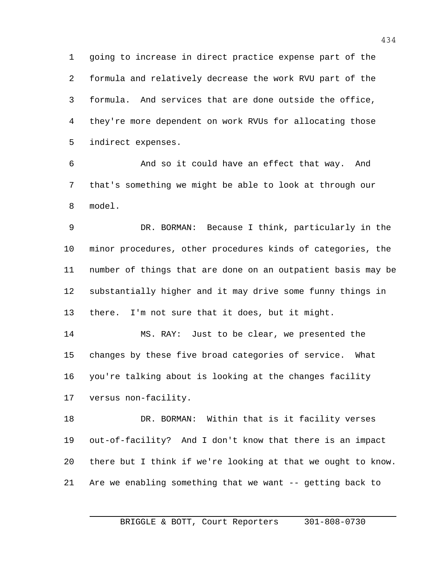going to increase in direct practice expense part of the formula and relatively decrease the work RVU part of the formula. And services that are done outside the office, they're more dependent on work RVUs for allocating those indirect expenses.

 And so it could have an effect that way. And that's something we might be able to look at through our model.

 DR. BORMAN: Because I think, particularly in the minor procedures, other procedures kinds of categories, the number of things that are done on an outpatient basis may be substantially higher and it may drive some funny things in there. I'm not sure that it does, but it might.

 MS. RAY: Just to be clear, we presented the changes by these five broad categories of service. What you're talking about is looking at the changes facility versus non-facility.

 DR. BORMAN: Within that is it facility verses out-of-facility? And I don't know that there is an impact there but I think if we're looking at that we ought to know. Are we enabling something that we want -- getting back to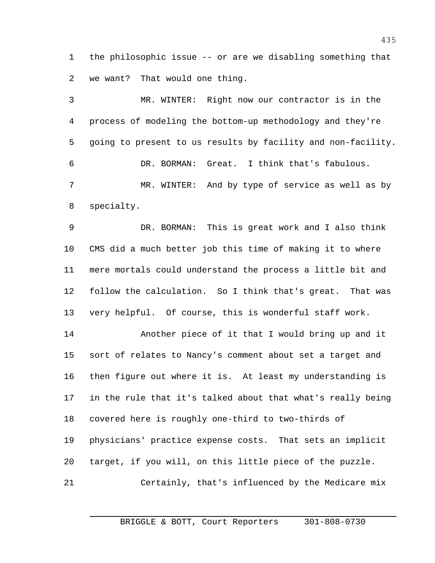the philosophic issue -- or are we disabling something that we want? That would one thing.

 MR. WINTER: Right now our contractor is in the process of modeling the bottom-up methodology and they're going to present to us results by facility and non-facility. DR. BORMAN: Great. I think that's fabulous. MR. WINTER: And by type of service as well as by specialty.

 DR. BORMAN: This is great work and I also think CMS did a much better job this time of making it to where mere mortals could understand the process a little bit and follow the calculation. So I think that's great. That was very helpful. Of course, this is wonderful staff work.

 Another piece of it that I would bring up and it sort of relates to Nancy's comment about set a target and then figure out where it is. At least my understanding is in the rule that it's talked about that what's really being covered here is roughly one-third to two-thirds of physicians' practice expense costs. That sets an implicit target, if you will, on this little piece of the puzzle. Certainly, that's influenced by the Medicare mix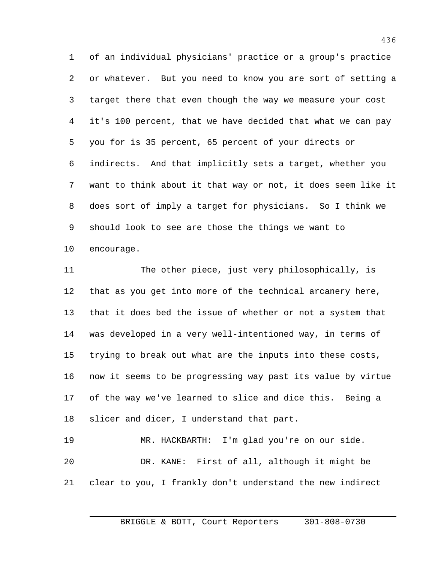of an individual physicians' practice or a group's practice or whatever. But you need to know you are sort of setting a target there that even though the way we measure your cost it's 100 percent, that we have decided that what we can pay you for is 35 percent, 65 percent of your directs or indirects. And that implicitly sets a target, whether you want to think about it that way or not, it does seem like it does sort of imply a target for physicians. So I think we should look to see are those the things we want to encourage.

 The other piece, just very philosophically, is that as you get into more of the technical arcanery here, that it does bed the issue of whether or not a system that was developed in a very well-intentioned way, in terms of trying to break out what are the inputs into these costs, now it seems to be progressing way past its value by virtue of the way we've learned to slice and dice this. Being a slicer and dicer, I understand that part. MR. HACKBARTH: I'm glad you're on our side. DR. KANE: First of all, although it might be

clear to you, I frankly don't understand the new indirect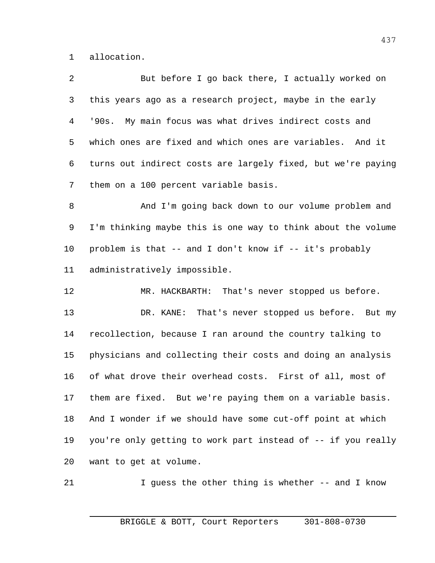allocation.

 But before I go back there, I actually worked on this years ago as a research project, maybe in the early '90s. My main focus was what drives indirect costs and which ones are fixed and which ones are variables. And it turns out indirect costs are largely fixed, but we're paying them on a 100 percent variable basis.

8 And I'm going back down to our volume problem and I'm thinking maybe this is one way to think about the volume problem is that -- and I don't know if -- it's probably administratively impossible.

 MR. HACKBARTH: That's never stopped us before. DR. KANE: That's never stopped us before. But my recollection, because I ran around the country talking to physicians and collecting their costs and doing an analysis of what drove their overhead costs. First of all, most of them are fixed. But we're paying them on a variable basis. And I wonder if we should have some cut-off point at which you're only getting to work part instead of -- if you really want to get at volume.

21 I guess the other thing is whether -- and I know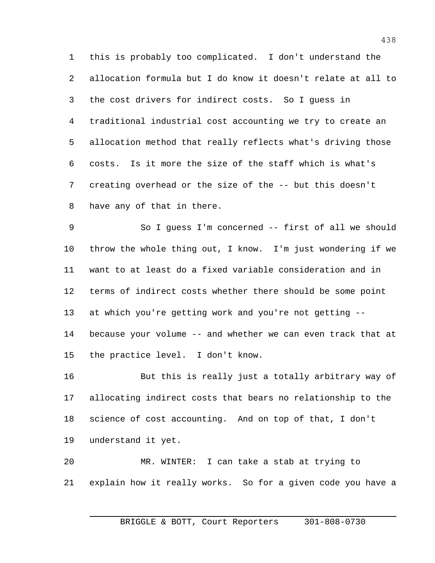this is probably too complicated. I don't understand the allocation formula but I do know it doesn't relate at all to the cost drivers for indirect costs. So I guess in traditional industrial cost accounting we try to create an allocation method that really reflects what's driving those costs. Is it more the size of the staff which is what's creating overhead or the size of the -- but this doesn't have any of that in there.

 So I guess I'm concerned -- first of all we should throw the whole thing out, I know. I'm just wondering if we want to at least do a fixed variable consideration and in terms of indirect costs whether there should be some point at which you're getting work and you're not getting -- because your volume -- and whether we can even track that at the practice level. I don't know.

 But this is really just a totally arbitrary way of allocating indirect costs that bears no relationship to the science of cost accounting. And on top of that, I don't understand it yet.

 MR. WINTER: I can take a stab at trying to explain how it really works. So for a given code you have a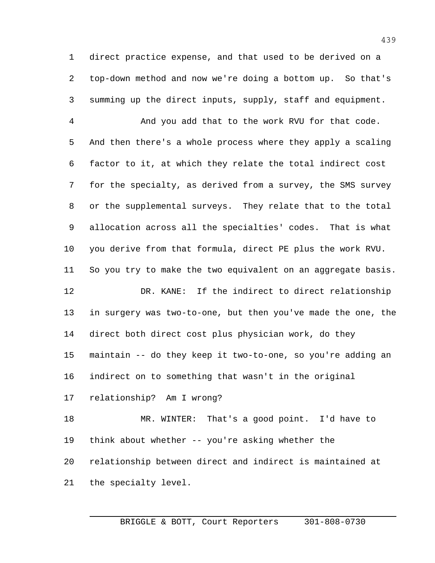direct practice expense, and that used to be derived on a top-down method and now we're doing a bottom up. So that's summing up the direct inputs, supply, staff and equipment.

 And you add that to the work RVU for that code. And then there's a whole process where they apply a scaling factor to it, at which they relate the total indirect cost for the specialty, as derived from a survey, the SMS survey or the supplemental surveys. They relate that to the total allocation across all the specialties' codes. That is what you derive from that formula, direct PE plus the work RVU. So you try to make the two equivalent on an aggregate basis. DR. KANE: If the indirect to direct relationship

 in surgery was two-to-one, but then you've made the one, the direct both direct cost plus physician work, do they maintain -- do they keep it two-to-one, so you're adding an indirect on to something that wasn't in the original

relationship? Am I wrong?

 MR. WINTER: That's a good point. I'd have to think about whether -- you're asking whether the relationship between direct and indirect is maintained at the specialty level.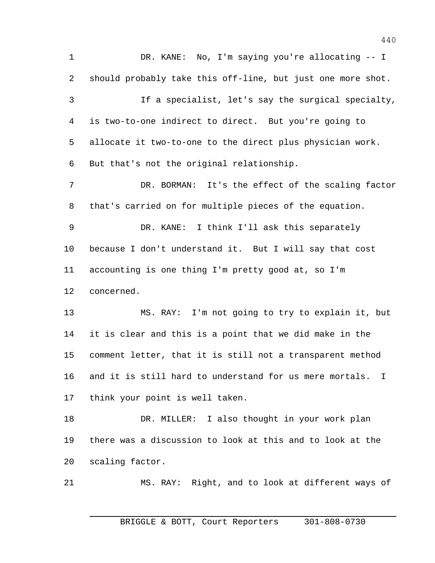DR. KANE: No, I'm saying you're allocating -- I should probably take this off-line, but just one more shot. If a specialist, let's say the surgical specialty, is two-to-one indirect to direct. But you're going to allocate it two-to-one to the direct plus physician work. But that's not the original relationship. DR. BORMAN: It's the effect of the scaling factor that's carried on for multiple pieces of the equation. DR. KANE: I think I'll ask this separately because I don't understand it. But I will say that cost accounting is one thing I'm pretty good at, so I'm concerned. MS. RAY: I'm not going to try to explain it, but it is clear and this is a point that we did make in the comment letter, that it is still not a transparent method and it is still hard to understand for us mere mortals. I think your point is well taken. DR. MILLER: I also thought in your work plan there was a discussion to look at this and to look at the scaling factor. MS. RAY: Right, and to look at different ways of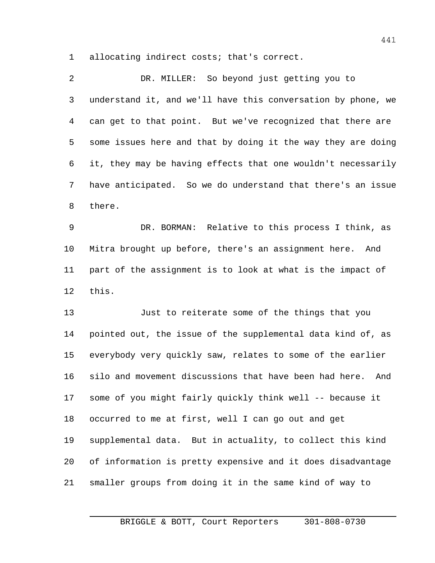allocating indirect costs; that's correct.

 DR. MILLER: So beyond just getting you to understand it, and we'll have this conversation by phone, we can get to that point. But we've recognized that there are some issues here and that by doing it the way they are doing it, they may be having effects that one wouldn't necessarily have anticipated. So we do understand that there's an issue there. DR. BORMAN: Relative to this process I think, as Mitra brought up before, there's an assignment here. And part of the assignment is to look at what is the impact of this. Just to reiterate some of the things that you

 pointed out, the issue of the supplemental data kind of, as everybody very quickly saw, relates to some of the earlier silo and movement discussions that have been had here. And some of you might fairly quickly think well -- because it occurred to me at first, well I can go out and get supplemental data. But in actuality, to collect this kind of information is pretty expensive and it does disadvantage smaller groups from doing it in the same kind of way to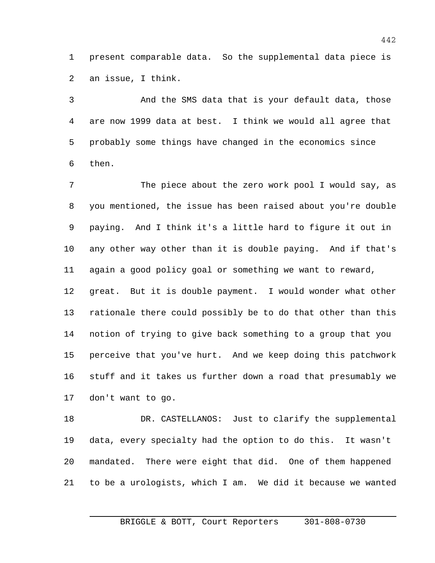present comparable data. So the supplemental data piece is an issue, I think.

 And the SMS data that is your default data, those are now 1999 data at best. I think we would all agree that probably some things have changed in the economics since then.

 The piece about the zero work pool I would say, as you mentioned, the issue has been raised about you're double paying. And I think it's a little hard to figure it out in any other way other than it is double paying. And if that's again a good policy goal or something we want to reward, great. But it is double payment. I would wonder what other rationale there could possibly be to do that other than this notion of trying to give back something to a group that you perceive that you've hurt. And we keep doing this patchwork stuff and it takes us further down a road that presumably we don't want to go.

 DR. CASTELLANOS: Just to clarify the supplemental data, every specialty had the option to do this. It wasn't mandated. There were eight that did. One of them happened to be a urologists, which I am. We did it because we wanted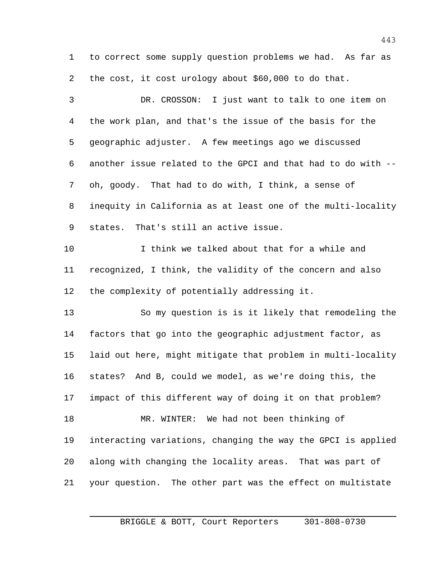to correct some supply question problems we had. As far as the cost, it cost urology about \$60,000 to do that.

 DR. CROSSON: I just want to talk to one item on the work plan, and that's the issue of the basis for the geographic adjuster. A few meetings ago we discussed another issue related to the GPCI and that had to do with -- oh, goody. That had to do with, I think, a sense of inequity in California as at least one of the multi-locality states. That's still an active issue. I think we talked about that for a while and recognized, I think, the validity of the concern and also the complexity of potentially addressing it. So my question is is it likely that remodeling the factors that go into the geographic adjustment factor, as laid out here, might mitigate that problem in multi-locality states? And B, could we model, as we're doing this, the impact of this different way of doing it on that problem? MR. WINTER: We had not been thinking of interacting variations, changing the way the GPCI is applied along with changing the locality areas. That was part of your question. The other part was the effect on multistate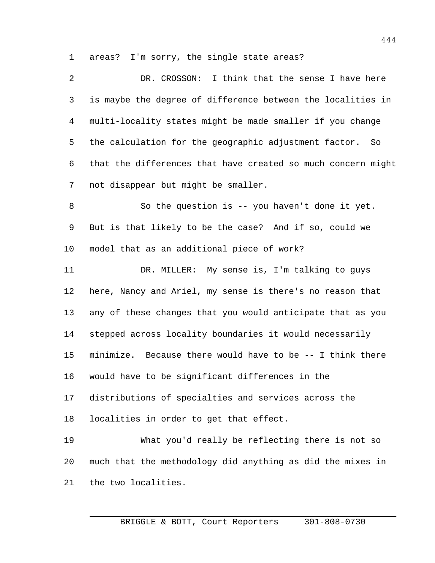areas? I'm sorry, the single state areas?

| $\overline{2}$ | DR. CROSSON: I think that the sense I have here              |
|----------------|--------------------------------------------------------------|
| 3              | is maybe the degree of difference between the localities in  |
| 4              | multi-locality states might be made smaller if you change    |
| 5              | the calculation for the geographic adjustment factor. So     |
| 6              | that the differences that have created so much concern might |
| 7              | not disappear but might be smaller.                          |
| 8              | So the question is -- you haven't done it yet.               |
| 9              | But is that likely to be the case? And if so, could we       |
| $10 \,$        | model that as an additional piece of work?                   |
| 11             | DR. MILLER: My sense is, I'm talking to guys                 |
| 12             | here, Nancy and Ariel, my sense is there's no reason that    |
| 13             | any of these changes that you would anticipate that as you   |
| 14             | stepped across locality boundaries it would necessarily      |
| 15             | minimize. Because there would have to be -- I think there    |
| 16             | would have to be significant differences in the              |
| 17             | distributions of specialties and services across the         |
| 18             | localities in order to get that effect.                      |
| 19             | What you'd really be reflecting there is not so              |
| 20             | much that the methodology did anything as did the mixes in   |
| 21             | the two localities.                                          |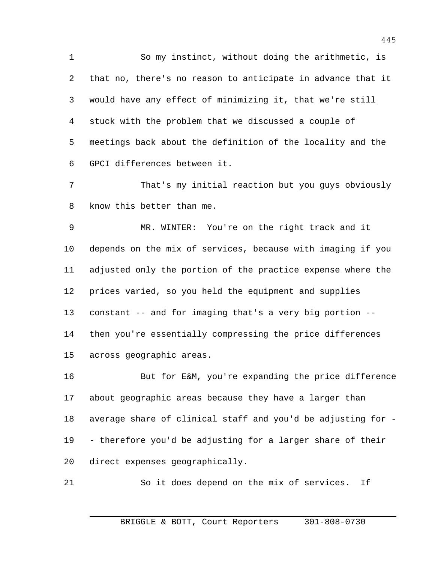So my instinct, without doing the arithmetic, is that no, there's no reason to anticipate in advance that it would have any effect of minimizing it, that we're still stuck with the problem that we discussed a couple of meetings back about the definition of the locality and the GPCI differences between it.

 That's my initial reaction but you guys obviously know this better than me.

 MR. WINTER: You're on the right track and it depends on the mix of services, because with imaging if you adjusted only the portion of the practice expense where the prices varied, so you held the equipment and supplies constant -- and for imaging that's a very big portion -- then you're essentially compressing the price differences across geographic areas.

 But for E&M, you're expanding the price difference about geographic areas because they have a larger than average share of clinical staff and you'd be adjusting for - - therefore you'd be adjusting for a larger share of their direct expenses geographically.

So it does depend on the mix of services. If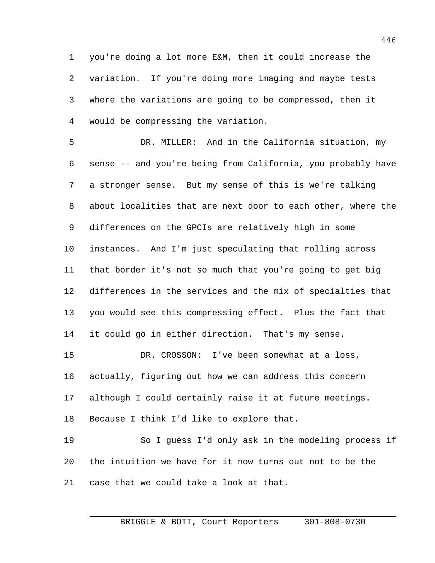you're doing a lot more E&M, then it could increase the variation. If you're doing more imaging and maybe tests where the variations are going to be compressed, then it would be compressing the variation.

 DR. MILLER: And in the California situation, my sense -- and you're being from California, you probably have a stronger sense. But my sense of this is we're talking about localities that are next door to each other, where the differences on the GPCIs are relatively high in some instances. And I'm just speculating that rolling across that border it's not so much that you're going to get big differences in the services and the mix of specialties that you would see this compressing effect. Plus the fact that it could go in either direction. That's my sense. DR. CROSSON: I've been somewhat at a loss, actually, figuring out how we can address this concern although I could certainly raise it at future meetings. Because I think I'd like to explore that. So I guess I'd only ask in the modeling process if the intuition we have for it now turns out not to be the

case that we could take a look at that.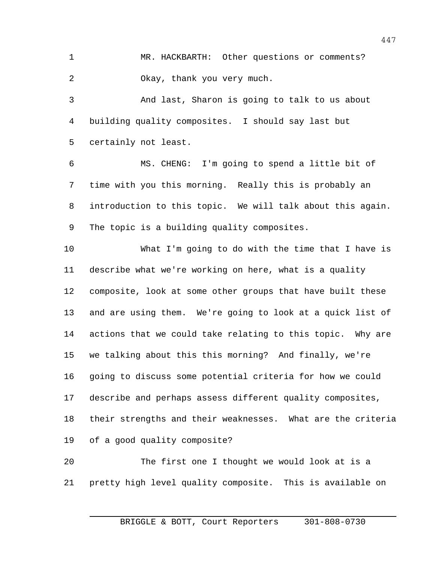MR. HACKBARTH: Other questions or comments? Okay, thank you very much.

 And last, Sharon is going to talk to us about building quality composites. I should say last but certainly not least.

 MS. CHENG: I'm going to spend a little bit of time with you this morning. Really this is probably an introduction to this topic. We will talk about this again. The topic is a building quality composites.

 What I'm going to do with the time that I have is describe what we're working on here, what is a quality composite, look at some other groups that have built these and are using them. We're going to look at a quick list of actions that we could take relating to this topic. Why are we talking about this this morning? And finally, we're going to discuss some potential criteria for how we could describe and perhaps assess different quality composites, their strengths and their weaknesses. What are the criteria of a good quality composite? The first one I thought we would look at is a

pretty high level quality composite. This is available on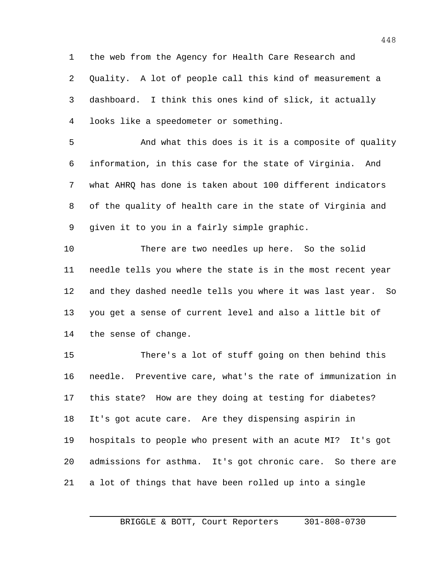the web from the Agency for Health Care Research and Quality. A lot of people call this kind of measurement a dashboard. I think this ones kind of slick, it actually looks like a speedometer or something.

 And what this does is it is a composite of quality information, in this case for the state of Virginia. And what AHRQ has done is taken about 100 different indicators of the quality of health care in the state of Virginia and given it to you in a fairly simple graphic.

 There are two needles up here. So the solid needle tells you where the state is in the most recent year and they dashed needle tells you where it was last year. So you get a sense of current level and also a little bit of the sense of change.

 There's a lot of stuff going on then behind this needle. Preventive care, what's the rate of immunization in this state? How are they doing at testing for diabetes? It's got acute care. Are they dispensing aspirin in hospitals to people who present with an acute MI? It's got admissions for asthma. It's got chronic care. So there are a lot of things that have been rolled up into a single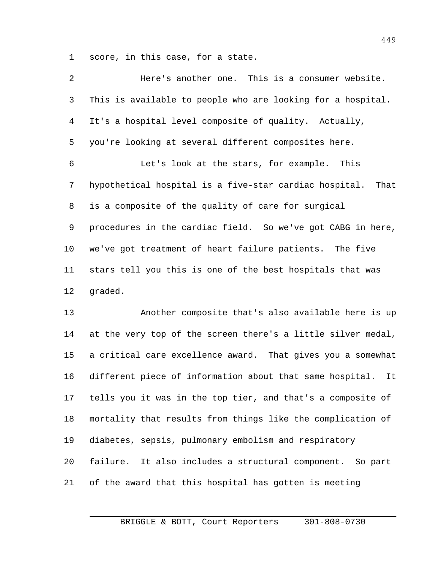score, in this case, for a state.

| 2              | Here's another one. This is a consumer website.                |
|----------------|----------------------------------------------------------------|
| 3              | This is available to people who are looking for a hospital.    |
| $\overline{4}$ | It's a hospital level composite of quality. Actually,          |
| 5              | you're looking at several different composites here.           |
| 6              | Let's look at the stars, for example. This                     |
| 7              | hypothetical hospital is a five-star cardiac hospital.<br>That |
| 8              | is a composite of the quality of care for surgical             |
| 9              | procedures in the cardiac field. So we've got CABG in here,    |
| 10             | we've got treatment of heart failure patients. The five        |
| 11             | stars tell you this is one of the best hospitals that was      |
| 12             | graded.                                                        |
| 13             | Another composite that's also available here is up             |
| 14             | at the very top of the screen there's a little silver medal,   |
| 15             | a critical care excellence award. That gives you a somewhat    |
| 16             | different piece of information about that same hospital.<br>It |
| 17             | tells you it was in the top tier, and that's a composite of    |
| 18             | mortality that results from things like the complication of    |
| 19             | diabetes, sepsis, pulmonary embolism and respiratory           |
| 20             | failure. It also includes a structural component. So part      |
| 21             | of the award that this hospital has gotten is meeting          |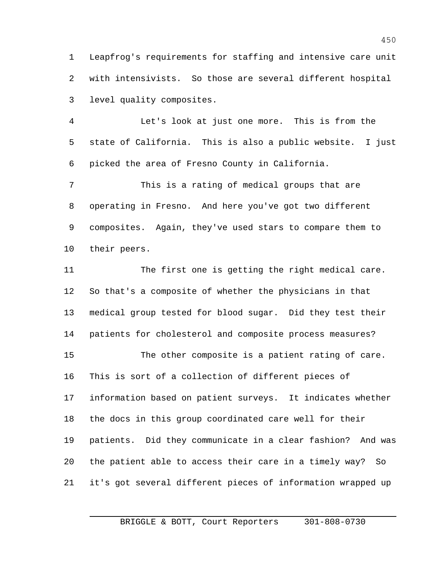Leapfrog's requirements for staffing and intensive care unit with intensivists. So those are several different hospital level quality composites.

 Let's look at just one more. This is from the state of California. This is also a public website. I just picked the area of Fresno County in California.

 This is a rating of medical groups that are operating in Fresno. And here you've got two different composites. Again, they've used stars to compare them to their peers.

 The first one is getting the right medical care. So that's a composite of whether the physicians in that medical group tested for blood sugar. Did they test their patients for cholesterol and composite process measures? The other composite is a patient rating of care. This is sort of a collection of different pieces of information based on patient surveys. It indicates whether the docs in this group coordinated care well for their patients. Did they communicate in a clear fashion? And was the patient able to access their care in a timely way? So it's got several different pieces of information wrapped up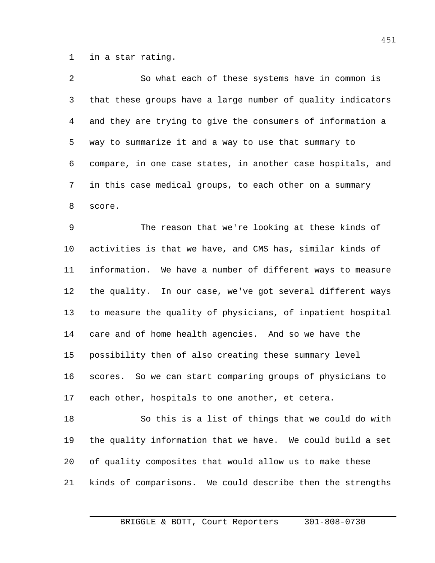in a star rating.

| 2  | So what each of these systems have in common is             |
|----|-------------------------------------------------------------|
| 3  | that these groups have a large number of quality indicators |
| 4  | and they are trying to give the consumers of information a  |
| 5  | way to summarize it and a way to use that summary to        |
| 6  | compare, in one case states, in another case hospitals, and |
| 7  | in this case medical groups, to each other on a summary     |
| 8  | score.                                                      |
| 9  | The reason that we're looking at these kinds of             |
| 10 | activities is that we have, and CMS has, similar kinds of   |
| 11 | information. We have a number of different ways to measure  |
| 12 | the quality. In our case, we've got several different ways  |
| 13 | to measure the quality of physicians, of inpatient hospital |
| 14 | care and of home health agencies. And so we have the        |
| 15 | possibility then of also creating these summary level       |
| 16 | scores. So we can start comparing groups of physicians to   |
| 17 | each other, hospitals to one another, et cetera.            |
| 18 | So this is a list of things that we could do with           |
| 19 | the quality information that we have. We could build a set  |

of quality composites that would allow us to make these

kinds of comparisons. We could describe then the strengths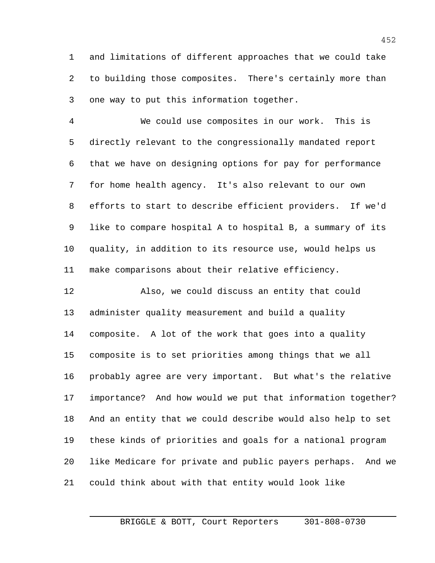and limitations of different approaches that we could take to building those composites. There's certainly more than one way to put this information together.

 We could use composites in our work. This is directly relevant to the congressionally mandated report that we have on designing options for pay for performance for home health agency. It's also relevant to our own efforts to start to describe efficient providers. If we'd like to compare hospital A to hospital B, a summary of its quality, in addition to its resource use, would helps us make comparisons about their relative efficiency.

 Also, we could discuss an entity that could administer quality measurement and build a quality composite. A lot of the work that goes into a quality composite is to set priorities among things that we all probably agree are very important. But what's the relative importance? And how would we put that information together? And an entity that we could describe would also help to set these kinds of priorities and goals for a national program like Medicare for private and public payers perhaps. And we could think about with that entity would look like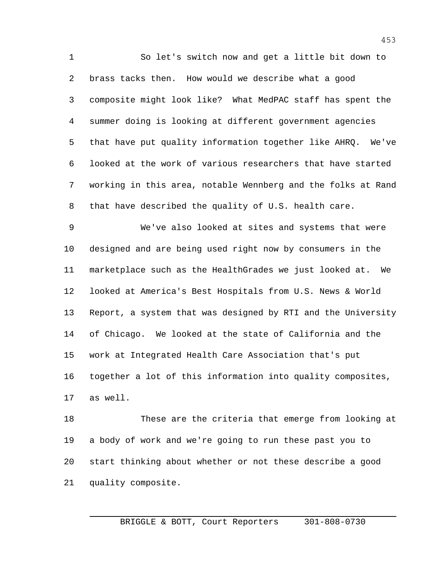So let's switch now and get a little bit down to brass tacks then. How would we describe what a good composite might look like? What MedPAC staff has spent the summer doing is looking at different government agencies that have put quality information together like AHRQ. We've looked at the work of various researchers that have started working in this area, notable Wennberg and the folks at Rand that have described the quality of U.S. health care. We've also looked at sites and systems that were designed and are being used right now by consumers in the marketplace such as the HealthGrades we just looked at. We looked at America's Best Hospitals from U.S. News & World Report, a system that was designed by RTI and the University of Chicago. We looked at the state of California and the work at Integrated Health Care Association that's put together a lot of this information into quality composites, as well.

 These are the criteria that emerge from looking at a body of work and we're going to run these past you to start thinking about whether or not these describe a good quality composite.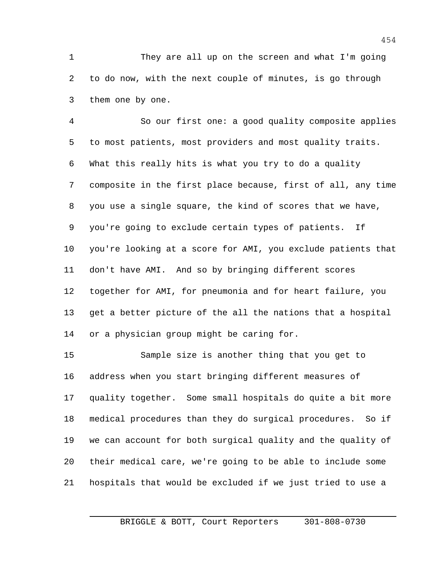They are all up on the screen and what I'm going to do now, with the next couple of minutes, is go through them one by one.

 So our first one: a good quality composite applies to most patients, most providers and most quality traits. What this really hits is what you try to do a quality composite in the first place because, first of all, any time you use a single square, the kind of scores that we have, you're going to exclude certain types of patients. If you're looking at a score for AMI, you exclude patients that don't have AMI. And so by bringing different scores together for AMI, for pneumonia and for heart failure, you get a better picture of the all the nations that a hospital or a physician group might be caring for.

 Sample size is another thing that you get to address when you start bringing different measures of quality together. Some small hospitals do quite a bit more medical procedures than they do surgical procedures. So if we can account for both surgical quality and the quality of their medical care, we're going to be able to include some hospitals that would be excluded if we just tried to use a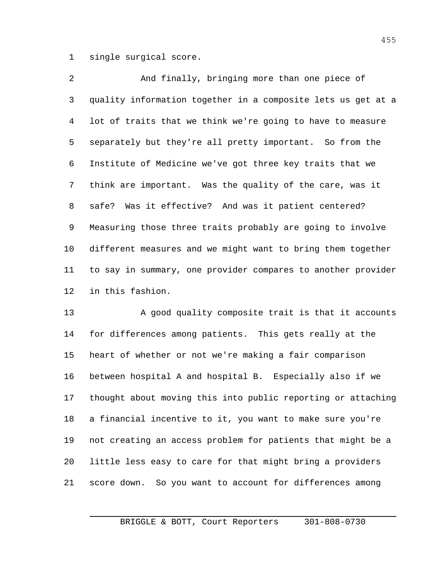single surgical score.

 And finally, bringing more than one piece of quality information together in a composite lets us get at a lot of traits that we think we're going to have to measure separately but they're all pretty important. So from the Institute of Medicine we've got three key traits that we think are important. Was the quality of the care, was it safe? Was it effective? And was it patient centered? Measuring those three traits probably are going to involve different measures and we might want to bring them together to say in summary, one provider compares to another provider in this fashion.

13 A good quality composite trait is that it accounts for differences among patients. This gets really at the heart of whether or not we're making a fair comparison between hospital A and hospital B. Especially also if we thought about moving this into public reporting or attaching a financial incentive to it, you want to make sure you're not creating an access problem for patients that might be a little less easy to care for that might bring a providers score down. So you want to account for differences among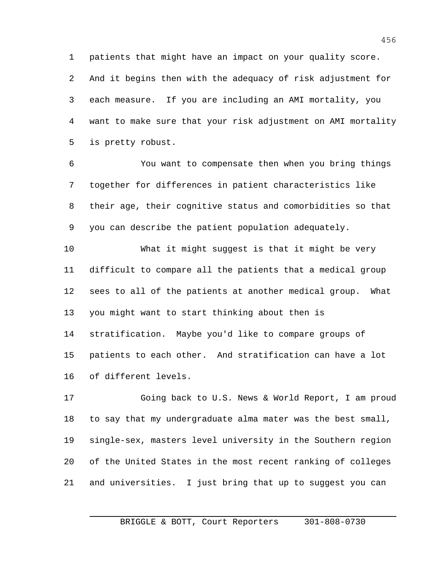patients that might have an impact on your quality score. And it begins then with the adequacy of risk adjustment for each measure. If you are including an AMI mortality, you want to make sure that your risk adjustment on AMI mortality is pretty robust.

 You want to compensate then when you bring things together for differences in patient characteristics like their age, their cognitive status and comorbidities so that you can describe the patient population adequately.

 What it might suggest is that it might be very difficult to compare all the patients that a medical group sees to all of the patients at another medical group. What you might want to start thinking about then is stratification. Maybe you'd like to compare groups of patients to each other. And stratification can have a lot of different levels.

 Going back to U.S. News & World Report, I am proud to say that my undergraduate alma mater was the best small, single-sex, masters level university in the Southern region of the United States in the most recent ranking of colleges and universities. I just bring that up to suggest you can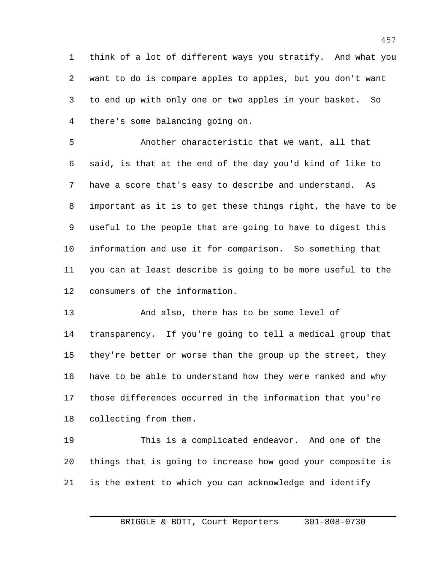think of a lot of different ways you stratify. And what you want to do is compare apples to apples, but you don't want to end up with only one or two apples in your basket. So there's some balancing going on.

 Another characteristic that we want, all that said, is that at the end of the day you'd kind of like to have a score that's easy to describe and understand. As important as it is to get these things right, the have to be useful to the people that are going to have to digest this information and use it for comparison. So something that you can at least describe is going to be more useful to the consumers of the information.

 And also, there has to be some level of transparency. If you're going to tell a medical group that they're better or worse than the group up the street, they have to be able to understand how they were ranked and why those differences occurred in the information that you're collecting from them.

 This is a complicated endeavor. And one of the things that is going to increase how good your composite is is the extent to which you can acknowledge and identify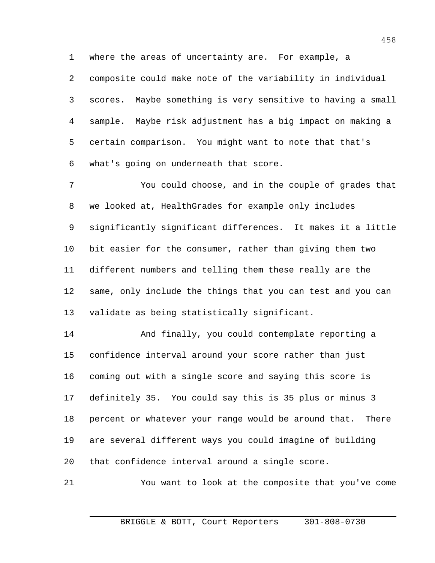where the areas of uncertainty are. For example, a

 composite could make note of the variability in individual scores. Maybe something is very sensitive to having a small sample. Maybe risk adjustment has a big impact on making a certain comparison. You might want to note that that's what's going on underneath that score.

 You could choose, and in the couple of grades that we looked at, HealthGrades for example only includes significantly significant differences. It makes it a little bit easier for the consumer, rather than giving them two different numbers and telling them these really are the same, only include the things that you can test and you can validate as being statistically significant.

 And finally, you could contemplate reporting a confidence interval around your score rather than just coming out with a single score and saying this score is definitely 35. You could say this is 35 plus or minus 3 percent or whatever your range would be around that. There are several different ways you could imagine of building that confidence interval around a single score.

You want to look at the composite that you've come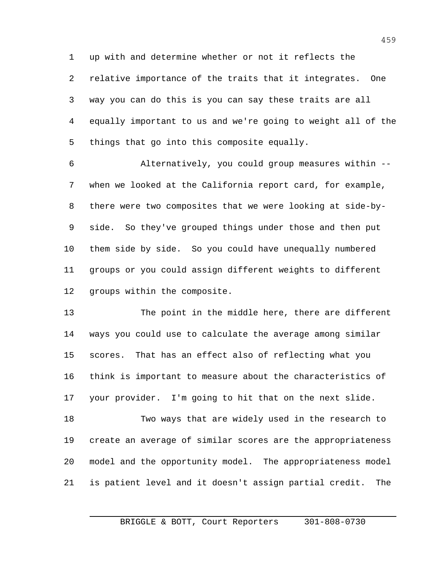up with and determine whether or not it reflects the relative importance of the traits that it integrates. One way you can do this is you can say these traits are all equally important to us and we're going to weight all of the things that go into this composite equally.

 Alternatively, you could group measures within -- when we looked at the California report card, for example, there were two composites that we were looking at side-by- side. So they've grouped things under those and then put them side by side. So you could have unequally numbered groups or you could assign different weights to different groups within the composite.

 The point in the middle here, there are different ways you could use to calculate the average among similar scores. That has an effect also of reflecting what you think is important to measure about the characteristics of your provider. I'm going to hit that on the next slide.

 Two ways that are widely used in the research to create an average of similar scores are the appropriateness model and the opportunity model. The appropriateness model is patient level and it doesn't assign partial credit. The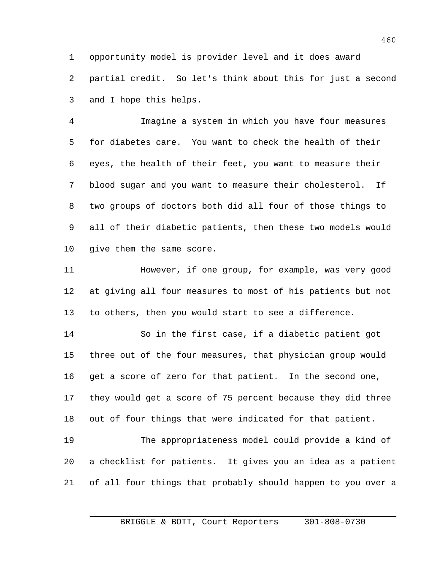opportunity model is provider level and it does award partial credit. So let's think about this for just a second and I hope this helps.

 Imagine a system in which you have four measures for diabetes care. You want to check the health of their eyes, the health of their feet, you want to measure their blood sugar and you want to measure their cholesterol. If two groups of doctors both did all four of those things to all of their diabetic patients, then these two models would give them the same score.

 However, if one group, for example, was very good at giving all four measures to most of his patients but not to others, then you would start to see a difference.

 So in the first case, if a diabetic patient got three out of the four measures, that physician group would get a score of zero for that patient. In the second one, they would get a score of 75 percent because they did three out of four things that were indicated for that patient.

 The appropriateness model could provide a kind of a checklist for patients. It gives you an idea as a patient of all four things that probably should happen to you over a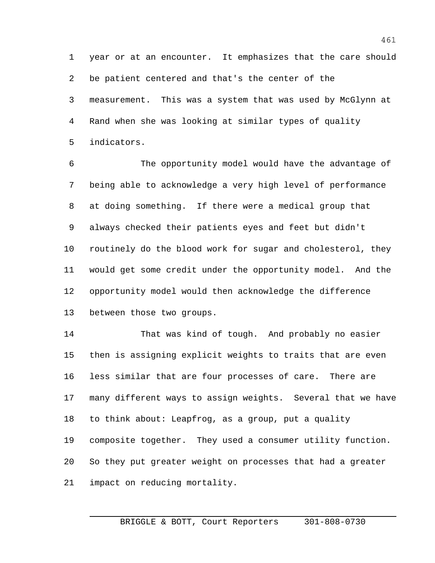year or at an encounter. It emphasizes that the care should be patient centered and that's the center of the measurement. This was a system that was used by McGlynn at Rand when she was looking at similar types of quality indicators.

 The opportunity model would have the advantage of being able to acknowledge a very high level of performance at doing something. If there were a medical group that always checked their patients eyes and feet but didn't routinely do the blood work for sugar and cholesterol, they would get some credit under the opportunity model. And the opportunity model would then acknowledge the difference between those two groups.

 That was kind of tough. And probably no easier then is assigning explicit weights to traits that are even less similar that are four processes of care. There are many different ways to assign weights. Several that we have to think about: Leapfrog, as a group, put a quality composite together. They used a consumer utility function. So they put greater weight on processes that had a greater impact on reducing mortality.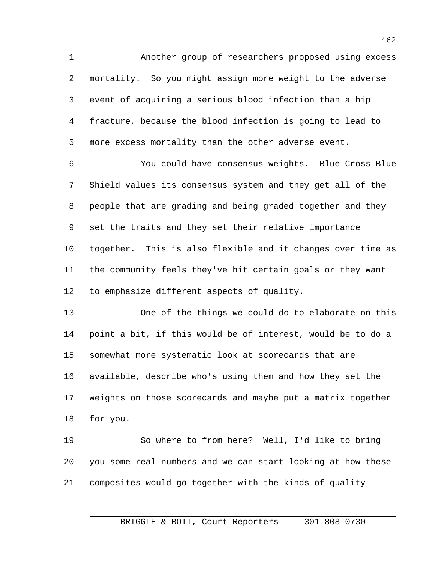Another group of researchers proposed using excess mortality. So you might assign more weight to the adverse event of acquiring a serious blood infection than a hip fracture, because the blood infection is going to lead to more excess mortality than the other adverse event.

 You could have consensus weights. Blue Cross-Blue Shield values its consensus system and they get all of the people that are grading and being graded together and they set the traits and they set their relative importance together. This is also flexible and it changes over time as the community feels they've hit certain goals or they want to emphasize different aspects of quality.

 One of the things we could do to elaborate on this point a bit, if this would be of interest, would be to do a somewhat more systematic look at scorecards that are available, describe who's using them and how they set the weights on those scorecards and maybe put a matrix together for you.

 So where to from here? Well, I'd like to bring you some real numbers and we can start looking at how these composites would go together with the kinds of quality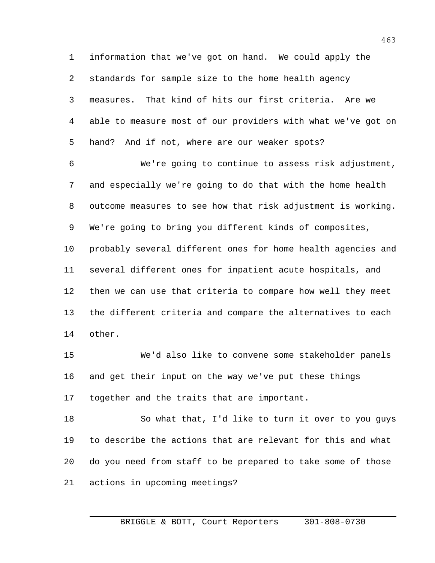information that we've got on hand. We could apply the standards for sample size to the home health agency measures. That kind of hits our first criteria. Are we able to measure most of our providers with what we've got on hand? And if not, where are our weaker spots?

 We're going to continue to assess risk adjustment, and especially we're going to do that with the home health outcome measures to see how that risk adjustment is working. We're going to bring you different kinds of composites, probably several different ones for home health agencies and several different ones for inpatient acute hospitals, and then we can use that criteria to compare how well they meet the different criteria and compare the alternatives to each other.

 We'd also like to convene some stakeholder panels and get their input on the way we've put these things together and the traits that are important.

 So what that, I'd like to turn it over to you guys to describe the actions that are relevant for this and what do you need from staff to be prepared to take some of those actions in upcoming meetings?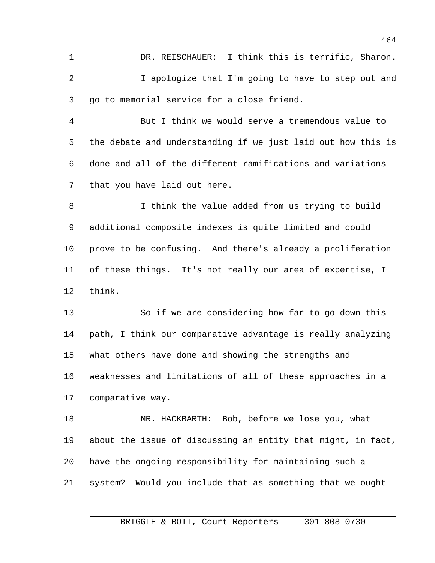DR. REISCHAUER: I think this is terrific, Sharon. I apologize that I'm going to have to step out and go to memorial service for a close friend.

 But I think we would serve a tremendous value to the debate and understanding if we just laid out how this is done and all of the different ramifications and variations that you have laid out here.

 I think the value added from us trying to build additional composite indexes is quite limited and could prove to be confusing. And there's already a proliferation of these things. It's not really our area of expertise, I think.

 So if we are considering how far to go down this path, I think our comparative advantage is really analyzing what others have done and showing the strengths and weaknesses and limitations of all of these approaches in a comparative way.

 MR. HACKBARTH: Bob, before we lose you, what about the issue of discussing an entity that might, in fact, have the ongoing responsibility for maintaining such a system? Would you include that as something that we ought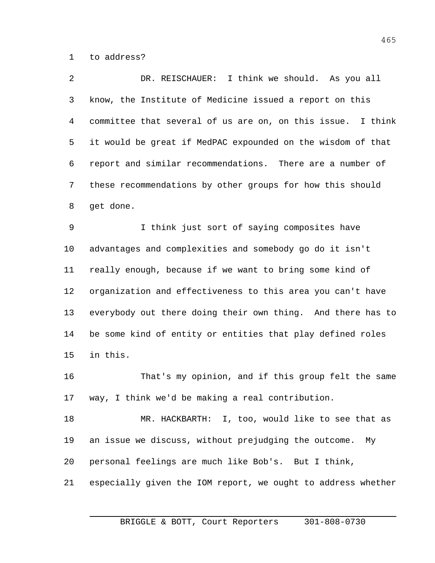to address?

 DR. REISCHAUER: I think we should. As you all know, the Institute of Medicine issued a report on this committee that several of us are on, on this issue. I think it would be great if MedPAC expounded on the wisdom of that report and similar recommendations. There are a number of these recommendations by other groups for how this should get done. I think just sort of saying composites have advantages and complexities and somebody go do it isn't really enough, because if we want to bring some kind of

 organization and effectiveness to this area you can't have everybody out there doing their own thing. And there has to be some kind of entity or entities that play defined roles in this.

 That's my opinion, and if this group felt the same way, I think we'd be making a real contribution.

 MR. HACKBARTH: I, too, would like to see that as an issue we discuss, without prejudging the outcome. My personal feelings are much like Bob's. But I think,

especially given the IOM report, we ought to address whether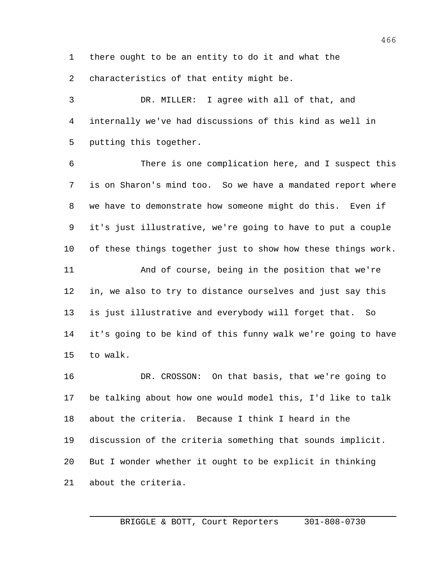there ought to be an entity to do it and what the 2 characteristics of that entity might be.

 DR. MILLER: I agree with all of that, and internally we've had discussions of this kind as well in putting this together.

 There is one complication here, and I suspect this is on Sharon's mind too. So we have a mandated report where we have to demonstrate how someone might do this. Even if it's just illustrative, we're going to have to put a couple of these things together just to show how these things work. And of course, being in the position that we're in, we also to try to distance ourselves and just say this is just illustrative and everybody will forget that. So it's going to be kind of this funny walk we're going to have to walk.

 DR. CROSSON: On that basis, that we're going to be talking about how one would model this, I'd like to talk about the criteria. Because I think I heard in the discussion of the criteria something that sounds implicit. But I wonder whether it ought to be explicit in thinking about the criteria.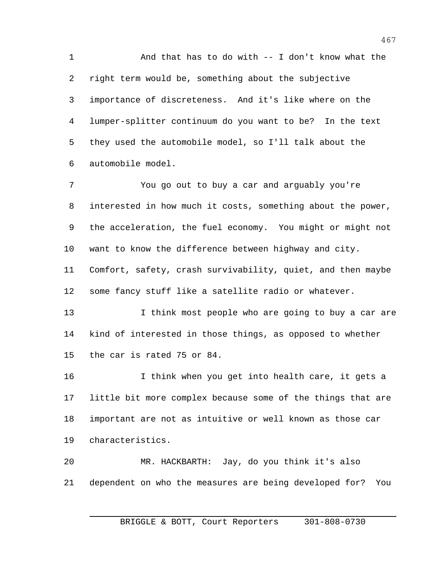And that has to do with -- I don't know what the right term would be, something about the subjective importance of discreteness. And it's like where on the lumper-splitter continuum do you want to be? In the text they used the automobile model, so I'll talk about the automobile model.

 You go out to buy a car and arguably you're interested in how much it costs, something about the power, the acceleration, the fuel economy. You might or might not want to know the difference between highway and city. Comfort, safety, crash survivability, quiet, and then maybe some fancy stuff like a satellite radio or whatever. 13 13 I think most people who are going to buy a car are

 kind of interested in those things, as opposed to whether the car is rated 75 or 84.

 I think when you get into health care, it gets a little bit more complex because some of the things that are important are not as intuitive or well known as those car characteristics.

 MR. HACKBARTH: Jay, do you think it's also dependent on who the measures are being developed for? You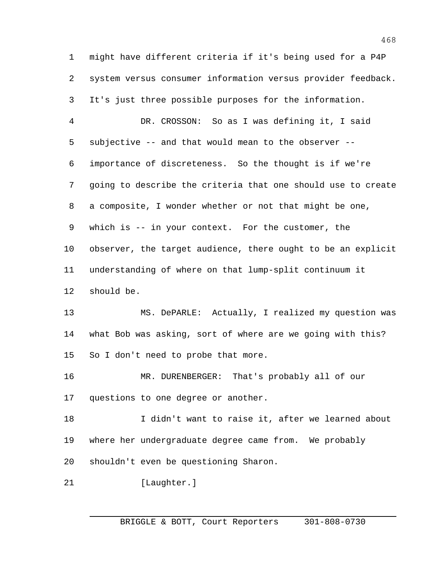might have different criteria if it's being used for a P4P system versus consumer information versus provider feedback. It's just three possible purposes for the information. DR. CROSSON: So as I was defining it, I said subjective -- and that would mean to the observer -- importance of discreteness. So the thought is if we're going to describe the criteria that one should use to create a composite, I wonder whether or not that might be one, which is -- in your context. For the customer, the observer, the target audience, there ought to be an explicit understanding of where on that lump-split continuum it should be. MS. DePARLE: Actually, I realized my question was what Bob was asking, sort of where are we going with this? So I don't need to probe that more. MR. DURENBERGER: That's probably all of our questions to one degree or another. I didn't want to raise it, after we learned about where her undergraduate degree came from. We probably shouldn't even be questioning Sharon. 21 [Laughter.]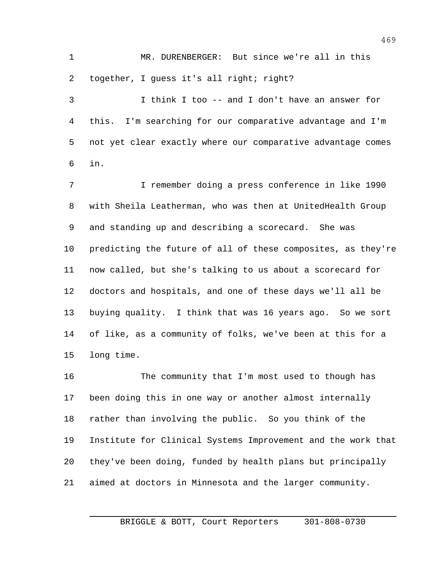MR. DURENBERGER: But since we're all in this together, I guess it's all right; right?

 I think I too -- and I don't have an answer for this. I'm searching for our comparative advantage and I'm not yet clear exactly where our comparative advantage comes in.

 I remember doing a press conference in like 1990 with Sheila Leatherman, who was then at UnitedHealth Group and standing up and describing a scorecard. She was predicting the future of all of these composites, as they're now called, but she's talking to us about a scorecard for doctors and hospitals, and one of these days we'll all be buying quality. I think that was 16 years ago. So we sort of like, as a community of folks, we've been at this for a long time.

 The community that I'm most used to though has been doing this in one way or another almost internally rather than involving the public. So you think of the Institute for Clinical Systems Improvement and the work that they've been doing, funded by health plans but principally aimed at doctors in Minnesota and the larger community.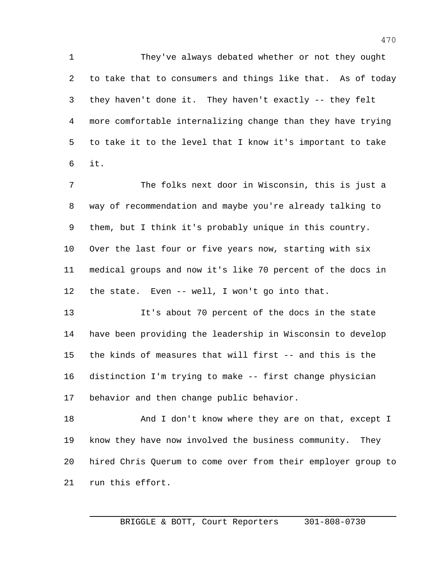They've always debated whether or not they ought to take that to consumers and things like that. As of today they haven't done it. They haven't exactly -- they felt more comfortable internalizing change than they have trying to take it to the level that I know it's important to take it.

 The folks next door in Wisconsin, this is just a way of recommendation and maybe you're already talking to them, but I think it's probably unique in this country. Over the last four or five years now, starting with six medical groups and now it's like 70 percent of the docs in the state. Even -- well, I won't go into that.

 It's about 70 percent of the docs in the state have been providing the leadership in Wisconsin to develop the kinds of measures that will first -- and this is the distinction I'm trying to make -- first change physician behavior and then change public behavior.

18 And I don't know where they are on that, except I know they have now involved the business community. They hired Chris Querum to come over from their employer group to run this effort.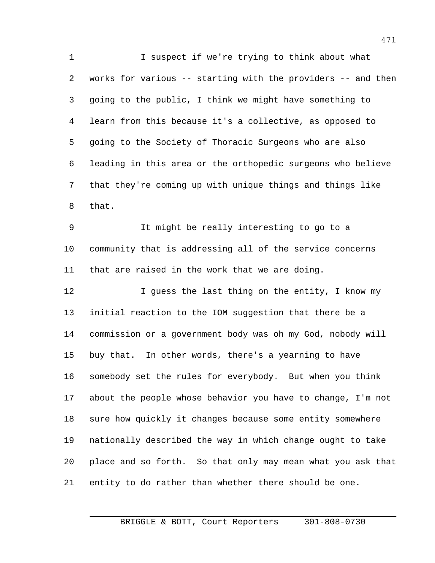I suspect if we're trying to think about what works for various -- starting with the providers -- and then going to the public, I think we might have something to learn from this because it's a collective, as opposed to going to the Society of Thoracic Surgeons who are also leading in this area or the orthopedic surgeons who believe that they're coming up with unique things and things like that.

 It might be really interesting to go to a community that is addressing all of the service concerns that are raised in the work that we are doing.

12 I guess the last thing on the entity, I know my initial reaction to the IOM suggestion that there be a commission or a government body was oh my God, nobody will buy that. In other words, there's a yearning to have somebody set the rules for everybody. But when you think about the people whose behavior you have to change, I'm not sure how quickly it changes because some entity somewhere nationally described the way in which change ought to take place and so forth. So that only may mean what you ask that entity to do rather than whether there should be one.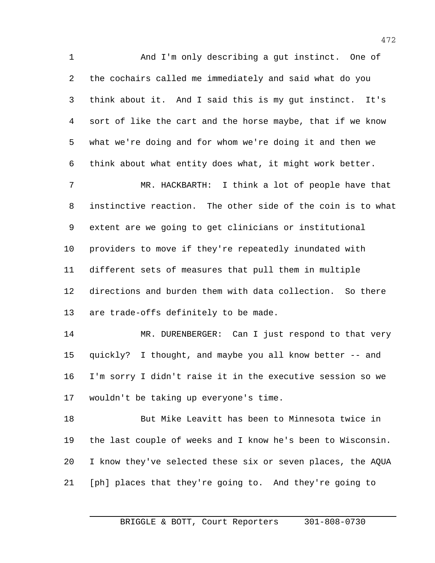And I'm only describing a gut instinct. One of the cochairs called me immediately and said what do you think about it. And I said this is my gut instinct. It's sort of like the cart and the horse maybe, that if we know what we're doing and for whom we're doing it and then we think about what entity does what, it might work better.

 MR. HACKBARTH: I think a lot of people have that instinctive reaction. The other side of the coin is to what extent are we going to get clinicians or institutional providers to move if they're repeatedly inundated with different sets of measures that pull them in multiple directions and burden them with data collection. So there are trade-offs definitely to be made.

14 MR. DURENBERGER: Can I just respond to that very quickly? I thought, and maybe you all know better -- and I'm sorry I didn't raise it in the executive session so we wouldn't be taking up everyone's time.

 But Mike Leavitt has been to Minnesota twice in the last couple of weeks and I know he's been to Wisconsin. I know they've selected these six or seven places, the AQUA [ph] places that they're going to. And they're going to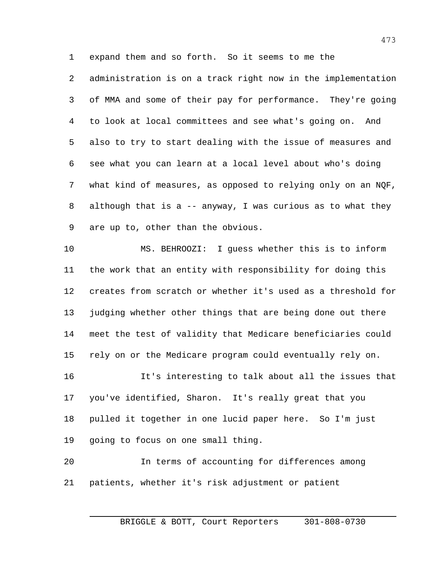expand them and so forth. So it seems to me the

 administration is on a track right now in the implementation of MMA and some of their pay for performance. They're going to look at local committees and see what's going on. And also to try to start dealing with the issue of measures and see what you can learn at a local level about who's doing what kind of measures, as opposed to relying only on an NQF, although that is a -- anyway, I was curious as to what they are up to, other than the obvious.

 MS. BEHROOZI: I guess whether this is to inform the work that an entity with responsibility for doing this creates from scratch or whether it's used as a threshold for judging whether other things that are being done out there meet the test of validity that Medicare beneficiaries could rely on or the Medicare program could eventually rely on. It's interesting to talk about all the issues that

 you've identified, Sharon. It's really great that you pulled it together in one lucid paper here. So I'm just going to focus on one small thing.

 In terms of accounting for differences among patients, whether it's risk adjustment or patient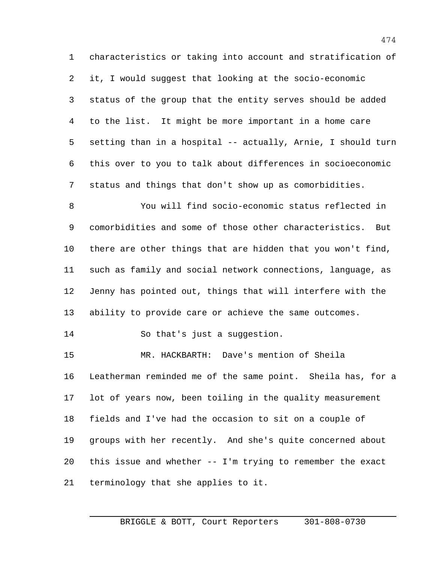characteristics or taking into account and stratification of it, I would suggest that looking at the socio-economic status of the group that the entity serves should be added to the list. It might be more important in a home care setting than in a hospital -- actually, Arnie, I should turn this over to you to talk about differences in socioeconomic status and things that don't show up as comorbidities.

 You will find socio-economic status reflected in comorbidities and some of those other characteristics. But there are other things that are hidden that you won't find, such as family and social network connections, language, as Jenny has pointed out, things that will interfere with the ability to provide care or achieve the same outcomes.

So that's just a suggestion.

 MR. HACKBARTH: Dave's mention of Sheila Leatherman reminded me of the same point. Sheila has, for a lot of years now, been toiling in the quality measurement fields and I've had the occasion to sit on a couple of groups with her recently. And she's quite concerned about this issue and whether -- I'm trying to remember the exact terminology that she applies to it.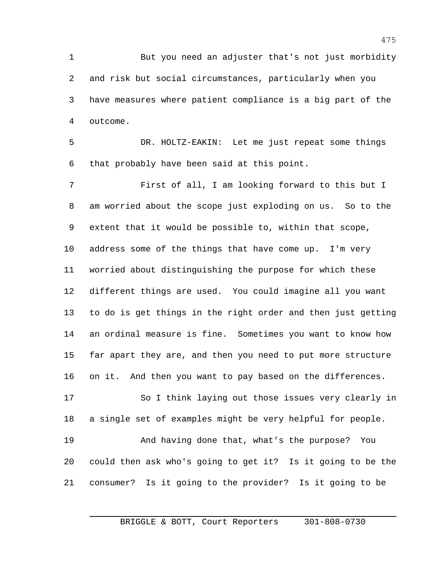But you need an adjuster that's not just morbidity and risk but social circumstances, particularly when you have measures where patient compliance is a big part of the outcome.

 DR. HOLTZ-EAKIN: Let me just repeat some things that probably have been said at this point.

 First of all, I am looking forward to this but I am worried about the scope just exploding on us. So to the extent that it would be possible to, within that scope, address some of the things that have come up. I'm very worried about distinguishing the purpose for which these different things are used. You could imagine all you want to do is get things in the right order and then just getting an ordinal measure is fine. Sometimes you want to know how far apart they are, and then you need to put more structure on it. And then you want to pay based on the differences.

 So I think laying out those issues very clearly in a single set of examples might be very helpful for people.

 And having done that, what's the purpose? You could then ask who's going to get it? Is it going to be the consumer? Is it going to the provider? Is it going to be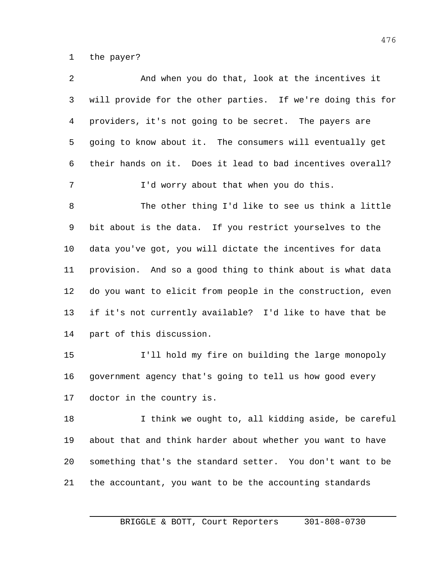the payer?

| 2  | And when you do that, look at the incentives it             |
|----|-------------------------------------------------------------|
| 3  | will provide for the other parties. If we're doing this for |
| 4  | providers, it's not going to be secret. The payers are      |
| 5  | going to know about it. The consumers will eventually get   |
| 6  | their hands on it. Does it lead to bad incentives overall?  |
| 7  | I'd worry about that when you do this.                      |
| 8  | The other thing I'd like to see us think a little           |
| 9  | bit about is the data. If you restrict yourselves to the    |
| 10 | data you've got, you will dictate the incentives for data   |
| 11 | provision. And so a good thing to think about is what data  |
| 12 | do you want to elicit from people in the construction, even |
| 13 | if it's not currently available? I'd like to have that be   |
| 14 | part of this discussion.                                    |
| 15 | I'll hold my fire on building the large monopoly            |
| 16 | government agency that's going to tell us how good every    |
| 17 | doctor in the country is.                                   |
| 18 | I think we ought to, all kidding aside, be careful          |
| 19 | about that and think harder about whether you want to have  |
| 20 | something that's the standard setter. You don't want to be  |
| 21 | the accountant, you want to be the accounting standards     |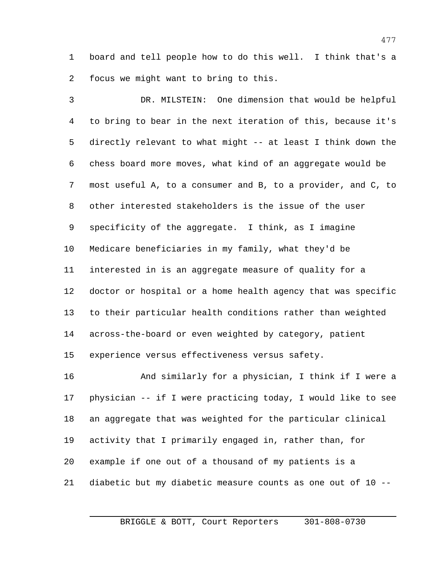board and tell people how to do this well. I think that's a focus we might want to bring to this.

 DR. MILSTEIN: One dimension that would be helpful to bring to bear in the next iteration of this, because it's directly relevant to what might -- at least I think down the chess board more moves, what kind of an aggregate would be most useful A, to a consumer and B, to a provider, and C, to other interested stakeholders is the issue of the user specificity of the aggregate. I think, as I imagine Medicare beneficiaries in my family, what they'd be interested in is an aggregate measure of quality for a doctor or hospital or a home health agency that was specific to their particular health conditions rather than weighted across-the-board or even weighted by category, patient experience versus effectiveness versus safety.

 And similarly for a physician, I think if I were a physician -- if I were practicing today, I would like to see an aggregate that was weighted for the particular clinical activity that I primarily engaged in, rather than, for example if one out of a thousand of my patients is a diabetic but my diabetic measure counts as one out of 10 --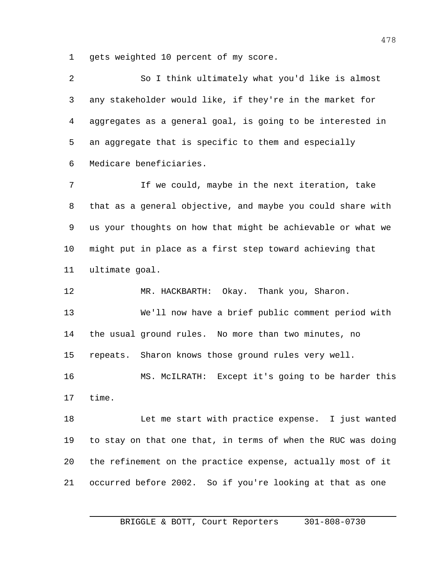gets weighted 10 percent of my score.

 So I think ultimately what you'd like is almost any stakeholder would like, if they're in the market for aggregates as a general goal, is going to be interested in an aggregate that is specific to them and especially Medicare beneficiaries.

 If we could, maybe in the next iteration, take that as a general objective, and maybe you could share with us your thoughts on how that might be achievable or what we might put in place as a first step toward achieving that ultimate goal.

 MR. HACKBARTH: Okay. Thank you, Sharon. We'll now have a brief public comment period with the usual ground rules. No more than two minutes, no repeats. Sharon knows those ground rules very well. MS. McILRATH: Except it's going to be harder this time. Let me start with practice expense. I just wanted

 to stay on that one that, in terms of when the RUC was doing the refinement on the practice expense, actually most of it occurred before 2002. So if you're looking at that as one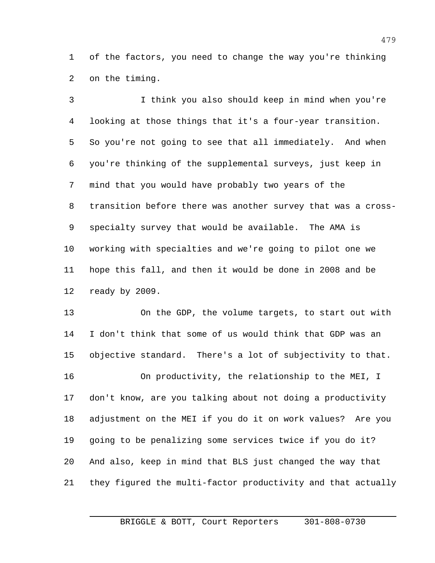of the factors, you need to change the way you're thinking on the timing.

 I think you also should keep in mind when you're looking at those things that it's a four-year transition. So you're not going to see that all immediately. And when you're thinking of the supplemental surveys, just keep in mind that you would have probably two years of the transition before there was another survey that was a cross- specialty survey that would be available. The AMA is working with specialties and we're going to pilot one we hope this fall, and then it would be done in 2008 and be ready by 2009.

 On the GDP, the volume targets, to start out with I don't think that some of us would think that GDP was an objective standard. There's a lot of subjectivity to that. 16 On productivity, the relationship to the MEI, I don't know, are you talking about not doing a productivity adjustment on the MEI if you do it on work values? Are you going to be penalizing some services twice if you do it? And also, keep in mind that BLS just changed the way that they figured the multi-factor productivity and that actually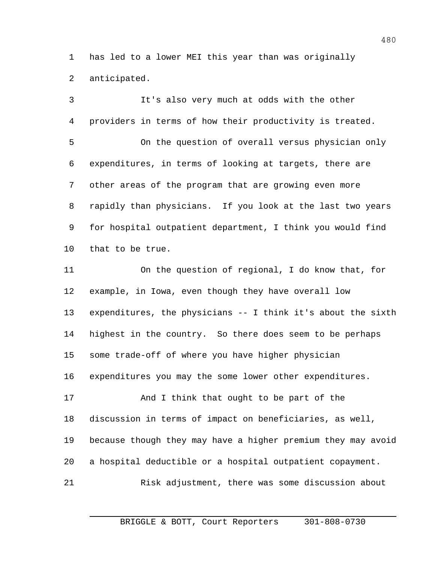has led to a lower MEI this year than was originally anticipated.

 It's also very much at odds with the other providers in terms of how their productivity is treated. On the question of overall versus physician only expenditures, in terms of looking at targets, there are other areas of the program that are growing even more rapidly than physicians. If you look at the last two years for hospital outpatient department, I think you would find that to be true. On the question of regional, I do know that, for example, in Iowa, even though they have overall low expenditures, the physicians -- I think it's about the sixth highest in the country. So there does seem to be perhaps some trade-off of where you have higher physician expenditures you may the some lower other expenditures. And I think that ought to be part of the discussion in terms of impact on beneficiaries, as well, because though they may have a higher premium they may avoid a hospital deductible or a hospital outpatient copayment. Risk adjustment, there was some discussion about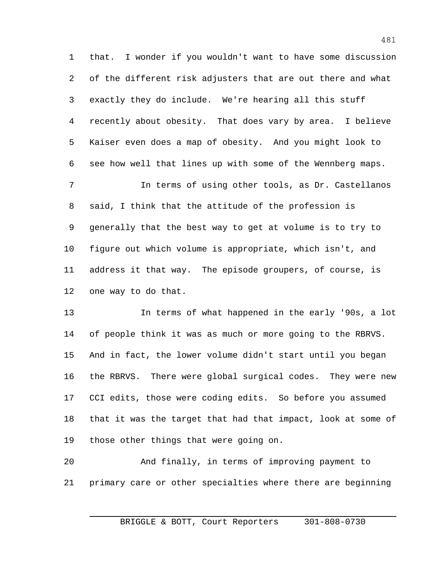that. I wonder if you wouldn't want to have some discussion of the different risk adjusters that are out there and what exactly they do include. We're hearing all this stuff recently about obesity. That does vary by area. I believe Kaiser even does a map of obesity. And you might look to see how well that lines up with some of the Wennberg maps.

 In terms of using other tools, as Dr. Castellanos said, I think that the attitude of the profession is generally that the best way to get at volume is to try to figure out which volume is appropriate, which isn't, and address it that way. The episode groupers, of course, is one way to do that.

 In terms of what happened in the early '90s, a lot of people think it was as much or more going to the RBRVS. And in fact, the lower volume didn't start until you began the RBRVS. There were global surgical codes. They were new CCI edits, those were coding edits. So before you assumed that it was the target that had that impact, look at some of those other things that were going on.

 And finally, in terms of improving payment to primary care or other specialties where there are beginning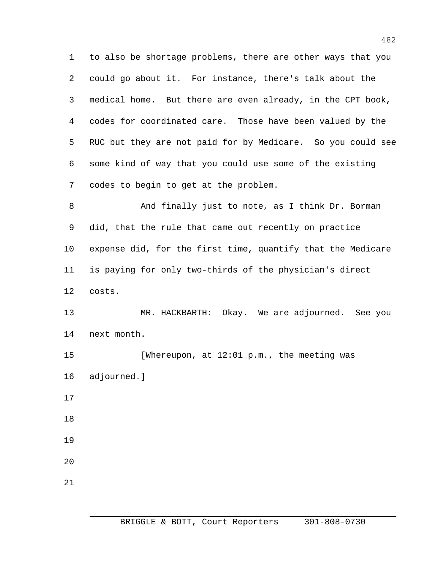to also be shortage problems, there are other ways that you could go about it. For instance, there's talk about the medical home. But there are even already, in the CPT book, codes for coordinated care. Those have been valued by the RUC but they are not paid for by Medicare. So you could see some kind of way that you could use some of the existing codes to begin to get at the problem.

 And finally just to note, as I think Dr. Borman did, that the rule that came out recently on practice expense did, for the first time, quantify that the Medicare is paying for only two-thirds of the physician's direct costs.

 MR. HACKBARTH: Okay. We are adjourned. See you next month.

 [Whereupon, at 12:01 p.m., the meeting was adjourned.]

- 
- 

- 
- 
-